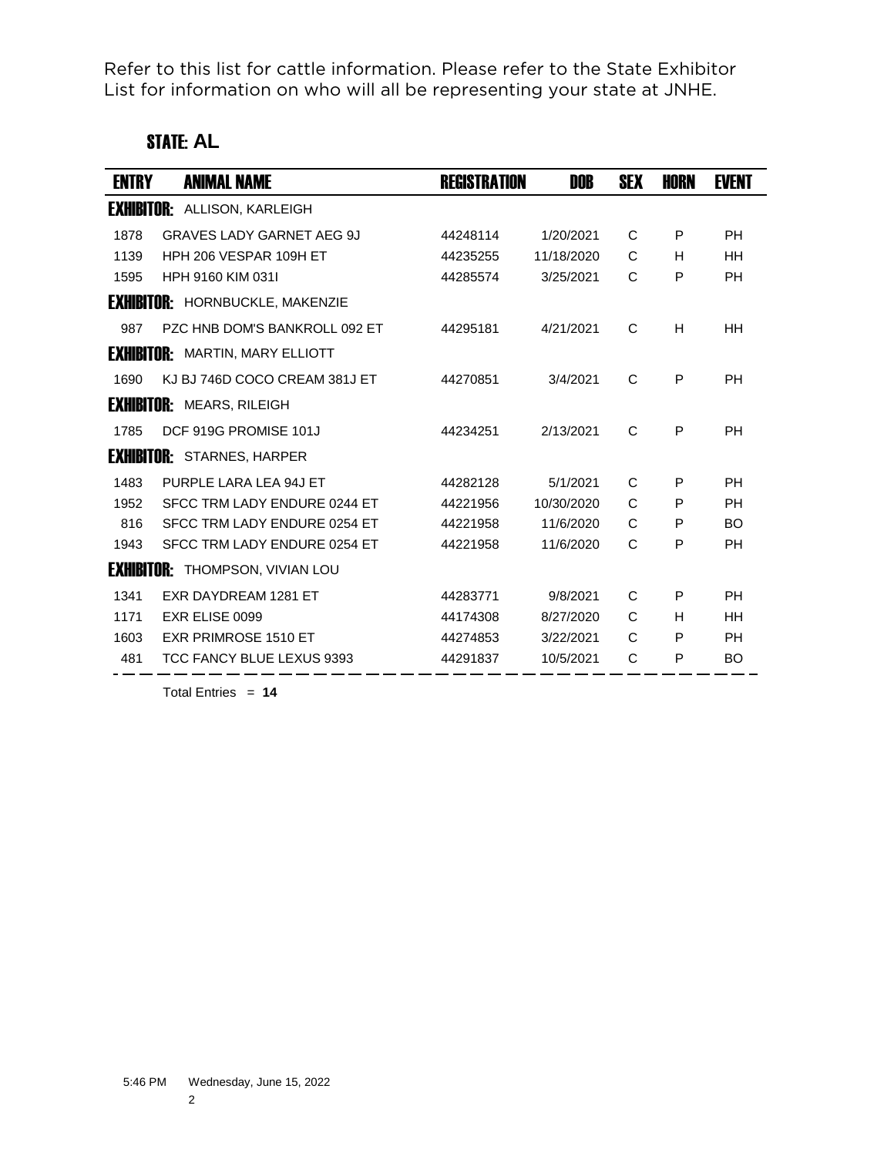Refer to this list for cattle information. Please refer to the State Exhibitor List for information on who will all be representing your state at JNHE.

# STATE: **AL**

| ENTRY | <b>ANIMAL NAME</b>                     | <b>REGISTRATION</b> | DOB        | SEX | HORN | EVENT     |
|-------|----------------------------------------|---------------------|------------|-----|------|-----------|
|       | <b>EXHIBITOR: ALLISON, KARLEIGH</b>    |                     |            |     |      |           |
| 1878  | <b>GRAVES LADY GARNET AEG 9J</b>       | 44248114            | 1/20/2021  | C   | P    | <b>PH</b> |
| 1139  | HPH 206 VESPAR 109H ET                 | 44235255            | 11/18/2020 | C   | н    | <b>HH</b> |
| 1595  | HPH 9160 KIM 0311                      | 44285574            | 3/25/2021  | C   | P    | <b>PH</b> |
|       | <b>EXHIBITOR: HORNBUCKLE, MAKENZIE</b> |                     |            |     |      |           |
| 987   | PZC HNB DOM'S BANKROLL 092 FT          | 44295181            | 4/21/2021  | C   | H    | <b>HH</b> |
|       | <b>EXHIBITOR:</b> MARTIN, MARY ELLIOTT |                     |            |     |      |           |
| 1690  | KJ BJ 746D COCO CREAM 381J ET          | 44270851            | 3/4/2021   | C   | P    | <b>PH</b> |
|       | <b>EXHIBITOR: MEARS, RILEIGH</b>       |                     |            |     |      |           |
| 1785  | DCF 919G PROMISE 101J                  | 44234251            | 2/13/2021  | C   | P    | <b>PH</b> |
|       | <b>EXHIBITOR:</b> STARNES, HARPER      |                     |            |     |      |           |
| 1483  | PURPLE LARA LEA 94J ET                 | 44282128            | 5/1/2021   | C   | P    | PH        |
| 1952  | SFCC TRM LADY ENDURE 0244 ET           | 44221956            | 10/30/2020 | C   | P    | <b>PH</b> |
| 816   | SFCC TRM LADY ENDURE 0254 ET           | 44221958            | 11/6/2020  | C   | P    | <b>BO</b> |
| 1943  | SFCC TRM LADY ENDURE 0254 ET           | 44221958            | 11/6/2020  | C   | P    | PH        |
|       | <b>EXHIBITOR:</b> THOMPSON, VIVIAN LOU |                     |            |     |      |           |
| 1341  | EXR DAYDREAM 1281 ET                   | 44283771            | 9/8/2021   | C   | P    | <b>PH</b> |
| 1171  | EXR ELISE 0099                         | 44174308            | 8/27/2020  | C   | н    | <b>HH</b> |
| 1603  | <b>EXR PRIMROSE 1510 ET</b>            | 44274853            | 3/22/2021  | C   | P    | <b>PH</b> |
| 481   | TCC FANCY BLUE LEXUS 9393              | 44291837            | 10/5/2021  | C   | P    | <b>BO</b> |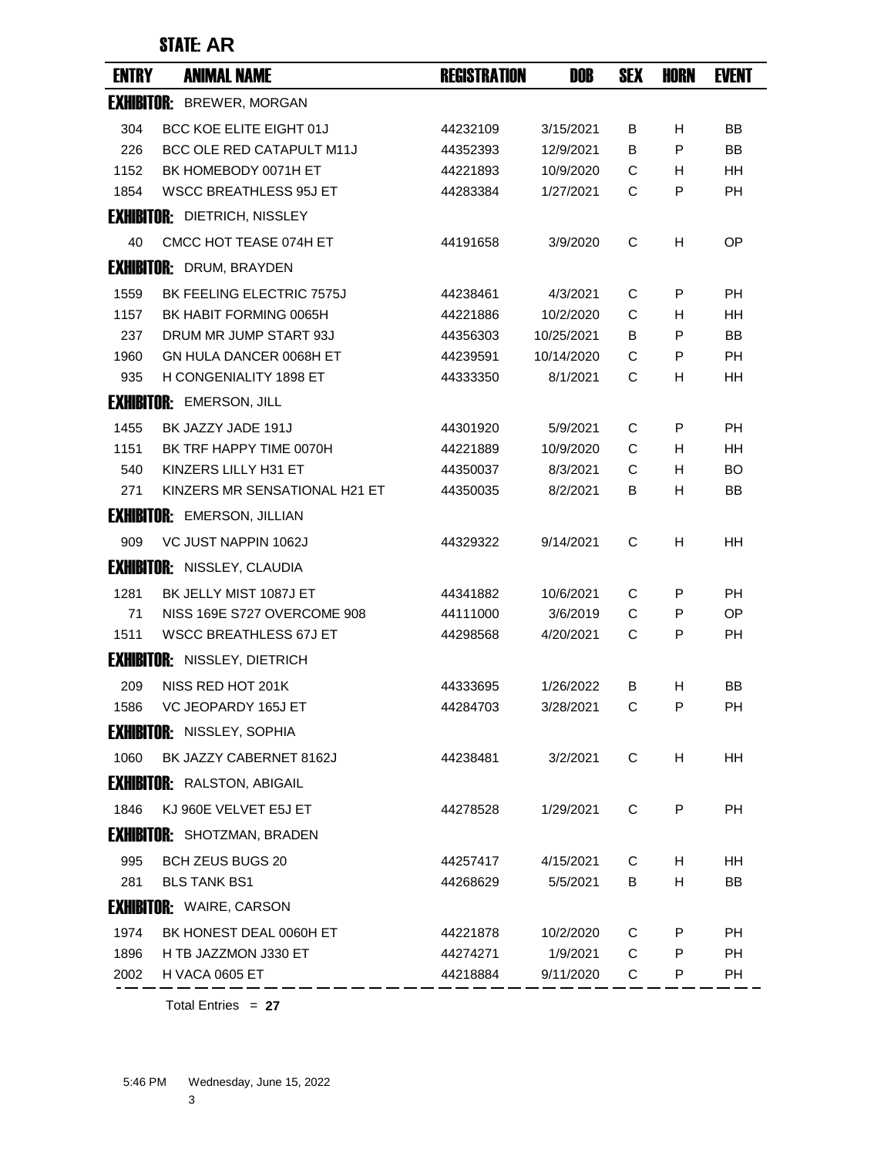# STATE: **AR**

| <b>ENTRY</b> | <b>ANIMAL NAME</b>                  | <b>REGISTRATION</b> | DOB        | <b>SEX</b> | <b>HORN</b> | <b>EVENT</b> |
|--------------|-------------------------------------|---------------------|------------|------------|-------------|--------------|
|              | <b>EXHIBITOR: BREWER, MORGAN</b>    |                     |            |            |             |              |
| 304          | <b>BCC KOE ELITE EIGHT 01J</b>      | 44232109            | 3/15/2021  | В          | H           | BB           |
| 226          | BCC OLE RED CATAPULT M11J           | 44352393            | 12/9/2021  | B          | P           | <b>BB</b>    |
| 1152         | BK HOMEBODY 0071H ET                | 44221893            | 10/9/2020  | C          | н           | <b>HH</b>    |
| 1854         | <b>WSCC BREATHLESS 95J ET</b>       | 44283384            | 1/27/2021  | C          | P           | <b>PH</b>    |
|              | <b>EXHIBITOR: DIETRICH, NISSLEY</b> |                     |            |            |             |              |
| 40           | CMCC HOT TEASE 074H ET              | 44191658            | 3/9/2020   | C          | H           | OP           |
|              | <b>EXHIBITOR: DRUM, BRAYDEN</b>     |                     |            |            |             |              |
| 1559         | <b>BK FEELING ELECTRIC 7575J</b>    | 44238461            | 4/3/2021   | C          | P           | РH           |
| 1157         | BK HABIT FORMING 0065H              | 44221886            | 10/2/2020  | C          | н           | HН           |
| 237          | DRUM MR JUMP START 93J              | 44356303            | 10/25/2021 | В          | P           | BB           |
| 1960         | GN HULA DANCER 0068H ET             | 44239591            | 10/14/2020 | C          | P           | <b>PH</b>    |
| 935          | H CONGENIALITY 1898 ET              | 44333350            | 8/1/2021   | C          | H           | <b>HH</b>    |
|              | <b>EXHIBITOR: EMERSON, JILL</b>     |                     |            |            |             |              |
| 1455         | BK JAZZY JADE 191J                  | 44301920            | 5/9/2021   | C          | P           | <b>PH</b>    |
| 1151         | BK TRF HAPPY TIME 0070H             | 44221889            | 10/9/2020  | C          | H           | HН           |
| 540          | KINZERS LILLY H31 ET                | 44350037            | 8/3/2021   | C          | H           | BO           |
| 271          | KINZERS MR SENSATIONAL H21 ET       | 44350035            | 8/2/2021   | B          | н           | BB           |
|              | <b>EXHIBITOR: EMERSON, JILLIAN</b>  |                     |            |            |             |              |
| 909          | VC JUST NAPPIN 1062J                | 44329322            | 9/14/2021  | C          | H           | HН           |
|              | <b>EXHIBITOR: NISSLEY, CLAUDIA</b>  |                     |            |            |             |              |
| 1281         | BK JELLY MIST 1087J ET              | 44341882            | 10/6/2021  | C          | P           | РH           |
| 71           | NISS 169E S727 OVERCOME 908         | 44111000            | 3/6/2019   | C          | P           | <b>OP</b>    |
| 1511         | <b>WSCC BREATHLESS 67J ET</b>       | 44298568            | 4/20/2021  | C          | P           | <b>PH</b>    |
|              | <b>EXHIBITOR: NISSLEY, DIETRICH</b> |                     |            |            |             |              |
| 209          | NISS RED HOT 201K                   | 44333695            | 1/26/2022  | В          | H           | ΒB           |
| 1586         | VC JEOPARDY 165J ET                 | 44284703            | 3/28/2021  | C          | P           | PН           |
|              | <b>EXHIBITOR: NISSLEY, SOPHIA</b>   |                     |            |            |             |              |
| 1060         | BK JAZZY CABERNET 8162J             | 44238481            | 3/2/2021   | C          | H           | HH           |
|              | <b>EXHIBITOR: RALSTON, ABIGAIL</b>  |                     |            |            |             |              |
| 1846         | KJ 960E VELVET E5J ET               | 44278528            | 1/29/2021  | C          | P           | <b>PH</b>    |
|              | <b>EXHIBITOR:</b> SHOTZMAN, BRADEN  |                     |            |            |             |              |
| 995          | <b>BCH ZEUS BUGS 20</b>             | 44257417            | 4/15/2021  | C          | H           | HН           |
| 281          | <b>BLS TANK BS1</b>                 | 44268629            | 5/5/2021   | B          | н           | BB           |
|              | <b>EXHIBITOR: WAIRE, CARSON</b>     |                     |            |            |             |              |
| 1974         | BK HONEST DEAL 0060H ET             | 44221878            | 10/2/2020  | С          | P           | <b>PH</b>    |
| 1896         | H TB JAZZMON J330 ET                | 44274271            | 1/9/2021   | C          | P           | PH           |
| 2002         | H VACA 0605 ET                      | 44218884            | 9/11/2020  | C          | P           | <b>PH</b>    |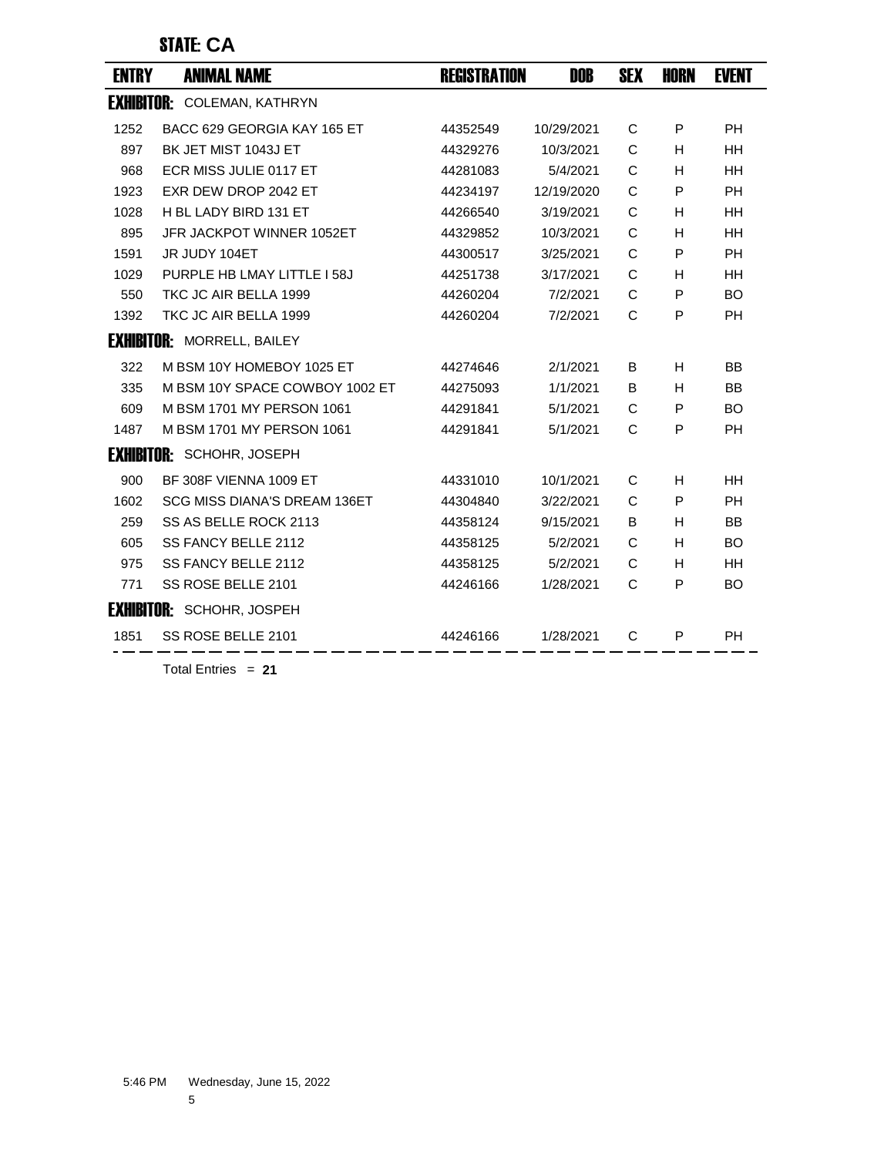#### STATE: **CA**

| <b>ENTRY</b> | <b>ANIMAL NAME</b>                  | <b>REGISTRATION</b> | DOB        | <b>SEX</b> | <b>HORN</b> | <b>EVENT</b> |
|--------------|-------------------------------------|---------------------|------------|------------|-------------|--------------|
|              | <b>EXHIBITOR: COLEMAN, KATHRYN</b>  |                     |            |            |             |              |
| 1252         | BACC 629 GEORGIA KAY 165 ET         | 44352549            | 10/29/2021 | C          | P           | <b>PH</b>    |
| 897          | BK JET MIST 1043J ET                | 44329276            | 10/3/2021  | C          | H.          | HH           |
| 968          | ECR MISS JULIE 0117 ET              | 44281083            | 5/4/2021   | C          | H           | <b>HH</b>    |
| 1923         | EXR DEW DROP 2042 ET                | 44234197            | 12/19/2020 | C          | P           | <b>PH</b>    |
| 1028         | H BL LADY BIRD 131 ET               | 44266540            | 3/19/2021  | C          | H           | <b>HH</b>    |
| 895          | JFR JACKPOT WINNER 1052ET           | 44329852            | 10/3/2021  | C          | H           | <b>HH</b>    |
| 1591         | JR JUDY 104ET                       | 44300517            | 3/25/2021  | C          | P           | <b>PH</b>    |
| 1029         | PURPLE HB LMAY LITTLE I 58J         | 44251738            | 3/17/2021  | C          | H           | HH           |
| 550          | TKC JC AIR BELLA 1999               | 44260204            | 7/2/2021   | C          | P           | <b>BO</b>    |
| 1392         | TKC JC AIR BELLA 1999               | 44260204            | 7/2/2021   | C          | P           | <b>PH</b>    |
|              | <b>EXHIBITOR: MORRELL, BAILEY</b>   |                     |            |            |             |              |
| 322          | M BSM 10Y HOMEBOY 1025 ET           | 44274646            | 2/1/2021   | B          | H.          | <b>BB</b>    |
| 335          | M BSM 10Y SPACE COWBOY 1002 ET      | 44275093            | 1/1/2021   | B          | H           | <b>BB</b>    |
| 609          | M BSM 1701 MY PERSON 1061           | 44291841            | 5/1/2021   | C          | P           | <b>BO</b>    |
| 1487         | M BSM 1701 MY PERSON 1061           | 44291841            | 5/1/2021   | C          | P           | <b>PH</b>    |
|              | <b>EXHIBITOR: SCHOHR, JOSEPH</b>    |                     |            |            |             |              |
| 900          | BF 308F VIENNA 1009 ET              | 44331010            | 10/1/2021  | C          | H           | HH           |
| 1602         | <b>SCG MISS DIANA'S DREAM 136ET</b> | 44304840            | 3/22/2021  | C          | P           | <b>PH</b>    |
| 259          | SS AS BELLE ROCK 2113               | 44358124            | 9/15/2021  | B          | H.          | BB           |
| 605          | SS FANCY BELLE 2112                 | 44358125            | 5/2/2021   | C          | H           | <b>BO</b>    |
| 975          | SS FANCY BELLE 2112                 | 44358125            | 5/2/2021   | C          | H           | HH           |
| 771          | SS ROSE BELLE 2101                  | 44246166            | 1/28/2021  | C          | P           | <b>BO</b>    |
|              | <b>EXHIBITOR: SCHOHR, JOSPEH</b>    |                     |            |            |             |              |
| 1851         | SS ROSE BELLE 2101                  | 44246166            | 1/28/2021  | C          | P           | <b>PH</b>    |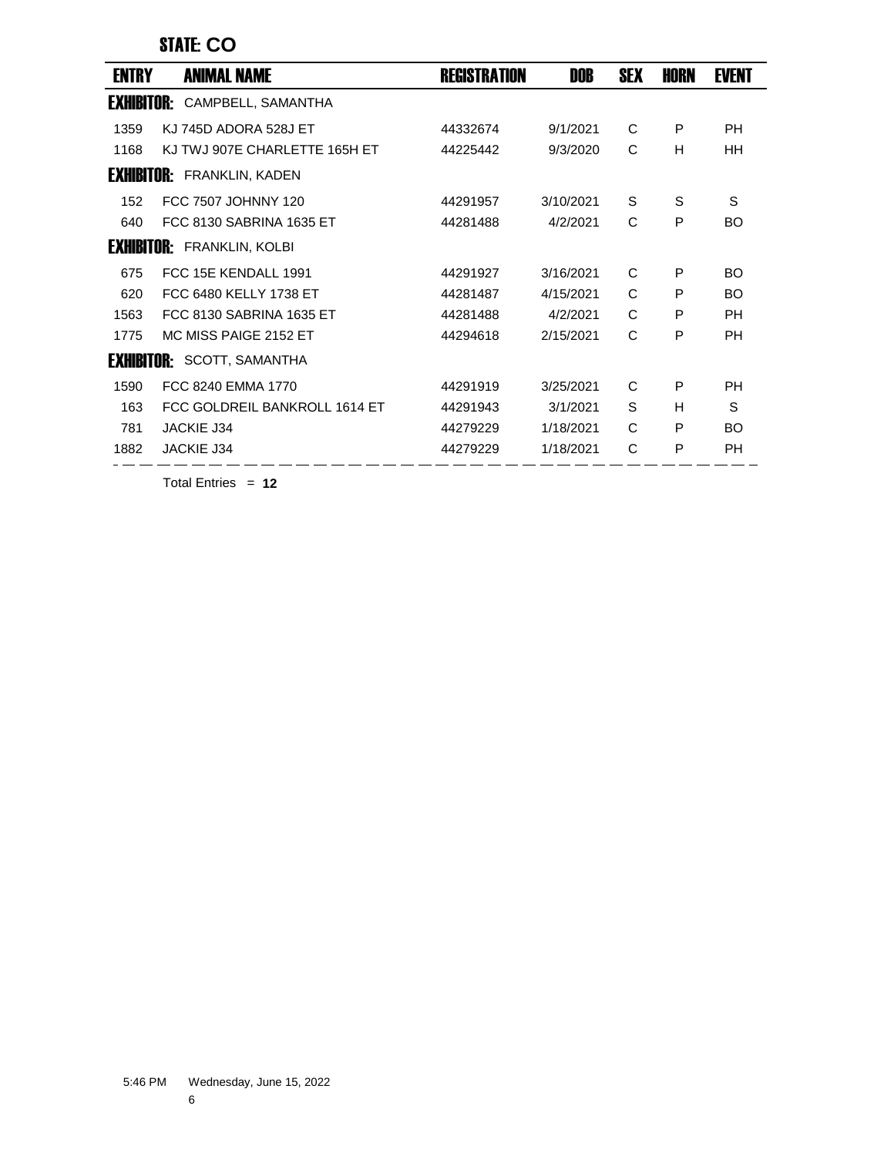#### STATE: **CO**

| <b>ENTRY</b>      | <b>ANIMAL NAME</b>                | <b>REGISTRATION</b> | DOB       | <b>SEX</b> | HORN | <b>EVENT</b> |
|-------------------|-----------------------------------|---------------------|-----------|------------|------|--------------|
| <b>Exhibitor:</b> | CAMPBELL, SAMANTHA                |                     |           |            |      |              |
| 1359              | KJ 745D ADORA 528J ET             | 44332674            | 9/1/2021  | C          | P    | PH           |
| 1168              | KJ TWJ 907E CHARLETTE 165H ET     | 44225442            | 9/3/2020  | C          | H    | <b>HH</b>    |
|                   | <b>EXHIBITOR: FRANKLIN, KADEN</b> |                     |           |            |      |              |
| 152               | FCC 7507 JOHNNY 120               | 44291957            | 3/10/2021 | S          | S    | S            |
| 640               | FCC 8130 SABRINA 1635 ET          | 44281488            | 4/2/2021  | C          | P    | <b>BO</b>    |
|                   | <b>EXHIBITOR: FRANKLIN, KOLBI</b> |                     |           |            |      |              |
| 675               | FCC 15E KENDALL 1991              | 44291927            | 3/16/2021 | C          | P    | <b>BO</b>    |
| 620               | FCC 6480 KELLY 1738 ET            | 44281487            | 4/15/2021 | C          | P    | <b>BO</b>    |
| 1563              | FCC 8130 SABRINA 1635 ET          | 44281488            | 4/2/2021  | C          | P    | <b>PH</b>    |
| 1775              | MC MISS PAIGE 2152 ET             | 44294618            | 2/15/2021 | C          | P    | <b>PH</b>    |
|                   | <b>EXHIBITOR:</b> SCOTT, SAMANTHA |                     |           |            |      |              |
| 1590              | FCC 8240 EMMA 1770                | 44291919            | 3/25/2021 | C          | P    | PH           |
| 163               | FCC GOLDREIL BANKROLL 1614 ET     | 44291943            | 3/1/2021  | S          | H    | S            |
| 781               | <b>JACKIE J34</b>                 | 44279229            | 1/18/2021 | C          | P    | <b>BO</b>    |
| 1882              | <b>JACKIE J34</b>                 | 44279229            | 1/18/2021 | C          | P    | PH           |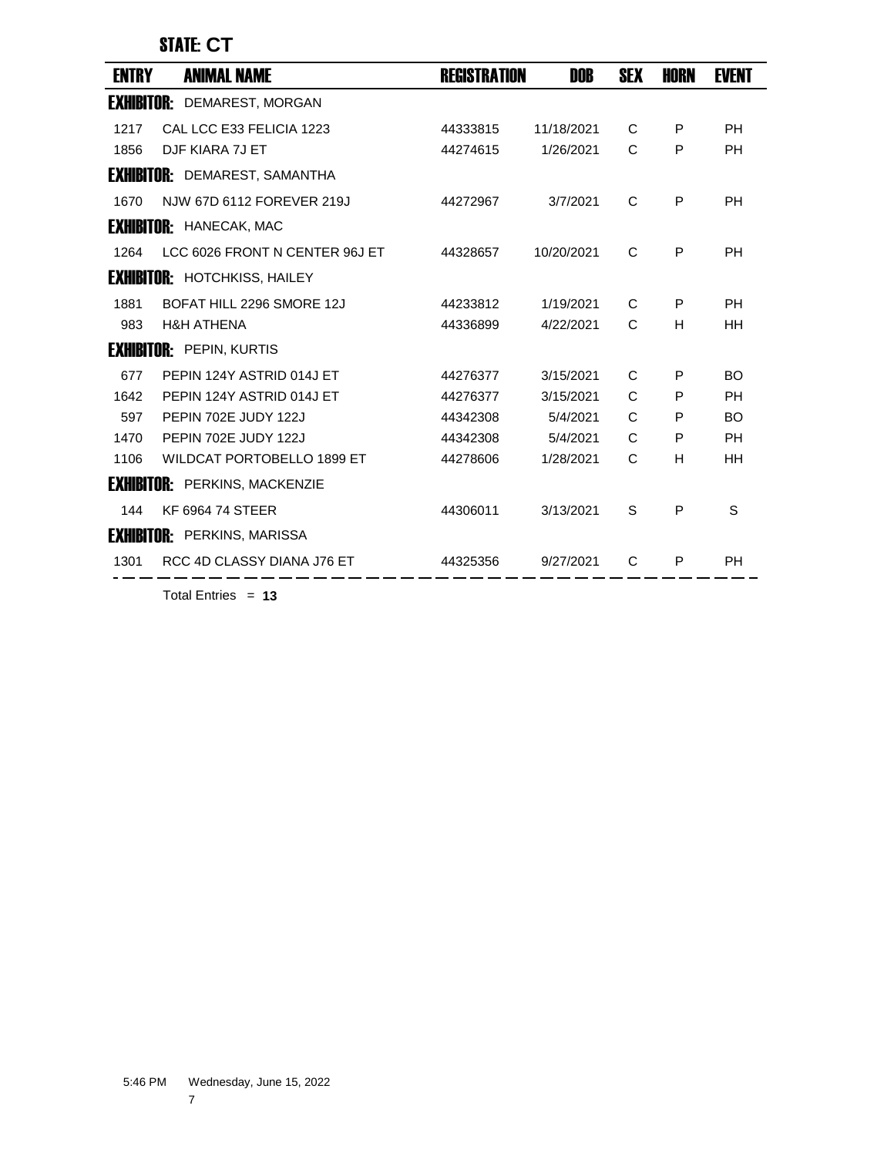#### STATE: **CT**

| <b>ENTRY</b>      | <b>ANIMAL NAME</b>                   | <b>REGISTRATION</b> | DOB        | <b>SEX</b>   | <b>HORN</b> | <b>EVENT</b> |
|-------------------|--------------------------------------|---------------------|------------|--------------|-------------|--------------|
| <b>EXHIBITOR:</b> | DEMAREST, MORGAN                     |                     |            |              |             |              |
| 1217              | CAL LCC E33 FELICIA 1223             | 44333815            | 11/18/2021 | C            | P           | <b>PH</b>    |
| 1856              | DJF KIARA 7J ET                      | 44274615            | 1/26/2021  | C            | P           | <b>PH</b>    |
|                   | <b>EXHIBITOR: DEMAREST, SAMANTHA</b> |                     |            |              |             |              |
| 1670              | NJW 67D 6112 FOREVER 219J            | 44272967            | 3/7/2021   | C            | P           | <b>PH</b>    |
|                   | <b>EXHIBITOR: HANECAK, MAC</b>       |                     |            |              |             |              |
| 1264              | LCC 6026 FRONT N CENTER 96J ET       | 44328657            | 10/20/2021 | C            | P           | <b>PH</b>    |
|                   | <b>EXHIBITOR: HOTCHKISS, HAILEY</b>  |                     |            |              |             |              |
| 1881              | BOFAT HILL 2296 SMORE 12J            | 44233812            | 1/19/2021  | C            | P           | <b>PH</b>    |
| 983               | <b>H&amp;H ATHENA</b>                | 44336899            | 4/22/2021  | C            | H           | <b>HH</b>    |
|                   | <b>EXHIBITOR: PEPIN, KURTIS</b>      |                     |            |              |             |              |
| 677               | PEPIN 124Y ASTRID 014J ET            | 44276377            | 3/15/2021  | C            | P           | <b>BO</b>    |
| 1642              | PEPIN 124Y ASTRID 014J ET            | 44276377            | 3/15/2021  | C            | P           | <b>PH</b>    |
| 597               | PEPIN 702E JUDY 122J                 | 44342308            | 5/4/2021   | $\mathsf{C}$ | P           | <b>BO</b>    |
| 1470              | PEPIN 702E JUDY 122J                 | 44342308            | 5/4/2021   | C            | P           | <b>PH</b>    |
| 1106              | WILDCAT PORTOBELLO 1899 ET           | 44278606            | 1/28/2021  | C            | H           | HH           |
|                   | <b>EXHIBITOR: PERKINS, MACKENZIE</b> |                     |            |              |             |              |
| 144               | KF 6964 74 STEER                     | 44306011            | 3/13/2021  | S            | P           | S            |
|                   | <b>EXHIBITOR: PERKINS, MARISSA</b>   |                     |            |              |             |              |
| 1301              | RCC 4D CLASSY DIANA J76 ET           | 44325356            | 9/27/2021  | C            | P           | <b>PH</b>    |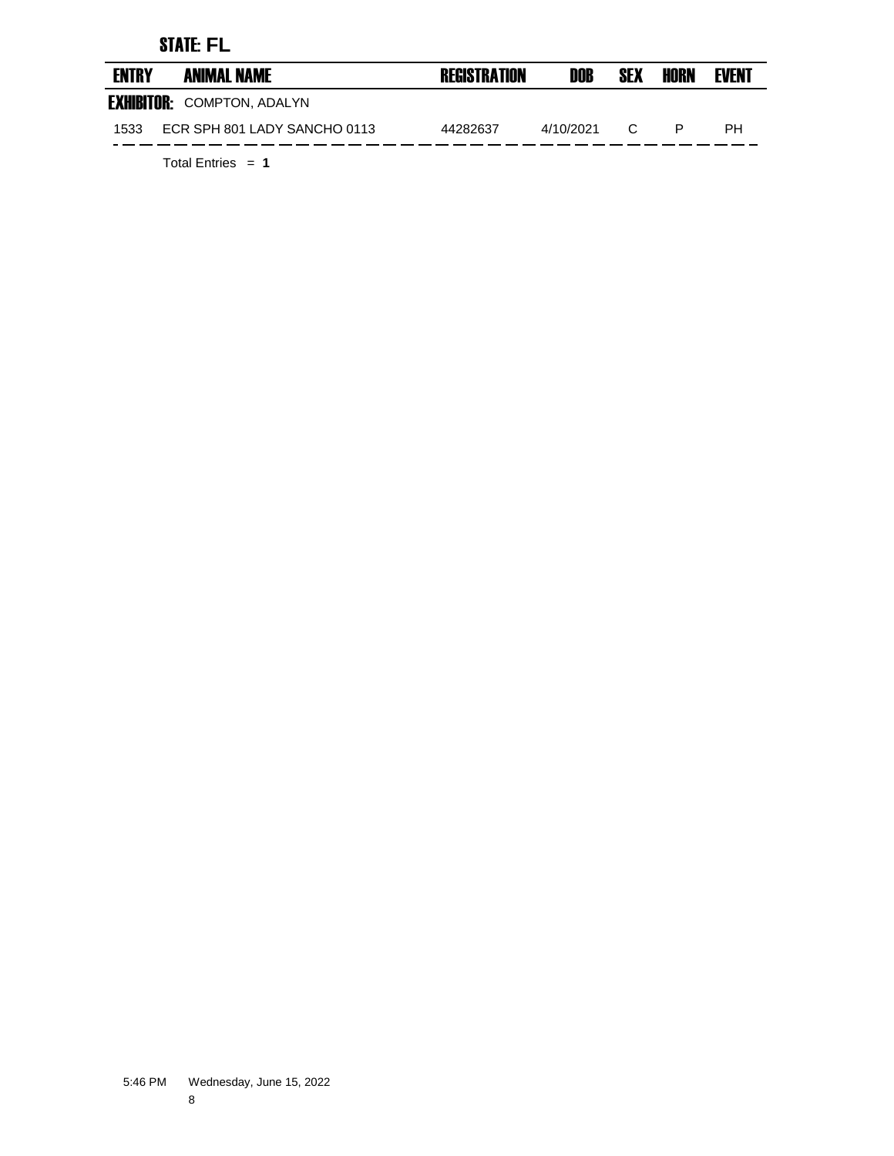# STATE: **FL**

| <b>ENTRY</b> | <b>ANIMAL NAME</b>                | <b>REGISTRATION</b> | DOB       | <b>SEX</b> | HORN | <b>EVENT</b> |
|--------------|-----------------------------------|---------------------|-----------|------------|------|--------------|
|              | <b>EXHIBITOR: COMPTON, ADALYN</b> |                     |           |            |      |              |
| 1533         | ECR SPH 801 LADY SANCHO 0113      | 44282637            | 4/10/2021 | C          |      | PН           |
|              |                                   |                     |           |            |      |              |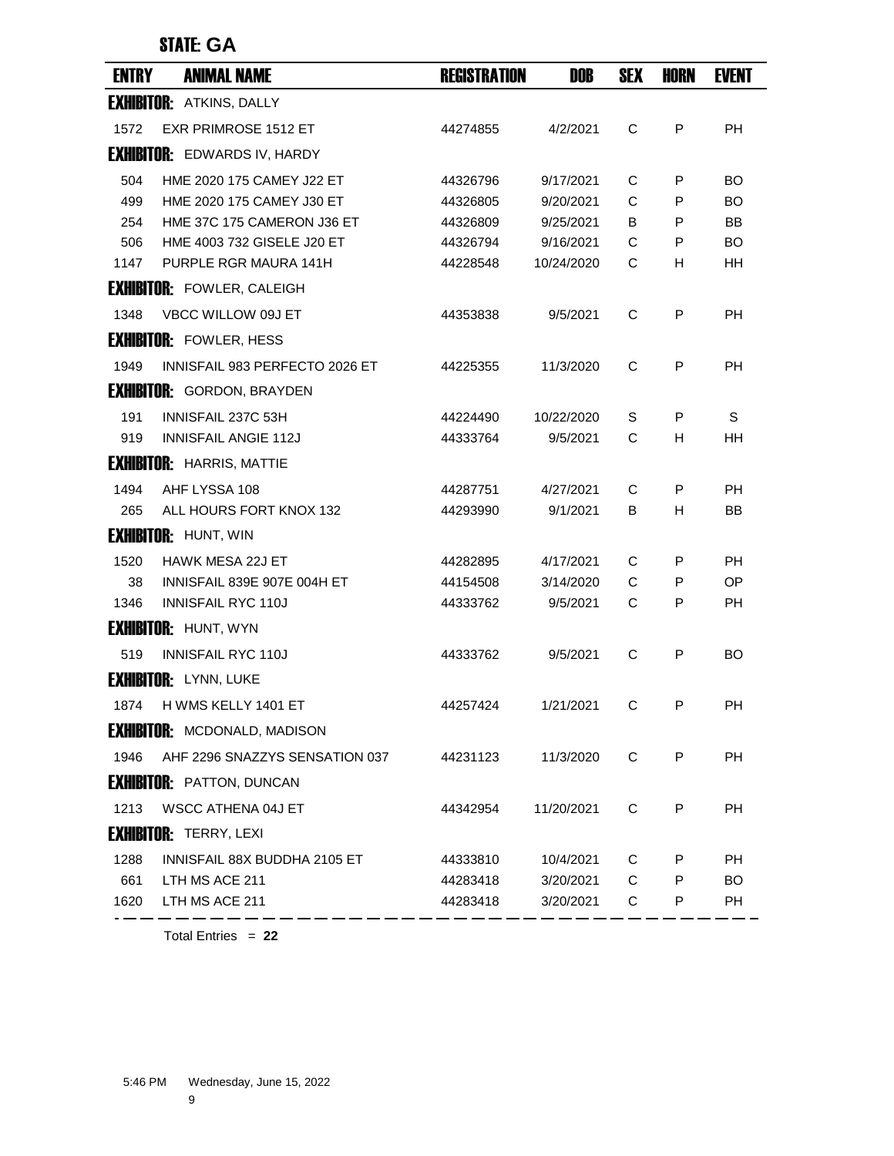#### STATE: **GA**

| <b>EXHIBITOR: ATKINS, DALLY</b><br><b>EXR PRIMROSE 1512 ET</b><br>C<br><b>PH</b><br>1572<br>44274855<br>4/2/2021<br>P<br><b>EXHIBITOR: EDWARDS IV, HARDY</b><br>HME 2020 175 CAMEY J22 ET<br>504<br>9/17/2021<br>С<br>BO<br>44326796<br>P<br>499<br>HME 2020 175 CAMEY J30 ET<br>C<br>44326805<br>9/20/2021<br>P<br>BO<br>254<br>HME 37C 175 CAMERON J36 ET<br>9/25/2021<br>В<br>P<br>BB<br>44326809<br>HME 4003 732 GISELE J20 ET<br>9/16/2021<br>C<br>506<br>44326794<br>P<br><b>BO</b><br>C<br>1147<br>PURPLE RGR MAURA 141H<br>44228548<br>10/24/2020<br>H<br>HH.<br><b>EXHIBITOR: FOWLER, CALEIGH</b><br>VBCC WILLOW 09J ET<br>C<br>P<br><b>PH</b><br>1348<br>44353838<br>9/5/2021<br><b>EXHIBITOR: FOWLER, HESS</b><br>C<br>1949<br>INNISFAIL 983 PERFECTO 2026 ET<br>11/3/2020<br>P<br>PH<br>44225355<br><b>EXHIBITOR: GORDON, BRAYDEN</b><br>INNISFAIL 237C 53H<br>S<br>191<br>44224490<br>10/22/2020<br>S<br>P<br>919<br><b>INNISFAIL ANGIE 112J</b><br>9/5/2021<br>C<br>44333764<br>н<br>HH<br><b>EXHIBITOR: HARRIS, MATTIE</b><br>AHF LYSSA 108<br>1494<br>44287751<br>4/27/2021<br>С<br>P<br>PH.<br>ALL HOURS FORT KNOX 132<br>9/1/2021<br>В<br>н<br>BB<br>265<br>44293990<br><b>EXHIBITOR: HUNT, WIN</b><br><b>HAWK MESA 22J ET</b><br>C<br>1520<br>44282895<br>4/17/2021<br>P<br>PH<br>INNISFAIL 839E 907E 004H ET<br>C<br>P<br>OP<br>38<br>44154508<br>3/14/2020<br>1346<br><b>INNISFAIL RYC 110J</b><br>44333762<br>9/5/2021<br>С<br>P<br>РH<br><b>EXHIBITOR: HUNT, WYN</b><br><b>INNISFAIL RYC 110J</b><br>C<br><b>BO</b><br>519<br>44333762<br>9/5/2021<br>P |
|--------------------------------------------------------------------------------------------------------------------------------------------------------------------------------------------------------------------------------------------------------------------------------------------------------------------------------------------------------------------------------------------------------------------------------------------------------------------------------------------------------------------------------------------------------------------------------------------------------------------------------------------------------------------------------------------------------------------------------------------------------------------------------------------------------------------------------------------------------------------------------------------------------------------------------------------------------------------------------------------------------------------------------------------------------------------------------------------------------------------------------------------------------------------------------------------------------------------------------------------------------------------------------------------------------------------------------------------------------------------------------------------------------------------------------------------------------------------------------------------------------------------------------------------------------------------------------|
|                                                                                                                                                                                                                                                                                                                                                                                                                                                                                                                                                                                                                                                                                                                                                                                                                                                                                                                                                                                                                                                                                                                                                                                                                                                                                                                                                                                                                                                                                                                                                                                |
|                                                                                                                                                                                                                                                                                                                                                                                                                                                                                                                                                                                                                                                                                                                                                                                                                                                                                                                                                                                                                                                                                                                                                                                                                                                                                                                                                                                                                                                                                                                                                                                |
|                                                                                                                                                                                                                                                                                                                                                                                                                                                                                                                                                                                                                                                                                                                                                                                                                                                                                                                                                                                                                                                                                                                                                                                                                                                                                                                                                                                                                                                                                                                                                                                |
|                                                                                                                                                                                                                                                                                                                                                                                                                                                                                                                                                                                                                                                                                                                                                                                                                                                                                                                                                                                                                                                                                                                                                                                                                                                                                                                                                                                                                                                                                                                                                                                |
|                                                                                                                                                                                                                                                                                                                                                                                                                                                                                                                                                                                                                                                                                                                                                                                                                                                                                                                                                                                                                                                                                                                                                                                                                                                                                                                                                                                                                                                                                                                                                                                |
|                                                                                                                                                                                                                                                                                                                                                                                                                                                                                                                                                                                                                                                                                                                                                                                                                                                                                                                                                                                                                                                                                                                                                                                                                                                                                                                                                                                                                                                                                                                                                                                |
|                                                                                                                                                                                                                                                                                                                                                                                                                                                                                                                                                                                                                                                                                                                                                                                                                                                                                                                                                                                                                                                                                                                                                                                                                                                                                                                                                                                                                                                                                                                                                                                |
|                                                                                                                                                                                                                                                                                                                                                                                                                                                                                                                                                                                                                                                                                                                                                                                                                                                                                                                                                                                                                                                                                                                                                                                                                                                                                                                                                                                                                                                                                                                                                                                |
|                                                                                                                                                                                                                                                                                                                                                                                                                                                                                                                                                                                                                                                                                                                                                                                                                                                                                                                                                                                                                                                                                                                                                                                                                                                                                                                                                                                                                                                                                                                                                                                |
|                                                                                                                                                                                                                                                                                                                                                                                                                                                                                                                                                                                                                                                                                                                                                                                                                                                                                                                                                                                                                                                                                                                                                                                                                                                                                                                                                                                                                                                                                                                                                                                |
|                                                                                                                                                                                                                                                                                                                                                                                                                                                                                                                                                                                                                                                                                                                                                                                                                                                                                                                                                                                                                                                                                                                                                                                                                                                                                                                                                                                                                                                                                                                                                                                |
|                                                                                                                                                                                                                                                                                                                                                                                                                                                                                                                                                                                                                                                                                                                                                                                                                                                                                                                                                                                                                                                                                                                                                                                                                                                                                                                                                                                                                                                                                                                                                                                |
|                                                                                                                                                                                                                                                                                                                                                                                                                                                                                                                                                                                                                                                                                                                                                                                                                                                                                                                                                                                                                                                                                                                                                                                                                                                                                                                                                                                                                                                                                                                                                                                |
|                                                                                                                                                                                                                                                                                                                                                                                                                                                                                                                                                                                                                                                                                                                                                                                                                                                                                                                                                                                                                                                                                                                                                                                                                                                                                                                                                                                                                                                                                                                                                                                |
|                                                                                                                                                                                                                                                                                                                                                                                                                                                                                                                                                                                                                                                                                                                                                                                                                                                                                                                                                                                                                                                                                                                                                                                                                                                                                                                                                                                                                                                                                                                                                                                |
|                                                                                                                                                                                                                                                                                                                                                                                                                                                                                                                                                                                                                                                                                                                                                                                                                                                                                                                                                                                                                                                                                                                                                                                                                                                                                                                                                                                                                                                                                                                                                                                |
|                                                                                                                                                                                                                                                                                                                                                                                                                                                                                                                                                                                                                                                                                                                                                                                                                                                                                                                                                                                                                                                                                                                                                                                                                                                                                                                                                                                                                                                                                                                                                                                |
|                                                                                                                                                                                                                                                                                                                                                                                                                                                                                                                                                                                                                                                                                                                                                                                                                                                                                                                                                                                                                                                                                                                                                                                                                                                                                                                                                                                                                                                                                                                                                                                |
|                                                                                                                                                                                                                                                                                                                                                                                                                                                                                                                                                                                                                                                                                                                                                                                                                                                                                                                                                                                                                                                                                                                                                                                                                                                                                                                                                                                                                                                                                                                                                                                |
|                                                                                                                                                                                                                                                                                                                                                                                                                                                                                                                                                                                                                                                                                                                                                                                                                                                                                                                                                                                                                                                                                                                                                                                                                                                                                                                                                                                                                                                                                                                                                                                |
|                                                                                                                                                                                                                                                                                                                                                                                                                                                                                                                                                                                                                                                                                                                                                                                                                                                                                                                                                                                                                                                                                                                                                                                                                                                                                                                                                                                                                                                                                                                                                                                |
|                                                                                                                                                                                                                                                                                                                                                                                                                                                                                                                                                                                                                                                                                                                                                                                                                                                                                                                                                                                                                                                                                                                                                                                                                                                                                                                                                                                                                                                                                                                                                                                |
|                                                                                                                                                                                                                                                                                                                                                                                                                                                                                                                                                                                                                                                                                                                                                                                                                                                                                                                                                                                                                                                                                                                                                                                                                                                                                                                                                                                                                                                                                                                                                                                |
|                                                                                                                                                                                                                                                                                                                                                                                                                                                                                                                                                                                                                                                                                                                                                                                                                                                                                                                                                                                                                                                                                                                                                                                                                                                                                                                                                                                                                                                                                                                                                                                |
| <b>EXHIBITOR: LYNN, LUKE</b>                                                                                                                                                                                                                                                                                                                                                                                                                                                                                                                                                                                                                                                                                                                                                                                                                                                                                                                                                                                                                                                                                                                                                                                                                                                                                                                                                                                                                                                                                                                                                   |
| H WMS KELLY 1401 ET<br>1/21/2021<br>C<br>P<br>PH<br>44257424<br>1874                                                                                                                                                                                                                                                                                                                                                                                                                                                                                                                                                                                                                                                                                                                                                                                                                                                                                                                                                                                                                                                                                                                                                                                                                                                                                                                                                                                                                                                                                                           |
| <b>EXHIBITOR: MCDONALD, MADISON</b>                                                                                                                                                                                                                                                                                                                                                                                                                                                                                                                                                                                                                                                                                                                                                                                                                                                                                                                                                                                                                                                                                                                                                                                                                                                                                                                                                                                                                                                                                                                                            |
| 1946<br>AHF 2296 SNAZZYS SENSATION 037<br>C<br>P<br><b>PH</b><br>11/3/2020<br>44231123                                                                                                                                                                                                                                                                                                                                                                                                                                                                                                                                                                                                                                                                                                                                                                                                                                                                                                                                                                                                                                                                                                                                                                                                                                                                                                                                                                                                                                                                                         |
| <b>EXHIBITOR: PATTON, DUNCAN</b>                                                                                                                                                                                                                                                                                                                                                                                                                                                                                                                                                                                                                                                                                                                                                                                                                                                                                                                                                                                                                                                                                                                                                                                                                                                                                                                                                                                                                                                                                                                                               |
| 1213<br><b>WSCC ATHENA 04J ET</b><br>C<br>P<br>11/20/2021<br>PH.<br>44342954                                                                                                                                                                                                                                                                                                                                                                                                                                                                                                                                                                                                                                                                                                                                                                                                                                                                                                                                                                                                                                                                                                                                                                                                                                                                                                                                                                                                                                                                                                   |
| <b>EXHIBITOR: TERRY, LEXI</b>                                                                                                                                                                                                                                                                                                                                                                                                                                                                                                                                                                                                                                                                                                                                                                                                                                                                                                                                                                                                                                                                                                                                                                                                                                                                                                                                                                                                                                                                                                                                                  |
| 1288<br>INNISFAIL 88X BUDDHA 2105 ET<br>10/4/2021<br>C<br>P<br><b>PH</b><br>44333810                                                                                                                                                                                                                                                                                                                                                                                                                                                                                                                                                                                                                                                                                                                                                                                                                                                                                                                                                                                                                                                                                                                                                                                                                                                                                                                                                                                                                                                                                           |
| C<br>661<br>P<br><b>BO</b><br>LTH MS ACE 211<br>44283418<br>3/20/2021                                                                                                                                                                                                                                                                                                                                                                                                                                                                                                                                                                                                                                                                                                                                                                                                                                                                                                                                                                                                                                                                                                                                                                                                                                                                                                                                                                                                                                                                                                          |
| 1620<br>LTH MS ACE 211<br>44283418<br>3/20/2021<br>C<br>P<br>PH                                                                                                                                                                                                                                                                                                                                                                                                                                                                                                                                                                                                                                                                                                                                                                                                                                                                                                                                                                                                                                                                                                                                                                                                                                                                                                                                                                                                                                                                                                                |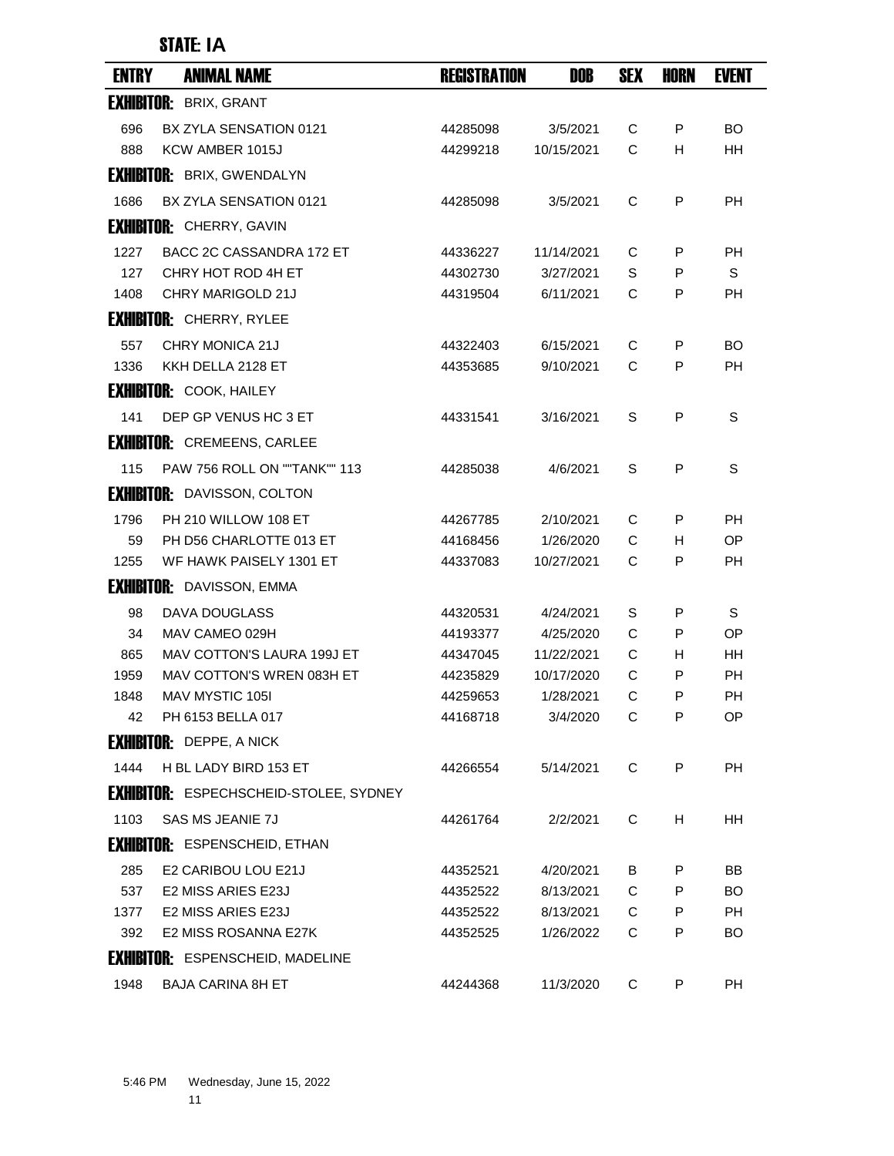#### STATE: **IA**

| <b>ENTRY</b> | <b>ANIMAL NAME</b>                            | <b>REGISTRATION</b> | DOB        | <b>SEX</b> | <b>HORN</b> | <b>EVENT</b> |
|--------------|-----------------------------------------------|---------------------|------------|------------|-------------|--------------|
|              | <b>EXHIBITOR: BRIX, GRANT</b>                 |                     |            |            |             |              |
| 696          | BX ZYLA SENSATION 0121                        | 44285098            | 3/5/2021   | C          | P           | <b>BO</b>    |
| 888          | KCW AMBER 1015J                               | 44299218            | 10/15/2021 | C          | H           | <b>HH</b>    |
|              | <b>EXHIBITOR: BRIX, GWENDALYN</b>             |                     |            |            |             |              |
| 1686         | BX ZYLA SENSATION 0121                        | 44285098            | 3/5/2021   | C          | P           | <b>PH</b>    |
|              | <b>EXHIBITOR: CHERRY, GAVIN</b>               |                     |            |            |             |              |
| 1227         | BACC 2C CASSANDRA 172 ET                      | 44336227            | 11/14/2021 | C          | P           | PH           |
| 127          | CHRY HOT ROD 4H ET                            | 44302730            | 3/27/2021  | S          | P           | $\mathbb S$  |
| 1408         | CHRY MARIGOLD 21J                             | 44319504            | 6/11/2021  | C          | P           | <b>PH</b>    |
|              | <b>EXHIBITOR: CHERRY, RYLEE</b>               |                     |            |            |             |              |
| 557          | CHRY MONICA 21J                               | 44322403            | 6/15/2021  | C          | P           | BO.          |
| 1336         | KKH DELLA 2128 ET                             | 44353685            | 9/10/2021  | C          | P           | <b>PH</b>    |
|              | <b>EXHIBITOR: COOK, HAILEY</b>                |                     |            |            |             |              |
| 141          | DEP GP VENUS HC 3 ET                          | 44331541            | 3/16/2021  | S          | P           | S            |
|              | <b>EXHIBITOR: CREMEENS, CARLEE</b>            |                     |            |            |             |              |
| 115          | <b>PAW 756 ROLL ON ""TANK"" 113</b>           | 44285038            | 4/6/2021   | S          | P           | S            |
|              | <b>EXHIBITOR: DAVISSON, COLTON</b>            |                     |            |            |             |              |
| 1796         | PH 210 WILLOW 108 ET                          | 44267785            | 2/10/2021  | C          | P           | PH           |
| 59           | PH D56 CHARLOTTE 013 ET                       | 44168456            | 1/26/2020  | C          | H.          | OP           |
| 1255         | WF HAWK PAISELY 1301 ET                       | 44337083            | 10/27/2021 | C          | P           | PH           |
|              | <b>EXHIBITOR:</b> DAVISSON, EMMA              |                     |            |            |             |              |
| 98           | DAVA DOUGLASS                                 | 44320531            | 4/24/2021  | S          | P           | S            |
| 34           | MAV CAMEO 029H                                | 44193377            | 4/25/2020  | C          | P           | 0P           |
| 865          | <b>MAV COTTON'S LAURA 199J ET</b>             | 44347045            | 11/22/2021 | C          | н           | HН           |
| 1959         | MAV COTTON'S WREN 083H ET                     | 44235829            | 10/17/2020 | C          | P           | PH           |
| 1848         | MAV MYSTIC 105I                               | 44259653            | 1/28/2021  | C          | P           | <b>PH</b>    |
| 42           | PH 6153 BELLA 017                             | 44168718            | 3/4/2020   | С          | P           | OP           |
|              | <b>EXHIBITOR:</b> DEPPE, A NICK               |                     |            |            |             |              |
| 1444         | H BL LADY BIRD 153 ET                         | 44266554            | 5/14/2021  | C          | P           | <b>PH</b>    |
|              | <b>EXHIBITOR: ESPECHSCHEID-STOLEE, SYDNEY</b> |                     |            |            |             |              |
| 1103         | <b>SAS MS JEANIE 7J</b>                       | 44261764            | 2/2/2021   | C          | H           | HH.          |
|              | <b>EXHIBITOR: ESPENSCHEID, ETHAN</b>          |                     |            |            |             |              |
| 285          | E2 CARIBOU LOU E21J                           | 44352521            | 4/20/2021  | B          | P           | BB           |
| 537          | E2 MISS ARIES E23J                            | 44352522            | 8/13/2021  | C          | P           | BO.          |
| 1377         | E2 MISS ARIES E23J                            | 44352522            | 8/13/2021  | C          | P           | <b>PH</b>    |
| 392          | E2 MISS ROSANNA E27K                          | 44352525            | 1/26/2022  | C          | P           | BO.          |
|              | <b>EXHIBITOR: ESPENSCHEID, MADELINE</b>       |                     |            |            |             |              |
| 1948         | <b>BAJA CARINA 8H ET</b>                      | 44244368            | 11/3/2020  | C          | P           | <b>PH</b>    |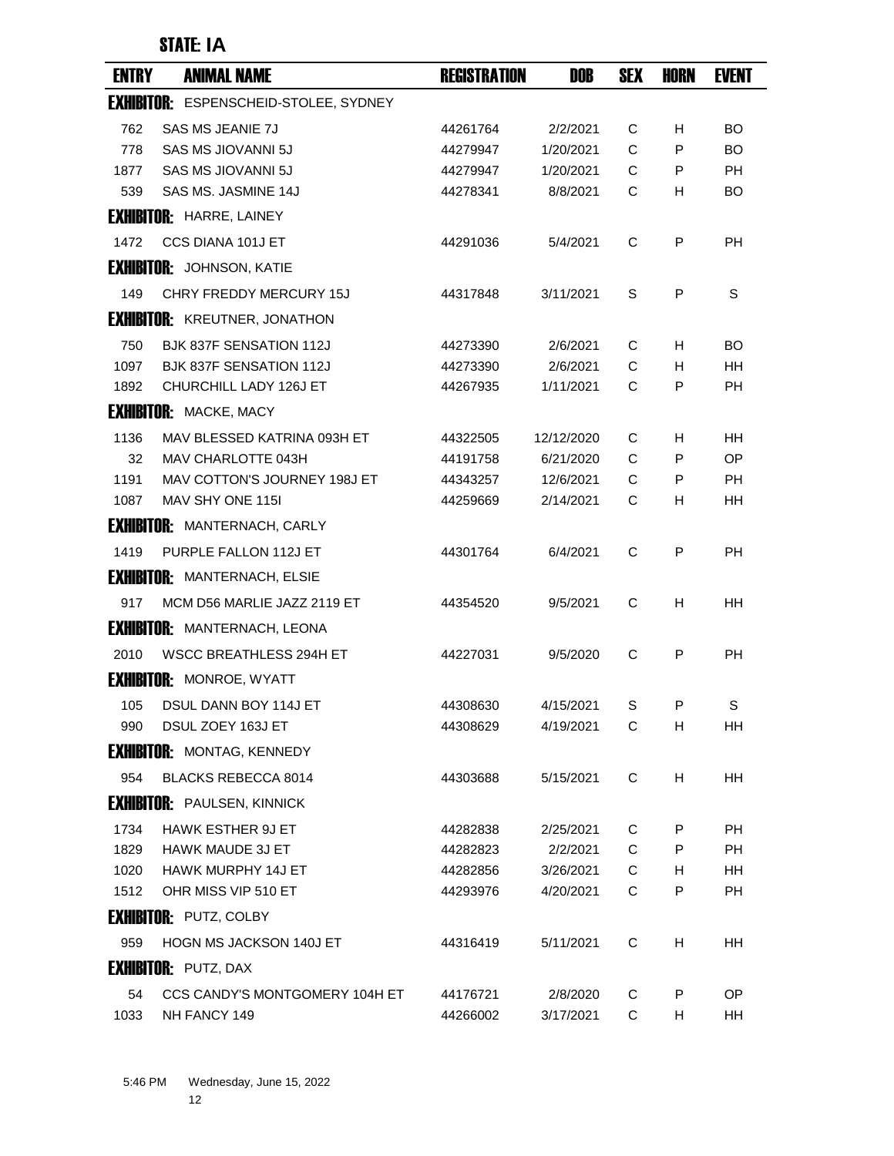# STATE: **IA**

| <b>ENTRY</b> | <b>ANIMAL NAME</b>                           | <b>REGISTRATION</b> | DOB        | <b>SEX</b> | HORN | <b>EVENT</b> |
|--------------|----------------------------------------------|---------------------|------------|------------|------|--------------|
|              | <b>EXHIBITOR: ESPENSCHEID-STOLEE, SYDNEY</b> |                     |            |            |      |              |
| 762          | <b>SAS MS JEANIE 7J</b>                      | 44261764            | 2/2/2021   | С          | H.   | <b>BO</b>    |
| 778          | SAS MS JIOVANNI 5J                           | 44279947            | 1/20/2021  | C          | P    | BO.          |
| 1877         | SAS MS JIOVANNI 5J                           | 44279947            | 1/20/2021  | C          | P    | <b>PH</b>    |
| 539          | SAS MS, JASMINE 14J                          | 44278341            | 8/8/2021   | С          | H.   | BO.          |
|              | <b>EXHIBITOR: HARRE, LAINEY</b>              |                     |            |            |      |              |
| 1472         | CCS DIANA 101J ET                            | 44291036            | 5/4/2021   | C          | P    | РH           |
|              | <b>EXHIBITOR: JOHNSON, KATIE</b>             |                     |            |            |      |              |
| 149          | CHRY FREDDY MERCURY 15J                      | 44317848            | 3/11/2021  | S          | P    | S            |
|              | <b>EXHIBITOR: KREUTNER, JONATHON</b>         |                     |            |            |      |              |
| 750          | <b>BJK 837F SENSATION 112J</b>               | 44273390            | 2/6/2021   | C          | H    | BO.          |
| 1097         | <b>BJK 837F SENSATION 112J</b>               | 44273390            | 2/6/2021   | С          | H.   | HН           |
| 1892         | CHURCHILL LADY 126J ET                       | 44267935            | 1/11/2021  | C          | P    | PH           |
|              | <b>EXHIBITOR: MACKE, MACY</b>                |                     |            |            |      |              |
| 1136         | MAV BLESSED KATRINA 093H ET                  | 44322505            | 12/12/2020 | С          | H    | HН           |
| 32           | MAV CHARLOTTE 043H                           | 44191758            | 6/21/2020  | C          | P    | OP           |
| 1191         | MAV COTTON'S JOURNEY 198J ET                 | 44343257            | 12/6/2021  | C          | P    | <b>PH</b>    |
| 1087         | MAV SHY ONE 115I                             | 44259669            | 2/14/2021  | C          | H    | HН           |
|              | <b>EXHIBITOR: MANTERNACH, CARLY</b>          |                     |            |            |      |              |
| 1419         | PURPLE FALLON 112J ET                        | 44301764            | 6/4/2021   | C          | P    | PH           |
|              | <b>EXHIBITOR: MANTERNACH, ELSIE</b>          |                     |            |            |      |              |
| 917          | MCM D56 MARLIE JAZZ 2119 ET                  | 44354520            | 9/5/2021   | C          | н    | HН           |
|              | <b>EXHIBITOR: MANTERNACH, LEONA</b>          |                     |            |            |      |              |
| 2010         | WSCC BREATHLESS 294H ET                      | 44227031            | 9/5/2020   | C          | P    | PH           |
|              | <b>EXHIBITOR: MONROE, WYATT</b>              |                     |            |            |      |              |
| 105          | DSUL DANN BOY 114J ET                        | 44308630            | 4/15/2021  | S          | P    | S            |
| 990          | DSUL ZOEY 163J ET                            | 44308629            | 4/19/2021  | C          | н    | HH           |
|              | <b>EXHIBITOR: MONTAG, KENNEDY</b>            |                     |            |            |      |              |
| 954          | BLACKS REBECCA 8014                          | 44303688            | 5/15/2021  | C          | H    | HH           |
|              | <b>EXHIBITOR: PAULSEN, KINNICK</b>           |                     |            |            |      |              |
| 1734         | <b>HAWK ESTHER 9J ET</b>                     | 44282838            | 2/25/2021  | С          | P    | <b>PH</b>    |
| 1829         | <b>HAWK MAUDE 3J ET</b>                      | 44282823            | 2/2/2021   | C          | P    | PH           |
| 1020         | <b>HAWK MURPHY 14J ET</b>                    | 44282856            | 3/26/2021  | C          | H    | HH           |
| 1512         | OHR MISS VIP 510 ET                          | 44293976            | 4/20/2021  | С          | P    | PH           |
|              | <b>EXHIBITOR: PUTZ, COLBY</b>                |                     |            |            |      |              |
| 959          | <b>HOGN MS JACKSON 140J ET</b>               | 44316419            | 5/11/2021  | C          | н    | HH           |
|              | <b>EXHIBITOR: PUTZ, DAX</b>                  |                     |            |            |      |              |
| 54           | CCS CANDY'S MONTGOMERY 104H ET               | 44176721            | 2/8/2020   | С          | P    | OP.          |
| 1033         | NH FANCY 149                                 | 44266002            | 3/17/2021  | C          | н    | HH           |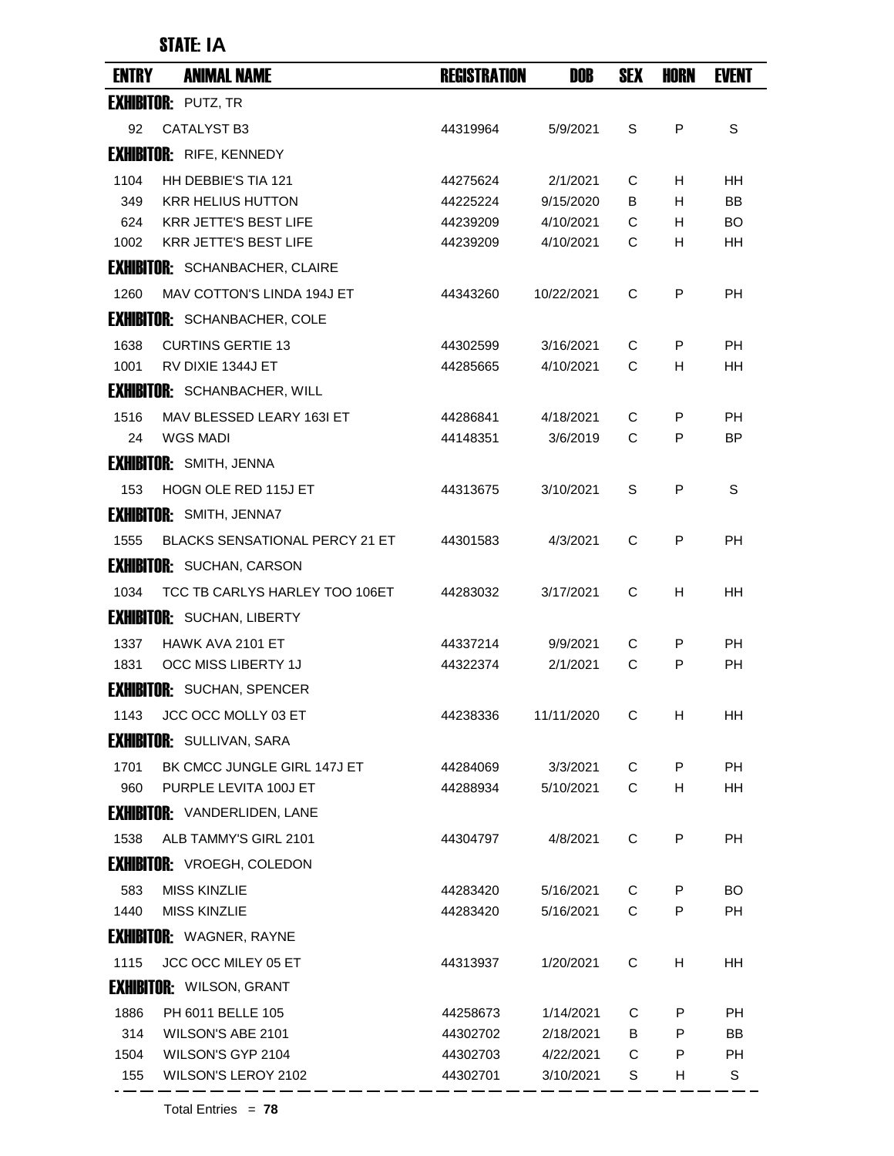#### STATE: **IA**

| <b>ENTRY</b> | <b>ANIMAL NAME</b>                    | <b>REGISTRATION</b> | DOB          | <b>SEX</b>  | HORN | <b>EVENT</b> |
|--------------|---------------------------------------|---------------------|--------------|-------------|------|--------------|
|              | <b>EXHIBITOR: PUTZ, TR</b>            |                     |              |             |      |              |
| 92           | <b>CATALYST B3</b>                    | 44319964            | 5/9/2021     | S           | P    | S            |
|              | <b>EXHIBITOR: RIFE, KENNEDY</b>       |                     |              |             |      |              |
| 1104         | HH DEBBIE'S TIA 121                   | 44275624            | 2/1/2021     | C           | H    | <b>HH</b>    |
| 349          | <b>KRR HELIUS HUTTON</b>              | 44225224            | 9/15/2020    | B           | н    | <b>BB</b>    |
| 624          | <b>KRR JETTE'S BEST LIFE</b>          | 44239209            | 4/10/2021    | C           | н    | <b>BO</b>    |
| 1002         | <b>KRR JETTE'S BEST LIFE</b>          | 44239209            | 4/10/2021    | C           | H    | HH           |
|              | <b>EXHIBITOR:</b> SCHANBACHER, CLAIRE |                     |              |             |      |              |
| 1260         | MAV COTTON'S LINDA 194J ET            | 44343260            | 10/22/2021   | C           | P    | PH           |
|              | <b>EXHIBITOR: SCHANBACHER, COLE</b>   |                     |              |             |      |              |
| 1638         | <b>CURTINS GERTIE 13</b>              | 44302599            | 3/16/2021    | С           | P    | <b>PH</b>    |
| 1001         | RV DIXIE 1344J ET                     | 44285665            | 4/10/2021    | C           | H    | <b>HH</b>    |
|              | <b>EXHIBITOR: SCHANBACHER, WILL</b>   |                     |              |             |      |              |
| 1516         | MAV BLESSED LEARY 163I ET             | 44286841            | 4/18/2021    | C           | P    | <b>PH</b>    |
| 24           | <b>WGS MADI</b>                       | 44148351            | 3/6/2019     | C           | P    | <b>BP</b>    |
|              | <b>EXHIBITOR: SMITH, JENNA</b>        |                     |              |             |      |              |
| 153          | <b>HOGN OLE RED 115J ET</b>           | 44313675            | 3/10/2021    | S           | P    | S            |
|              | <b>EXHIBITOR: SMITH, JENNA7</b>       |                     |              |             |      |              |
| 1555         | <b>BLACKS SENSATIONAL PERCY 21 ET</b> | 44301583            | 4/3/2021     | C           | P    | <b>PH</b>    |
|              | <b>EXHIBITOR: SUCHAN, CARSON</b>      |                     |              |             |      |              |
| 1034         | TCC TB CARLYS HARLEY TOO 106ET        | 44283032            | 3/17/2021    | C           | H    | <b>HH</b>    |
|              | <b>EXHIBITOR: SUCHAN, LIBERTY</b>     |                     |              |             |      |              |
| 1337         | HAWK AVA 2101 ET                      | 44337214            | 9/9/2021     | C           | P    | <b>PH</b>    |
| 1831         | OCC MISS LIBERTY 1J                   | 44322374            | 2/1/2021     | C           | P    | <b>PH</b>    |
|              | <b>EXHIBITOR: SUCHAN, SPENCER</b>     |                     |              |             |      |              |
|              | 1143 JCC OCC MOLLY 03 ET              | 44238336            | 11/11/2020 C |             | H    | HH           |
|              | <b>EXHIBITOR: SULLIVAN, SARA</b>      |                     |              |             |      |              |
| 1701         | BK CMCC JUNGLE GIRL 147J ET           | 44284069            | 3/3/2021     | C           | P    | PH           |
| 960          | PURPLE LEVITA 100J ET                 | 44288934            | 5/10/2021    | C           | н    | HH           |
|              | <b>EXHIBITOR: VANDERLIDEN, LANE</b>   |                     |              |             |      |              |
| 1538         | ALB TAMMY'S GIRL 2101                 | 44304797            | 4/8/2021     | $\mathbf C$ | P    | <b>PH</b>    |
|              | <b>EXHIBITOR: VROEGH, COLEDON</b>     |                     |              |             |      |              |
| 583          | <b>MISS KINZLIE</b>                   | 44283420            | 5/16/2021    | C           | P    | BO           |
| 1440         | <b>MISS KINZLIE</b>                   | 44283420            | 5/16/2021    | $\mathsf C$ | P    | PH           |
|              | <b>EXHIBITOR: WAGNER, RAYNE</b>       |                     |              |             |      |              |
| 1115         | JCC OCC MILEY 05 ET                   | 44313937            | 1/20/2021    | C           | Н    | <b>HH</b>    |
|              | <b>EXHIBITOR: WILSON, GRANT</b>       |                     |              |             |      |              |
| 1886         | PH 6011 BELLE 105                     | 44258673            | 1/14/2021    | С           | P    | PH           |
| 314          | WILSON'S ABE 2101                     | 44302702            | 2/18/2021    | B           | P    | <b>BB</b>    |
| 1504         | WILSON'S GYP 2104                     | 44302703            | 4/22/2021    | C           | P    | PН           |
| 155          | WILSON'S LEROY 2102                   | 44302701            | 3/10/2021    | S           | Н    | $\mathbb S$  |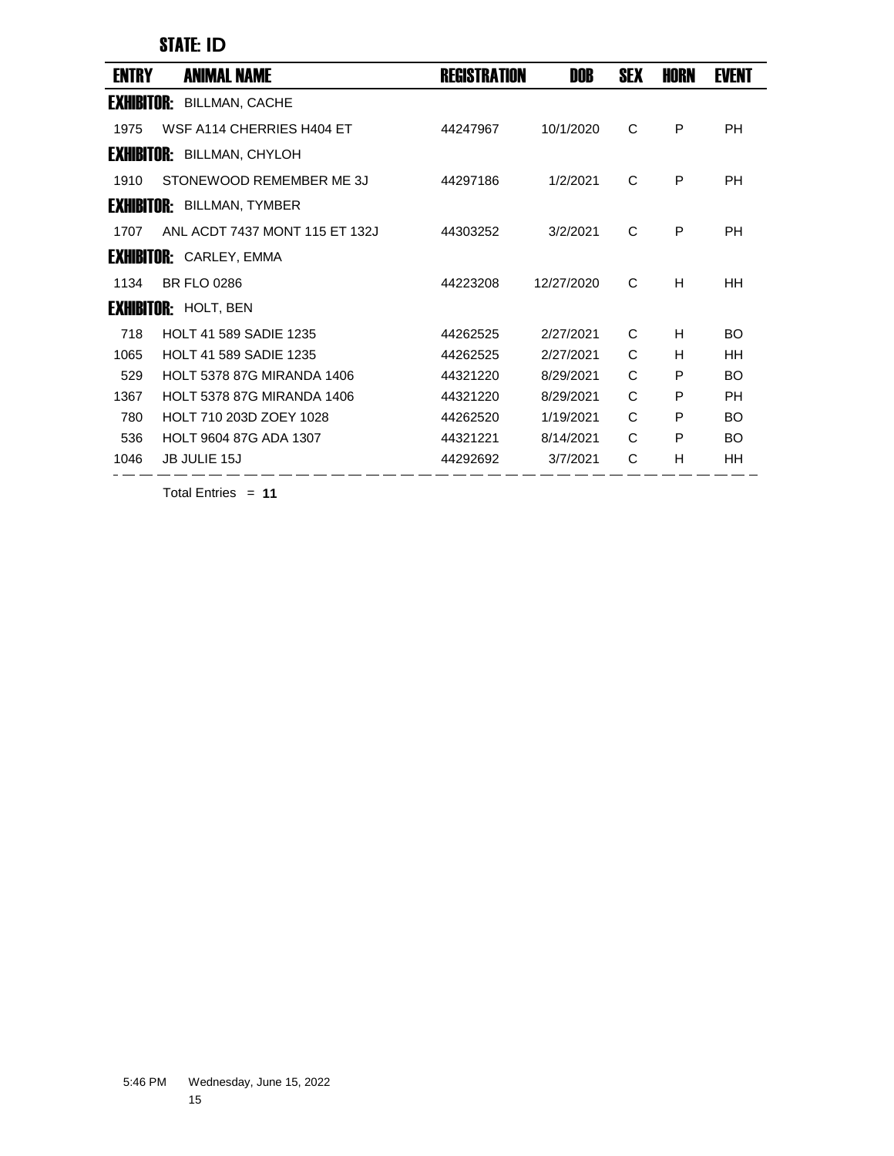STATE: **ID**

| <b>ENTRY</b>      | ANIMAL NAME                       | <b>REGISTRATION</b> | DOB        | <b>SEX</b> | HORN | <b>EVENT</b> |
|-------------------|-----------------------------------|---------------------|------------|------------|------|--------------|
| <b>Exhibitor:</b> | <b>BILLMAN, CACHE</b>             |                     |            |            |      |              |
| 1975              | WSF A114 CHERRIES H404 ET         | 44247967            | 10/1/2020  | C          | P    | PH           |
|                   | <b>EXHIBITOR: BILLMAN, CHYLOH</b> |                     |            |            |      |              |
| 1910              | STONEWOOD REMEMBER ME 3J          | 44297186            | 1/2/2021   | C          | P    | PH           |
|                   | <b>EXHIBITOR: BILLMAN, TYMBER</b> |                     |            |            |      |              |
| 1707              | ANL ACDT 7437 MONT 115 FT 132J    | 44303252            | 3/2/2021   | C          | P    | PH           |
|                   | <b>EXHIBITOR: CARLEY, EMMA</b>    |                     |            |            |      |              |
| 1134              | <b>BR FLO 0286</b>                | 44223208            | 12/27/2020 | C          | H    | HH           |
|                   | <b>EXHIBITOR: HOLT, BEN</b>       |                     |            |            |      |              |
| 718               | <b>HOLT 41 589 SADIE 1235</b>     | 44262525            | 2/27/2021  | C          | H    | <b>BO</b>    |
| 1065              | <b>HOLT 41 589 SADIE 1235</b>     | 44262525            | 2/27/2021  | C          | н    | HH           |
| 529               | <b>HOLT 5378 87G MIRANDA 1406</b> | 44321220            | 8/29/2021  | C          | P    | BO.          |
| 1367              | <b>HOLT 5378 87G MIRANDA 1406</b> | 44321220            | 8/29/2021  | C          | P    | PH           |
| 780               | HOLT 710 203D ZOEY 1028           | 44262520            | 1/19/2021  | C          | P    | <b>BO</b>    |
| 536               | <b>HOLT 9604 87G ADA 1307</b>     | 44321221            | 8/14/2021  | C          | P    | <b>BO</b>    |
| 1046              | <b>JB JULIE 15J</b>               | 44292692            | 3/7/2021   | C          | H    | HH           |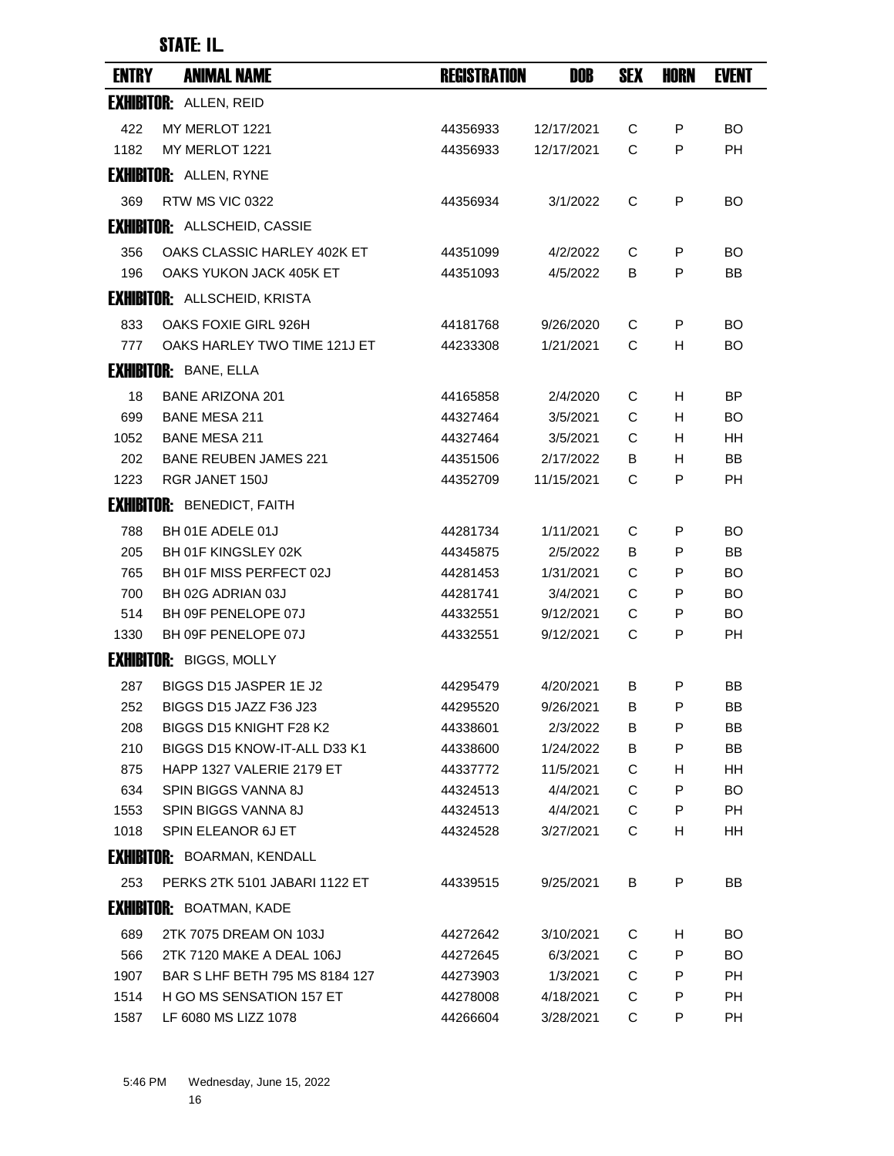| <b>ENTRY</b> | <b>ANIMAL NAME</b>                  | <b>REGISTRATION</b> | DOB        | <b>SEX</b> | HORN | <b>EVENT</b> |
|--------------|-------------------------------------|---------------------|------------|------------|------|--------------|
|              | <b>EXHIBITOR: ALLEN, REID</b>       |                     |            |            |      |              |
| 422          | MY MERLOT 1221                      | 44356933            | 12/17/2021 | C          | P    | <b>BO</b>    |
| 1182         | MY MERLOT 1221                      | 44356933            | 12/17/2021 | C          | P    | <b>PH</b>    |
|              | <b>EXHIBITOR: ALLEN, RYNE</b>       |                     |            |            |      |              |
| 369          | RTW MS VIC 0322                     | 44356934            | 3/1/2022   | C          | P    | <b>BO</b>    |
|              | <b>EXHIBITOR: ALLSCHEID, CASSIE</b> |                     |            |            |      |              |
| 356          | OAKS CLASSIC HARLEY 402K ET         | 44351099            | 4/2/2022   | С          | P    | BO.          |
| 196          | OAKS YUKON JACK 405K ET             | 44351093            | 4/5/2022   | в          | P    | BB           |
|              | <b>EXHIBITOR: ALLSCHEID, KRISTA</b> |                     |            |            |      |              |
| 833          | OAKS FOXIE GIRL 926H                | 44181768            | 9/26/2020  | C          | P    | BO.          |
| 777          | OAKS HARLEY TWO TIME 121J ET        | 44233308            | 1/21/2021  | C          | н    | BO           |
|              | <b>EXHIBITOR: BANE, ELLA</b>        |                     |            |            |      |              |
| 18           | <b>BANE ARIZONA 201</b>             | 44165858            | 2/4/2020   | C          | H    | ΒP           |
| 699          | <b>BANE MESA 211</b>                | 44327464            | 3/5/2021   | C          | H.   | BO           |
| 1052         | <b>BANE MESA 211</b>                | 44327464            | 3/5/2021   | C          | H    | HН           |
| 202          | <b>BANE REUBEN JAMES 221</b>        | 44351506            | 2/17/2022  | B          | H    | BB           |
| 1223         | RGR JANET 150J                      | 44352709            | 11/15/2021 | С          | P    | PH           |
|              | <b>EXHIBITOR: BENEDICT, FAITH</b>   |                     |            |            |      |              |
| 788          | BH 01E ADELE 01J                    | 44281734            | 1/11/2021  | C          | P    | BO           |
| 205          | BH 01F KINGSLEY 02K                 | 44345875            | 2/5/2022   | B          | P    | <b>BB</b>    |
| 765          | BH 01F MISS PERFECT 02J             | 44281453            | 1/31/2021  | С          | P    | BO           |
| 700          | BH 02G ADRIAN 03J                   | 44281741            | 3/4/2021   | C          | P    | BO           |
| 514          | BH 09F PENELOPE 07J                 | 44332551            | 9/12/2021  | C          | P    | BO           |
| 1330         | BH 09F PENELOPE 07J                 | 44332551            | 9/12/2021  | C          | P    | <b>PH</b>    |
|              | <b>EXHIBITOR: BIGGS, MOLLY</b>      |                     |            |            |      |              |
| 287          | BIGGS D15 JASPER 1E J2              | 44295479            | 4/20/2021  | B          | P    | BB           |
| 252          | BIGGS D15 JAZZ F36 J23              | 44295520            | 9/26/2021  | В          | P    | ВB           |
| 208          | BIGGS D15 KNIGHT F28 K2             | 44338601            | 2/3/2022   | B          | P    | BB.          |
| 210          | BIGGS D15 KNOW-IT-ALL D33 K1        | 44338600            | 1/24/2022  | В          | P    | BB           |
| 875          | HAPP 1327 VALERIE 2179 ET           | 44337772            | 11/5/2021  | C          | Н    | HH           |
| 634          | SPIN BIGGS VANNA 8J                 | 44324513            | 4/4/2021   | С          | P    | BO.          |
| 1553         | SPIN BIGGS VANNA 8J                 | 44324513            | 4/4/2021   | C          | P    | <b>PH</b>    |
| 1018         | SPIN ELEANOR 6J ET                  | 44324528            | 3/27/2021  | C          | Н    | HH           |
|              | <b>EXHIBITOR: BOARMAN, KENDALL</b>  |                     |            |            |      |              |
| 253          | PERKS 2TK 5101 JABARI 1122 ET       | 44339515            | 9/25/2021  | B          | P    | BB           |
|              | <b>EXHIBITOR: BOATMAN, KADE</b>     |                     |            |            |      |              |
| 689          | 2TK 7075 DREAM ON 103J              | 44272642            | 3/10/2021  | С          | H    | BO           |
| 566          | 2TK 7120 MAKE A DEAL 106J           | 44272645            | 6/3/2021   | С          | P    | BO           |
| 1907         | BAR S LHF BETH 795 MS 8184 127      | 44273903            | 1/3/2021   | C          | P    | PH           |
| 1514         | H GO MS SENSATION 157 ET            | 44278008            | 4/18/2021  | C          | P    | <b>PH</b>    |
| 1587         | LF 6080 MS LIZZ 1078                | 44266604            | 3/28/2021  | С          | P    | PH           |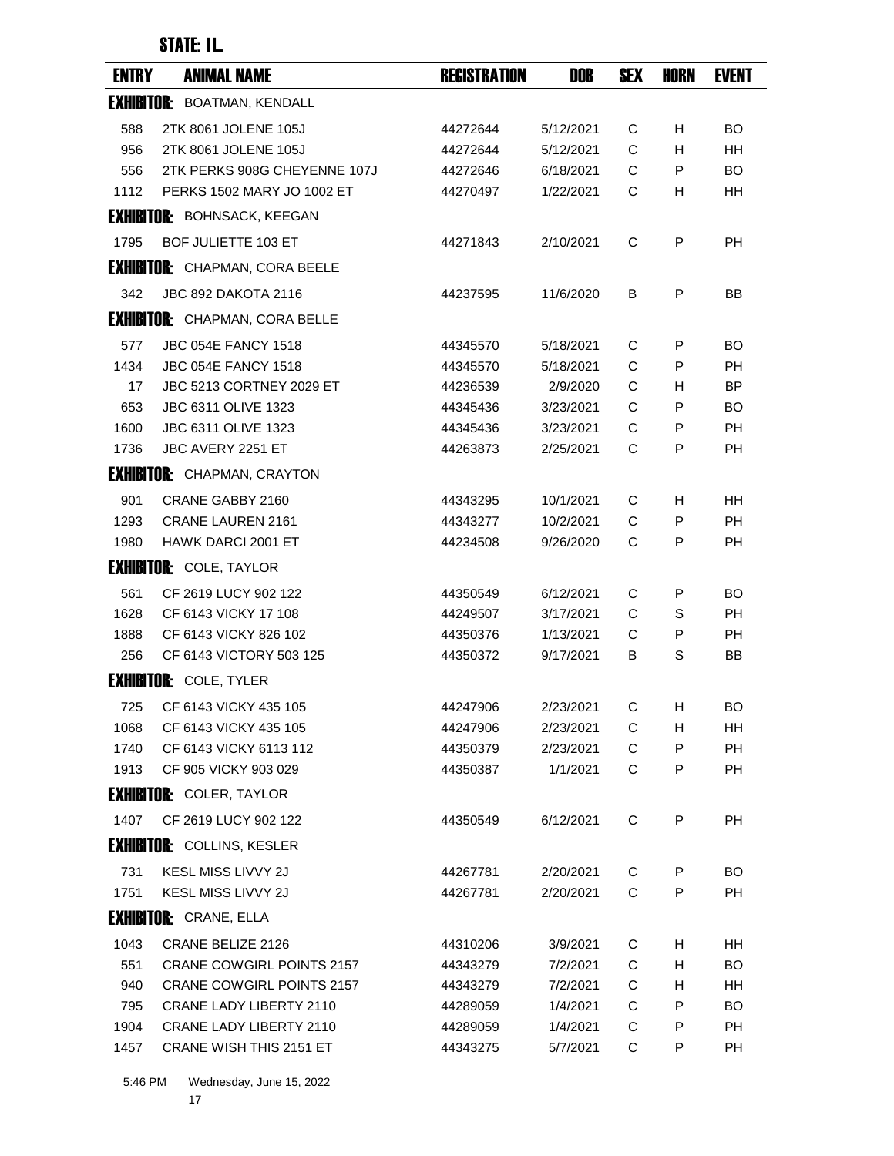| <b>ENTRY</b> | <b>ANIMAL NAME</b>                    | <b>REGISTRATION</b> | DOB       | SEX | <b>HORN</b> | <b>EVENT</b> |
|--------------|---------------------------------------|---------------------|-----------|-----|-------------|--------------|
|              | <b>EXHIBITOR: BOATMAN, KENDALL</b>    |                     |           |     |             |              |
| 588          | 2TK 8061 JOLENE 105J                  | 44272644            | 5/12/2021 | C   | H           | BO           |
| 956          | 2TK 8061 JOLENE 105J                  | 44272644            | 5/12/2021 | C   | H           | <b>HH</b>    |
| 556          | 2TK PERKS 908G CHEYENNE 107J          | 44272646            | 6/18/2021 | C   | P           | <b>BO</b>    |
| 1112         | PERKS 1502 MARY JO 1002 ET            | 44270497            | 1/22/2021 | С   | н           | HH           |
|              | <b>EXHIBITOR: BOHNSACK, KEEGAN</b>    |                     |           |     |             |              |
| 1795         | <b>BOF JULIETTE 103 ET</b>            | 44271843            | 2/10/2021 | C   | P           | <b>PH</b>    |
|              | <b>EXHIBITOR: CHAPMAN, CORA BEELE</b> |                     |           |     |             |              |
| 342          | <b>JBC 892 DAKOTA 2116</b>            | 44237595            | 11/6/2020 | В   | P           | BB           |
|              | <b>EXHIBITOR: CHAPMAN, CORA BELLE</b> |                     |           |     |             |              |
| 577          | <b>JBC 054E FANCY 1518</b>            | 44345570            | 5/18/2021 | C   | P           | BO           |
| 1434         | <b>JBC 054E FANCY 1518</b>            | 44345570            | 5/18/2021 | C   | P           | <b>PH</b>    |
| 17           | <b>JBC 5213 CORTNEY 2029 ET</b>       | 44236539            | 2/9/2020  | C   | H           | ΒP           |
| 653          | JBC 6311 OLIVE 1323                   | 44345436            | 3/23/2021 | C   | P           | BO           |
| 1600         | JBC 6311 OLIVE 1323                   | 44345436            | 3/23/2021 | C   | P           | <b>PH</b>    |
| 1736         | JBC AVERY 2251 ET                     | 44263873            | 2/25/2021 | C   | P           | <b>PH</b>    |
|              | <b>EXHIBITOR:</b> CHAPMAN, CRAYTON    |                     |           |     |             |              |
| 901          | CRANE GABBY 2160                      | 44343295            | 10/1/2021 | C   | н           | HН           |
| 1293         | <b>CRANE LAUREN 2161</b>              | 44343277            | 10/2/2021 | C   | P           | <b>PH</b>    |
| 1980         | HAWK DARCI 2001 ET                    | 44234508            | 9/26/2020 | С   | P           | PH           |
|              | <b>EXHIBITOR: COLE, TAYLOR</b>        |                     |           |     |             |              |
| 561          | CF 2619 LUCY 902 122                  | 44350549            | 6/12/2021 | С   | P           | <b>BO</b>    |
| 1628         | CF 6143 VICKY 17 108                  | 44249507            | 3/17/2021 | C   | S           | <b>PH</b>    |
| 1888         | CF 6143 VICKY 826 102                 | 44350376            | 1/13/2021 | C   | P           | PН           |
| 256          | CF 6143 VICTORY 503 125               | 44350372            | 9/17/2021 | В   | S           | BB           |
|              | <b>EXHIBITOR: COLE, TYLER</b>         |                     |           |     |             |              |
| 725          | CF 6143 VICKY 435 105                 | 44247906            | 2/23/2021 | С   | н           | BO           |
| 1068         | CF 6143 VICKY 435 105                 | 44247906            | 2/23/2021 | С   | н           | HH           |
| 1740         | CF 6143 VICKY 6113 112                | 44350379            | 2/23/2021 | C   | P           | <b>PH</b>    |
| 1913         | CF 905 VICKY 903 029                  | 44350387            | 1/1/2021  | C   | P           | PH           |
|              | <b>EXHIBITOR: COLER, TAYLOR</b>       |                     |           |     |             |              |
| 1407         | CF 2619 LUCY 902 122                  | 44350549            | 6/12/2021 | C   | P           | PH           |
|              | <b>EXHIBITOR: COLLINS, KESLER</b>     |                     |           |     |             |              |
| 731          | <b>KESL MISS LIVVY 2J</b>             | 44267781            | 2/20/2021 | С   | P           | BO.          |
| 1751         | KESL MISS LIVVY 2J                    | 44267781            | 2/20/2021 | C   | P           | PH           |
|              | <b>EXHIBITOR: CRANE, ELLA</b>         |                     |           |     |             |              |
| 1043         | CRANE BELIZE 2126                     | 44310206            | 3/9/2021  | C   | н           | HH           |
| 551          | <b>CRANE COWGIRL POINTS 2157</b>      | 44343279            | 7/2/2021  | C   | н           | BO.          |
| 940          | <b>CRANE COWGIRL POINTS 2157</b>      | 44343279            | 7/2/2021  | С   | н           | HH           |
| 795          | <b>CRANE LADY LIBERTY 2110</b>        | 44289059            | 1/4/2021  | C   | P           | <b>BO</b>    |
| 1904         | <b>CRANE LADY LIBERTY 2110</b>        | 44289059            | 1/4/2021  | C   | P           | PH           |
| 1457         | <b>CRANE WISH THIS 2151 ET</b>        | 44343275            | 5/7/2021  | С   | P           | PH           |
|              |                                       |                     |           |     |             |              |

5:46 PM Wednesday, June 15, 2022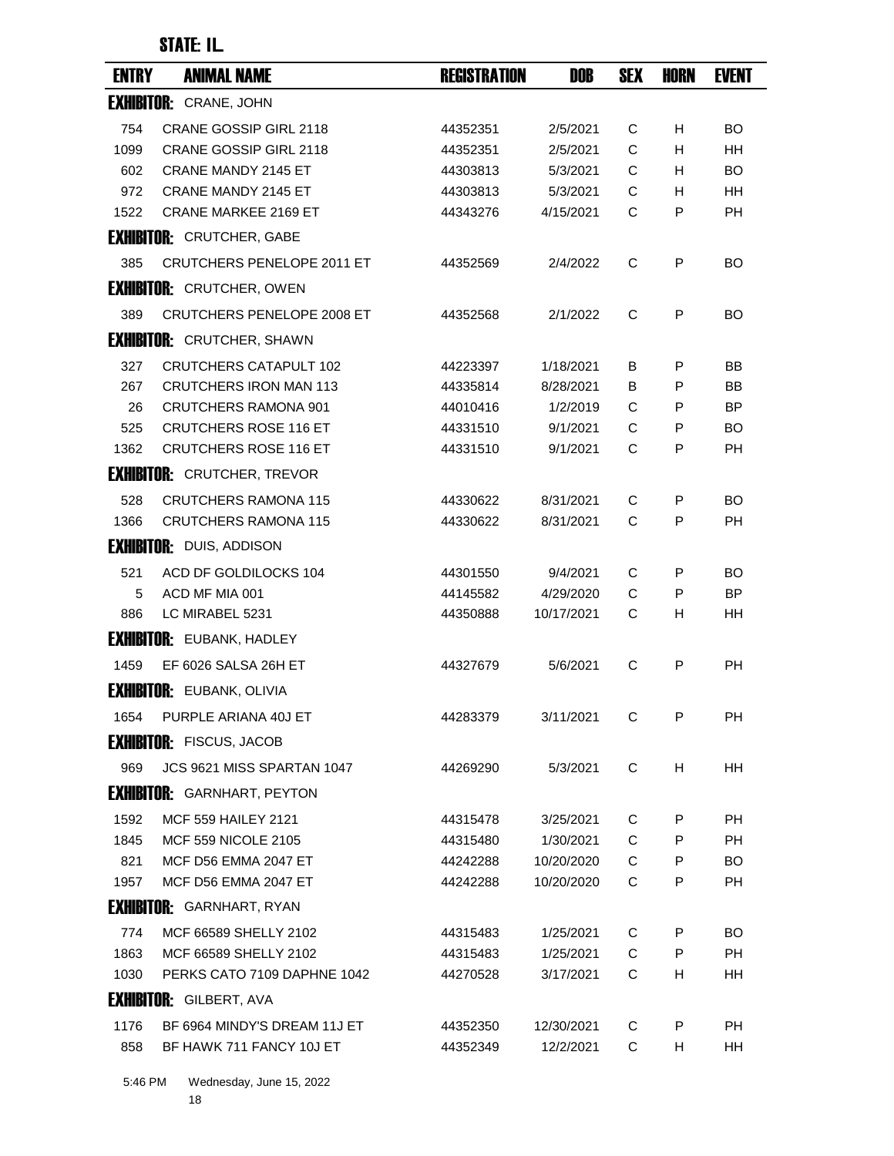| <b>ENTRY</b> | <b>ANIMAL NAME</b>                 | <b>REGISTRATION</b> | DOB        | <b>SEX</b> | <b>HORN</b> | <b>EVENT</b> |
|--------------|------------------------------------|---------------------|------------|------------|-------------|--------------|
|              | <b>EXHIBITOR: CRANE, JOHN</b>      |                     |            |            |             |              |
| 754          | <b>CRANE GOSSIP GIRL 2118</b>      | 44352351            | 2/5/2021   | С          | H           | BO           |
| 1099         | CRANE GOSSIP GIRL 2118             | 44352351            | 2/5/2021   | C          | H           | <b>HH</b>    |
| 602          | <b>CRANE MANDY 2145 ET</b>         | 44303813            | 5/3/2021   | C          | H.          | BO.          |
| 972          | <b>CRANE MANDY 2145 ET</b>         | 44303813            | 5/3/2021   | С          | H.          | HН           |
| 1522         | <b>CRANE MARKEE 2169 ET</b>        | 44343276            | 4/15/2021  | C          | P           | PH           |
|              | <b>EXHIBITOR: CRUTCHER, GABE</b>   |                     |            |            |             |              |
| 385          | <b>CRUTCHERS PENELOPE 2011 ET</b>  | 44352569            | 2/4/2022   | C          | P           | BO           |
|              | <b>EXHIBITOR: CRUTCHER, OWEN</b>   |                     |            |            |             |              |
| 389          | <b>CRUTCHERS PENELOPE 2008 ET</b>  | 44352568            | 2/1/2022   | C          | P           | BO           |
|              | <b>EXHIBITOR: CRUTCHER, SHAWN</b>  |                     |            |            |             |              |
| 327          | <b>CRUTCHERS CATAPULT 102</b>      | 44223397            | 1/18/2021  | В          | P           | BB           |
| 267          | <b>CRUTCHERS IRON MAN 113</b>      | 44335814            | 8/28/2021  | B          | P           | BB           |
| 26           | <b>CRUTCHERS RAMONA 901</b>        | 44010416            | 1/2/2019   | C          | P           | BP.          |
| 525          | <b>CRUTCHERS ROSE 116 ET</b>       | 44331510            | 9/1/2021   | C          | P           | <b>BO</b>    |
| 1362         | <b>CRUTCHERS ROSE 116 ET</b>       | 44331510            | 9/1/2021   | C          | P           | PH           |
|              | <b>EXHIBITOR: CRUTCHER, TREVOR</b> |                     |            |            |             |              |
| 528          | <b>CRUTCHERS RAMONA 115</b>        | 44330622            | 8/31/2021  | C          | P           | BO           |
| 1366         | <b>CRUTCHERS RAMONA 115</b>        | 44330622            | 8/31/2021  | C          | P           | <b>PH</b>    |
|              | <b>EXHIBITOR: DUIS, ADDISON</b>    |                     |            |            |             |              |
| 521          | ACD DF GOLDILOCKS 104              | 44301550            | 9/4/2021   | С          | P           | BO           |
| 5            | ACD MF MIA 001                     | 44145582            | 4/29/2020  | C          | P           | <b>BP</b>    |
| 886          | LC MIRABEL 5231                    | 44350888            | 10/17/2021 | C          | H           | HН           |
|              | <b>EXHIBITOR: EUBANK, HADLEY</b>   |                     |            |            |             |              |
| 1459         | EF 6026 SALSA 26H ET               | 44327679            | 5/6/2021   | C          | P           | <b>PH</b>    |
|              | <b>EXHIBITOR: EUBANK, OLIVIA</b>   |                     |            |            |             |              |
| 1654         | PURPLE ARIANA 40J ET               | 44283379            | 3/11/2021  | С          | P           | PH           |
|              | <b>EXHIBITOR: FISCUS, JACOB</b>    |                     |            |            |             |              |
| 969          | JCS 9621 MISS SPARTAN 1047         | 44269290            | 5/3/2021   | C          | H           | HH           |
|              | <b>EXHIBITOR:</b> GARNHART, PEYTON |                     |            |            |             |              |
| 1592         | <b>MCF 559 HAILEY 2121</b>         | 44315478            | 3/25/2021  | С          | P           | РH           |
| 1845         | <b>MCF 559 NICOLE 2105</b>         | 44315480            | 1/30/2021  | C          | P           | <b>PH</b>    |
| 821          | MCF D56 EMMA 2047 ET               | 44242288            | 10/20/2020 | С          | P           | BO.          |
| 1957         | <b>MCF D56 EMMA 2047 ET</b>        | 44242288            | 10/20/2020 | C          | P           | <b>PH</b>    |
|              | <b>EXHIBITOR: GARNHART, RYAN</b>   |                     |            |            |             |              |
| 774          | MCF 66589 SHELLY 2102              | 44315483            | 1/25/2021  | С          | P           | BO.          |
| 1863         | MCF 66589 SHELLY 2102              | 44315483            | 1/25/2021  | C          | P           | <b>PH</b>    |
| 1030         | PERKS CATO 7109 DAPHNE 1042        | 44270528            | 3/17/2021  | C          | H.          | HH.          |
|              | <b>EXHIBITOR: GILBERT, AVA</b>     |                     |            |            |             |              |
| 1176         | BF 6964 MINDY'S DREAM 11J ET       | 44352350            | 12/30/2021 | С          | P           | PH           |
| 858          | BF HAWK 711 FANCY 10J ET           | 44352349            | 12/2/2021  | С          | H           | HH           |
|              |                                    |                     |            |            |             |              |

5:46 PM Wednesday, June 15, 2022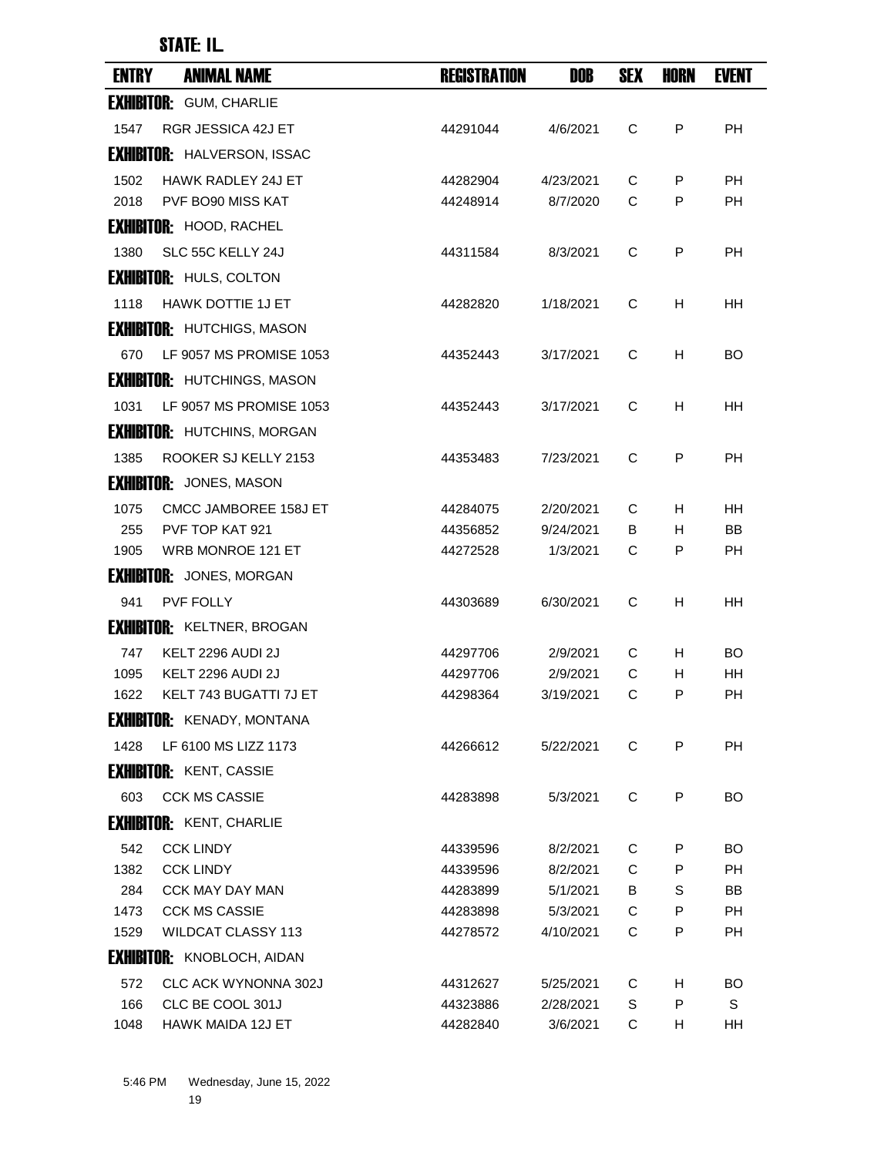| <b>ENTRY</b> | <b>ANIMAL NAME</b>                 | <b>REGISTRATION</b> | DOB       | <b>SEX</b> | HORN | <b>EVENT</b> |
|--------------|------------------------------------|---------------------|-----------|------------|------|--------------|
|              | <b>EXHIBITOR: GUM, CHARLIE</b>     |                     |           |            |      |              |
| 1547         | RGR JESSICA 42J ET                 | 44291044            | 4/6/2021  | C          | P    | <b>PH</b>    |
|              | <b>EXHIBITOR: HALVERSON, ISSAC</b> |                     |           |            |      |              |
| 1502         | <b>HAWK RADLEY 24J ET</b>          | 44282904            | 4/23/2021 | C          | P    | PH           |
| 2018         | PVF BO90 MISS KAT                  | 44248914            | 8/7/2020  | C          | P    | <b>PH</b>    |
|              | <b>EXHIBITOR: HOOD, RACHEL</b>     |                     |           |            |      |              |
| 1380         | SLC 55C KELLY 24J                  | 44311584            | 8/3/2021  | C          | P    | PH           |
|              | <b>EXHIBITOR: HULS, COLTON</b>     |                     |           |            |      |              |
| 1118         | <b>HAWK DOTTIE 1J ET</b>           | 44282820            | 1/18/2021 | C          | н    | HН           |
|              | <b>EXHIBITOR: HUTCHIGS, MASON</b>  |                     |           |            |      |              |
| 670          | LF 9057 MS PROMISE 1053            | 44352443            | 3/17/2021 | C          | H    | BO.          |
|              | <b>EXHIBITOR: HUTCHINGS, MASON</b> |                     |           |            |      |              |
| 1031         | LF 9057 MS PROMISE 1053            | 44352443            | 3/17/2021 | C          | H    | HН           |
|              | <b>EXHIBITOR: HUTCHINS, MORGAN</b> |                     |           |            |      |              |
| 1385         | ROOKER SJ KELLY 2153               | 44353483            | 7/23/2021 | C          | P    | PH           |
|              | <b>EXHIBITOR:</b> JONES, MASON     |                     |           |            |      |              |
| 1075         | CMCC JAMBOREE 158J ET              | 44284075            | 2/20/2021 | C          | H.   | HH.          |
| 255          | PVF TOP KAT 921                    | 44356852            | 9/24/2021 | B          | H    | BB           |
| 1905         | <b>WRB MONROE 121 ET</b>           | 44272528            | 1/3/2021  | С          | P    | РH           |
|              | <b>EXHIBITOR:</b> JONES, MORGAN    |                     |           |            |      |              |
| 941          | <b>PVF FOLLY</b>                   | 44303689            | 6/30/2021 | C          | н    | HН           |
|              | <b>EXHIBITOR: KELTNER, BROGAN</b>  |                     |           |            |      |              |
| 747          | KELT 2296 AUDI 2J                  | 44297706            | 2/9/2021  | С          | H    | BO           |
| 1095         | <b>KELT 2296 AUDI 2J</b>           | 44297706            | 2/9/2021  | C          | н    | HН           |
| 1622         | KELT 743 BUGATTI 7J ET             | 44298364            | 3/19/2021 | C          | P    | PН           |
|              | <b>EXHIBITOR:</b> KENADY, MONTANA  |                     |           |            |      |              |
| 1428         | LF 6100 MS LIZZ 1173               | 44266612            | 5/22/2021 | C          | P    | <b>PH</b>    |
|              | <b>EXHIBITOR: KENT, CASSIE</b>     |                     |           |            |      |              |
| 603          | <b>CCK MS CASSIE</b>               | 44283898            | 5/3/2021  | C          | P    | BO.          |
|              | <b>EXHIBITOR: KENT, CHARLIE</b>    |                     |           |            |      |              |
| 542          | <b>CCK LINDY</b>                   | 44339596            | 8/2/2021  | C          | P    | BO.          |
| 1382         | <b>CCK LINDY</b>                   | 44339596            | 8/2/2021  | C          | P    | PH           |
| 284          | <b>CCK MAY DAY MAN</b>             | 44283899            | 5/1/2021  | В          | S    | BB           |
| 1473         | <b>CCK MS CASSIE</b>               | 44283898            | 5/3/2021  | C          | P    | <b>PH</b>    |
| 1529         | <b>WILDCAT CLASSY 113</b>          | 44278572            | 4/10/2021 | C          | P    | PH           |
|              | <b>EXHIBITOR: KNOBLOCH, AIDAN</b>  |                     |           |            |      |              |
| 572          | CLC ACK WYNONNA 302J               | 44312627            | 5/25/2021 | С          | H.   | BO.          |
| 166          | CLC BE COOL 301J                   | 44323886            | 2/28/2021 | S          | P    | S            |
| 1048         | HAWK MAIDA 12J ET                  | 44282840            | 3/6/2021  | C          | H    | HH           |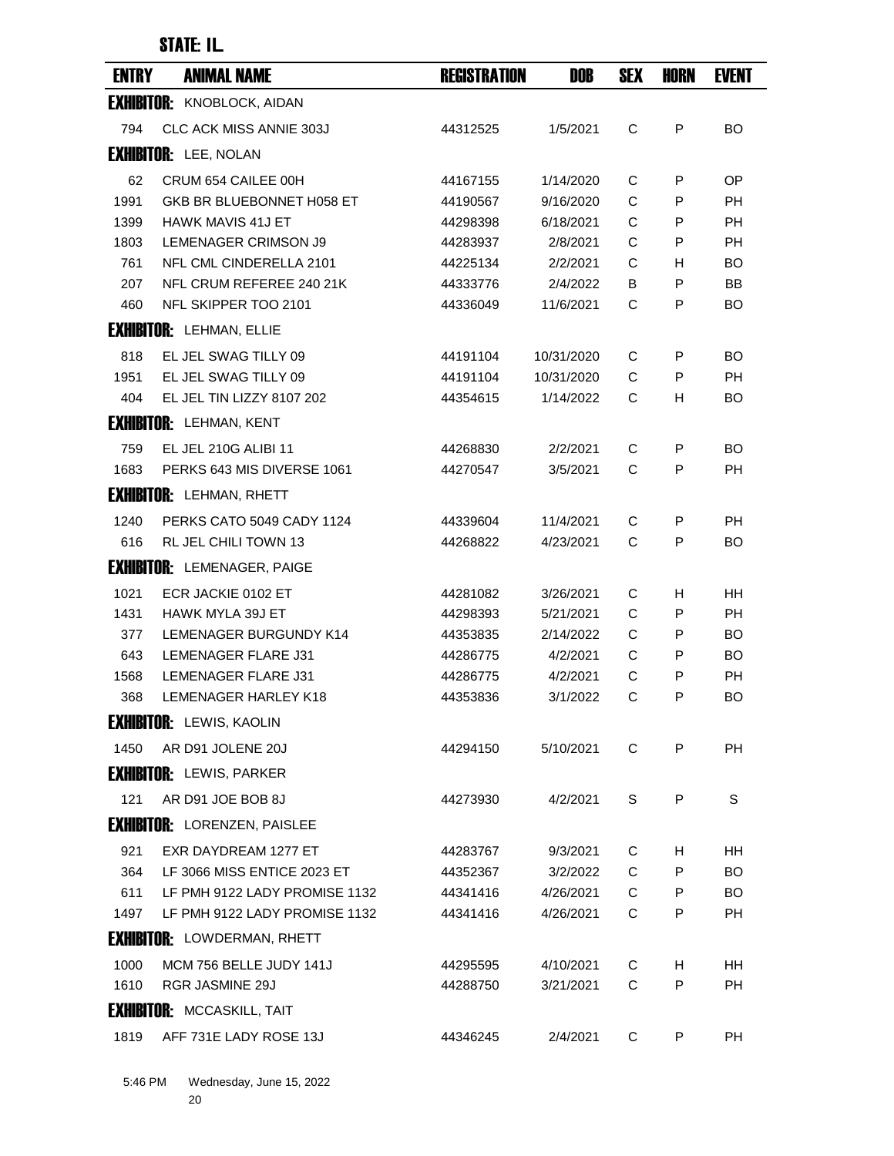| <b>ENTRY</b> | <b>ANIMAL NAME</b>                  | <b>REGISTRATION</b> | DOB        | <b>SEX</b> | <b>HORN</b> | <b>EVENT</b> |
|--------------|-------------------------------------|---------------------|------------|------------|-------------|--------------|
|              | <b>EXHIBITOR: KNOBLOCK, AIDAN</b>   |                     |            |            |             |              |
| 794          | <b>CLC ACK MISS ANNIE 303J</b>      | 44312525            | 1/5/2021   | C          | P           | <b>BO</b>    |
|              | <b>EXHIBITOR: LEE, NOLAN</b>        |                     |            |            |             |              |
| 62           | CRUM 654 CAILEE 00H                 | 44167155            | 1/14/2020  | C          | P           | OP.          |
| 1991         | GKB BR BLUEBONNET H058 ET           | 44190567            | 9/16/2020  | C          | P           | <b>PH</b>    |
| 1399         | <b>HAWK MAVIS 41J ET</b>            | 44298398            | 6/18/2021  | C          | P           | PH           |
| 1803         | <b>LEMENAGER CRIMSON J9</b>         | 44283937            | 2/8/2021   | C          | P           | <b>PH</b>    |
| 761          | NFL CML CINDERELLA 2101             | 44225134            | 2/2/2021   | C          | H.          | BO           |
| 207          | NFL CRUM REFEREE 240 21K            | 44333776            | 2/4/2022   | B          | P           | BB           |
| 460          | NFL SKIPPER TOO 2101                | 44336049            | 11/6/2021  | C          | P           | BO           |
|              | <b>EXHIBITOR: LEHMAN, ELLIE</b>     |                     |            |            |             |              |
| 818          | EL JEL SWAG TILLY 09                | 44191104            | 10/31/2020 | C          | P           | <b>BO</b>    |
| 1951         | EL JEL SWAG TILLY 09                | 44191104            | 10/31/2020 | C          | P           | <b>PH</b>    |
| 404          | EL JEL TIN LIZZY 8107 202           | 44354615            | 1/14/2022  | C          | H           | <b>BO</b>    |
|              | <b>EXHIBITOR: LEHMAN, KENT</b>      |                     |            |            |             |              |
| 759          | EL JEL 210G ALIBI 11                | 44268830            | 2/2/2021   | C          | P           | <b>BO</b>    |
| 1683         | PERKS 643 MIS DIVERSE 1061          | 44270547            | 3/5/2021   | C          | P           | <b>PH</b>    |
|              | <b>EXHIBITOR: LEHMAN, RHETT</b>     |                     |            |            |             |              |
| 1240         | PERKS CATO 5049 CADY 1124           | 44339604            | 11/4/2021  | C          | P           | <b>PH</b>    |
| 616          | <b>RL JEL CHILI TOWN 13</b>         | 44268822            | 4/23/2021  | C          | P           | BO           |
|              | <b>EXHIBITOR: LEMENAGER, PAIGE</b>  |                     |            |            |             |              |
| 1021         | ECR JACKIE 0102 ET                  | 44281082            | 3/26/2021  | С          | H.          | HН           |
| 1431         | HAWK MYLA 39J ET                    | 44298393            | 5/21/2021  | C          | P           | PH           |
| 377          | LEMENAGER BURGUNDY K14              | 44353835            | 2/14/2022  | C          | P           | BO           |
| 643          | <b>LEMENAGER FLARE J31</b>          | 44286775            | 4/2/2021   | C          | P           | BO           |
| 1568         | LEMENAGER FLARE J31                 | 44286775            | 4/2/2021   | C          | P           | <b>PH</b>    |
| 368          | <b>LEMENAGER HARLEY K18</b>         | 44353836            | 3/1/2022   | C          | P           | BO           |
|              | <b>EXHIBITOR:</b> LEWIS, KAOLIN     |                     |            |            |             |              |
| 1450         | AR D91 JOLENE 20J                   | 44294150            | 5/10/2021  | C          | P           | <b>PH</b>    |
|              | <b>EXHIBITOR: LEWIS, PARKER</b>     |                     |            |            |             |              |
| 121          | AR D91 JOE BOB 8J                   | 44273930            | 4/2/2021   | S          | P           | S            |
|              | <b>EXHIBITOR:</b> LORENZEN, PAISLEE |                     |            |            |             |              |
| 921          | EXR DAYDREAM 1277 ET                | 44283767            | 9/3/2021   | С          | H.          | HH           |
| 364          | LF 3066 MISS ENTICE 2023 ET         | 44352367            | 3/2/2022   | C          | P           | BO.          |
| 611          | LF PMH 9122 LADY PROMISE 1132       | 44341416            | 4/26/2021  | C          | P           | BO.          |
| 1497         | LF PMH 9122 LADY PROMISE 1132       | 44341416            | 4/26/2021  | С          | P           | PH.          |
|              | <b>EXHIBITOR: LOWDERMAN, RHETT</b>  |                     |            |            |             |              |
| 1000         | MCM 756 BELLE JUDY 141J             | 44295595            | 4/10/2021  | C          | H           | <b>HH</b>    |
| 1610         | <b>RGR JASMINE 29J</b>              | 44288750            | 3/21/2021  | C          | P           | PH           |
|              | <b>EXHIBITOR: MCCASKILL, TAIT</b>   |                     |            |            |             |              |
| 1819         | AFF 731E LADY ROSE 13J              | 44346245            | 2/4/2021   | C          | P           | PH           |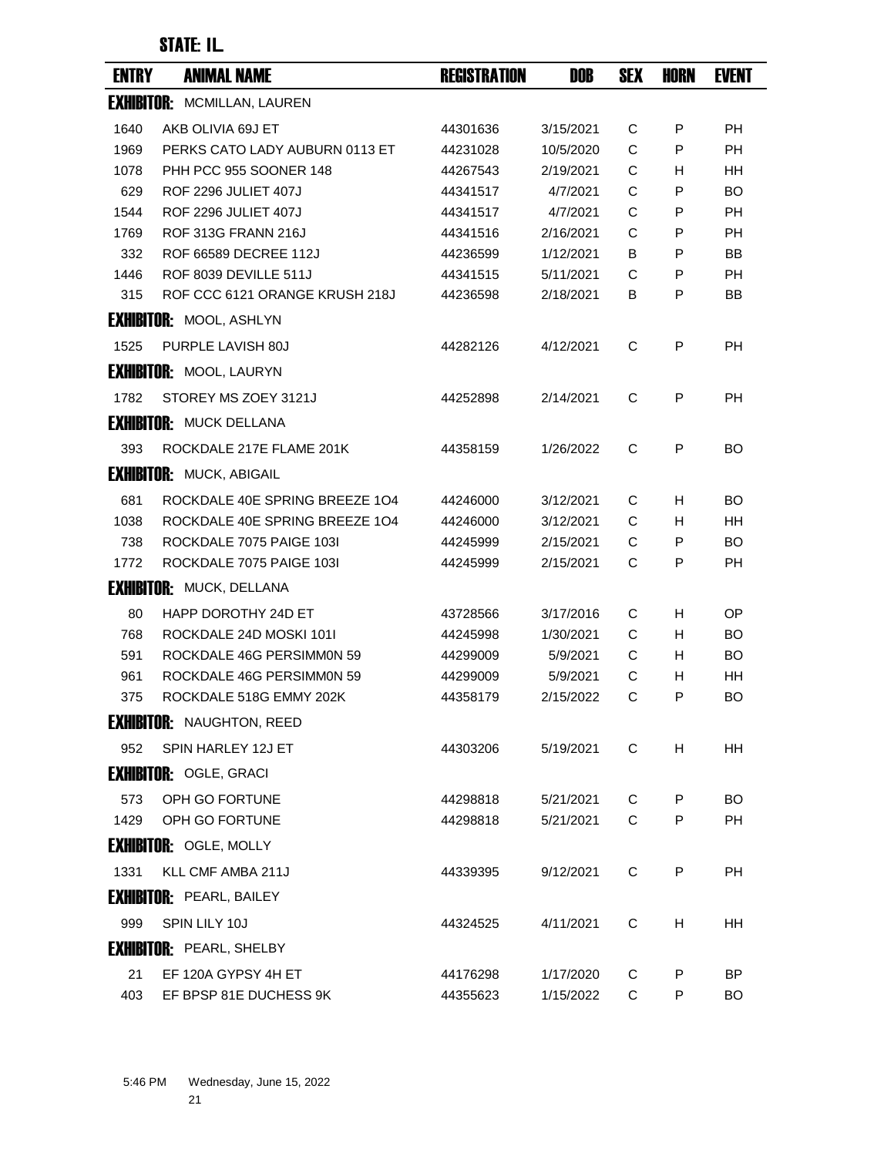| <b>ENTRY</b> | <b>ANIMAL NAME</b>                 | <b>REGISTRATION</b> | DOB       | <b>SEX</b> | <b>HORN</b> | <b>EVENT</b> |
|--------------|------------------------------------|---------------------|-----------|------------|-------------|--------------|
|              | <b>EXHIBITOR: MCMILLAN, LAUREN</b> |                     |           |            |             |              |
| 1640         | AKB OLIVIA 69J ET                  | 44301636            | 3/15/2021 | C          | P           | <b>PH</b>    |
| 1969         | PERKS CATO LADY AUBURN 0113 ET     | 44231028            | 10/5/2020 | C          | P           | <b>PH</b>    |
| 1078         | PHH PCC 955 SOONER 148             | 44267543            | 2/19/2021 | C          | н           | HН           |
| 629          | <b>ROF 2296 JULIET 407J</b>        | 44341517            | 4/7/2021  | C          | P           | <b>BO</b>    |
| 1544         | <b>ROF 2296 JULIET 407J</b>        | 44341517            | 4/7/2021  | C          | P           | <b>PH</b>    |
| 1769         | ROF 313G FRANN 216J                | 44341516            | 2/16/2021 | C          | P           | <b>PH</b>    |
| 332          | ROF 66589 DECREE 112J              | 44236599            | 1/12/2021 | B          | P           | <b>BB</b>    |
| 1446         | ROF 8039 DEVILLE 511J              | 44341515            | 5/11/2021 | С          | P           | PH           |
| 315          | ROF CCC 6121 ORANGE KRUSH 218J     | 44236598            | 2/18/2021 | В          | P           | BB           |
|              | <b>EXHIBITOR: MOOL, ASHLYN</b>     |                     |           |            |             |              |
| 1525         | PURPLE LAVISH 80J                  | 44282126            | 4/12/2021 | C          | P           | PH           |
|              | <b>EXHIBITOR: MOOL, LAURYN</b>     |                     |           |            |             |              |
| 1782         | STOREY MS ZOEY 3121J               | 44252898            | 2/14/2021 | C          | P           | <b>PH</b>    |
|              | <b>EXHIBITOR: MUCK DELLANA</b>     |                     |           |            |             |              |
| 393          | ROCKDALE 217E FLAME 201K           | 44358159            | 1/26/2022 | C          | P           | BO.          |
|              | <b>EXHIBITOR: MUCK, ABIGAIL</b>    |                     |           |            |             |              |
| 681          | ROCKDALE 40E SPRING BREEZE 104     | 44246000            | 3/12/2021 | C          | H           | BO           |
| 1038         | ROCKDALE 40E SPRING BREEZE 104     | 44246000            | 3/12/2021 | C          | H           | HН           |
| 738          | ROCKDALE 7075 PAIGE 103I           | 44245999            | 2/15/2021 | С          | P           | BO           |
| 1772         | ROCKDALE 7075 PAIGE 103I           | 44245999            | 2/15/2021 | C          | P           | PH           |
|              | <b>EXHIBITOR: MUCK, DELLANA</b>    |                     |           |            |             |              |
| 80           | HAPP DOROTHY 24D ET                | 43728566            | 3/17/2016 | С          | H           | ОP           |
| 768          | ROCKDALE 24D MOSKI 1011            | 44245998            | 1/30/2021 | C          | H           | BO           |
| 591          | ROCKDALE 46G PERSIMMON 59          | 44299009            | 5/9/2021  | C          | H           | BO           |
| 961          | ROCKDALE 46G PERSIMMON 59          | 44299009            | 5/9/2021  | C          | H           | HН           |
| 375          | ROCKDALE 518G EMMY 202K            | 44358179            | 2/15/2022 | C          | P           | BO           |
|              | <b>EXHIBITOR: NAUGHTON, REED</b>   |                     |           |            |             |              |
| 952          | SPIN HARLEY 12J ET                 | 44303206            | 5/19/2021 | C          | H           | <b>HH</b>    |
|              | <b>EXHIBITOR: OGLE, GRACI</b>      |                     |           |            |             |              |
| 573          | OPH GO FORTUNE                     | 44298818            | 5/21/2021 | C          | P           | BO.          |
| 1429         | OPH GO FORTUNE                     | 44298818            | 5/21/2021 | C          | P           | PH           |
|              | <b>EXHIBITOR: OGLE, MOLLY</b>      |                     |           |            |             |              |
| 1331         | KLL CMF AMBA 211J                  | 44339395            | 9/12/2021 | C          | P           | PH.          |
|              | <b>EXHIBITOR: PEARL, BAILEY</b>    |                     |           |            |             |              |
| 999          | SPIN LILY 10J                      | 44324525            | 4/11/2021 | C          | н           | HН           |
|              | <b>EXHIBITOR: PEARL, SHELBY</b>    |                     |           |            |             |              |
| 21           | EF 120A GYPSY 4H ET                | 44176298            | 1/17/2020 | C          | P           | BP.          |
| 403          | EF BPSP 81E DUCHESS 9K             | 44355623            | 1/15/2022 | С          | P           | BO           |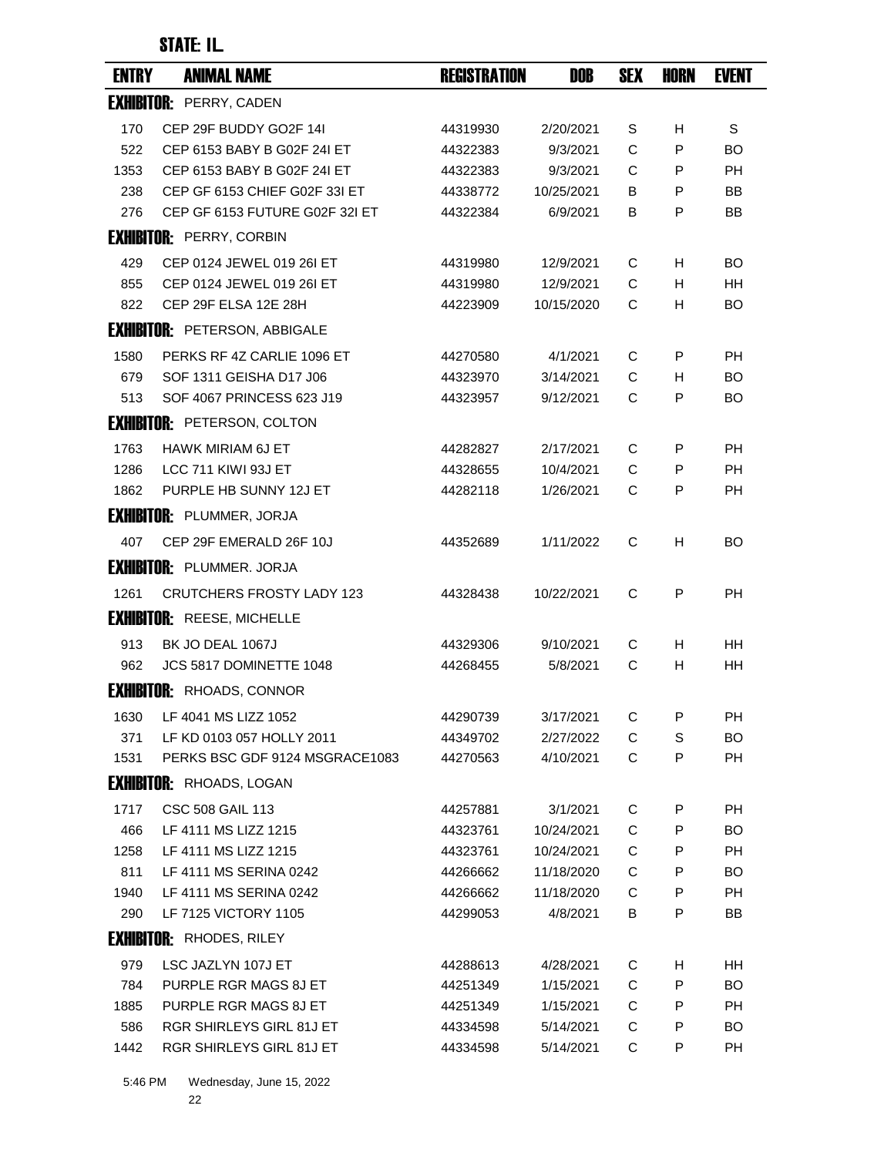| <b>ENTRY</b> | <b>ANIMAL NAME</b>                   | <b>REGISTRATION</b> | DOB        | <b>SEX</b> | <b>HORN</b> | <b>EVENT</b> |
|--------------|--------------------------------------|---------------------|------------|------------|-------------|--------------|
|              | <b>EXHIBITOR: PERRY, CADEN</b>       |                     |            |            |             |              |
| 170          | CEP 29F BUDDY GO2F 14I               | 44319930            | 2/20/2021  | S          | H           | S            |
| 522          | CEP 6153 BABY B G02F 24I ET          | 44322383            | 9/3/2021   | C          | P           | BO           |
| 1353         | CEP 6153 BABY B G02F 24I ET          | 44322383            | 9/3/2021   | C          | P           | <b>PH</b>    |
| 238          | CEP GF 6153 CHIEF G02F 33I ET        | 44338772            | 10/25/2021 | В          | P           | BB           |
| 276          | CEP GF 6153 FUTURE G02F 32I ET       | 44322384            | 6/9/2021   | в          | P           | BB           |
|              | <b>EXHIBITOR: PERRY, CORBIN</b>      |                     |            |            |             |              |
| 429          | CEP 0124 JEWEL 019 26I ET            | 44319980            | 12/9/2021  | C          | H.          | BO           |
| 855          | CEP 0124 JEWEL 019 26I ET            | 44319980            | 12/9/2021  | C          | H           | HН           |
| 822          | CEP 29F ELSA 12E 28H                 | 44223909            | 10/15/2020 | С          | H           | BO           |
|              | <b>EXHIBITOR: PETERSON, ABBIGALE</b> |                     |            |            |             |              |
| 1580         | PERKS RF 4Z CARLIE 1096 ET           | 44270580            | 4/1/2021   | C          | P           | PH           |
| 679          | SOF 1311 GEISHA D17 J06              | 44323970            | 3/14/2021  | C          | H           | BO           |
| 513          | SOF 4067 PRINCESS 623 J19            | 44323957            | 9/12/2021  | C          | P           | BO           |
|              | <b>EXHIBITOR: PETERSON, COLTON</b>   |                     |            |            |             |              |
| 1763         | HAWK MIRIAM 6J ET                    | 44282827            | 2/17/2021  | C          | P           | PH           |
| 1286         | LCC 711 KIWI 93J ET                  | 44328655            | 10/4/2021  | C          | P           | РH           |
| 1862         | PURPLE HB SUNNY 12J ET               | 44282118            | 1/26/2021  | C          | P           | <b>PH</b>    |
|              | <b>EXHIBITOR: PLUMMER, JORJA</b>     |                     |            |            |             |              |
| 407          | CEP 29F EMERALD 26F 10J              | 44352689            | 1/11/2022  | С          | H           | BO           |
|              | <b>EXHIBITOR: PLUMMER. JORJA</b>     |                     |            |            |             |              |
| 1261         | <b>CRUTCHERS FROSTY LADY 123</b>     | 44328438            | 10/22/2021 | C          | P           | РH           |
|              | <b>EXHIBITOR: REESE, MICHELLE</b>    |                     |            |            |             |              |
| 913          | BK JO DEAL 1067J                     | 44329306            | 9/10/2021  | С          | H           | HH.          |
| 962          | JCS 5817 DOMINETTE 1048              | 44268455            | 5/8/2021   | C          | H           | <b>HH</b>    |
|              | <b>EXHIBITOR: RHOADS, CONNOR</b>     |                     |            |            |             |              |
| 1630         | LF 4041 MS LIZZ 1052                 | 44290739            | 3/17/2021  | С          | P           | PH           |
| 371          | LF KD 0103 057 HOLLY 2011            | 44349702            | 2/27/2022  | С          | S           | BO.          |
| 1531         | PERKS BSC GDF 9124 MSGRACE1083       | 44270563            | 4/10/2021  | C          | P           | PH           |
|              | <b>EXHIBITOR: RHOADS, LOGAN</b>      |                     |            |            |             |              |
| 1717         | CSC 508 GAIL 113                     | 44257881            | 3/1/2021   | С          | P           | PH           |
| 466          | LF 4111 MS LIZZ 1215                 | 44323761            | 10/24/2021 | С          | P           | BO.          |
| 1258         | LF 4111 MS LIZZ 1215                 | 44323761            | 10/24/2021 | С          | P           | PH           |
| 811          | LF 4111 MS SERINA 0242               | 44266662            | 11/18/2020 | C          | P           | BO.          |
| 1940         | LF 4111 MS SERINA 0242               | 44266662            | 11/18/2020 | C          | P           | PH           |
| 290          | LF 7125 VICTORY 1105                 | 44299053            | 4/8/2021   | B          | P           | BB           |
|              | <b>EXHIBITOR: RHODES, RILEY</b>      |                     |            |            |             |              |
| 979          | LSC JAZLYN 107J ET                   | 44288613            | 4/28/2021  | С          | Н           | HH           |
| 784          | PURPLE RGR MAGS 8J ET                | 44251349            | 1/15/2021  | C          | P           | BO.          |
| 1885         | PURPLE RGR MAGS 8J ET                | 44251349            | 1/15/2021  | C          | P           | PH           |
| 586          | <b>RGR SHIRLEYS GIRL 81J ET</b>      | 44334598            | 5/14/2021  | C          | P           | BO.          |
| 1442         | RGR SHIRLEYS GIRL 81J ET             | 44334598            | 5/14/2021  | С          | P           | PH           |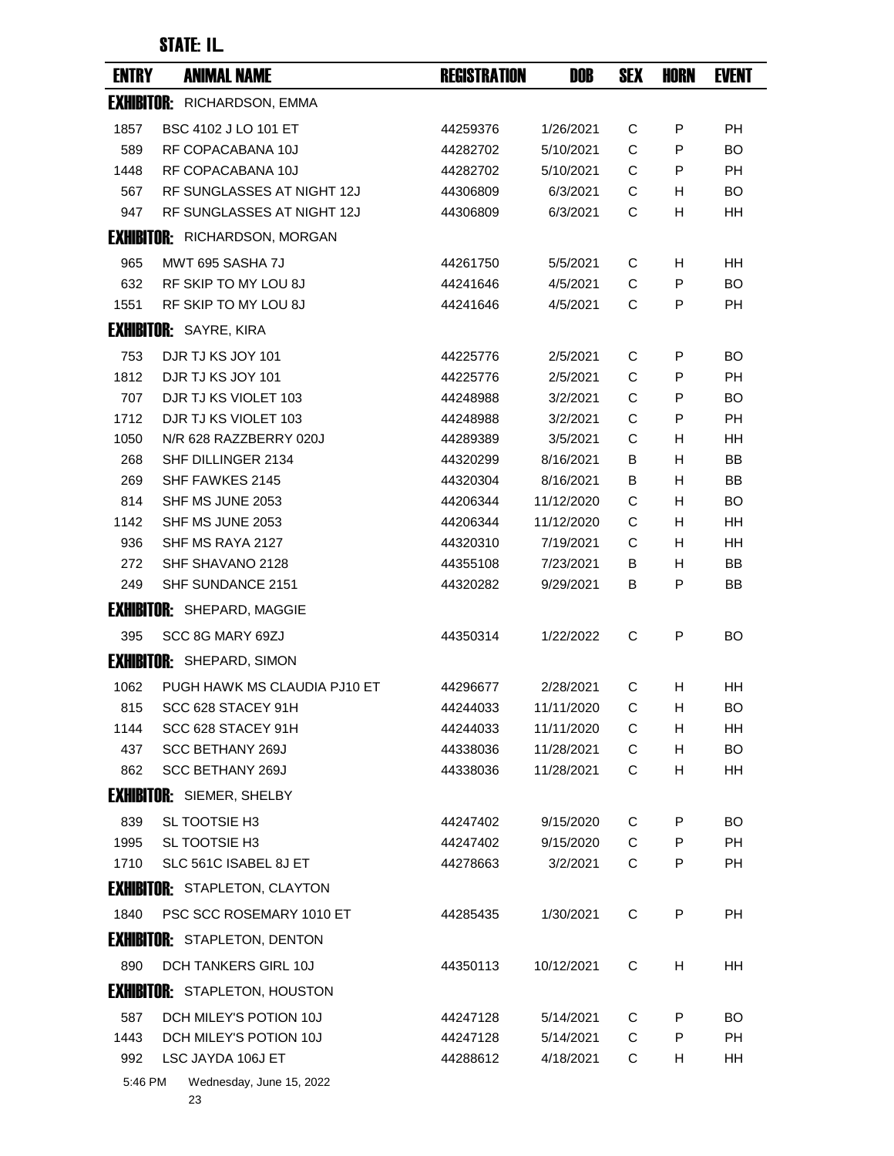| <b>ENTRY</b> | <b>ANIMAL NAME</b>                   | <b>REGISTRATION</b> | DOB        | <b>SEX</b> | <b>HORN</b> | <b>EVENT</b> |
|--------------|--------------------------------------|---------------------|------------|------------|-------------|--------------|
|              | <b>EXHIBITOR: RICHARDSON, EMMA</b>   |                     |            |            |             |              |
| 1857         | <b>BSC 4102 J LO 101 ET</b>          | 44259376            | 1/26/2021  | C          | P           | <b>PH</b>    |
| 589          | RF COPACABANA 10J                    | 44282702            | 5/10/2021  | C          | P           | <b>BO</b>    |
| 1448         | RF COPACABANA 10J                    | 44282702            | 5/10/2021  | C          | P           | <b>PH</b>    |
| 567          | RF SUNGLASSES AT NIGHT 12J           | 44306809            | 6/3/2021   | С          | н           | <b>BO</b>    |
| 947          | RF SUNGLASSES AT NIGHT 12J           | 44306809            | 6/3/2021   | C          | H           | HH           |
|              | <b>EXHIBITOR: RICHARDSON, MORGAN</b> |                     |            |            |             |              |
| 965          | MWT 695 SASHA 7J                     | 44261750            | 5/5/2021   | С          | н           | HH           |
| 632          | RF SKIP TO MY LOU 8J                 | 44241646            | 4/5/2021   | C          | P           | <b>BO</b>    |
| 1551         | RF SKIP TO MY LOU 8J                 | 44241646            | 4/5/2021   | С          | P           | PH           |
|              | <b>EXHIBITOR: SAYRE, KIRA</b>        |                     |            |            |             |              |
| 753          | DJR TJ KS JOY 101                    | 44225776            | 2/5/2021   | C          | P           | BO           |
| 1812         | DJR TJ KS JOY 101                    | 44225776            | 2/5/2021   | С          | P           | PH           |
| 707          | DJR TJ KS VIOLET 103                 | 44248988            | 3/2/2021   | C          | P           | BO           |
| 1712         | DJR TJ KS VIOLET 103                 | 44248988            | 3/2/2021   | С          | P           | <b>PH</b>    |
| 1050         | N/R 628 RAZZBERRY 020J               | 44289389            | 3/5/2021   | C          | H           | <b>HH</b>    |
| 268          | SHF DILLINGER 2134                   | 44320299            | 8/16/2021  | В          | H           | BB           |
| 269          | SHF FAWKES 2145                      | 44320304            | 8/16/2021  | В          | H           | BB           |
| 814          | SHF MS JUNE 2053                     | 44206344            | 11/12/2020 | С          | н           | <b>BO</b>    |
| 1142         | SHF MS JUNE 2053                     | 44206344            | 11/12/2020 | C          | H           | <b>HH</b>    |
| 936          | SHF MS RAYA 2127                     | 44320310            | 7/19/2021  | С          | H           | HH           |
| 272          | SHF SHAVANO 2128                     | 44355108            | 7/23/2021  | В          | H           | ΒB           |
| 249          | SHF SUNDANCE 2151                    | 44320282            | 9/29/2021  | В          | P           | BB           |
|              | <b>EXHIBITOR: SHEPARD, MAGGIE</b>    |                     |            |            |             |              |
| 395          | SCC 8G MARY 69ZJ                     | 44350314            | 1/22/2022  | C          | P           | BO           |
|              | <b>EXHIBITOR: SHEPARD, SIMON</b>     |                     |            |            |             |              |
| 1062         | PUGH HAWK MS CLAUDIA PJ10 ET         | 44296677            | 2/28/2021  | С          | H           | ΗH           |
| 815          | SCC 628 STACEY 91H                   | 44244033            | 11/11/2020 | С          | н           | <b>BO</b>    |
| 1144         | SCC 628 STACEY 91H                   | 44244033            | 11/11/2020 | С          | н           | HH           |
| 437          | <b>SCC BETHANY 269J</b>              | 44338036            | 11/28/2021 | C          | н           | BO           |
| 862          | <b>SCC BETHANY 269J</b>              | 44338036            | 11/28/2021 | C          | н           | HH           |
|              | <b>EXHIBITOR: SIEMER, SHELBY</b>     |                     |            |            |             |              |
| 839          | SL TOOTSIE H3                        | 44247402            | 9/15/2020  | C          | P           | BO.          |
| 1995         | SL TOOTSIE H3                        | 44247402            | 9/15/2020  | C          | P           | PH           |
| 1710         | SLC 561C ISABEL 8J ET                | 44278663            | 3/2/2021   | C          | P           | PH           |
|              | <b>EXHIBITOR: STAPLETON, CLAYTON</b> |                     |            |            |             |              |
| 1840         | PSC SCC ROSEMARY 1010 ET             | 44285435            | 1/30/2021  | C          | P           | PH           |
|              | <b>EXHIBITOR: STAPLETON, DENTON</b>  |                     |            |            |             |              |
| 890          | DCH TANKERS GIRL 10J                 | 44350113            | 10/12/2021 | C          | н           | HH           |
|              | <b>EXHIBITOR: STAPLETON, HOUSTON</b> |                     |            |            |             |              |
| 587          | DCH MILEY'S POTION 10J               | 44247128            | 5/14/2021  | C          | P           | BO.          |
| 1443         | DCH MILEY'S POTION 10J               | 44247128            | 5/14/2021  | C          | P           | PH           |
| 992          | LSC JAYDA 106J ET                    | 44288612            | 4/18/2021  | C          | н           | HH           |
| 5:46 PM      | Wednesday, June 15, 2022             |                     |            |            |             |              |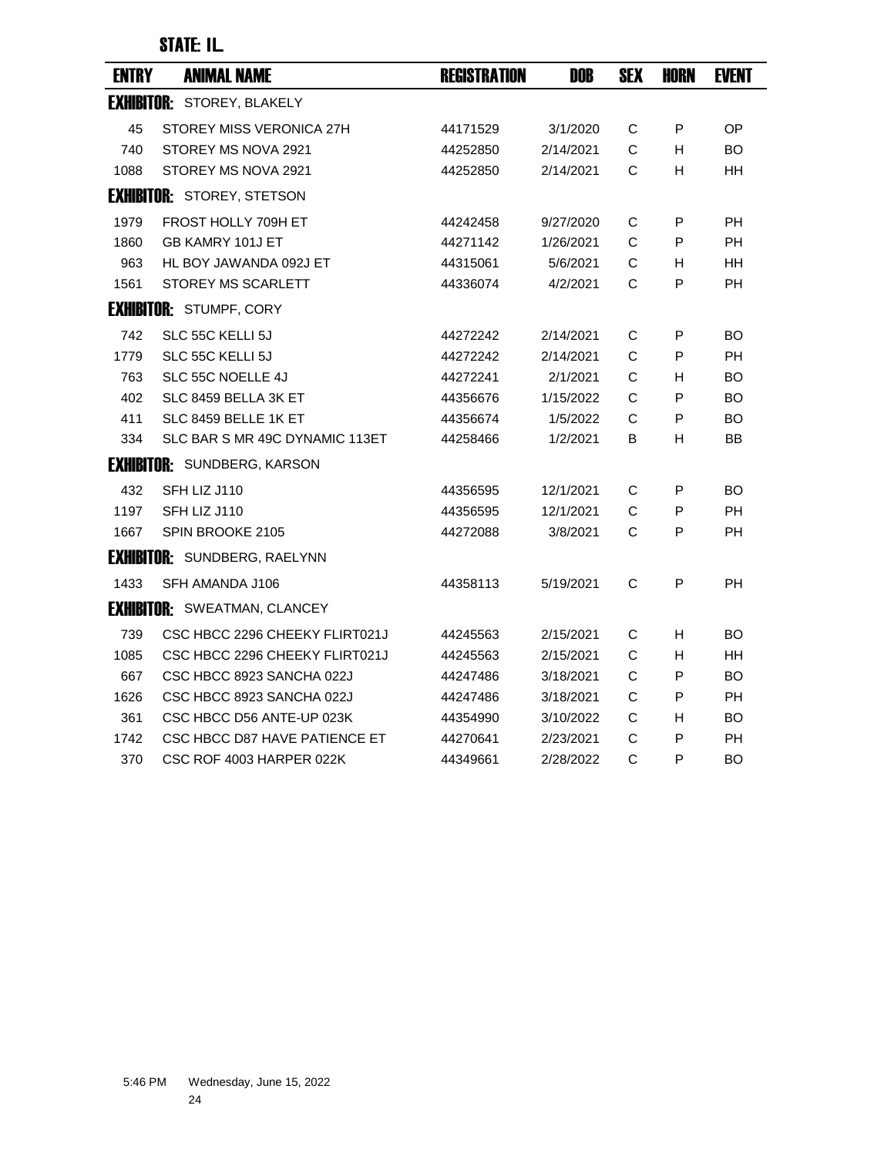| <b>ENTRY</b> | <b>ANIMAL NAME</b>                  | <b>REGISTRATION</b> | <b>DOB</b> | <b>SEX</b>   | <b>HORN</b> | <b>EVENT</b> |
|--------------|-------------------------------------|---------------------|------------|--------------|-------------|--------------|
|              | <b>EXHIBITOR: STOREY, BLAKELY</b>   |                     |            |              |             |              |
| 45           | STOREY MISS VERONICA 27H            | 44171529            | 3/1/2020   | C            | P           | OP           |
| 740          | STOREY MS NOVA 2921                 | 44252850            | 2/14/2021  | C            | H           | <b>BO</b>    |
| 1088         | STOREY MS NOVA 2921                 | 44252850            | 2/14/2021  | C            | H           | HH           |
|              | <b>EXHIBITOR: STOREY, STETSON</b>   |                     |            |              |             |              |
| 1979         | FROST HOLLY 709H ET                 | 44242458            | 9/27/2020  | C            | P           | <b>PH</b>    |
| 1860         | GB KAMRY 101J ET                    | 44271142            | 1/26/2021  | C            | P           | <b>PH</b>    |
| 963          | HL BOY JAWANDA 092J ET              | 44315061            | 5/6/2021   | C            | H           | HН           |
| 1561         | STOREY MS SCARLETT                  | 44336074            | 4/2/2021   | C            | P           | <b>PH</b>    |
|              | <b>EXHIBITOR: STUMPF, CORY</b>      |                     |            |              |             |              |
| 742          | SLC 55C KELLI 5J                    | 44272242            | 2/14/2021  | C            | P           | <b>BO</b>    |
| 1779         | SLC 55C KELLI 5J                    | 44272242            | 2/14/2021  | C            | P           | <b>PH</b>    |
| 763          | SLC 55C NOELLE 4J                   | 44272241            | 2/1/2021   | C            | H           | <b>BO</b>    |
| 402          | SLC 8459 BELLA 3K ET                | 44356676            | 1/15/2022  | C            | P           | <b>BO</b>    |
| 411          | SLC 8459 BELLE 1K ET                | 44356674            | 1/5/2022   | C            | P           | <b>BO</b>    |
| 334          | SLC BAR S MR 49C DYNAMIC 113ET      | 44258466            | 1/2/2021   | В            | H           | BB           |
|              | <b>EXHIBITOR: SUNDBERG, KARSON</b>  |                     |            |              |             |              |
| 432          | SFH LIZ J110                        | 44356595            | 12/1/2021  | C            | P           | BO           |
| 1197         | SFH LIZ J110                        | 44356595            | 12/1/2021  | C            | P           | <b>PH</b>    |
| 1667         | SPIN BROOKE 2105                    | 44272088            | 3/8/2021   | C            | P           | <b>PH</b>    |
|              | <b>EXHIBITOR: SUNDBERG, RAELYNN</b> |                     |            |              |             |              |
| 1433         | SFH AMANDA J106                     | 44358113            | 5/19/2021  | C            | P           | <b>PH</b>    |
|              | <b>EXHIBITOR: SWEATMAN, CLANCEY</b> |                     |            |              |             |              |
| 739          | CSC HBCC 2296 CHEEKY FLIRT021J      | 44245563            | 2/15/2021  | $\mathsf C$  | H           | BO           |
| 1085         | CSC HBCC 2296 CHEEKY FLIRT021J      | 44245563            | 2/15/2021  | C            | H           | <b>HH</b>    |
| 667          | CSC HBCC 8923 SANCHA 022J           | 44247486            | 3/18/2021  | C            | P           | <b>BO</b>    |
| 1626         | CSC HBCC 8923 SANCHA 022J           | 44247486            | 3/18/2021  | С            | P           | <b>PH</b>    |
| 361          | CSC HBCC D56 ANTE-UP 023K           | 44354990            | 3/10/2022  | С            | H.          | <b>BO</b>    |
| 1742         | CSC HBCC D87 HAVE PATIENCE ET       | 44270641            | 2/23/2021  | C            | P           | <b>PH</b>    |
| 370          | CSC ROF 4003 HARPER 022K            | 44349661            | 2/28/2022  | $\mathsf{C}$ | P           | <b>BO</b>    |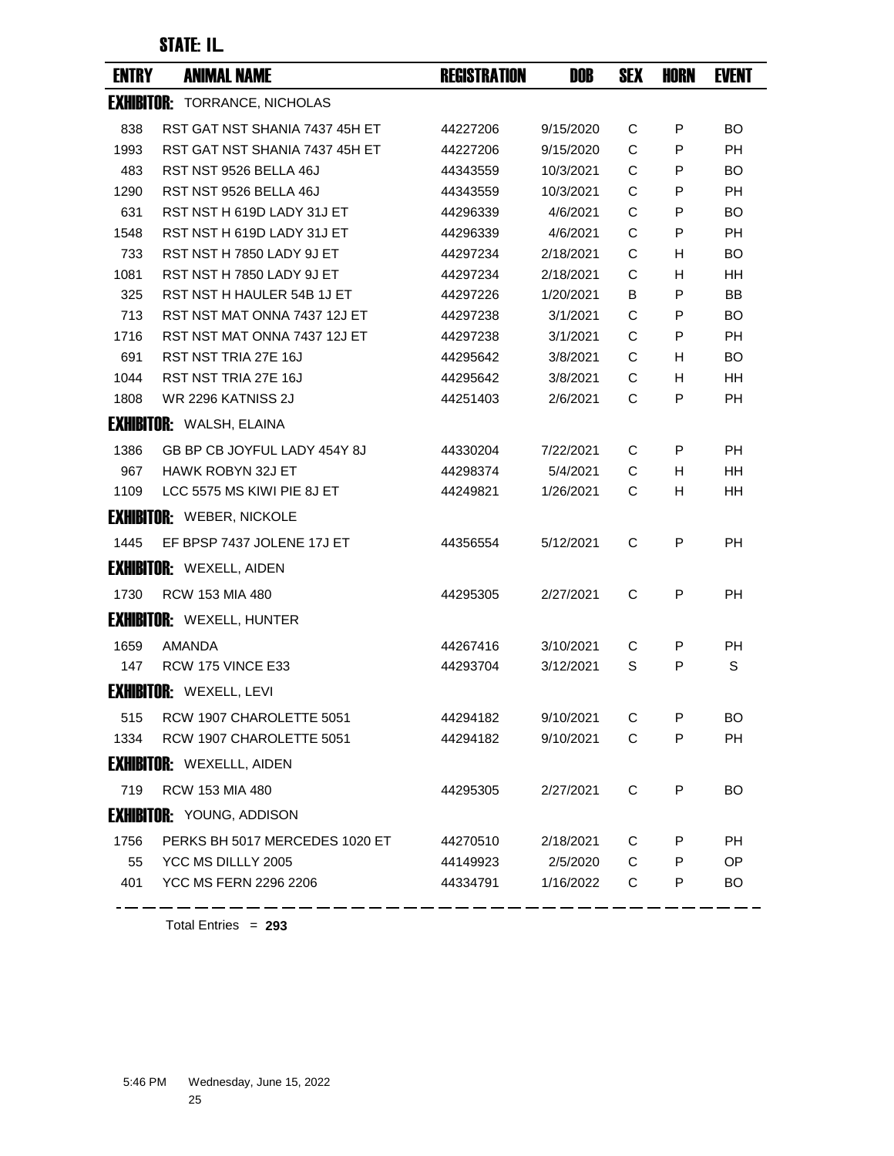| <b>ENTRY</b> | <b>ANIMAL NAME</b>                   | <b>REGISTRATION</b> | DOB       | <b>SEX</b> | HORN | <b>EVENT</b> |
|--------------|--------------------------------------|---------------------|-----------|------------|------|--------------|
|              | <b>EXHIBITOR: TORRANCE, NICHOLAS</b> |                     |           |            |      |              |
| 838          | RST GAT NST SHANIA 7437 45H ET       | 44227206            | 9/15/2020 | С          | P    | BO.          |
| 1993         | RST GAT NST SHANIA 7437 45H ET       | 44227206            | 9/15/2020 | C          | P    | <b>PH</b>    |
| 483          | RST NST 9526 BELLA 46J               | 44343559            | 10/3/2021 | C          | P    | BO.          |
| 1290         | RST NST 9526 BELLA 46J               | 44343559            | 10/3/2021 | C          | P    | PH.          |
| 631          | RST NST H 619D LADY 31J ET           | 44296339            | 4/6/2021  | C          | P    | BO.          |
| 1548         | RST NST H 619D LADY 31J ET           | 44296339            | 4/6/2021  | C          | P    | <b>PH</b>    |
| 733          | RST NST H 7850 LADY 9J ET            | 44297234            | 2/18/2021 | C          | н    | BO           |
| 1081         | RST NST H 7850 LADY 9J ET            | 44297234            | 2/18/2021 | С          | H    | HН           |
| 325          | RST NST H HAULER 54B 1J ET           | 44297226            | 1/20/2021 | В          | P    | BB           |
| 713          | RST NST MAT ONNA 7437 12J ET         | 44297238            | 3/1/2021  | C          | P    | BO.          |
| 1716         | RST NST MAT ONNA 7437 12J ET         | 44297238            | 3/1/2021  | C          | P    | <b>PH</b>    |
| 691          | RST NST TRIA 27E 16J                 | 44295642            | 3/8/2021  | C          | H.   | BO           |
| 1044         | RST NST TRIA 27E 16J                 | 44295642            | 3/8/2021  | C          | H.   | HH.          |
| 1808         | <b>WR 2296 KATNISS 2J</b>            | 44251403            | 2/6/2021  | С          | P    | <b>PH</b>    |
|              | <b>EXHIBITOR: WALSH, ELAINA</b>      |                     |           |            |      |              |
| 1386         | GB BP CB JOYFUL LADY 454Y 8J         | 44330204            | 7/22/2021 | С          | P    | PH           |
| 967          | <b>HAWK ROBYN 32J ET</b>             | 44298374            | 5/4/2021  | С          | H.   | HН           |
| 1109         | LCC 5575 MS KIWI PIE 8J ET           | 44249821            | 1/26/2021 | C          | H    | HH.          |
|              | <b>EXHIBITOR: WEBER, NICKOLE</b>     |                     |           |            |      |              |
| 1445         | EF BPSP 7437 JOLENE 17J ET           | 44356554            | 5/12/2021 | C          | P    | <b>PH</b>    |
|              | <b>EXHIBITOR: WEXELL, AIDEN</b>      |                     |           |            |      |              |
| 1730         | <b>RCW 153 MIA 480</b>               | 44295305            | 2/27/2021 | C          | P    | РH           |
|              | <b>EXHIBITOR: WEXELL, HUNTER</b>     |                     |           |            |      |              |
| 1659         | AMANDA                               | 44267416            | 3/10/2021 | С          | P    | РH           |
| 147          | RCW 175 VINCE E33                    | 44293704            | 3/12/2021 | S          | P    | $\mathbb S$  |
|              | <b>EXHIBITOR: WEXELL, LEVI</b>       |                     |           |            |      |              |
| 515          | RCW 1907 CHAROLETTE 5051             | 44294182            | 9/10/2021 | С          | P    | <b>BO</b>    |
| 1334         | RCW 1907 CHAROLETTE 5051             | 44294182            | 9/10/2021 | C          | P    | <b>PH</b>    |
|              | <b>EXHIBITOR:</b> WEXELLL, AIDEN     |                     |           |            |      |              |
| 719          | <b>RCW 153 MIA 480</b>               | 44295305            | 2/27/2021 | C          | P    | BO.          |
|              | <b>EXHIBITOR: YOUNG, ADDISON</b>     |                     |           |            |      |              |
| 1756         | PERKS BH 5017 MERCEDES 1020 ET       | 44270510            | 2/18/2021 | C          | P    | PH           |
| 55           | YCC MS DILLLY 2005                   | 44149923            | 2/5/2020  | C          | P    | OP           |
| 401          | <b>YCC MS FERN 2296 2206</b>         | 44334791            | 1/16/2022 | C          | P    | BO.          |
|              |                                      |                     |           |            |      |              |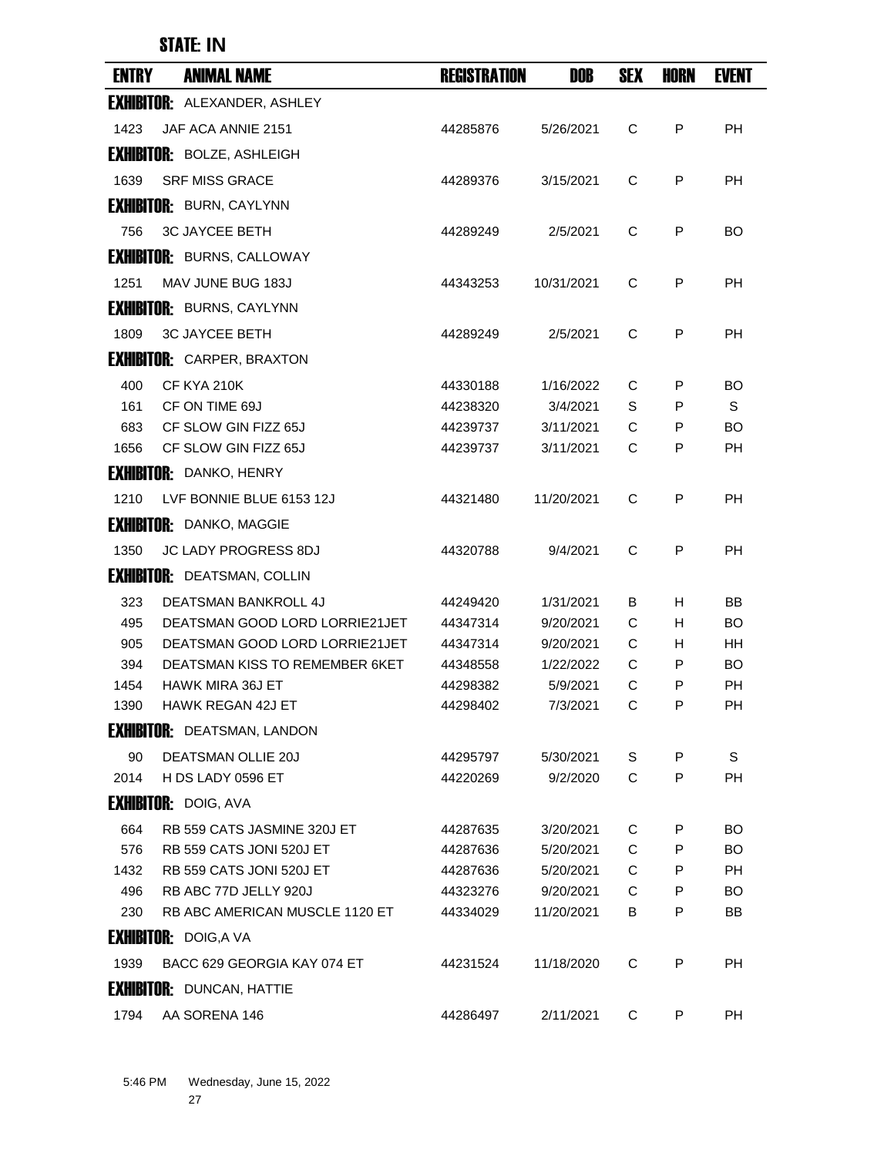| <b>ENTRY</b> | <b>ANIMAL NAME</b>                  | <b>REGISTRATION</b>  | DOB                   | <b>SEX</b> | HORN   | <b>EVENT</b> |
|--------------|-------------------------------------|----------------------|-----------------------|------------|--------|--------------|
|              | <b>EXHIBITOR: ALEXANDER, ASHLEY</b> |                      |                       |            |        |              |
| 1423         | JAF ACA ANNIE 2151                  | 44285876             | 5/26/2021             | C          | P      | <b>PH</b>    |
|              | <b>EXHIBITOR: BOLZE, ASHLEIGH</b>   |                      |                       |            |        |              |
| 1639         | <b>SRF MISS GRACE</b>               | 44289376             | 3/15/2021             | C          | P      | PH           |
|              | <b>EXHIBITOR: BURN, CAYLYNN</b>     |                      |                       |            |        |              |
| 756          | <b>3C JAYCEE BETH</b>               | 44289249             | 2/5/2021              | C          | P      | BO.          |
|              | <b>EXHIBITOR: BURNS, CALLOWAY</b>   |                      |                       |            |        |              |
| 1251         | MAV JUNE BUG 183J                   | 44343253             | 10/31/2021            | C          | P      | РH           |
|              | <b>EXHIBITOR: BURNS, CAYLYNN</b>    |                      |                       |            |        |              |
| 1809         | <b>3C JAYCEE BETH</b>               | 44289249             | 2/5/2021              | C          | P      | РH           |
|              | <b>EXHIBITOR: CARPER, BRAXTON</b>   |                      |                       |            |        |              |
|              |                                     |                      |                       |            |        |              |
| 400<br>161   | CF KYA 210K<br>CF ON TIME 69J       | 44330188<br>44238320 | 1/16/2022<br>3/4/2021 | С<br>S     | P<br>P | BO<br>S      |
| 683          | CF SLOW GIN FIZZ 65J                | 44239737             | 3/11/2021             | C          | P      | BO.          |
| 1656         | CF SLOW GIN FIZZ 65J                | 44239737             | 3/11/2021             | C          | P      | PH           |
|              | <b>EXHIBITOR: DANKO, HENRY</b>      |                      |                       |            |        |              |
| 1210         | LVF BONNIE BLUE 6153 12J            | 44321480             | 11/20/2021            | C          | P      | PH           |
|              | <b>EXHIBITOR: DANKO, MAGGIE</b>     |                      |                       |            |        |              |
| 1350         | <b>JC LADY PROGRESS 8DJ</b>         | 44320788             | 9/4/2021              | C          | P      | <b>PH</b>    |
|              | <b>EXHIBITOR: DEATSMAN, COLLIN</b>  |                      |                       |            |        |              |
| 323          | <b>DEATSMAN BANKROLL 4J</b>         | 44249420             | 1/31/2021             | В          | H      | BB           |
| 495          | DEATSMAN GOOD LORD LORRIE21JET      | 44347314             | 9/20/2021             | С          | H      | BO.          |
| 905          | DEATSMAN GOOD LORD LORRIE21JET      | 44347314             | 9/20/2021             | С          | H      | HН           |
| 394          | DEATSMAN KISS TO REMEMBER 6KET      | 44348558             | 1/22/2022             | С          | P      | BO.          |
| 1454         | <b>HAWK MIRA 36J ET</b>             | 44298382             | 5/9/2021              | C          | P      | <b>PH</b>    |
| 1390         | <b>HAWK REGAN 42J ET</b>            | 44298402             | 7/3/2021              | C          | Ρ      | PH           |
|              | <b>EXHIBITOR: DEATSMAN, LANDON</b>  |                      |                       |            |        |              |
| 90           | <b>DEATSMAN OLLIE 20J</b>           | 44295797             | 5/30/2021             | S          | P      | S            |
| 2014         | H DS LADY 0596 ET                   | 44220269             | 9/2/2020              | C          | P      | РH           |
|              | <b>EXHIBITOR: DOIG, AVA</b>         |                      |                       |            |        |              |
| 664          | RB 559 CATS JASMINE 320J ET         | 44287635             | 3/20/2021             | C          | P      | <b>BO</b>    |
| 576          | <b>RB 559 CATS JONI 520J ET</b>     | 44287636             | 5/20/2021             | C          | P      | BO.          |
| 1432         | RB 559 CATS JONI 520J ET            | 44287636             | 5/20/2021             | C          | P      | <b>PH</b>    |
| 496          | RB ABC 77D JELLY 920J               | 44323276             | 9/20/2021             | C          | P      | <b>BO</b>    |
| 230          | RB ABC AMERICAN MUSCLE 1120 ET      | 44334029             | 11/20/2021            | B          | P      | BB           |
|              | <b>EXHIBITOR: DOIG,A VA</b>         |                      |                       |            |        |              |
| 1939         | BACC 629 GEORGIA KAY 074 ET         | 44231524             | 11/18/2020            | C          | P      | <b>PH</b>    |
|              | <b>EXHIBITOR: DUNCAN, HATTIE</b>    |                      |                       |            |        |              |
| 1794         | AA SORENA 146                       | 44286497             | 2/11/2021             | C          | P      | PH           |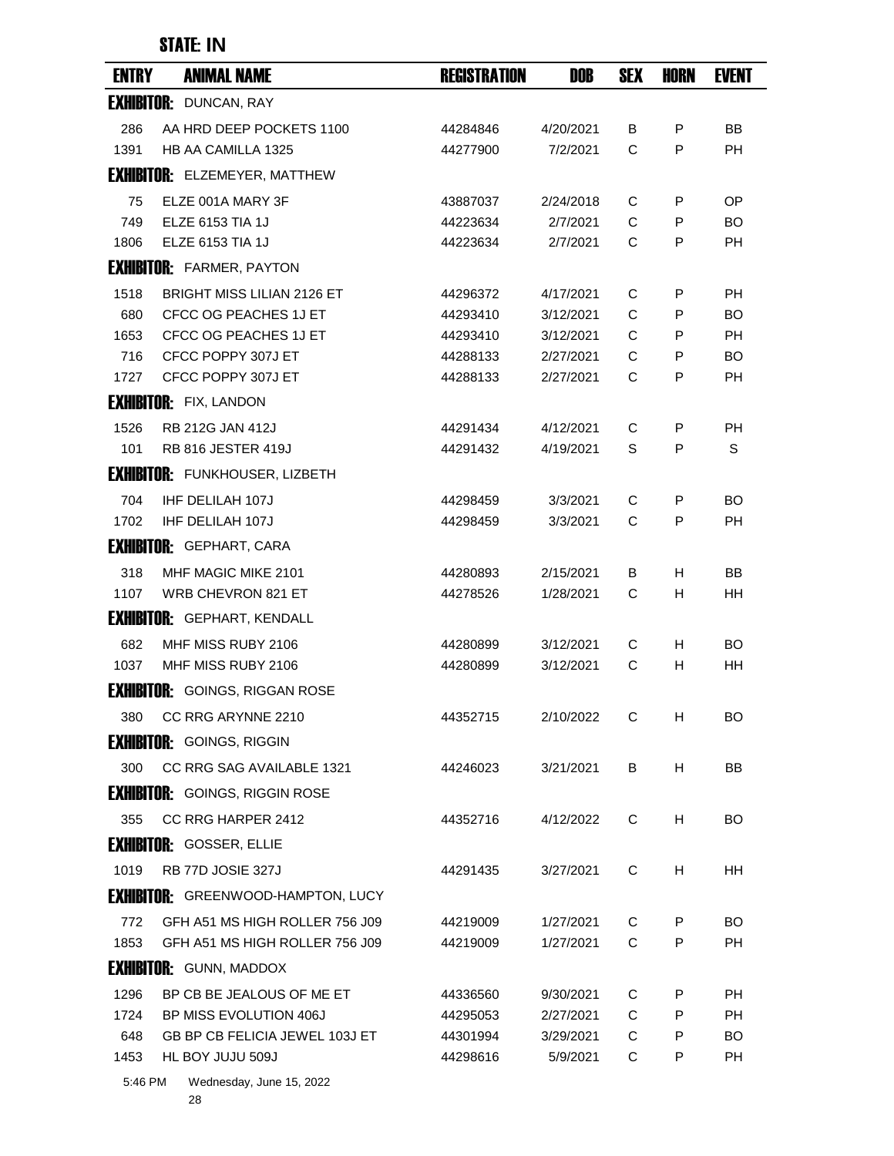| <b>ENTRY</b> | <b>ANIMAL NAME</b>                          | <b>REGISTRATION</b>  | DOB                    | <b>SEX</b> | <b>HORN</b> | <b>EVENT</b>           |
|--------------|---------------------------------------------|----------------------|------------------------|------------|-------------|------------------------|
|              | <b>EXHIBITOR: DUNCAN, RAY</b>               |                      |                        |            |             |                        |
| 286          | AA HRD DEEP POCKETS 1100                    | 44284846             | 4/20/2021              | B          | P           | BB                     |
| 1391         | <b>HB AA CAMILLA 1325</b>                   | 44277900             | 7/2/2021               | C          | P           | <b>PH</b>              |
|              | <b>EXHIBITOR: ELZEMEYER, MATTHEW</b>        |                      |                        |            |             |                        |
| 75           | ELZE 001A MARY 3F                           | 43887037             | 2/24/2018              | C          | P           | OP                     |
| 749          | <b>ELZE 6153 TIA 1J</b>                     | 44223634             | 2/7/2021               | C          | P           | BO.                    |
| 1806         | <b>ELZE 6153 TIA 1J</b>                     | 44223634             | 2/7/2021               | C          | P           | <b>PH</b>              |
|              | <b>EXHIBITOR: FARMER, PAYTON</b>            |                      |                        |            |             |                        |
| 1518         | <b>BRIGHT MISS LILIAN 2126 ET</b>           | 44296372             | 4/17/2021              | C          | P           | РH                     |
| 680          | CFCC OG PEACHES 1J ET                       | 44293410             | 3/12/2021              | C          | P           | BO                     |
| 1653         | CFCC OG PEACHES 1J ET<br>CFCC POPPY 307J ET | 44293410             | 3/12/2021<br>2/27/2021 | C<br>C     | P           | РH                     |
| 716<br>1727  | CFCC POPPY 307J ET                          | 44288133<br>44288133 | 2/27/2021              | C          | P<br>P      | <b>BO</b><br><b>PH</b> |
|              | <b>EXHIBITOR:</b> FIX, LANDON               |                      |                        |            |             |                        |
| 1526         | <b>RB 212G JAN 412J</b>                     | 44291434             | 4/12/2021              | C          | P           | <b>PH</b>              |
| 101          | <b>RB 816 JESTER 419J</b>                   | 44291432             | 4/19/2021              | S          | P           | S                      |
|              | <b>EXHIBITOR: FUNKHOUSER, LIZBETH</b>       |                      |                        |            |             |                        |
| 704          | <b>IHF DELILAH 107J</b>                     | 44298459             | 3/3/2021               | C          | P           | BO                     |
| 1702         | <b>IHF DELILAH 107J</b>                     | 44298459             | 3/3/2021               | C          | P           | <b>PH</b>              |
|              | <b>EXHIBITOR: GEPHART, CARA</b>             |                      |                        |            |             |                        |
| 318          | MHF MAGIC MIKE 2101                         | 44280893             | 2/15/2021              | B          | H           | BB                     |
| 1107         | WRB CHEVRON 821 ET                          | 44278526             | 1/28/2021              | С          | H           | HH                     |
|              | <b>EXHIBITOR: GEPHART, KENDALL</b>          |                      |                        |            |             |                        |
| 682          | MHF MISS RUBY 2106                          | 44280899             | 3/12/2021              | С          | H           | BO                     |
| 1037         | MHF MISS RUBY 2106                          | 44280899             | 3/12/2021              | С          | H           | HH                     |
|              | <b>EXHIBITOR:</b> GOINGS, RIGGAN ROSE       |                      |                        |            |             |                        |
| 380          | CC RRG ARYNNE 2210                          | 44352715             | 2/10/2022              | С          | н           | BO.                    |
|              | <b>EXHIBITOR: GOINGS, RIGGIN</b>            |                      |                        |            |             |                        |
| 300          | CC RRG SAG AVAILABLE 1321                   | 44246023             | 3/21/2021              | B          | H           | BB                     |
|              | <b>EXHIBITOR:</b> GOINGS, RIGGIN ROSE       |                      |                        |            |             |                        |
| 355          | CC RRG HARPER 2412                          | 44352716             | 4/12/2022              | C          | H.          | BO.                    |
|              | <b>EXHIBITOR: GOSSER, ELLIE</b>             |                      |                        |            |             |                        |
| 1019         | RB 77D JOSIE 327J                           | 44291435             | 3/27/2021              | С          | H           | HН                     |
|              | <b>EXHIBITOR:</b> GREENWOOD-HAMPTON, LUCY   |                      |                        |            |             |                        |
| 772          | GFH A51 MS HIGH ROLLER 756 J09              | 44219009             | 1/27/2021              | С          | P           | BO.                    |
| 1853         | GFH A51 MS HIGH ROLLER 756 J09              | 44219009             | 1/27/2021              | С          | P           | <b>PH</b>              |
|              | <b>EXHIBITOR: GUNN, MADDOX</b>              |                      |                        |            |             |                        |
| 1296         | BP CB BE JEALOUS OF ME ET                   | 44336560             | 9/30/2021              | С          | P           | РH                     |
| 1724         | BP MISS EVOLUTION 406J                      | 44295053             | 2/27/2021              | C          | P           | <b>PH</b>              |
| 648          | GB BP CB FELICIA JEWEL 103J ET              | 44301994             | 3/29/2021              | С          | P           | BO.                    |
| 1453         | HL BOY JUJU 509J                            | 44298616             | 5/9/2021               | С          | P           | PH                     |
| 5:46 PM      | Wednesday, June 15, 2022                    |                      |                        |            |             |                        |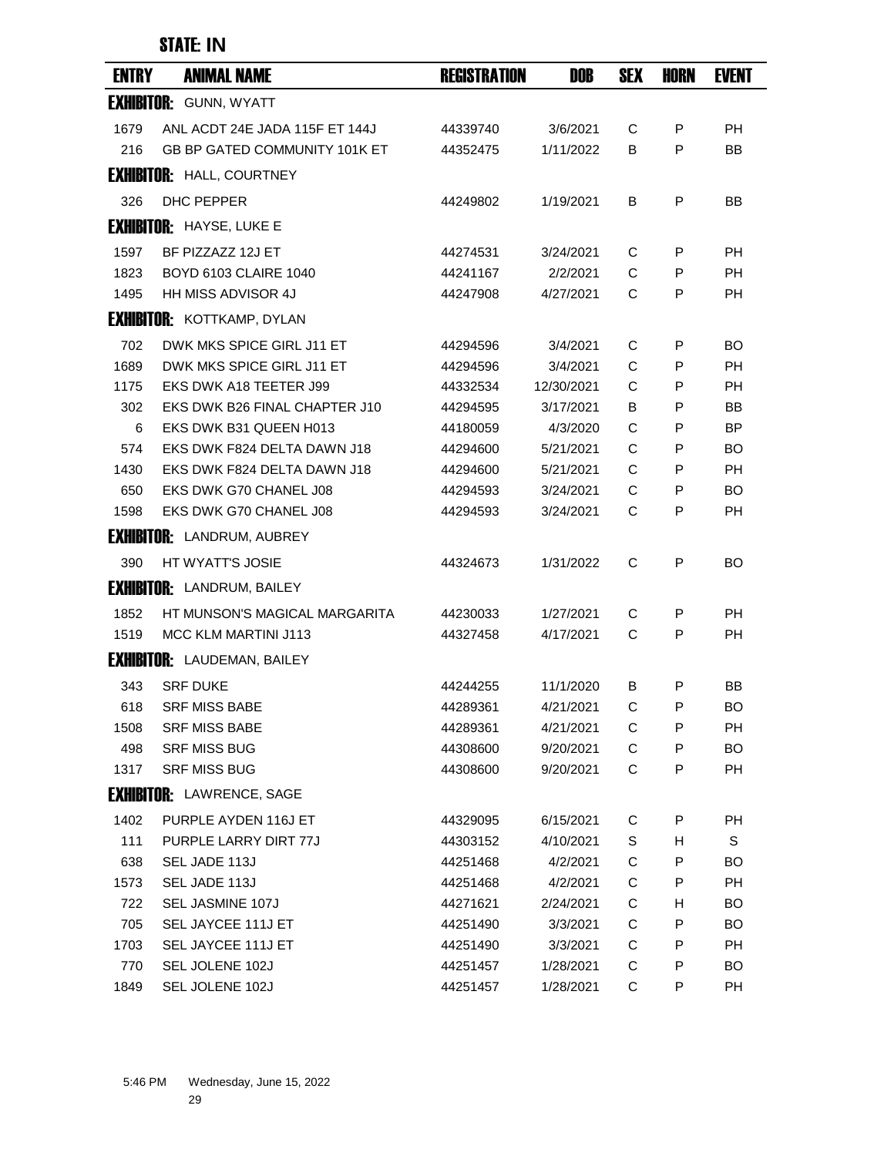| <b>ENTRY</b> | <b>ANIMAL NAME</b>                   | <b>REGISTRATION</b>  | DOB                  | <b>SEX</b> | HORN   | <b>EVENT</b> |
|--------------|--------------------------------------|----------------------|----------------------|------------|--------|--------------|
|              | <b>EXHIBITOR: GUNN, WYATT</b>        |                      |                      |            |        |              |
| 1679         | ANL ACDT 24E JADA 115F ET 144J       | 44339740             | 3/6/2021             | С          | P      | <b>PH</b>    |
| 216          | <b>GB BP GATED COMMUNITY 101K ET</b> | 44352475             | 1/11/2022            | в          | P      | <b>BB</b>    |
|              | <b>EXHIBITOR: HALL, COURTNEY</b>     |                      |                      |            |        |              |
| 326          | <b>DHC PEPPER</b>                    | 44249802             | 1/19/2021            | B          | P      | <b>BB</b>    |
|              | <b>EXHIBITOR: HAYSE, LUKE E</b>      |                      |                      |            |        |              |
| 1597         | BF PIZZAZZ 12J ET                    | 44274531             | 3/24/2021            | С          | P      | PH           |
| 1823         | <b>BOYD 6103 CLAIRE 1040</b>         | 44241167             | 2/2/2021             | C          | P      | <b>PH</b>    |
| 1495         | <b>HH MISS ADVISOR 4J</b>            | 44247908             | 4/27/2021            | C          | P      | <b>PH</b>    |
|              | <b>EXHIBITOR: KOTTKAMP, DYLAN</b>    |                      |                      |            |        |              |
|              | DWK MKS SPICE GIRL J11 ET            |                      |                      |            |        |              |
| 702<br>1689  | DWK MKS SPICE GIRL J11 ET            | 44294596<br>44294596 | 3/4/2021<br>3/4/2021 | С<br>C     | P<br>P | BO.<br>PH    |
| 1175         | EKS DWK A18 TEETER J99               | 44332534             | 12/30/2021           | C          | P      | PH           |
| 302          | EKS DWK B26 FINAL CHAPTER J10        | 44294595             | 3/17/2021            | B          | P      | BB           |
| 6            | EKS DWK B31 QUEEN H013               | 44180059             | 4/3/2020             | C          | P      | <b>BP</b>    |
| 574          | EKS DWK F824 DELTA DAWN J18          | 44294600             | 5/21/2021            | C          | P      | BO           |
| 1430         | EKS DWK F824 DELTA DAWN J18          | 44294600             | 5/21/2021            | C          | P      | РH           |
| 650          | EKS DWK G70 CHANEL J08               | 44294593             | 3/24/2021            | C          | P      | BO           |
| 1598         | EKS DWK G70 CHANEL J08               | 44294593             | 3/24/2021            | C          | P      | РH           |
|              | <b>EXHIBITOR:</b> LANDRUM, AUBREY    |                      |                      |            |        |              |
| 390          | HT WYATT'S JOSIE                     | 44324673             | 1/31/2022            | C          | P      | BO.          |
|              | <b>EXHIBITOR: LANDRUM, BAILEY</b>    |                      |                      |            |        |              |
| 1852         | HT MUNSON'S MAGICAL MARGARITA        | 44230033             | 1/27/2021            | C          | P      | PH.          |
| 1519         | MCC KLM MARTINI J113                 | 44327458             | 4/17/2021            | C          | P      | <b>PH</b>    |
|              | <b>EXHIBITOR: LAUDEMAN, BAILEY</b>   |                      |                      |            |        |              |
| 343          | <b>SRF DUKE</b>                      | 44244255             | 11/1/2020            | в          | P      | ΒB           |
| 618          | <b>SRF MISS BABE</b>                 | 44289361             | 4/21/2021            | C          | P      | BO           |
| 1508         | <b>SRF MISS BABE</b>                 | 44289361             | 4/21/2021            | C          | P      | PH           |
| 498          | <b>SRF MISS BUG</b>                  | 44308600             | 9/20/2021            | C          | P      | BO.          |
| 1317         | <b>SRF MISS BUG</b>                  | 44308600             | 9/20/2021            | С          | P      | <b>PH</b>    |
|              | <b>EXHIBITOR: LAWRENCE, SAGE</b>     |                      |                      |            |        |              |
| 1402         | PURPLE AYDEN 116J ET                 | 44329095             | 6/15/2021            | C          | P      | PH           |
| 111          | PURPLE LARRY DIRT 77J                | 44303152             | 4/10/2021            | S          | Н      | S            |
| 638          | SEL JADE 113J                        | 44251468             | 4/2/2021             | C          | P      | BO           |
| 1573         | SEL JADE 113J                        | 44251468             | 4/2/2021             | C          | P      | PH           |
| 722          | SEL JASMINE 107J                     | 44271621             | 2/24/2021            | С          | Н      | BO           |
| 705          | SEL JAYCEE 111J ET                   | 44251490             | 3/3/2021             | C          | P      | BO.          |
| 1703         | SEL JAYCEE 111J ET                   | 44251490             | 3/3/2021             | C          | P      | PH           |
| 770          | SEL JOLENE 102J                      | 44251457             | 1/28/2021            | C          | P      | BO           |
| 1849         | SEL JOLENE 102J                      | 44251457             | 1/28/2021            | C          | P      | PH           |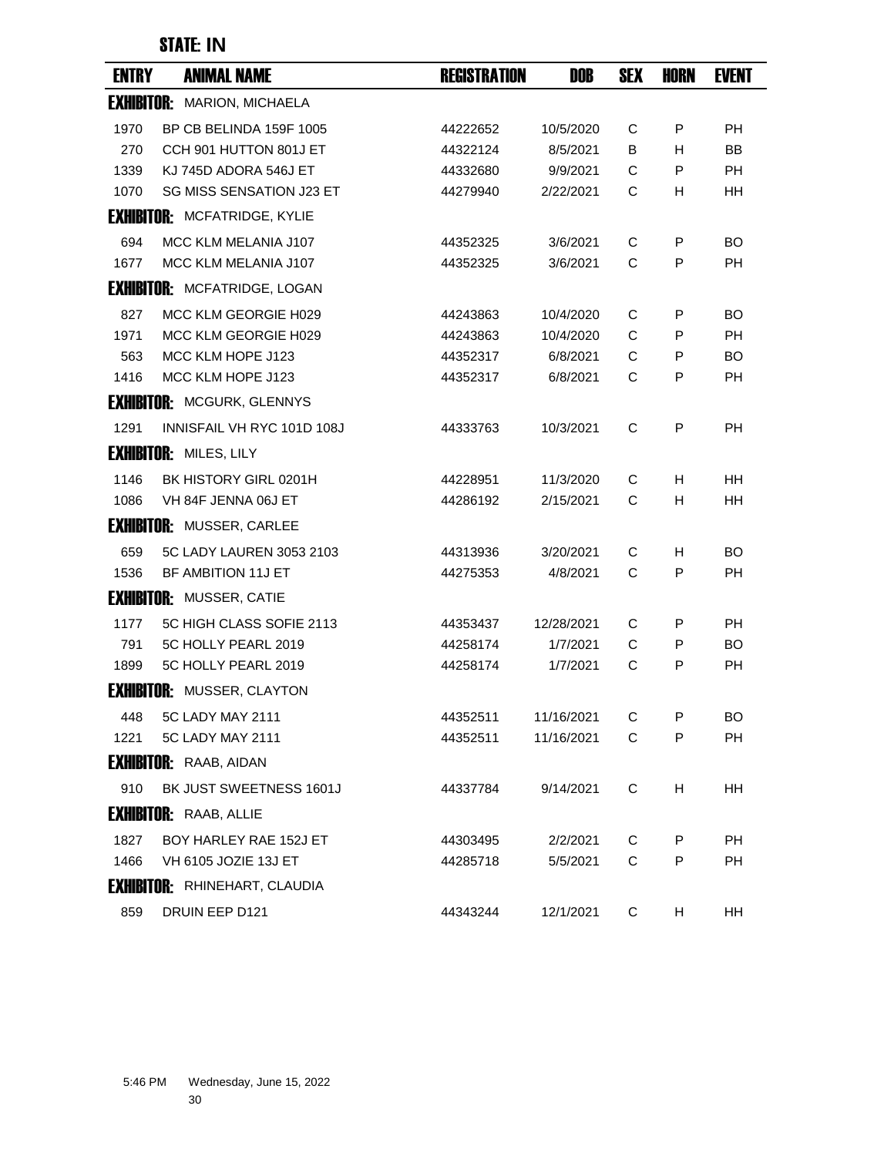| <b>ENTRY</b>      | <b>ANIMAL NAME</b>                   | <b>REGISTRATION</b> | DOB        | <b>SEX</b> | <b>HORN</b> | <b>EVENT</b> |
|-------------------|--------------------------------------|---------------------|------------|------------|-------------|--------------|
|                   | <b>EXHIBITOR: MARION, MICHAELA</b>   |                     |            |            |             |              |
| 1970              | BP CB BELINDA 159F 1005              | 44222652            | 10/5/2020  | C          | P           | PH           |
| 270               | CCH 901 HUTTON 801J ET               | 44322124            | 8/5/2021   | B          | H           | <b>BB</b>    |
| 1339              | KJ 745D ADORA 546J ET                | 44332680            | 9/9/2021   | C          | P           | <b>PH</b>    |
| 1070              | <b>SG MISS SENSATION J23 ET</b>      | 44279940            | 2/22/2021  | С          | H.          | HН           |
|                   | <b>EXHIBITOR: MCFATRIDGE, KYLIE</b>  |                     |            |            |             |              |
| 694               | MCC KLM MELANIA J107                 | 44352325            | 3/6/2021   | C          | P           | <b>BO</b>    |
| 1677              | MCC KLM MELANIA J107                 | 44352325            | 3/6/2021   | C          | P           | <b>PH</b>    |
|                   | <b>EXHIBITOR: MCFATRIDGE, LOGAN</b>  |                     |            |            |             |              |
| 827               | MCC KLM GEORGIE H029                 | 44243863            | 10/4/2020  | C          | P           | BO.          |
| 1971              | MCC KLM GEORGIE H029                 | 44243863            | 10/4/2020  | C          | P           | РH           |
| 563               | MCC KLM HOPE J123                    | 44352317            | 6/8/2021   | C          | P           | <b>BO</b>    |
| 1416              | MCC KLM HOPE J123                    | 44352317            | 6/8/2021   | C          | P           | <b>PH</b>    |
|                   | <b>EXHIBITOR: MCGURK, GLENNYS</b>    |                     |            |            |             |              |
| 1291              | INNISFAIL VH RYC 101D 108J           | 44333763            | 10/3/2021  | C          | P           | <b>PH</b>    |
|                   | <b>EXHIBITOR: MILES, LILY</b>        |                     |            |            |             |              |
| 1146              | BK HISTORY GIRL 0201H                | 44228951            | 11/3/2020  | C          | н           | <b>HH</b>    |
| 1086              | VH 84F JENNA 06J ET                  | 44286192            | 2/15/2021  | C          | H           | HН           |
|                   | <b>EXHIBITOR: MUSSER, CARLEE</b>     |                     |            |            |             |              |
| 659               | 5C LADY LAUREN 3053 2103             | 44313936            | 3/20/2021  | C          | н           | <b>BO</b>    |
| 1536              | BF AMBITION 11J ET                   | 44275353            | 4/8/2021   | C          | P           | PН           |
|                   | <b>EXHIBITOR: MUSSER, CATIE</b>      |                     |            |            |             |              |
| 1177              | 5C HIGH CLASS SOFIE 2113             | 44353437            | 12/28/2021 | C          | P           | PH           |
| 791               | 5C HOLLY PEARL 2019                  | 44258174            | 1/7/2021   | С          | P           | BO           |
| 1899              | 5C HOLLY PEARL 2019                  | 44258174            | 1/7/2021   | C          | P           | <b>PH</b>    |
| <b>Exhibitor:</b> | MUSSER, CLAYTON                      |                     |            |            |             |              |
| 448               | 5C LADY MAY 2111                     | 44352511            | 11/16/2021 | С          | P           | <b>BO</b>    |
| 1221              | 5C LADY MAY 2111                     | 44352511            | 11/16/2021 | C          | P           | PH           |
|                   | <b>EXHIBITOR: RAAB, AIDAN</b>        |                     |            |            |             |              |
| 910               | BK JUST SWEETNESS 1601J              | 44337784            | 9/14/2021  | C          | H           | HH.          |
|                   | <b>EXHIBITOR: RAAB, ALLIE</b>        |                     |            |            |             |              |
| 1827              | BOY HARLEY RAE 152J ET               | 44303495            | 2/2/2021   | C          | P           | <b>PH</b>    |
| 1466              | VH 6105 JOZIE 13J ET                 | 44285718            | 5/5/2021   | C          | P           | PH.          |
|                   | <b>EXHIBITOR: RHINEHART, CLAUDIA</b> |                     |            |            |             |              |
| 859               | DRUIN EEP D121                       | 44343244            | 12/1/2021  | C          | н           | HH           |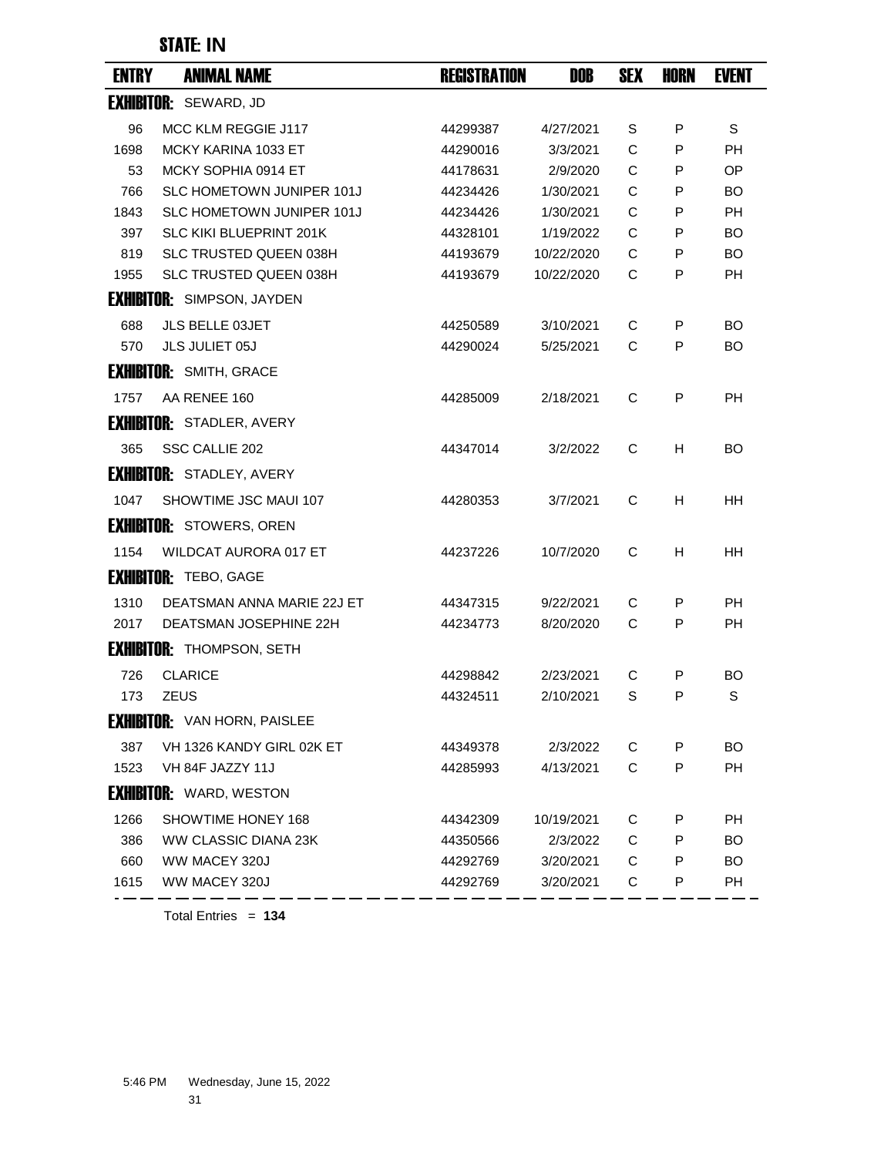| <b>ENTRY</b> | <b>ANIMAL NAME</b>                  | <b>REGISTRATION</b> | DOB        | <b>SEX</b> | <b>HORN</b> | <b>EVENT</b> |
|--------------|-------------------------------------|---------------------|------------|------------|-------------|--------------|
|              | <b>EXHIBITOR: SEWARD, JD</b>        |                     |            |            |             |              |
| 96           | MCC KLM REGGIE J117                 | 44299387            | 4/27/2021  | S          | P           | S            |
| 1698         | MCKY KARINA 1033 ET                 | 44290016            | 3/3/2021   | C          | P           | <b>PH</b>    |
| 53           | MCKY SOPHIA 0914 ET                 | 44178631            | 2/9/2020   | C          | P           | OP.          |
| 766          | SLC HOMETOWN JUNIPER 101J           | 44234426            | 1/30/2021  | C          | P           | BO.          |
| 1843         | SLC HOMETOWN JUNIPER 101J           | 44234426            | 1/30/2021  | C          | P           | <b>PH</b>    |
| 397          | <b>SLC KIKI BLUEPRINT 201K</b>      | 44328101            | 1/19/2022  | C          | P           | BO.          |
| 819          | <b>SLC TRUSTED QUEEN 038H</b>       | 44193679            | 10/22/2020 | C          | P           | <b>BO</b>    |
| 1955         | SLC TRUSTED QUEEN 038H              | 44193679            | 10/22/2020 | C          | P           | PH           |
|              | <b>EXHIBITOR: SIMPSON, JAYDEN</b>   |                     |            |            |             |              |
| 688          | <b>JLS BELLE 03JET</b>              | 44250589            | 3/10/2021  | C          | P           | <b>BO</b>    |
| 570          | JLS JULIET 05J                      | 44290024            | 5/25/2021  | C          | P           | BO           |
|              | <b>EXHIBITOR: SMITH, GRACE</b>      |                     |            |            |             |              |
| 1757         | AA RENEE 160                        | 44285009            | 2/18/2021  | C          | P           | <b>PH</b>    |
|              | <b>EXHIBITOR: STADLER, AVERY</b>    |                     |            |            |             |              |
| 365          | SSC CALLIE 202                      | 44347014            | 3/2/2022   | C          | H           | BO.          |
|              | <b>EXHIBITOR: STADLEY, AVERY</b>    |                     |            |            |             |              |
| 1047         | SHOWTIME JSC MAUI 107               | 44280353            | 3/7/2021   | C          | H           | HН           |
|              | <b>EXHIBITOR: STOWERS, OREN</b>     |                     |            |            |             |              |
| 1154         | <b>WILDCAT AURORA 017 ET</b>        | 44237226            | 10/7/2020  | C          | н           | HН           |
|              | <b>EXHIBITOR: TEBO, GAGE</b>        |                     |            |            |             |              |
| 1310         | DEATSMAN ANNA MARIE 22J ET          | 44347315            | 9/22/2021  | C          | P           | <b>PH</b>    |
| 2017         | DEATSMAN JOSEPHINE 22H              | 44234773            | 8/20/2020  | C          | P           | <b>PH</b>    |
|              | <b>EXHIBITOR: THOMPSON, SETH</b>    |                     |            |            |             |              |
| 726          | <b>CLARICE</b>                      | 44298842            | 2/23/2021  | C          | P           | BO.          |
| 173          | <b>ZEUS</b>                         | 44324511            | 2/10/2021  | S          | P           | S            |
|              | <b>EXHIBITOR: VAN HORN, PAISLEE</b> |                     |            |            |             |              |
| 387          | VH 1326 KANDY GIRL 02K ET           | 44349378            | 2/3/2022   | C          | P           | BO.          |
| 1523         | VH 84F JAZZY 11J                    | 44285993            | 4/13/2021  | C          | P           | PH           |
|              | <b>EXHIBITOR: WARD, WESTON</b>      |                     |            |            |             |              |
| 1266         | SHOWTIME HONEY 168                  | 44342309            | 10/19/2021 | С          | P           | РH           |
| 386          | WW CLASSIC DIANA 23K                | 44350566            | 2/3/2022   | C          | P           | <b>BO</b>    |
| 660          | WW MACEY 320J                       | 44292769            | 3/20/2021  | С          | P           | BO.          |
| 1615         | WW MACEY 320J                       | 44292769            | 3/20/2021  | C          | P           | PH           |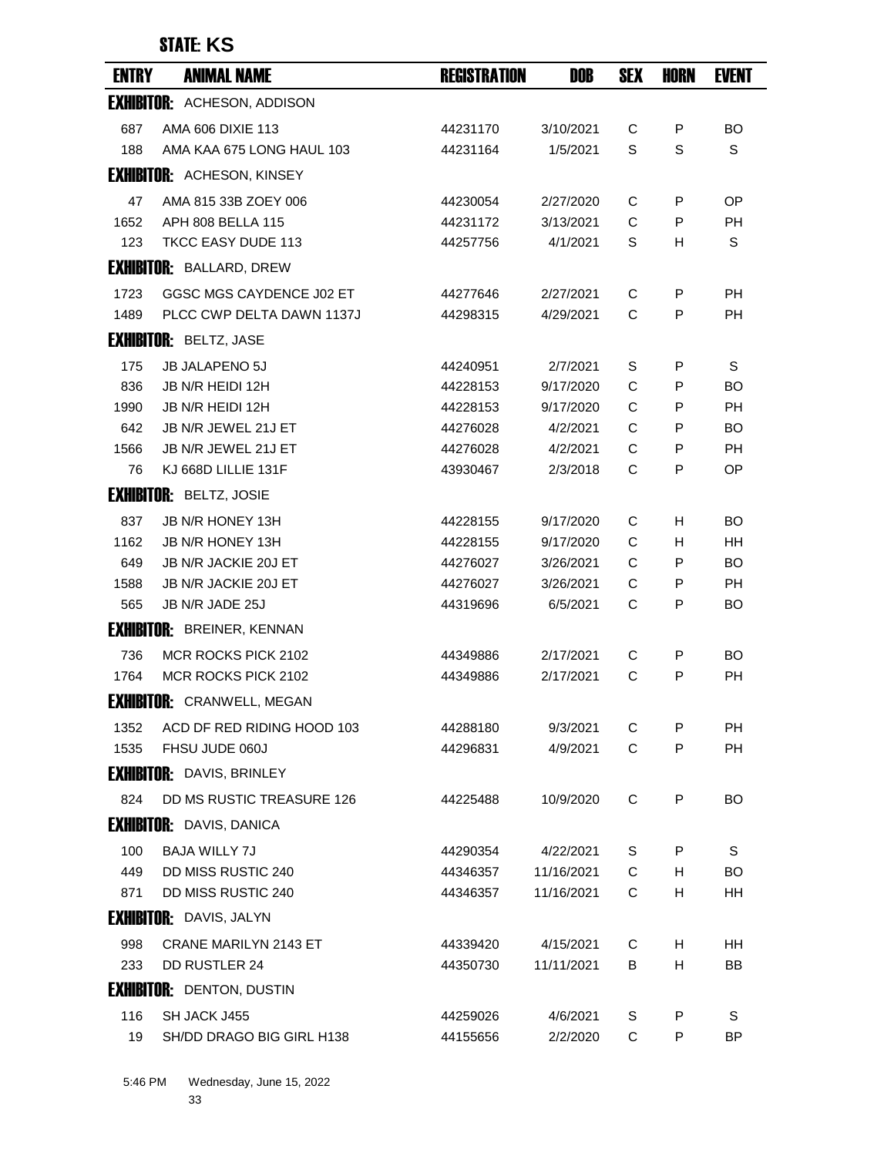| <b>ENTRY</b> | <b>ANIMAL NAME</b>                 | <b>REGISTRATION</b> | DOB        | <b>SEX</b> | <b>HORN</b> | <b>EVENT</b> |
|--------------|------------------------------------|---------------------|------------|------------|-------------|--------------|
|              | <b>EXHIBITOR: ACHESON, ADDISON</b> |                     |            |            |             |              |
| 687          | AMA 606 DIXIE 113                  | 44231170            | 3/10/2021  | С          | P           | <b>BO</b>    |
| 188          | AMA KAA 675 LONG HAUL 103          | 44231164            | 1/5/2021   | S          | S           | S            |
|              | <b>EXHIBITOR: ACHESON, KINSEY</b>  |                     |            |            |             |              |
| 47           | AMA 815 33B ZOEY 006               | 44230054            | 2/27/2020  | C          | P           | OP           |
| 1652         | APH 808 BELLA 115                  | 44231172            | 3/13/2021  | C          | P           | PH           |
| 123          | TKCC EASY DUDE 113                 | 44257756            | 4/1/2021   | S          | н           | S            |
|              | <b>EXHIBITOR: BALLARD, DREW</b>    |                     |            |            |             |              |
| 1723         | GGSC MGS CAYDENCE J02 ET           | 44277646            | 2/27/2021  | C          | P           | <b>PH</b>    |
| 1489         | PLCC CWP DELTA DAWN 1137J          | 44298315            | 4/29/2021  | C          | P           | PH           |
|              | <b>EXHIBITOR: BELTZ, JASE</b>      |                     |            |            |             |              |
| 175          | <b>JB JALAPENO 5J</b>              | 44240951            | 2/7/2021   | S          | P           | S            |
| 836          | JB N/R HEIDI 12H                   | 44228153            | 9/17/2020  | C          | P           | <b>BO</b>    |
| 1990         | JB N/R HEIDI 12H                   | 44228153            | 9/17/2020  | C          | P           | PH           |
| 642          | JB N/R JEWEL 21J ET                | 44276028            | 4/2/2021   | C          | P           | <b>BO</b>    |
| 1566         | JB N/R JEWEL 21J ET                | 44276028            | 4/2/2021   | C          | P           | PH           |
| 76           | KJ 668D LILLIE 131F                | 43930467            | 2/3/2018   | C          | P           | OP.          |
|              | <b>EXHIBITOR: BELTZ, JOSIE</b>     |                     |            |            |             |              |
| 837          | JB N/R HONEY 13H                   | 44228155            | 9/17/2020  | С          | H           | <b>BO</b>    |
| 1162         | JB N/R HONEY 13H                   | 44228155            | 9/17/2020  | C          | H           | HН           |
| 649          | JB N/R JACKIE 20J ET               | 44276027            | 3/26/2021  | C          | P           | <b>BO</b>    |
| 1588         | JB N/R JACKIE 20J ET               | 44276027            | 3/26/2021  | C          | P           | PH           |
| 565          | JB N/R JADE 25J                    | 44319696            | 6/5/2021   | C          | P           | <b>BO</b>    |
|              | <b>EXHIBITOR: BREINER, KENNAN</b>  |                     |            |            |             |              |
| 736          | MCR ROCKS PICK 2102                | 44349886            | 2/17/2021  | C          | P           | BO           |
| 1764         | MCR ROCKS PICK 2102                | 44349886            | 2/17/2021  | C          | P           | <b>PH</b>    |
|              | <b>EXHIBITOR: CRANWELL, MEGAN</b>  |                     |            |            |             |              |
| 1352         | ACD DF RED RIDING HOOD 103         | 44288180            | 9/3/2021   | С          | P           | РH           |
| 1535         | FHSU JUDE 060J                     | 44296831            | 4/9/2021   | C          | P           | <b>PH</b>    |
|              | <b>EXHIBITOR: DAVIS, BRINLEY</b>   |                     |            |            |             |              |
| 824          | DD MS RUSTIC TREASURE 126          | 44225488            | 10/9/2020  | C          | P           | BO.          |
|              | <b>EXHIBITOR: DAVIS, DANICA</b>    |                     |            |            |             |              |
| 100          | <b>BAJA WILLY 7J</b>               | 44290354            | 4/22/2021  | S          | P           | S            |
| 449          | <b>DD MISS RUSTIC 240</b>          | 44346357            | 11/16/2021 | C          | H           | <b>BO</b>    |
| 871          | DD MISS RUSTIC 240                 | 44346357            | 11/16/2021 | C          | H           | HH           |
|              | <b>EXHIBITOR:</b> DAVIS, JALYN     |                     |            |            |             |              |
| 998          | <b>CRANE MARILYN 2143 ET</b>       | 44339420            | 4/15/2021  | C          | H.          | HН           |
| 233          | DD RUSTLER 24                      | 44350730            | 11/11/2021 | В          | H.          | BB           |
|              | <b>EXHIBITOR: DENTON, DUSTIN</b>   |                     |            |            |             |              |
| 116          | SH JACK J455                       | 44259026            | 4/6/2021   | S          | P           | S            |
| 19           | SH/DD DRAGO BIG GIRL H138          | 44155656            | 2/2/2020   | C          | P           | ΒP           |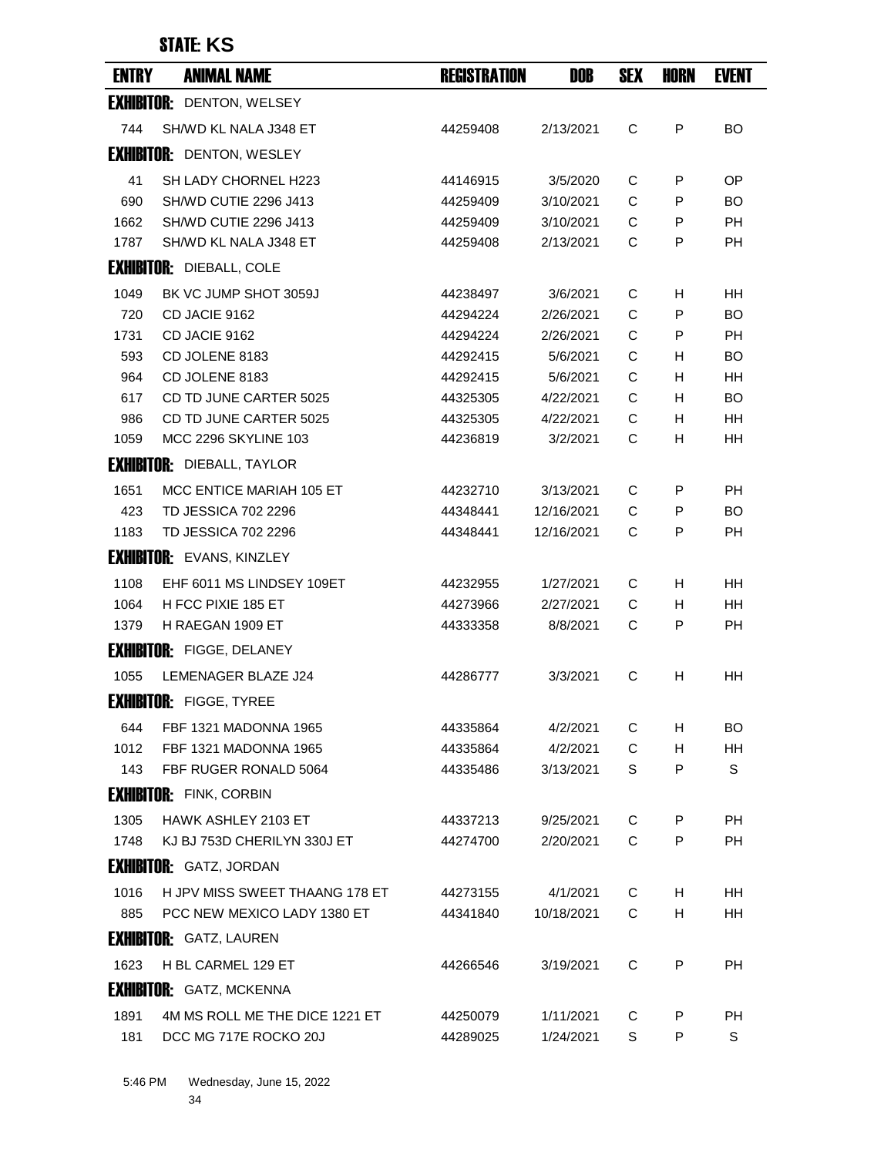| <b>ENTRY</b> | <b>ANIMAL NAME</b>                | <b>REGISTRATION</b> | <b>DOB</b> | <b>SEX</b> | <b>HORN</b> | <b>EVENT</b> |
|--------------|-----------------------------------|---------------------|------------|------------|-------------|--------------|
|              | <b>EXHIBITOR: DENTON, WELSEY</b>  |                     |            |            |             |              |
| 744          | SH/WD KL NALA J348 ET             | 44259408            | 2/13/2021  | C          | P           | <b>BO</b>    |
|              | <b>EXHIBITOR: DENTON, WESLEY</b>  |                     |            |            |             |              |
| 41           | SH LADY CHORNEL H223              | 44146915            | 3/5/2020   | C          | P           | OP.          |
| 690          | <b>SH/WD CUTIE 2296 J413</b>      | 44259409            | 3/10/2021  | C          | P           | BO           |
| 1662         | <b>SH/WD CUTIE 2296 J413</b>      | 44259409            | 3/10/2021  | C          | P           | PH.          |
| 1787         | SH/WD KL NALA J348 ET             | 44259408            | 2/13/2021  | C          | P           | <b>PH</b>    |
|              | <b>EXHIBITOR: DIEBALL, COLE</b>   |                     |            |            |             |              |
| 1049         | BK VC JUMP SHOT 3059J             | 44238497            | 3/6/2021   | С          | H           | HН           |
| 720          | CD JACIE 9162                     | 44294224            | 2/26/2021  | C          | P           | <b>BO</b>    |
| 1731         | CD JACIE 9162                     | 44294224            | 2/26/2021  | C          | P           | РH           |
| 593          | CD JOLENE 8183                    | 44292415            | 5/6/2021   | C          | н           | <b>BO</b>    |
| 964          | CD JOLENE 8183                    | 44292415            | 5/6/2021   | C          | H           | <b>HH</b>    |
| 617          | CD TD JUNE CARTER 5025            | 44325305            | 4/22/2021  | C          | H           | <b>BO</b>    |
| 986          | CD TD JUNE CARTER 5025            | 44325305            | 4/22/2021  | C          | H.          | HН           |
| 1059         | <b>MCC 2296 SKYLINE 103</b>       | 44236819            | 3/2/2021   | C          | H           | HН           |
|              | <b>EXHIBITOR:</b> DIEBALL, TAYLOR |                     |            |            |             |              |
| 1651         | MCC ENTICE MARIAH 105 ET          | 44232710            | 3/13/2021  | C          | P           | <b>PH</b>    |
| 423          | <b>TD JESSICA 702 2296</b>        | 44348441            | 12/16/2021 | C          | P           | BO.          |
| 1183         | <b>TD JESSICA 702 2296</b>        | 44348441            | 12/16/2021 | C          | P           | PH           |
|              | <b>EXHIBITOR: EVANS, KINZLEY</b>  |                     |            |            |             |              |
| 1108         | EHF 6011 MS LINDSEY 109ET         | 44232955            | 1/27/2021  | С          | H           | HН           |
| 1064         | H FCC PIXIE 185 ET                | 44273966            | 2/27/2021  | C          | H           | <b>HH</b>    |
| 1379         | H RAEGAN 1909 ET                  | 44333358            | 8/8/2021   | C          | P           | <b>PH</b>    |
|              | <b>EXHIBITOR: FIGGE, DELANEY</b>  |                     |            |            |             |              |
| 1055         | LEMENAGER BLAZE J24               | 44286777            | 3/3/2021   | C          | н           | HН           |
|              | <b>EXHIBITOR: FIGGE, TYREE</b>    |                     |            |            |             |              |
| 644          | FBF 1321 MADONNA 1965             | 44335864            | 4/2/2021   | C          | H           | BO.          |
| 1012         | FBF 1321 MADONNA 1965             | 44335864            | 4/2/2021   | C          | H.          | HH           |
| 143          | FBF RUGER RONALD 5064             | 44335486            | 3/13/2021  | S          | P           | S            |
|              | <b>EXHIBITOR: FINK, CORBIN</b>    |                     |            |            |             |              |
| 1305         | <b>HAWK ASHLEY 2103 ET</b>        | 44337213            | 9/25/2021  | C          | P           | РH           |
| 1748         | KJ BJ 753D CHERILYN 330J ET       | 44274700            | 2/20/2021  | C          | P           | <b>PH</b>    |
|              | <b>EXHIBITOR: GATZ, JORDAN</b>    |                     |            |            |             |              |
| 1016         | H JPV MISS SWEET THAANG 178 ET    | 44273155            | 4/1/2021   | C          | H           | HН           |
| 885          | PCC NEW MEXICO LADY 1380 ET       | 44341840            | 10/18/2021 | C          | H           | HН           |
|              | <b>EXHIBITOR:</b> GATZ, LAUREN    |                     |            |            |             |              |
| 1623         | H BL CARMEL 129 ET                | 44266546            | 3/19/2021  | C          | P           | <b>PH</b>    |
|              | <b>EXHIBITOR: GATZ, MCKENNA</b>   |                     |            |            |             |              |
| 1891         | 4M MS ROLL ME THE DICE 1221 ET    | 44250079            | 1/11/2021  | C          | P           | PH           |
| 181          | DCC MG 717E ROCKO 20J             | 44289025            | 1/24/2021  | S          | P           | S            |
|              |                                   |                     |            |            |             |              |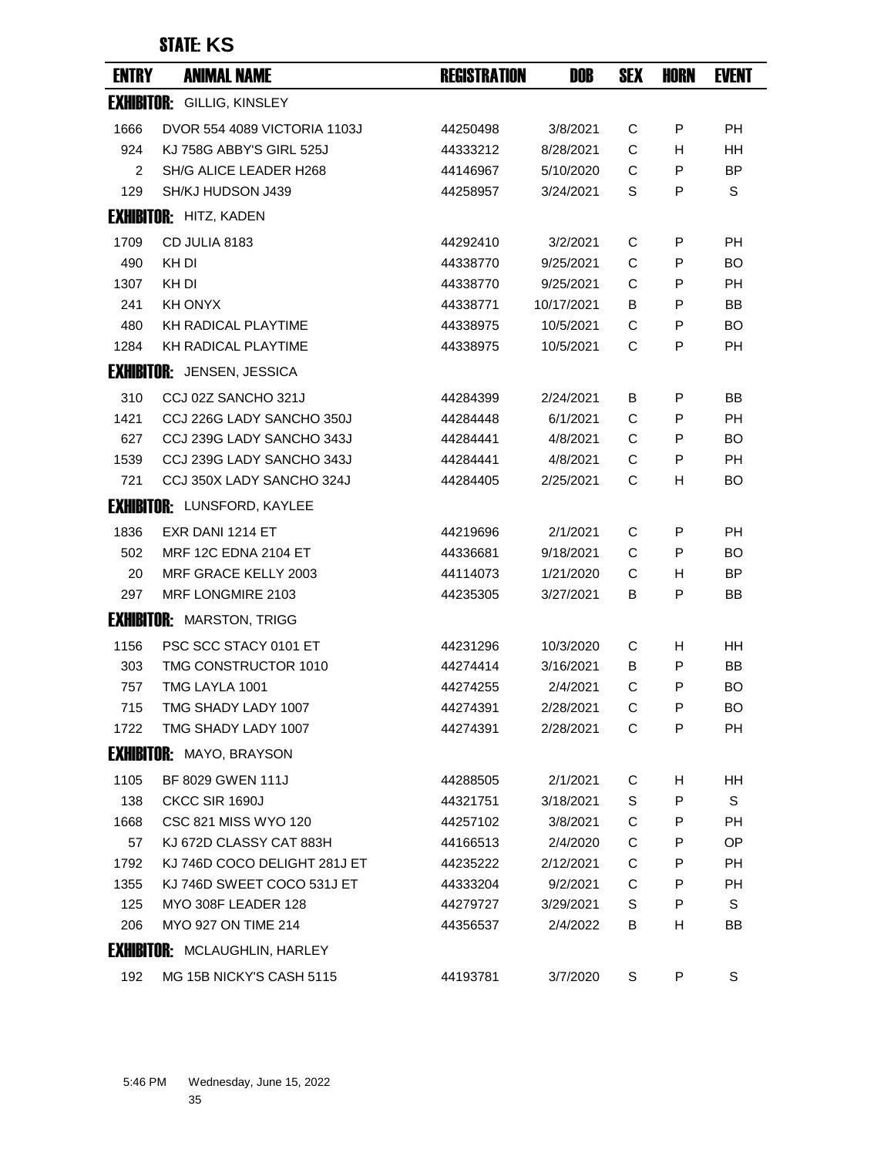| <b>ENTRY</b> | <b>ANIMAL NAME</b>                   | <b>REGISTRATION</b> | DOB        | <b>SEX</b> | HORN         | <b>EVENT</b> |
|--------------|--------------------------------------|---------------------|------------|------------|--------------|--------------|
|              | <b>EXHIBITOR: GILLIG, KINSLEY</b>    |                     |            |            |              |              |
| 1666         | DVOR 554 4089 VICTORIA 1103J         | 44250498            | 3/8/2021   | С          | P            | <b>PH</b>    |
| 924          | KJ 758G ABBY'S GIRL 525J             | 44333212            | 8/28/2021  | C          | H            | <b>HH</b>    |
| 2            | SH/G ALICE LEADER H268               | 44146967            | 5/10/2020  | C          | P            | <b>BP</b>    |
| 129          | SH/KJ HUDSON J439                    | 44258957            | 3/24/2021  | S          | P            | S            |
|              | <b>EXHIBITOR: HITZ, KADEN</b>        |                     |            |            |              |              |
| 1709         | CD JULIA 8183                        | 44292410            | 3/2/2021   | C          | P            | <b>PH</b>    |
| 490          | KH DI                                | 44338770            | 9/25/2021  | C          | P            | BO           |
| 1307         | KH DI                                | 44338770            | 9/25/2021  | C          | P            | <b>PH</b>    |
| 241          | <b>KH ONYX</b>                       | 44338771            | 10/17/2021 | в          | P            | <b>BB</b>    |
| 480          | <b>KH RADICAL PLAYTIME</b>           | 44338975            | 10/5/2021  | C          | P            | <b>BO</b>    |
| 1284         | KH RADICAL PLAYTIME                  | 44338975            | 10/5/2021  | C          | P            | <b>PH</b>    |
|              | <b>EXHIBITOR:</b> JENSEN, JESSICA    |                     |            |            |              |              |
| 310          | CCJ 02Z SANCHO 321J                  | 44284399            | 2/24/2021  | В          | P            | <b>BB</b>    |
| 1421         | CCJ 226G LADY SANCHO 350J            | 44284448            | 6/1/2021   | C          | P            | <b>PH</b>    |
| 627          | CCJ 239G LADY SANCHO 343J            | 44284441            | 4/8/2021   | C          | P            | <b>BO</b>    |
| 1539         | CCJ 239G LADY SANCHO 343J            | 44284441            | 4/8/2021   | C          | P            | <b>PH</b>    |
| 721          | CCJ 350X LADY SANCHO 324J            | 44284405            | 2/25/2021  | C          | H            | BO           |
|              | <b>EXHIBITOR: LUNSFORD, KAYLEE</b>   |                     |            |            |              |              |
| 1836         | EXR DANI 1214 ET                     | 44219696            | 2/1/2021   | C          | P            | PH           |
| 502          | MRF 12C EDNA 2104 ET                 | 44336681            | 9/18/2021  | C          | P            | BO           |
| 20           | MRF GRACE KELLY 2003                 | 44114073            | 1/21/2020  | C          | H            | <b>BP</b>    |
| 297          | MRF LONGMIRE 2103                    | 44235305            | 3/27/2021  | в          | P            | BB           |
|              | <b>EXHIBITOR: MARSTON, TRIGG</b>     |                     |            |            |              |              |
| 1156         | PSC SCC STACY 0101 ET                | 44231296            | 10/3/2020  | С          | H.           | HН           |
| 303          | TMG CONSTRUCTOR 1010                 | 44274414            | 3/16/2021  | в          | P            | BB           |
| 757          | TMG LAYLA 1001                       | 44274255            | 2/4/2021   | C          | P            | <b>BO</b>    |
| 715          | TMG SHADY LADY 1007                  | 44274391            | 2/28/2021  | C          | Р            | BO           |
| 1722         | TMG SHADY LADY 1007                  | 44274391            | 2/28/2021  | C          | P            | <b>PH</b>    |
|              | <b>EXHIBITOR: MAYO, BRAYSON</b>      |                     |            |            |              |              |
| 1105         | BF 8029 GWEN 111J                    | 44288505            | 2/1/2021   | C          | H.           | HH           |
| 138          | CKCC SIR 1690J                       | 44321751            | 3/18/2021  | S          | P            | S            |
| 1668         | <b>CSC 821 MISS WYO 120</b>          | 44257102            | 3/8/2021   | C          | P            | <b>PH</b>    |
| 57           | KJ 672D CLASSY CAT 883H              | 44166513            | 2/4/2020   | C          | $\mathsf{P}$ | OP           |
| 1792         | KJ 746D COCO DELIGHT 281J ET         | 44235222            | 2/12/2021  | C          | P            | PH           |
| 1355         | KJ 746D SWEET COCO 531J ET           | 44333204            | 9/2/2021   | C          | P            | PH           |
| 125          | MYO 308F LEADER 128                  | 44279727            | 3/29/2021  | S          | P            | S            |
| 206          | MYO 927 ON TIME 214                  | 44356537            | 2/4/2022   | В          | H            | BB           |
|              | <b>EXHIBITOR: MCLAUGHLIN, HARLEY</b> |                     |            |            |              |              |
|              |                                      |                     |            |            |              |              |
| 192          | MG 15B NICKY'S CASH 5115             | 44193781            | 3/7/2020   | S          | P            | S            |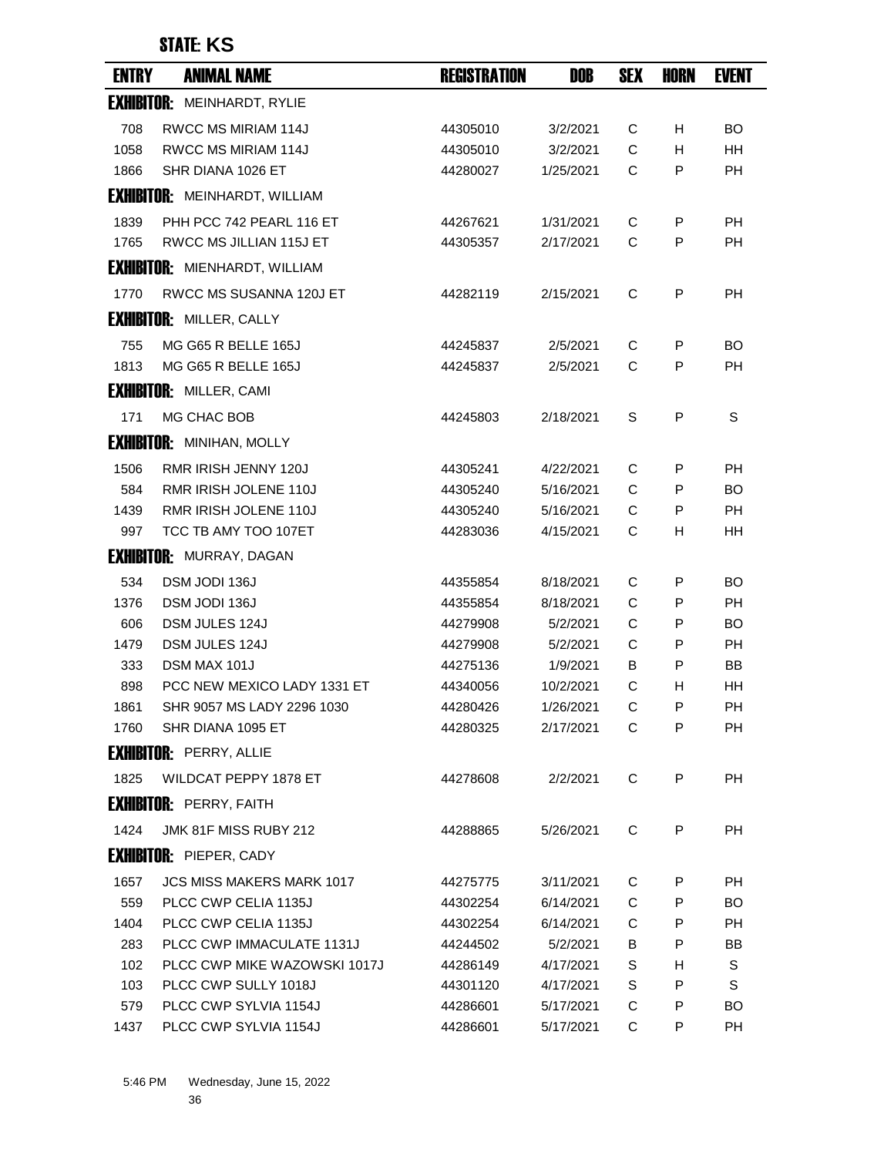| <b>ENTRY</b> | <b>ANIMAL NAME</b>                   | <b>REGISTRATION</b> | DOB       | <b>SEX</b> | HORN | <b>EVENT</b> |
|--------------|--------------------------------------|---------------------|-----------|------------|------|--------------|
|              | <b>EXHIBITOR: MEINHARDT, RYLIE</b>   |                     |           |            |      |              |
| 708          | RWCC MS MIRIAM 114J                  | 44305010            | 3/2/2021  | С          | H    | <b>BO</b>    |
| 1058         | <b>RWCC MS MIRIAM 114J</b>           | 44305010            | 3/2/2021  | C          | H    | <b>HH</b>    |
| 1866         | SHR DIANA 1026 ET                    | 44280027            | 1/25/2021 | C          | P    | PH           |
|              | <b>EXHIBITOR: MEINHARDT, WILLIAM</b> |                     |           |            |      |              |
| 1839         | PHH PCC 742 PEARL 116 ET             | 44267621            | 1/31/2021 | C          | P    | PH           |
| 1765         | RWCC MS JILLIAN 115J ET              | 44305357            | 2/17/2021 | C          | P    | <b>PH</b>    |
|              | <b>EXHIBITOR: MIENHARDT, WILLIAM</b> |                     |           |            |      |              |
| 1770         | RWCC MS SUSANNA 120J ET              | 44282119            | 2/15/2021 | C          | P    | <b>PH</b>    |
|              | <b>EXHIBITOR: MILLER, CALLY</b>      |                     |           |            |      |              |
| 755          | MG G65 R BELLE 165J                  | 44245837            | 2/5/2021  | С          | P    | <b>BO</b>    |
| 1813         | MG G65 R BELLE 165J                  | 44245837            | 2/5/2021  | C          | P    | <b>PH</b>    |
|              | <b>EXHIBITOR: MILLER, CAMI</b>       |                     |           |            |      |              |
| 171          | MG CHAC BOB                          | 44245803            | 2/18/2021 | S          | P    | S            |
|              | <b>EXHIBITOR: MINIHAN, MOLLY</b>     |                     |           |            |      |              |
| 1506         | RMR IRISH JENNY 120J                 | 44305241            | 4/22/2021 | C          | P    | <b>PH</b>    |
| 584          | RMR IRISH JOLENE 110J                | 44305240            | 5/16/2021 | C          | P    | BO.          |
| 1439         | RMR IRISH JOLENE 110J                | 44305240            | 5/16/2021 | C          | P    | <b>PH</b>    |
| 997          | TCC TB AMY TOO 107ET                 | 44283036            | 4/15/2021 | С          | H    | HH           |
|              | <b>EXHIBITOR: MURRAY, DAGAN</b>      |                     |           |            |      |              |
| 534          | DSM JODI 136J                        | 44355854            | 8/18/2021 | C          | P    | <b>BO</b>    |
| 1376         | DSM JODI 136J                        | 44355854            | 8/18/2021 | C          | P    | <b>PH</b>    |
| 606          | DSM JULES 124J                       | 44279908            | 5/2/2021  | C          | P    | BO.          |
| 1479         | DSM JULES 124J                       | 44279908            | 5/2/2021  | C          | P    | РH           |
| 333          | DSM MAX 101J                         | 44275136            | 1/9/2021  | B          | P    | BB           |
| 898          | PCC NEW MEXICO LADY 1331 ET          | 44340056            | 10/2/2021 | С          | H    | HH           |
| 1861         | SHR 9057 MS LADY 2296 1030           | 44280426            | 1/26/2021 | C          | Р    | PН           |
| 1760         | SHR DIANA 1095 ET                    | 44280325            | 2/17/2021 | C          | P    | <b>PH</b>    |
|              | <b>EXHIBITOR: PERRY, ALLIE</b>       |                     |           |            |      |              |
| 1825         | WILDCAT PEPPY 1878 ET                | 44278608            | 2/2/2021  | C          | P    | PH           |
|              | <b>EXHIBITOR: PERRY, FAITH</b>       |                     |           |            |      |              |
| 1424         | JMK 81F MISS RUBY 212                | 44288865            | 5/26/2021 | C          | P    | PH           |
|              | <b>EXHIBITOR: PIEPER, CADY</b>       |                     |           |            |      |              |
| 1657         | JCS MISS MAKERS MARK 1017            | 44275775            | 3/11/2021 | C          | P    | PH           |
| 559          | PLCC CWP CELIA 1135J                 | 44302254            | 6/14/2021 | C          | P    | BO.          |
| 1404         | PLCC CWP CELIA 1135J                 | 44302254            | 6/14/2021 | C          | P    | PH           |
| 283          | PLCC CWP IMMACULATE 1131J            | 44244502            | 5/2/2021  | В          | P    | BB           |
| 102          | PLCC CWP MIKE WAZOWSKI 1017J         | 44286149            | 4/17/2021 | S          | H    | S            |
| 103          | PLCC CWP SULLY 1018J                 | 44301120            | 4/17/2021 | S          | P    | S            |
| 579          | PLCC CWP SYLVIA 1154J                | 44286601            | 5/17/2021 | C          | P    | BO.          |
| 1437         | PLCC CWP SYLVIA 1154J                | 44286601            | 5/17/2021 | C          | P    | <b>PH</b>    |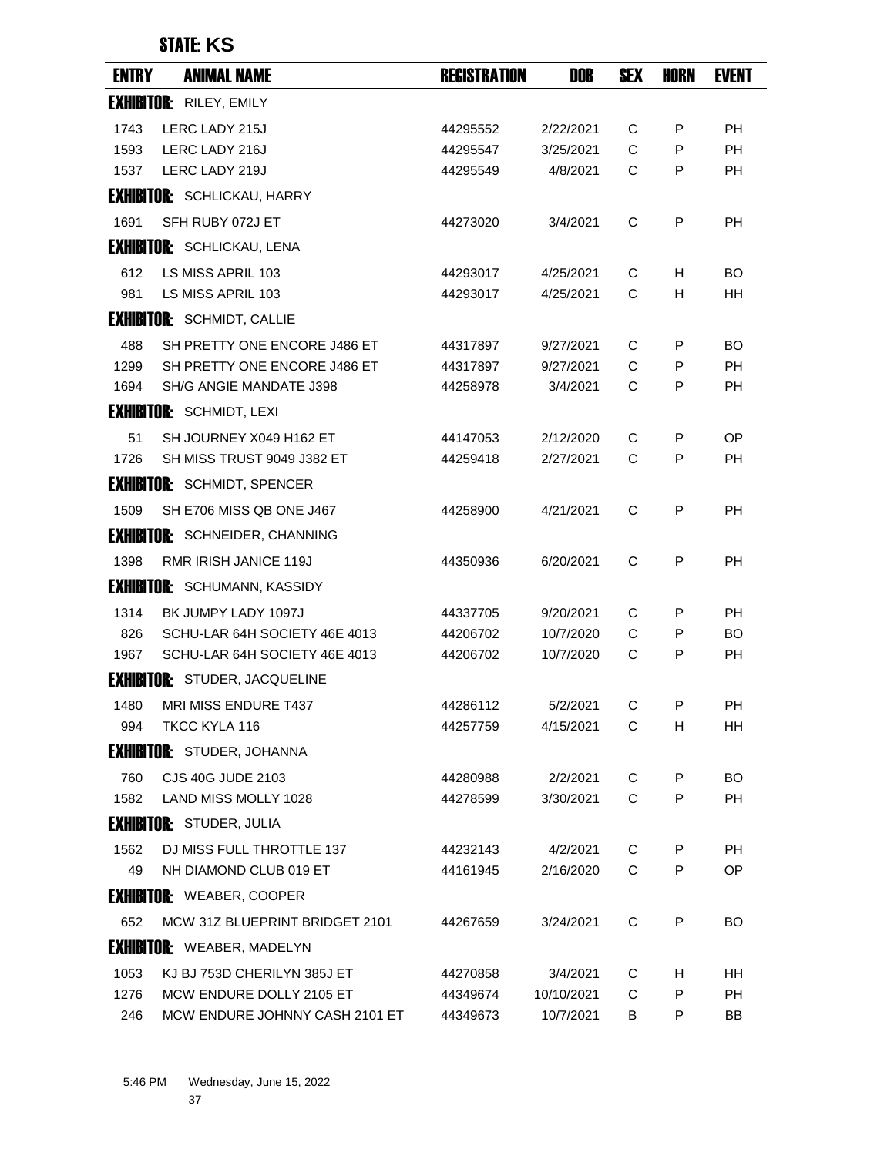| <b>ENTRY</b> | <b>ANIMAL NAME</b>                    | <b>REGISTRATION</b> | DOB        | <b>SEX</b> | HORN | <b>EVENT</b> |
|--------------|---------------------------------------|---------------------|------------|------------|------|--------------|
|              | <b>EXHIBITOR: RILEY, EMILY</b>        |                     |            |            |      |              |
| 1743         | LERC LADY 215J                        | 44295552            | 2/22/2021  | С          | P    | PH           |
| 1593         | LERC LADY 216J                        | 44295547            | 3/25/2021  | C          | P    | <b>PH</b>    |
| 1537         | LERC LADY 219J                        | 44295549            | 4/8/2021   | C          | P    | <b>PH</b>    |
|              | <b>EXHIBITOR:</b> SCHLICKAU, HARRY    |                     |            |            |      |              |
| 1691         | SFH RUBY 072J ET                      | 44273020            | 3/4/2021   | C          | P    | PH           |
|              | <b>EXHIBITOR: SCHLICKAU, LENA</b>     |                     |            |            |      |              |
| 612          | LS MISS APRIL 103                     | 44293017            | 4/25/2021  | C          | H.   | BO.          |
| 981          | LS MISS APRIL 103                     | 44293017            | 4/25/2021  | C          | H    | HН           |
|              | <b>EXHIBITOR: SCHMIDT, CALLIE</b>     |                     |            |            |      |              |
| 488          | SH PRETTY ONE ENCORE J486 ET          | 44317897            | 9/27/2021  | C          | P    | BO.          |
| 1299         | SH PRETTY ONE ENCORE J486 ET          | 44317897            | 9/27/2021  | C          | P    | PH           |
| 1694         | SH/G ANGIE MANDATE J398               | 44258978            | 3/4/2021   | C          | P    | PH           |
|              | <b>EXHIBITOR: SCHMIDT, LEXI</b>       |                     |            |            |      |              |
| 51           | SH JOURNEY X049 H162 ET               | 44147053            | 2/12/2020  | C          | P    | <b>OP</b>    |
| 1726         | SH MISS TRUST 9049 J382 ET            | 44259418            | 2/27/2021  | C          | P    | РH           |
|              | <b>EXHIBITOR: SCHMIDT, SPENCER</b>    |                     |            |            |      |              |
| 1509         | SH E706 MISS QB ONE J467              | 44258900            | 4/21/2021  | C          | P    | <b>PH</b>    |
|              | <b>EXHIBITOR: SCHNEIDER, CHANNING</b> |                     |            |            |      |              |
| 1398         | <b>RMR IRISH JANICE 119J</b>          | 44350936            | 6/20/2021  | C          | P    | PH           |
|              | <b>EXHIBITOR:</b> SCHUMANN, KASSIDY   |                     |            |            |      |              |
| 1314         | BK JUMPY LADY 1097J                   | 44337705            | 9/20/2021  | C          | P    | <b>PH</b>    |
| 826          | SCHU-LAR 64H SOCIETY 46E 4013         | 44206702            | 10/7/2020  | C          | P    | BO.          |
| 1967         | SCHU-LAR 64H SOCIETY 46E 4013         | 44206702            | 10/7/2020  | C          | P    | <b>PH</b>    |
|              | <b>EXHIBITOR: STUDER, JACQUELINE</b>  |                     |            |            |      |              |
| 1480         | MRI MISS ENDURE T437                  | 44286112            | 5/2/2021   | С          | Ρ    | PH           |
| 994          | TKCC KYLA 116                         | 44257759            | 4/15/2021  | C          | H    | HH           |
|              | <b>EXHIBITOR:</b> STUDER, JOHANNA     |                     |            |            |      |              |
| 760          | CJS 40G JUDE 2103                     | 44280988            | 2/2/2021   | C          | P    | BO.          |
| 1582         | LAND MISS MOLLY 1028                  | 44278599            | 3/30/2021  | C          | P    | <b>PH</b>    |
|              | <b>EXHIBITOR:</b> STUDER, JULIA       |                     |            |            |      |              |
| 1562         | DJ MISS FULL THROTTLE 137             | 44232143            | 4/2/2021   | C          | P    | <b>PH</b>    |
| 49           | NH DIAMOND CLUB 019 ET                | 44161945            | 2/16/2020  | C          | P    | OP           |
|              | <b>EXHIBITOR: WEABER, COOPER</b>      |                     |            |            |      |              |
| 652          | MCW 31Z BLUEPRINT BRIDGET 2101        | 44267659            | 3/24/2021  | C          | P    | BO.          |
|              | <b>EXHIBITOR:</b> WEABER, MADELYN     |                     |            |            |      |              |
| 1053         | KJ BJ 753D CHERILYN 385J ET           | 44270858            | 3/4/2021   | C          | H    | HH.          |
| 1276         | MCW ENDURE DOLLY 2105 ET              | 44349674            | 10/10/2021 | C          | P    | <b>PH</b>    |
| 246          | MCW ENDURE JOHNNY CASH 2101 ET        | 44349673            | 10/7/2021  | В          | P    | BB           |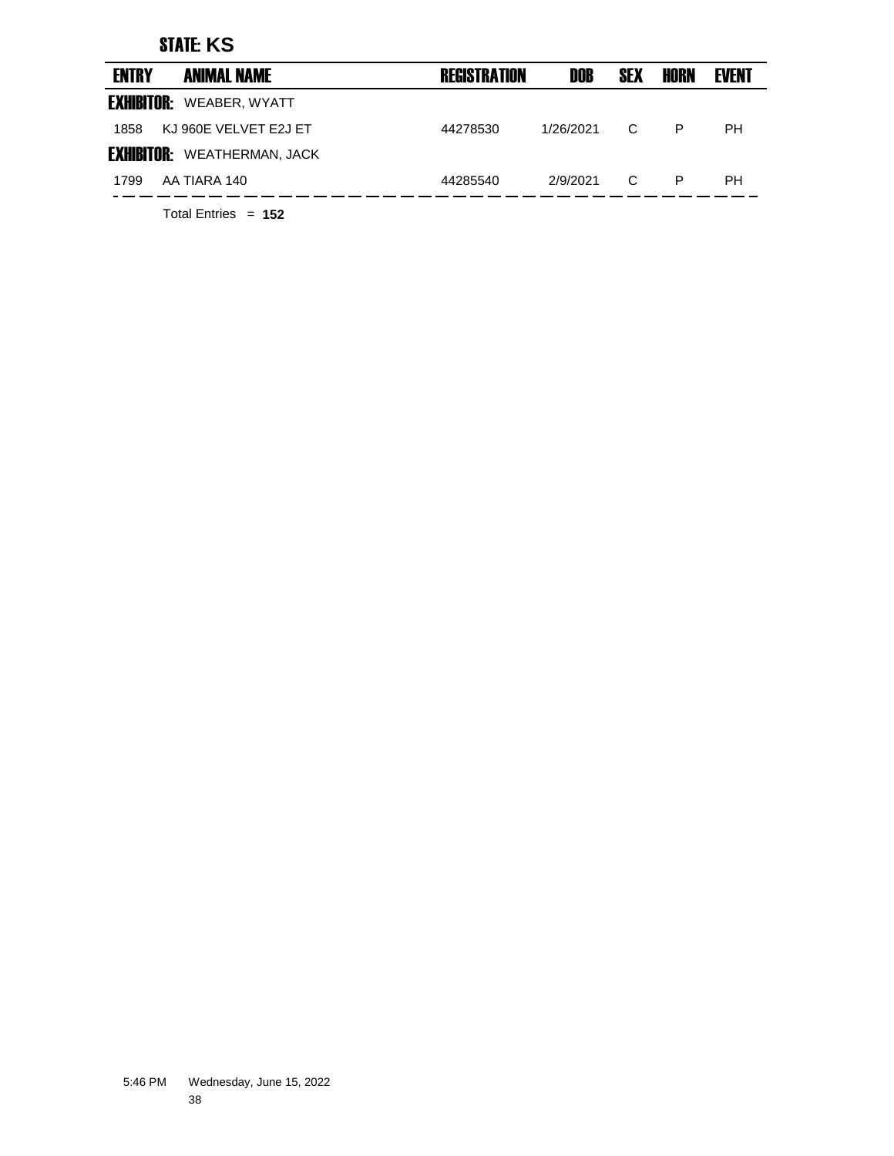| <b>ENTRY</b>      | <b>ANIMAL NAME</b>                 | <b>REGISTRATION</b> | DOB       | <b>SEX</b> | <b>HORN</b> | <b>EVENT</b> |
|-------------------|------------------------------------|---------------------|-----------|------------|-------------|--------------|
| <b>EXHIBITOR:</b> | WEABER, WYATT                      |                     |           |            |             |              |
| 1858              | KJ 960E VELVET E2J ET              | 44278530            | 1/26/2021 | C          | P           | <b>PH</b>    |
|                   | <b>EXHIBITOR:</b> WEATHERMAN, JACK |                     |           |            |             |              |
| 1799              | AA TIARA 140                       | 44285540            | 2/9/2021  | C          | P           | <b>PH</b>    |
|                   |                                    |                     |           |            |             |              |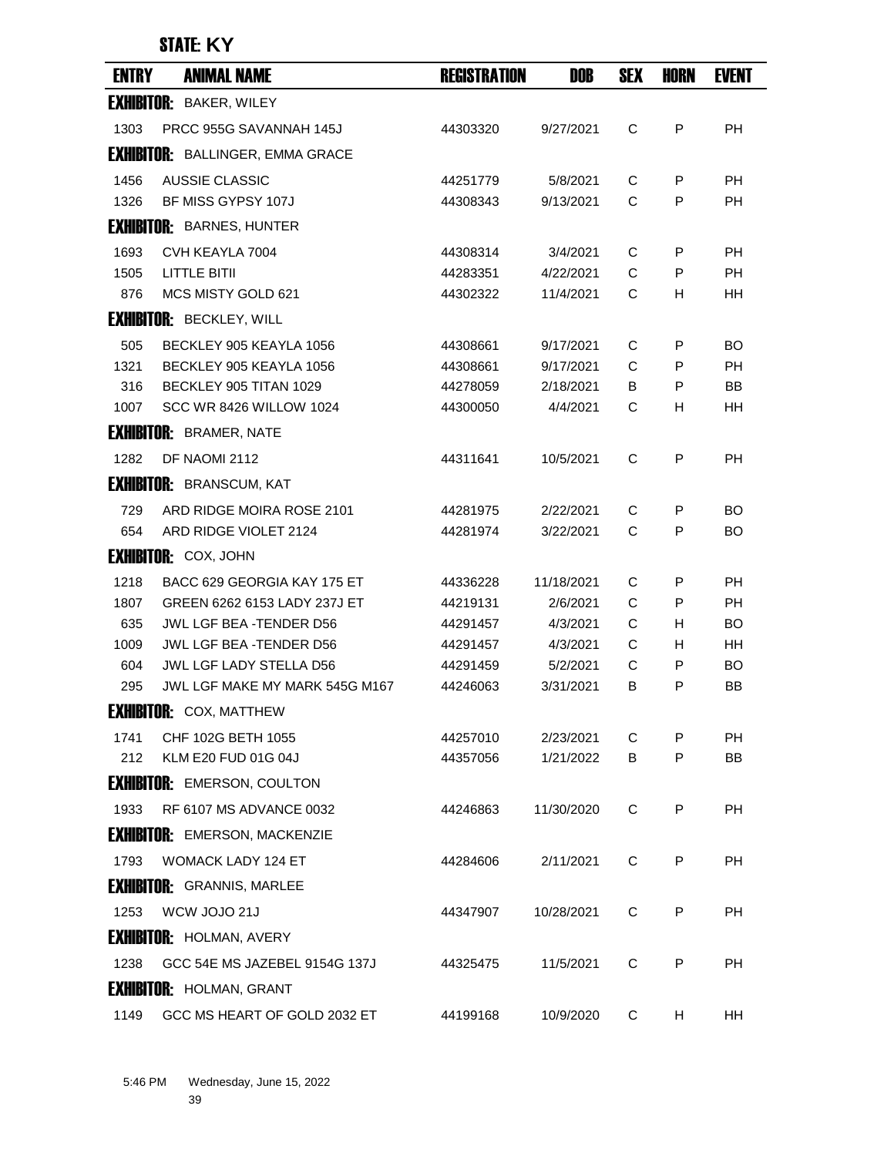| <b>ENTRY</b> | <b>ANIMAL NAME</b>                      | <b>REGISTRATION</b> | DOB        | <b>SEX</b> | <b>HORN</b> | <b>EVENT</b> |
|--------------|-----------------------------------------|---------------------|------------|------------|-------------|--------------|
|              | <b>EXHIBITOR: BAKER, WILEY</b>          |                     |            |            |             |              |
| 1303         | PRCC 955G SAVANNAH 145J                 | 44303320            | 9/27/2021  | C          | P           | <b>PH</b>    |
|              | <b>EXHIBITOR:</b> BALLINGER, EMMA GRACE |                     |            |            |             |              |
| 1456         | AUSSIE CLASSIC                          | 44251779            | 5/8/2021   | C          | P           | PH           |
| 1326         | BF MISS GYPSY 107J                      | 44308343            | 9/13/2021  | C          | P           | <b>PH</b>    |
|              | <b>EXHIBITOR: BARNES, HUNTER</b>        |                     |            |            |             |              |
| 1693         | CVH KEAYLA 7004                         | 44308314            | 3/4/2021   | C          | P           | PH           |
| 1505         | <b>LITTLE BITII</b>                     | 44283351            | 4/22/2021  | C          | P           | <b>PH</b>    |
| 876          | MCS MISTY GOLD 621                      | 44302322            | 11/4/2021  | C          | H.          | HН           |
|              | <b>EXHIBITOR: BECKLEY, WILL</b>         |                     |            |            |             |              |
| 505          | BECKLEY 905 KEAYLA 1056                 | 44308661            | 9/17/2021  | C          | P           | BO.          |
| 1321         | BECKLEY 905 KEAYLA 1056                 | 44308661            | 9/17/2021  | C          | P           | PH           |
| 316          | BECKLEY 905 TITAN 1029                  | 44278059            | 2/18/2021  | B          | P           | BB           |
| 1007         | SCC WR 8426 WILLOW 1024                 | 44300050            | 4/4/2021   | C          | H           | HН           |
|              | <b>EXHIBITOR: BRAMER, NATE</b>          |                     |            |            |             |              |
| 1282         | DF NAOMI 2112                           | 44311641            | 10/5/2021  | C          | P           | РH           |
|              | <b>EXHIBITOR: BRANSCUM, KAT</b>         |                     |            |            |             |              |
| 729          | ARD RIDGE MOIRA ROSE 2101               | 44281975            | 2/22/2021  | C          | P           | BO.          |
| 654          | ARD RIDGE VIOLET 2124                   | 44281974            | 3/22/2021  | C          | P           | BO           |
|              | <b>EXHIBITOR: COX, JOHN</b>             |                     |            |            |             |              |
| 1218         | BACC 629 GEORGIA KAY 175 ET             | 44336228            | 11/18/2021 | C          | P           | <b>PH</b>    |
| 1807         | GREEN 6262 6153 LADY 237J ET            | 44219131            | 2/6/2021   | C          | P           | <b>PH</b>    |
| 635          | JWL LGF BEA -TENDER D56                 | 44291457            | 4/3/2021   | C          | H           | BO.          |
| 1009         | JWL LGF BEA -TENDER D56                 | 44291457            | 4/3/2021   | С          | H.          | HН           |
| 604          | JWL LGF LADY STELLA D56                 | 44291459            | 5/2/2021   | C          | P           | <b>BO</b>    |
| 295          | JWL LGF MAKE MY MARK 545G M167          | 44246063            | 3/31/2021  | В          | P           | BB           |
|              | <b>EXHIBITOR:</b> COX, MATTHEW          |                     |            |            |             |              |
| 1741         | CHF 102G BETH 1055                      | 44257010            | 2/23/2021  | C          | P           | <b>PH</b>    |
| 212          | <b>KLM E20 FUD 01G 04J</b>              | 44357056            | 1/21/2022  | B          | P           | <b>BB</b>    |
|              | <b>EXHIBITOR: EMERSON, COULTON</b>      |                     |            |            |             |              |
| 1933         | <b>RF 6107 MS ADVANCE 0032</b>          | 44246863            | 11/30/2020 | C          | P           | <b>PH</b>    |
|              | <b>EXHIBITOR: EMERSON, MACKENZIE</b>    |                     |            |            |             |              |
| 1793         | <b>WOMACK LADY 124 ET</b>               | 44284606            | 2/11/2021  | C          | P           | PH.          |
|              | <b>EXHIBITOR: GRANNIS, MARLEE</b>       |                     |            |            |             |              |
| 1253         | WCW JOJO 21J                            | 44347907            | 10/28/2021 | C          | P           | PH           |
|              | <b>EXHIBITOR: HOLMAN, AVERY</b>         |                     |            |            |             |              |
| 1238         | GCC 54E MS JAZEBEL 9154G 137J           | 44325475            | 11/5/2021  | C          | P           | <b>PH</b>    |
|              | <b>EXHIBITOR: HOLMAN, GRANT</b>         |                     |            |            |             |              |
| 1149         | GCC MS HEART OF GOLD 2032 ET            | 44199168            | 10/9/2020  | C          | H           | HH           |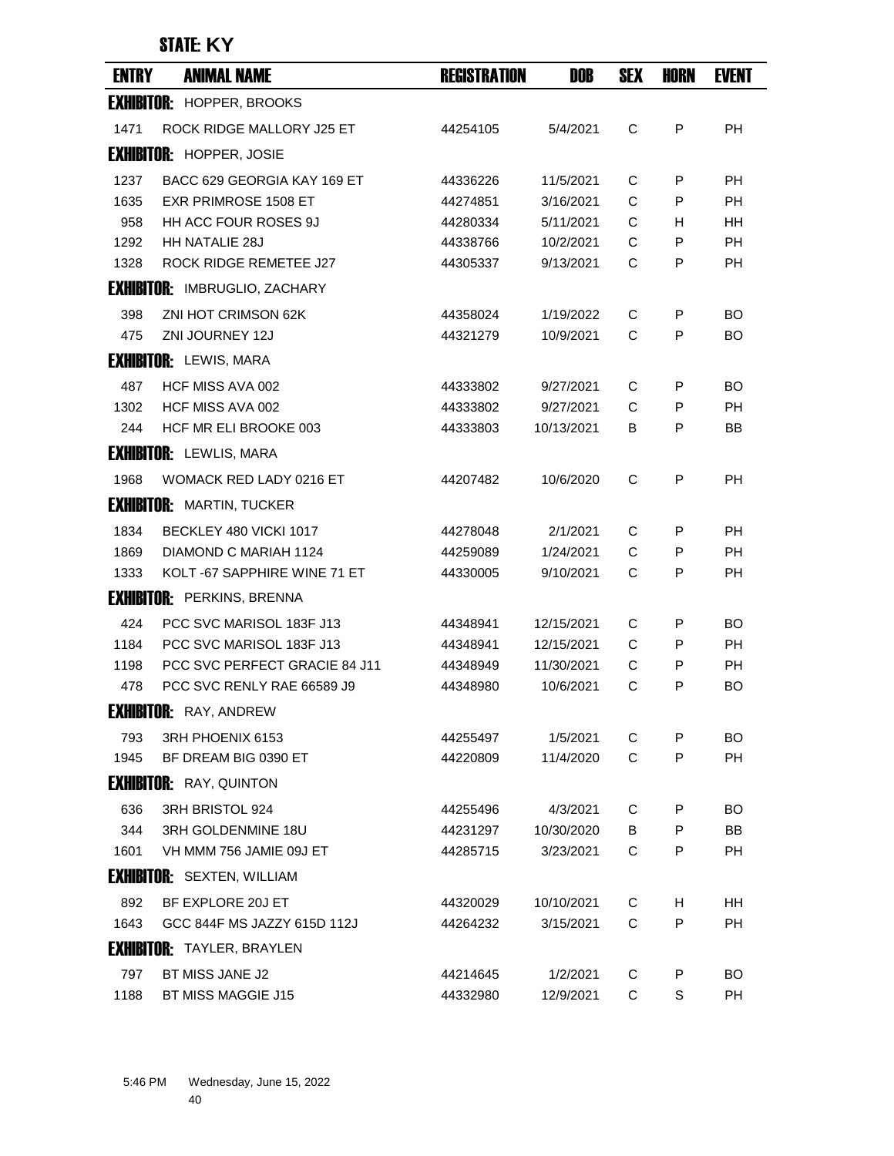| <b>ENTRY</b> | <b>ANIMAL NAME</b>                   | <b>REGISTRATION</b> | <b>DOB</b> | <b>SEX</b> | <b>HORN</b> | <b>EVENT</b> |
|--------------|--------------------------------------|---------------------|------------|------------|-------------|--------------|
|              | <b>EXHIBITOR: HOPPER, BROOKS</b>     |                     |            |            |             |              |
| 1471         | ROCK RIDGE MALLORY J25 ET            | 44254105            | 5/4/2021   | C          | P           | <b>PH</b>    |
|              | <b>EXHIBITOR: HOPPER, JOSIE</b>      |                     |            |            |             |              |
| 1237         | BACC 629 GEORGIA KAY 169 ET          | 44336226            | 11/5/2021  | C          | P           | PH           |
| 1635         | <b>EXR PRIMROSE 1508 ET</b>          | 44274851            | 3/16/2021  | C          | P           | <b>PH</b>    |
| 958          | <b>HH ACC FOUR ROSES 9J</b>          | 44280334            | 5/11/2021  | C          | н           | HН           |
| 1292         | <b>HH NATALIE 28J</b>                | 44338766            | 10/2/2021  | C          | P           | <b>PH</b>    |
| 1328         | ROCK RIDGE REMETEE J27               | 44305337            | 9/13/2021  | C          | P           | <b>PH</b>    |
|              | <b>EXHIBITOR: IMBRUGLIO, ZACHARY</b> |                     |            |            |             |              |
| 398          | ZNI HOT CRIMSON 62K                  | 44358024            | 1/19/2022  | C          | P           | BO           |
| 475          | ZNI JOURNEY 12J                      | 44321279            | 10/9/2021  | C          | P           | BO.          |
|              | <b>EXHIBITOR:</b> LEWIS, MARA        |                     |            |            |             |              |
| 487          | HCF MISS AVA 002                     | 44333802            | 9/27/2021  | C          | P           | BO.          |
| 1302         | HCF MISS AVA 002                     | 44333802            | 9/27/2021  | C          | P           | <b>PH</b>    |
| 244          | HCF MR ELI BROOKE 003                | 44333803            | 10/13/2021 | В          | P           | ВB           |
|              | <b>EXHIBITOR: LEWLIS, MARA</b>       |                     |            |            |             |              |
| 1968         | WOMACK RED LADY 0216 ET              | 44207482            | 10/6/2020  | C          | P           | <b>PH</b>    |
|              | <b>EXHIBITOR: MARTIN, TUCKER</b>     |                     |            |            |             |              |
| 1834         | BECKLEY 480 VICKI 1017               | 44278048            | 2/1/2021   | C          | P           | PH           |
| 1869         | DIAMOND C MARIAH 1124                | 44259089            | 1/24/2021  | C          | P           | <b>PH</b>    |
| 1333         | KOLT-67 SAPPHIRE WINE 71 ET          | 44330005            | 9/10/2021  | C          | P           | PH           |
|              | <b>EXHIBITOR: PERKINS, BRENNA</b>    |                     |            |            |             |              |
| 424          | PCC SVC MARISOL 183F J13             | 44348941            | 12/15/2021 | C          | P           | BO.          |
| 1184         | PCC SVC MARISOL 183F J13             | 44348941            | 12/15/2021 | C          | P           | РH           |
| 1198         | PCC SVC PERFECT GRACIE 84 J11        | 44348949            | 11/30/2021 | C          | P           | <b>PH</b>    |
| 478          | PCC SVC RENLY RAE 66589 J9           | 44348980            | 10/6/2021  | С          | P           | BO           |
|              | <b>EXHIBITOR:</b> RAY, ANDREW        |                     |            |            |             |              |
| 793          | 3RH PHOENIX 6153                     | 44255497            | 1/5/2021   | C          | P           | <b>BO</b>    |
| 1945         | BF DREAM BIG 0390 ET                 | 44220809            | 11/4/2020  | C          | P           | <b>PH</b>    |
|              | <b>EXHIBITOR:</b> RAY, QUINTON       |                     |            |            |             |              |
| 636          | 3RH BRISTOL 924                      | 44255496            | 4/3/2021   | C          | P           | BO.          |
| 344          | 3RH GOLDENMINE 18U                   | 44231297            | 10/30/2020 | B          | P           | BB           |
| 1601         | VH MMM 756 JAMIE 09J ET              | 44285715            | 3/23/2021  | C          | P           | PH           |
|              | <b>EXHIBITOR:</b> SEXTEN, WILLIAM    |                     |            |            |             |              |
| 892          | BF EXPLORE 20J ET                    | 44320029            | 10/10/2021 | C          | H.          | HH.          |
| 1643         | GCC 844F MS JAZZY 615D 112J          | 44264232            | 3/15/2021  | C          | P           | <b>PH</b>    |
|              | <b>EXHIBITOR: TAYLER, BRAYLEN</b>    |                     |            |            |             |              |
| 797          | BT MISS JANE J2                      | 44214645            | 1/2/2021   | C          | P           | BO.          |
| 1188         | BT MISS MAGGIE J15                   | 44332980            | 12/9/2021  | C          | S           | PH           |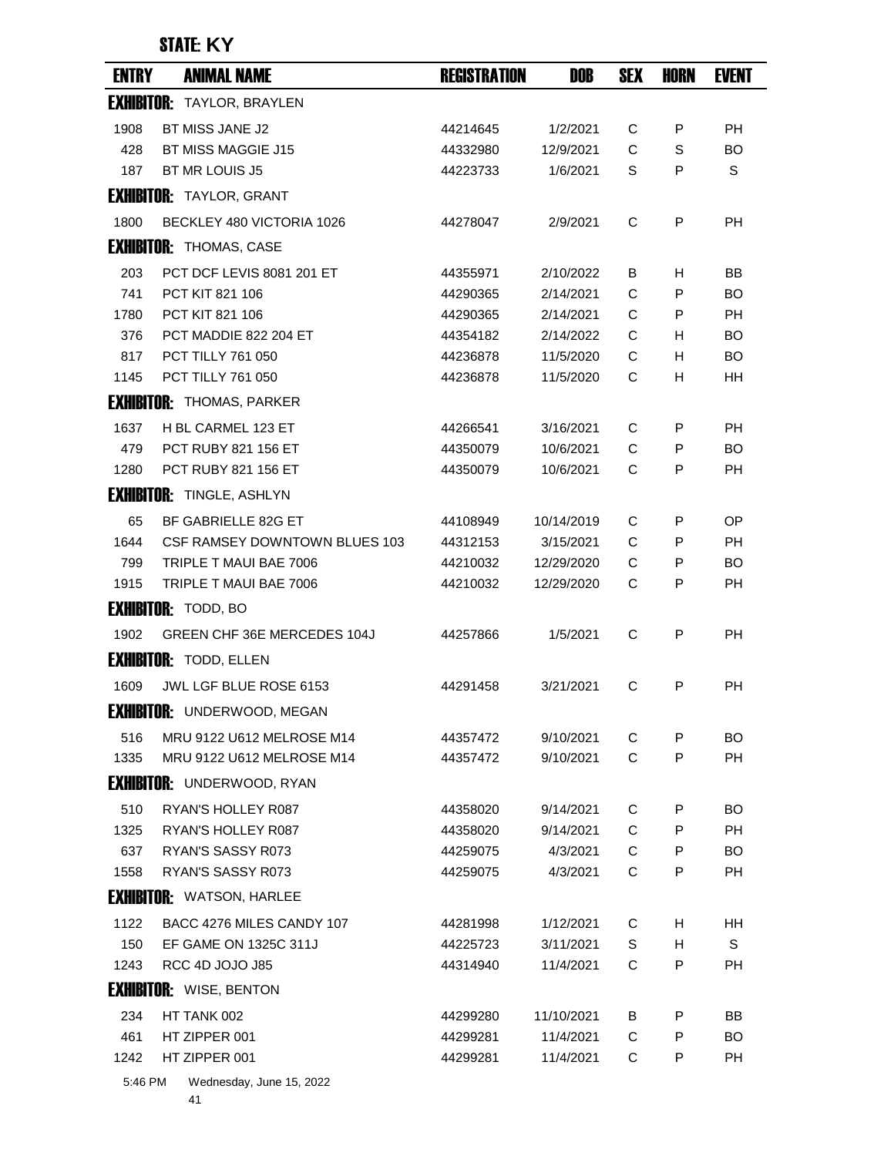| <b>ENTRY</b> | <b>ANIMAL NAME</b>                   | <b>REGISTRATION</b> | DOB        | <b>SEX</b> | <b>HORN</b> | <b>EVENT</b> |
|--------------|--------------------------------------|---------------------|------------|------------|-------------|--------------|
|              | <b>EXHIBITOR: TAYLOR, BRAYLEN</b>    |                     |            |            |             |              |
| 1908         | BT MISS JANE J2                      | 44214645            | 1/2/2021   | C          | P           | <b>PH</b>    |
| 428          | <b>BT MISS MAGGIE J15</b>            | 44332980            | 12/9/2021  | C          | S           | <b>BO</b>    |
| 187          | <b>BT MR LOUIS J5</b>                | 44223733            | 1/6/2021   | S          | P           | S            |
|              | <b>EXHIBITOR: TAYLOR, GRANT</b>      |                     |            |            |             |              |
| 1800         | BECKLEY 480 VICTORIA 1026            | 44278047            | 2/9/2021   | C          | P           | <b>PH</b>    |
|              | <b>EXHIBITOR: THOMAS, CASE</b>       |                     |            |            |             |              |
| 203          | PCT DCF LEVIS 8081 201 ET            | 44355971            | 2/10/2022  | B          | H           | BB           |
| 741          | PCT KIT 821 106                      | 44290365            | 2/14/2021  | C          | P           | <b>BO</b>    |
| 1780         | PCT KIT 821 106                      | 44290365            | 2/14/2021  | C          | P           | <b>PH</b>    |
| 376          | PCT MADDIE 822 204 ET                | 44354182            | 2/14/2022  | C          | H           | BO           |
| 817          | PCT TILLY 761 050                    | 44236878            | 11/5/2020  | С          | н           | <b>BO</b>    |
| 1145         | PCT TILLY 761 050                    | 44236878            | 11/5/2020  | С          | H           | HH           |
|              | <b>EXHIBITOR: THOMAS, PARKER</b>     |                     |            |            |             |              |
| 1637         | H BL CARMEL 123 ET                   | 44266541            | 3/16/2021  | C          | P           | <b>PH</b>    |
| 479          | <b>PCT RUBY 821 156 ET</b>           | 44350079            | 10/6/2021  | C          | P           | <b>BO</b>    |
| 1280         | PCT RUBY 821 156 ET                  | 44350079            | 10/6/2021  | С          | P           | PH           |
|              | <b>EXHIBITOR: TINGLE, ASHLYN</b>     |                     |            |            |             |              |
| 65           | BF GABRIELLE 82G ET                  | 44108949            | 10/14/2019 | C          | P           | ОP           |
| 1644         | <b>CSF RAMSEY DOWNTOWN BLUES 103</b> | 44312153            | 3/15/2021  | C          | P           | <b>PH</b>    |
| 799          | TRIPLE T MAUI BAE 7006               | 44210032            | 12/29/2020 | С          | P           | BO           |
| 1915         | TRIPLE T MAUI BAE 7006               | 44210032            | 12/29/2020 | С          | P           | PH           |
|              | <b>EXHIBITOR: TODD, BO</b>           |                     |            |            |             |              |
| 1902         | GREEN CHF 36E MERCEDES 104J          | 44257866            | 1/5/2021   | C          | P           | <b>PH</b>    |
|              | <b>EXHIBITOR: TODD, ELLEN</b>        |                     |            |            |             |              |
| 1609         | JWL LGF BLUE ROSE 6153               | 44291458            | 3/21/2021  | С          | P           | PH           |
|              | <b>EXHIBITOR:</b> UNDERWOOD, MEGAN   |                     |            |            |             |              |
| 516          | MRU 9122 U612 MELROSE M14            | 44357472            | 9/10/2021  | С          | P           | BO           |
| 1335         | MRU 9122 U612 MELROSE M14            | 44357472            | 9/10/2021  | C          | P           | <b>PH</b>    |
|              | <b>EXHIBITOR: UNDERWOOD, RYAN</b>    |                     |            |            |             |              |
| 510          | RYAN'S HOLLEY R087                   | 44358020            | 9/14/2021  | C          | P           | <b>BO</b>    |
| 1325         | RYAN'S HOLLEY R087                   | 44358020            | 9/14/2021  | C          | P           | <b>PH</b>    |
| 637          | RYAN'S SASSY R073                    | 44259075            | 4/3/2021   | C          | P           | <b>BO</b>    |
| 1558         | <b>RYAN'S SASSY R073</b>             | 44259075            | 4/3/2021   | C          | P           | <b>PH</b>    |
|              | <b>EXHIBITOR: WATSON, HARLEE</b>     |                     |            |            |             |              |
| 1122         | BACC 4276 MILES CANDY 107            | 44281998            | 1/12/2021  | C          | H           | HH           |
| 150          | EF GAME ON 1325C 311J                | 44225723            | 3/11/2021  | S          | H           | S            |
| 1243         | RCC 4D JOJO J85                      | 44314940            | 11/4/2021  | C          | P           | <b>PH</b>    |
|              | <b>EXHIBITOR: WISE, BENTON</b>       |                     |            |            |             |              |
| 234          | HT TANK 002                          | 44299280            | 11/10/2021 | B          | P           | ΒB           |
| 461          | HT ZIPPER 001                        | 44299281            | 11/4/2021  | C          | P           | <b>BO</b>    |
| 1242         | HT ZIPPER 001                        | 44299281            | 11/4/2021  | C          | P           | <b>PH</b>    |
| 5:46 PM      | Wednesday, June 15, 2022             |                     |            |            |             |              |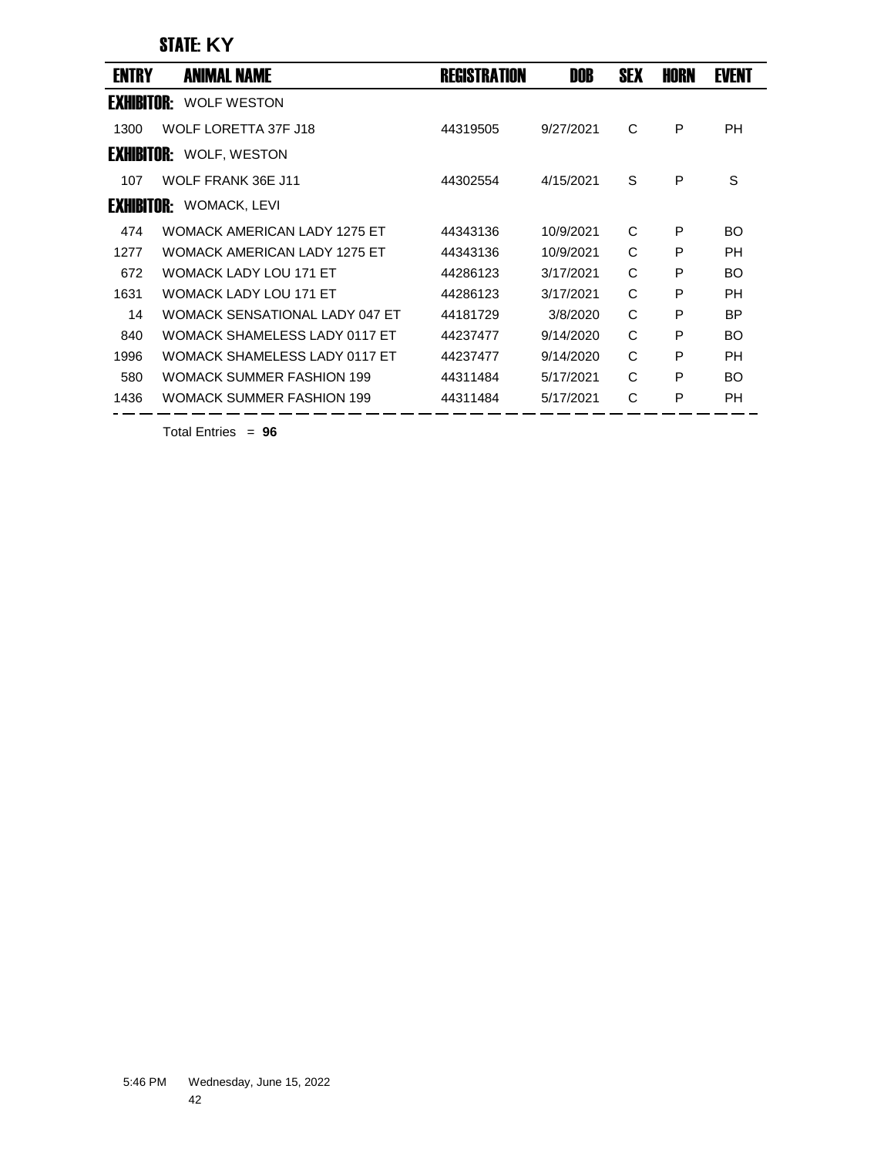| <b>ENTRY</b>      | <b>ANIMAL NAME</b>                   | <b>REGISTRATION</b> | DOB       | <b>SEX</b> | HORN | <b>EVENT</b> |
|-------------------|--------------------------------------|---------------------|-----------|------------|------|--------------|
| <b>EXHIBITOR:</b> | <b>WOLF WESTON</b>                   |                     |           |            |      |              |
| 1300              | WOLF LORETTA 37F J18                 | 44319505            | 9/27/2021 | C          | P    | <b>PH</b>    |
|                   | <b>EXHIBITOR: WOLF, WESTON</b>       |                     |           |            |      |              |
| 107               | WOLF FRANK 36E J11                   | 44302554            | 4/15/2021 | S          | P    | S            |
|                   | <b>EXHIBITOR: WOMACK, LEVI</b>       |                     |           |            |      |              |
| 474               | <b>WOMACK AMERICAN LADY 1275 FT</b>  | 44343136            | 10/9/2021 | C          | P    | <b>BO</b>    |
| 1277              | <b>WOMACK AMERICAN LADY 1275 ET</b>  | 44343136            | 10/9/2021 | C          | P    | <b>PH</b>    |
| 672               | <b>WOMACK LADY LOU 171 ET</b>        | 44286123            | 3/17/2021 | C          | P    | <b>BO</b>    |
| 1631              | <b>WOMACK LADY LOU 171 ET</b>        | 44286123            | 3/17/2021 | C          | P    | PH           |
| 14                | WOMACK SENSATIONAL LADY 047 ET       | 44181729            | 3/8/2020  | C          | P    | <b>BP</b>    |
| 840               | <b>WOMACK SHAMELESS LADY 0117 ET</b> | 44237477            | 9/14/2020 | C          | P    | <b>BO</b>    |
| 1996              | <b>WOMACK SHAMELESS LADY 0117 ET</b> | 44237477            | 9/14/2020 | C          | P    | PH           |
| 580               | WOMACK SUMMER FASHION 199            | 44311484            | 5/17/2021 | C          | P    | <b>BO</b>    |
| 1436              | <b>WOMACK SUMMER FASHION 199</b>     | 44311484            | 5/17/2021 | С          | P    | PH           |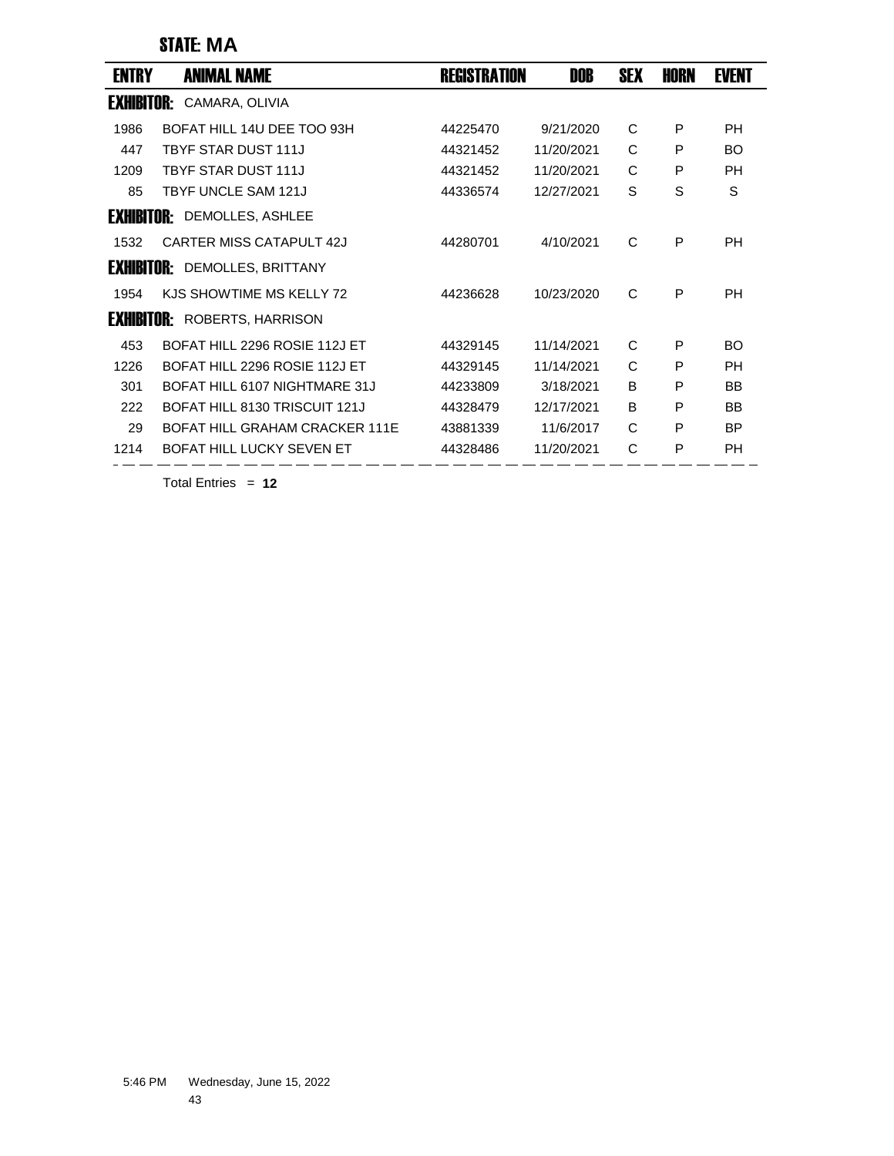### STATE: **MA**

| ENTRY             | <b>ANIMAL NAME</b>                 | <b>REGISTRATION</b> | DOB        | <b>SEX</b> | HORN | <b>EVENT</b> |
|-------------------|------------------------------------|---------------------|------------|------------|------|--------------|
| <b>EXHIBITOR:</b> | CAMARA, OLIVIA                     |                     |            |            |      |              |
| 1986              | BOFAT HILL 14U DEE TOO 93H         | 44225470            | 9/21/2020  | C          | P    | <b>PH</b>    |
| 447               | <b>TBYF STAR DUST 111J</b>         | 44321452            | 11/20/2021 | C          | P    | BO           |
| 1209              | <b>TBYF STAR DUST 111J</b>         | 44321452            | 11/20/2021 | C          | P    | PH           |
| 85                | TBYF UNCLE SAM 121J                | 44336574            | 12/27/2021 | S          | S    | S            |
|                   | <b>EXHIBITOR: DEMOLLES, ASHLEE</b> |                     |            |            |      |              |
| 1532              | CARTER MISS CATAPULT 42J           | 44280701            | 4/10/2021  | C          | P    | <b>PH</b>    |
| <b>EXHIBITOR:</b> | DEMOLLES, BRITTANY                 |                     |            |            |      |              |
| 1954              | KJS SHOWTIME MS KELLY 72           | 44236628            | 10/23/2020 | C          | P    | <b>PH</b>    |
| <b>EXHIBITOR:</b> | ROBERTS, HARRISON                  |                     |            |            |      |              |
| 453               | BOFAT HILL 2296 ROSIE 112J ET      | 44329145            | 11/14/2021 | C          | P    | BO.          |
| 1226              | BOFAT HILL 2296 ROSIE 112J ET      | 44329145            | 11/14/2021 | C          | P    | <b>PH</b>    |
| 301               | BOFAT HILL 6107 NIGHTMARE 31J      | 44233809            | 3/18/2021  | B          | P    | BB           |
| 222               | BOFAT HILL 8130 TRISCUIT 121J      | 44328479            | 12/17/2021 | B          | P    | <b>BB</b>    |
| 29                | BOFAT HILL GRAHAM CRACKER 111F     | 43881339            | 11/6/2017  | C          | P    | <b>BP</b>    |
| 1214              | BOFAT HILL LUCKY SEVEN FT          | 44328486            | 11/20/2021 | C          | P    | <b>PH</b>    |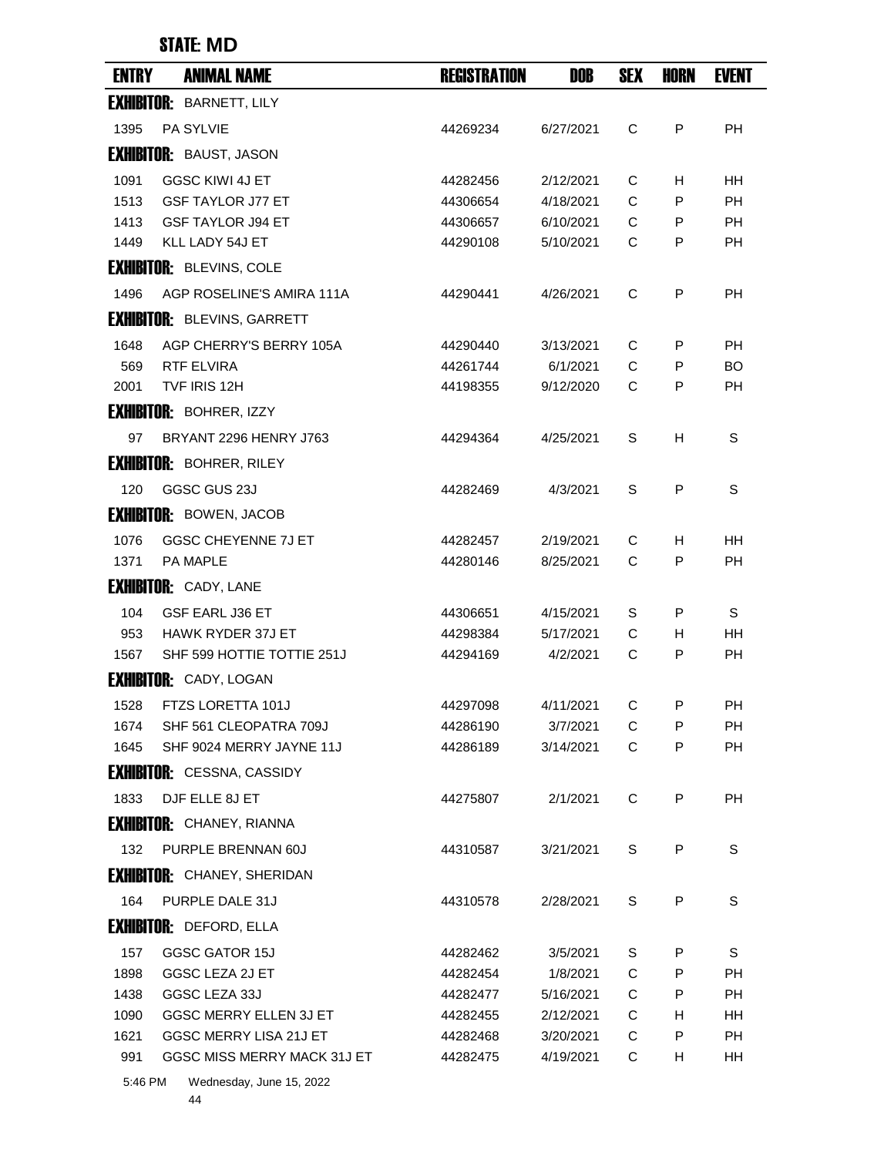### STATE: **MD**

| <b>ENTRY</b> | <b>ANIMAL NAME</b>                                 | <b>REGISTRATION</b>  | DOB                    | <b>SEX</b> | HORN   | <b>EVENT</b>    |
|--------------|----------------------------------------------------|----------------------|------------------------|------------|--------|-----------------|
|              | <b>EXHIBITOR: BARNETT, LILY</b>                    |                      |                        |            |        |                 |
| 1395         | <b>PA SYLVIE</b>                                   | 44269234             | 6/27/2021              | C          | P      | <b>PH</b>       |
|              | <b>EXHIBITOR: BAUST, JASON</b>                     |                      |                        |            |        |                 |
| 1091         | <b>GGSC KIWI 4J ET</b>                             | 44282456             | 2/12/2021              | С          | H      | <b>HH</b>       |
| 1513         | <b>GSF TAYLOR J77 ET</b>                           | 44306654             | 4/18/2021              | C          | P      | <b>PH</b>       |
| 1413         | <b>GSF TAYLOR J94 ET</b>                           | 44306657             | 6/10/2021              | C          | P      | РH              |
| 1449         | KLL LADY 54J ET                                    | 44290108             | 5/10/2021              | C          | P      | PH              |
|              | <b>EXHIBITOR: BLEVINS, COLE</b>                    |                      |                        |            |        |                 |
| 1496         | AGP ROSELINE'S AMIRA 111A                          | 44290441             | 4/26/2021              | C          | P      | РH              |
|              | <b>EXHIBITOR: BLEVINS, GARRETT</b>                 |                      |                        |            |        |                 |
| 1648         | AGP CHERRY'S BERRY 105A                            | 44290440             | 3/13/2021              | С          | P      | PH              |
| 569          | RTF ELVIRA                                         | 44261744             | 6/1/2021               | C          | P      | BO              |
| 2001         | TVF IRIS 12H                                       | 44198355             | 9/12/2020              | C          | P      | PH              |
|              | <b>EXHIBITOR: BOHRER, IZZY</b>                     |                      |                        |            |        |                 |
| 97           | BRYANT 2296 HENRY J763                             | 44294364             | 4/25/2021              | S          | н      | S               |
|              | <b>EXHIBITOR: BOHRER, RILEY</b>                    |                      |                        |            |        |                 |
| 120          | GGSC GUS 23J                                       | 44282469             | 4/3/2021               | S          | P      | S               |
|              | <b>EXHIBITOR: BOWEN, JACOB</b>                     |                      |                        |            |        |                 |
| 1076         | <b>GGSC CHEYENNE 7J ET</b>                         |                      | 2/19/2021              | С          |        | HН              |
| 1371         | PA MAPLE                                           | 44282457<br>44280146 | 8/25/2021              | C          | H<br>P | PH              |
|              | <b>EXHIBITOR: CADY, LANE</b>                       |                      |                        |            |        |                 |
|              |                                                    |                      |                        |            |        |                 |
| 104<br>953   | <b>GSF EARL J36 ET</b><br><b>HAWK RYDER 37J ET</b> | 44306651<br>44298384 | 4/15/2021<br>5/17/2021 | S<br>C     | P<br>н | S<br>HН         |
| 1567         | SHF 599 HOTTIE TOTTIE 251J                         | 44294169             | 4/2/2021               | C          | P      | РH              |
|              | <b>EXHIBITOR: CADY, LOGAN</b>                      |                      |                        |            |        |                 |
|              |                                                    |                      |                        |            |        |                 |
| 1528<br>1674 | FTZS LORETTA 101J<br>SHF 561 CLEOPATRA 709J        | 44297098<br>44286190 | 4/11/2021<br>3/7/2021  | С<br>С     | P<br>P | PН<br><b>PH</b> |
| 1645         | SHF 9024 MERRY JAYNE 11J                           | 44286189             | 3/14/2021              | C          | P      | PH              |
|              | <b>EXHIBITOR:</b> CESSNA, CASSIDY                  |                      |                        |            |        |                 |
| 1833         | DJF ELLE 8J ET                                     | 44275807             | 2/1/2021               | C          | P      | PH              |
|              |                                                    |                      |                        |            |        |                 |
|              | <b>EXHIBITOR:</b> CHANEY, RIANNA                   |                      |                        |            |        |                 |
| 132          | PURPLE BRENNAN 60J                                 | 44310587             | 3/21/2021              | S          | P      | S               |
|              | <b>EXHIBITOR: CHANEY, SHERIDAN</b>                 |                      |                        |            |        |                 |
| 164          | PURPLE DALE 31J                                    | 44310578             | 2/28/2021              | S          | P      | S               |
|              | <b>EXHIBITOR: DEFORD, ELLA</b>                     |                      |                        |            |        |                 |
| 157          | GGSC GATOR 15J                                     | 44282462             | 3/5/2021               | S          | P      | S               |
| 1898         | GGSC LEZA 2J ET                                    | 44282454             | 1/8/2021               | C          | P      | <b>PH</b>       |
| 1438         | GGSC LEZA 33J                                      | 44282477             | 5/16/2021              | C          | P      | РH              |
| 1090         | GGSC MERRY ELLEN 3J ET                             | 44282455             | 2/12/2021              | С          | н      | HH              |
| 1621         | GGSC MERRY LISA 21J ET                             | 44282468             | 3/20/2021              | С          | P      | PH              |
| 991          | GGSC MISS MERRY MACK 31J ET<br>$L = 45.000$        | 44282475             | 4/19/2021              | С          | H      | HH              |

5:46 PM Wednesday, June 15, 2022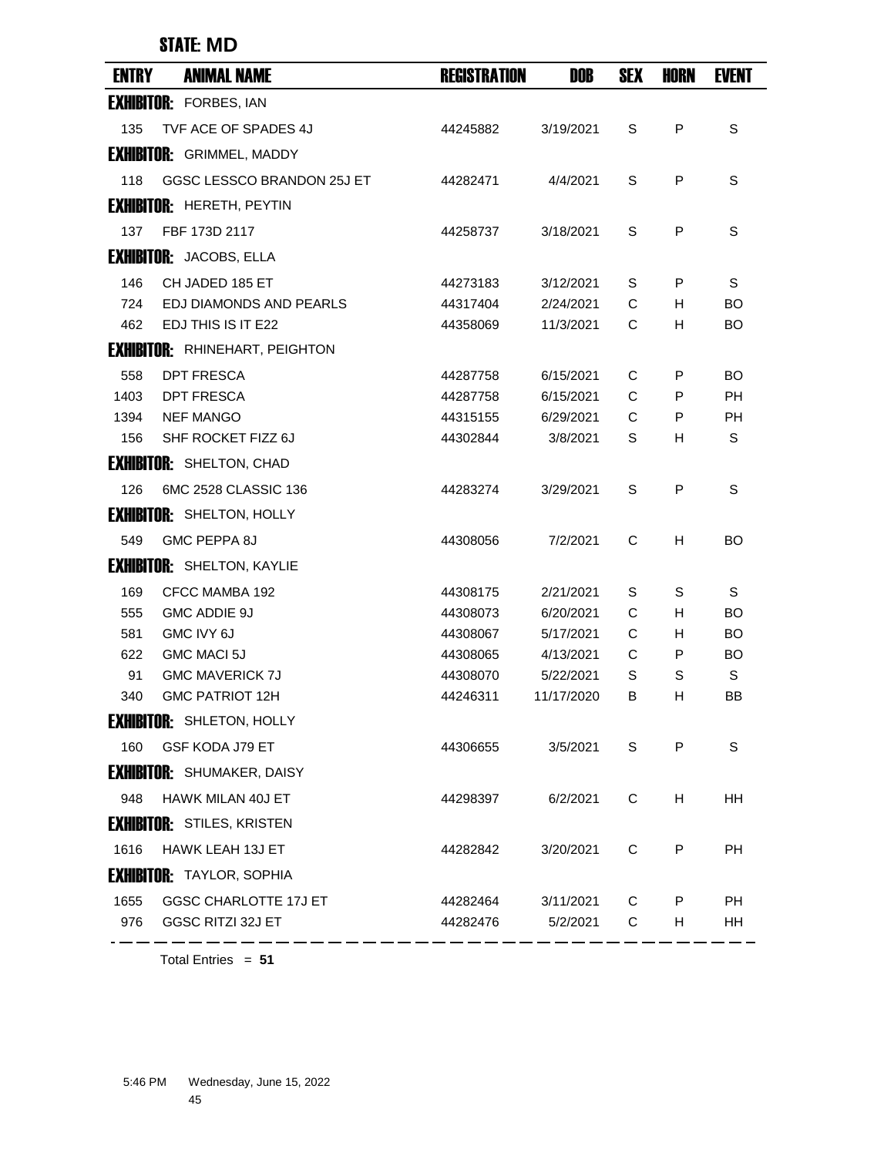#### STATE: **MD**

| <b>ENTRY</b> | <b>ANIMAL NAME</b>                    | <b>REGISTRATION</b> | DOB        | <b>SEX</b> | <b>HORN</b> | <b>EVENT</b> |
|--------------|---------------------------------------|---------------------|------------|------------|-------------|--------------|
|              | <b>EXHIBITOR: FORBES, IAN</b>         |                     |            |            |             |              |
| 135          | TVF ACE OF SPADES 4J                  | 44245882            | 3/19/2021  | S          | P           | S            |
|              | <b>EXHIBITOR:</b> GRIMMEL, MADDY      |                     |            |            |             |              |
| 118          | GGSC LESSCO BRANDON 25J ET            | 44282471            | 4/4/2021   | S          | P           | S            |
|              | <b>EXHIBITOR: HERETH, PEYTIN</b>      |                     |            |            |             |              |
| 137          | FBF 173D 2117                         | 44258737            | 3/18/2021  | S          | P           | S            |
|              | <b>EXHIBITOR:</b> JACOBS, ELLA        |                     |            |            |             |              |
| 146          | CH JADED 185 ET                       | 44273183            | 3/12/2021  | S          | P           | S            |
| 724          | EDJ DIAMONDS AND PEARLS               | 44317404            | 2/24/2021  | C          | H.          | BO           |
| 462          | EDJ THIS IS IT E22                    | 44358069            | 11/3/2021  | C          | H           | BO.          |
|              | <b>EXHIBITOR: RHINEHART, PEIGHTON</b> |                     |            |            |             |              |
| 558          | <b>DPT FRESCA</b>                     | 44287758            | 6/15/2021  | C          | P           | BO           |
| 1403         | DPT FRESCA                            | 44287758            | 6/15/2021  | C          | P           | PН           |
| 1394         | <b>NEF MANGO</b>                      | 44315155            | 6/29/2021  | C          | P           | РH           |
| 156          | SHF ROCKET FIZZ 6J                    | 44302844            | 3/8/2021   | S          | H           | S            |
|              | <b>EXHIBITOR: SHELTON, CHAD</b>       |                     |            |            |             |              |
| 126          | 6MC 2528 CLASSIC 136                  | 44283274            | 3/29/2021  | S          | P           | S            |
|              | <b>EXHIBITOR: SHELTON, HOLLY</b>      |                     |            |            |             |              |
| 549          | GMC PEPPA 8J                          | 44308056            | 7/2/2021   | C          | н           | <b>BO</b>    |
|              | <b>EXHIBITOR: SHELTON, KAYLIE</b>     |                     |            |            |             |              |
| 169          | CFCC MAMBA 192                        | 44308175            | 2/21/2021  | S          | S           | S            |
| 555          | GMC ADDIE 9J                          | 44308073            | 6/20/2021  | C          | н           | BO           |
| 581          | GMC IVY 6J                            | 44308067            | 5/17/2021  | C          | н           | BO           |
| 622          | GMC MACI 5J                           | 44308065            | 4/13/2021  | C          | P           | <b>BO</b>    |
| 91           | <b>GMC MAVERICK 7J</b>                | 44308070            | 5/22/2021  | S          | S           | S            |
| 340          | <b>GMC PATRIOT 12H</b>                | 44246311            | 11/17/2020 | B          | н           | ΒB           |
|              | <b>EXHIBITOR:</b> SHLETON, HOLLY      |                     |            |            |             |              |
| 160          | GSF KODA J79 ET                       | 44306655            | 3/5/2021   | S          | P           | S            |
|              | <b>EXHIBITOR: SHUMAKER, DAISY</b>     |                     |            |            |             |              |
| 948          | HAWK MILAN 40J ET                     | 44298397            | 6/2/2021   | C          | H           | HH           |
|              | <b>EXHIBITOR: STILES, KRISTEN</b>     |                     |            |            |             |              |
| 1616         | HAWK LEAH 13J ET                      | 44282842            | 3/20/2021  | C          | P           | <b>PH</b>    |
|              | <b>EXHIBITOR: TAYLOR, SOPHIA</b>      |                     |            |            |             |              |
| 1655         | <b>GGSC CHARLOTTE 17J ET</b>          | 44282464            | 3/11/2021  | С          | P           | <b>PH</b>    |
| 976          | GGSC RITZI 32J ET                     | 44282476            | 5/2/2021   | C          | H.          | HH.          |
|              |                                       |                     |            |            |             |              |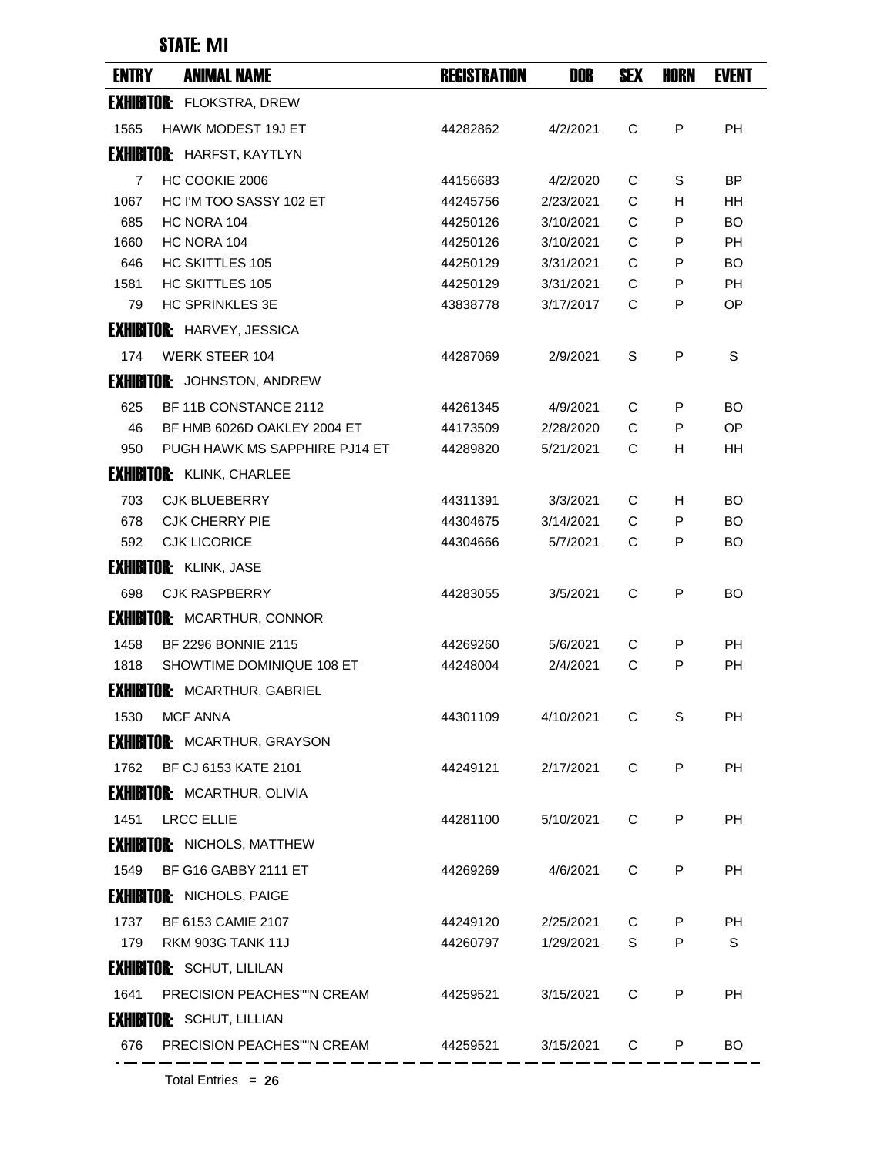## STATE: **MI**

| <b>ENTRY</b> | <b>ANIMAL NAME</b>                  | <b>REGISTRATION</b> | DOB       | <b>SEX</b> | <b>HORN</b> | <b>EVENT</b> |
|--------------|-------------------------------------|---------------------|-----------|------------|-------------|--------------|
|              | <b>EXHIBITOR: FLOKSTRA, DREW</b>    |                     |           |            |             |              |
| 1565         | <b>HAWK MODEST 19J ET</b>           | 44282862            | 4/2/2021  | C          | P           | <b>PH</b>    |
|              | <b>EXHIBITOR: HARFST, KAYTLYN</b>   |                     |           |            |             |              |
| 7            | HC COOKIE 2006                      | 44156683            | 4/2/2020  | С          | S           | ΒP           |
| 1067         | HC I'M TOO SASSY 102 ET             | 44245756            | 2/23/2021 | C          | H           | ΗH           |
| 685          | HC NORA 104                         | 44250126            | 3/10/2021 | C          | P           | BO           |
| 1660         | HC NORA 104                         | 44250126            | 3/10/2021 | C          | P           | <b>PH</b>    |
| 646          | <b>HC SKITTLES 105</b>              | 44250129            | 3/31/2021 | С          | P           | BO           |
| 1581         | <b>HC SKITTLES 105</b>              | 44250129            | 3/31/2021 | С          | P           | <b>PH</b>    |
| 79           | <b>HC SPRINKLES 3E</b>              | 43838778            | 3/17/2017 | C          | P           | ОP           |
|              | <b>EXHIBITOR: HARVEY, JESSICA</b>   |                     |           |            |             |              |
| 174          | <b>WERK STEER 104</b>               | 44287069            | 2/9/2021  | S          | P           | S            |
|              | <b>EXHIBITOR:</b> JOHNSTON, ANDREW  |                     |           |            |             |              |
| 625          | BF 11B CONSTANCE 2112               | 44261345            | 4/9/2021  | С          | P           | BO           |
| 46           | BF HMB 6026D OAKLEY 2004 ET         | 44173509            | 2/28/2020 | C          | P           | OP           |
| 950          | PUGH HAWK MS SAPPHIRE PJ14 ET       | 44289820            | 5/21/2021 | C          | H           | HН           |
|              | <b>EXHIBITOR: KLINK, CHARLEE</b>    |                     |           |            |             |              |
| 703          | <b>CJK BLUEBERRY</b>                | 44311391            | 3/3/2021  | C          | н           | BO           |
| 678          | <b>CJK CHERRY PIE</b>               | 44304675            | 3/14/2021 | C          | P           | BO           |
| 592          | <b>CJK LICORICE</b>                 | 44304666            | 5/7/2021  | C          | P           | BO           |
|              | <b>EXHIBITOR: KLINK, JASE</b>       |                     |           |            |             |              |
| 698          | <b>CJK RASPBERRY</b>                | 44283055            | 3/5/2021  | C          | P           | BO           |
|              | <b>EXHIBITOR: MCARTHUR, CONNOR</b>  |                     |           |            |             |              |
| 1458         | BF 2296 BONNIE 2115                 | 44269260            | 5/6/2021  | С          | P           | РH           |
| 1818         | SHOWTIME DOMINIQUE 108 ET           | 44248004            | 2/4/2021  | C          | P           | PH           |
|              | <b>EXHIBITOR: MCARTHUR, GABRIEL</b> |                     |           |            |             |              |
| 1530         | <b>MCF ANNA</b>                     | 44301109            | 4/10/2021 | С          | S           | PH           |
|              | <b>EXHIBITOR: MCARTHUR, GRAYSON</b> |                     |           |            |             |              |
| 1762         | BF CJ 6153 KATE 2101                | 44249121            | 2/17/2021 | C          | P           | PH           |
|              | <b>EXHIBITOR: MCARTHUR, OLIVIA</b>  |                     |           |            |             |              |
| 1451         | <b>LRCC ELLIE</b>                   | 44281100            | 5/10/2021 | C          | P           | PН           |
|              | <b>EXHIBITOR: NICHOLS, MATTHEW</b>  |                     |           |            |             |              |
|              |                                     |                     |           |            |             |              |
| 1549         | BF G16 GABBY 2111 ET                | 44269269            | 4/6/2021  | C          | P           | PH           |
|              | <b>EXHIBITOR: NICHOLS, PAIGE</b>    |                     |           |            |             |              |
| 1737         | BF 6153 CAMIE 2107                  | 44249120            | 2/25/2021 | C          | P           | PН           |
| 179          | RKM 903G TANK 11J                   | 44260797            | 1/29/2021 | S          | P           | S            |
|              | <b>EXHIBITOR: SCHUT, LILILAN</b>    |                     |           |            |             |              |
| 1641         | PRECISION PEACHES""N CREAM          | 44259521            | 3/15/2021 | C          | P           | <b>PH</b>    |
|              | <b>EXHIBITOR: SCHUT, LILLIAN</b>    |                     |           |            |             |              |
| 676          | PRECISION PEACHES""N CREAM          | 44259521            | 3/15/2021 | C          | P           | BO.          |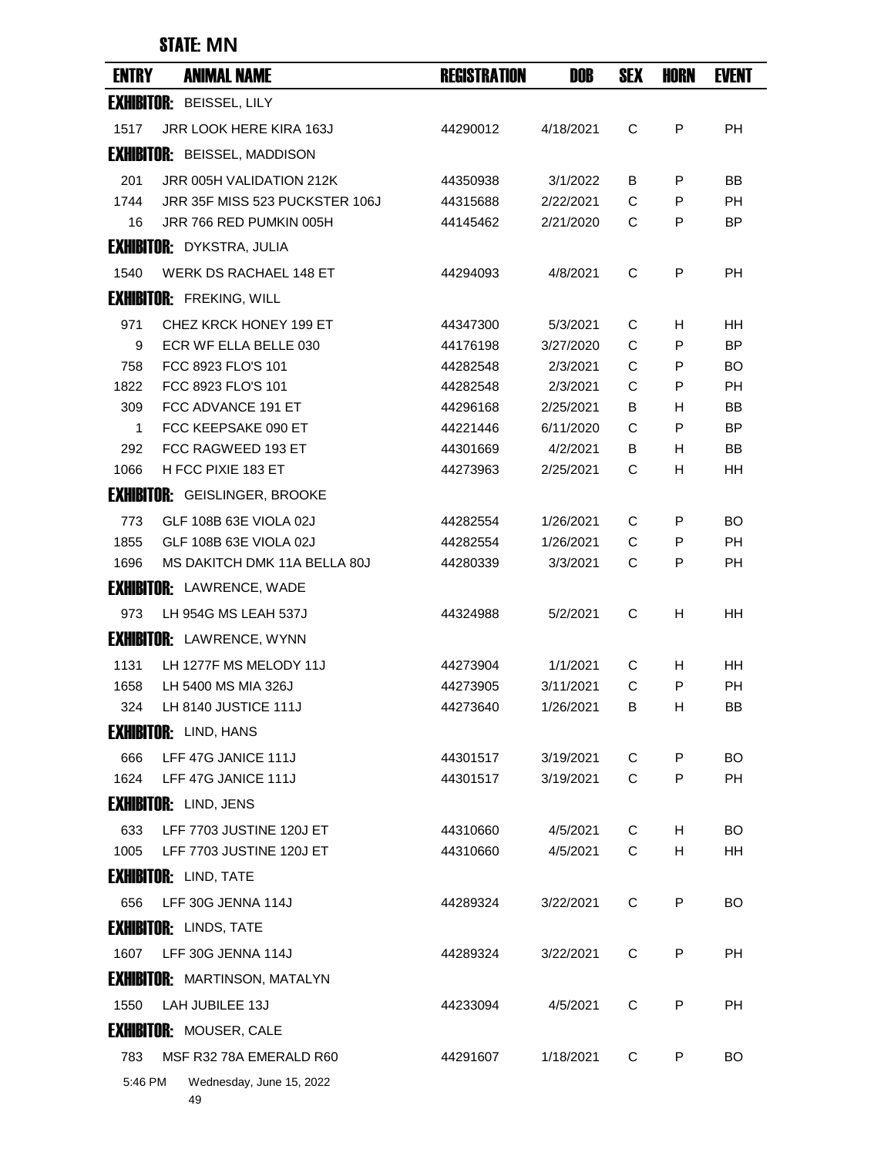## STATE: **MN**

| <b>ENTRY</b> | <b>ANIMAL NAME</b>                   | <b>REGISTRATION</b> | DOB       | <b>SEX</b> | <b>HORN</b> | <b>EVENT</b> |
|--------------|--------------------------------------|---------------------|-----------|------------|-------------|--------------|
|              | <b>EXHIBITOR: BEISSEL, LILY</b>      |                     |           |            |             |              |
| 1517         | <b>JRR LOOK HERE KIRA 163J</b>       | 44290012            | 4/18/2021 | C          | P           | <b>PH</b>    |
|              | <b>EXHIBITOR: BEISSEL, MADDISON</b>  |                     |           |            |             |              |
| 201          | JRR 005H VALIDATION 212K             | 44350938            | 3/1/2022  | В          | P           | ВB           |
| 1744         | JRR 35F MISS 523 PUCKSTER 106J       | 44315688            | 2/22/2021 | C          | P           | <b>PH</b>    |
| 16           | JRR 766 RED PUMKIN 005H              | 44145462            | 2/21/2020 | C          | P           | <b>BP</b>    |
|              | <b>EXHIBITOR: DYKSTRA, JULIA</b>     |                     |           |            |             |              |
| 1540         | <b>WERK DS RACHAEL 148 ET</b>        | 44294093            | 4/8/2021  | C          | P           | <b>PH</b>    |
|              | <b>EXHIBITOR: FREKING, WILL</b>      |                     |           |            |             |              |
| 971          | CHEZ KRCK HONEY 199 ET               | 44347300            | 5/3/2021  | C          | H           | HH.          |
| 9            | ECR WF ELLA BELLE 030                | 44176198            | 3/27/2020 | C          | P           | <b>BP</b>    |
| 758          | FCC 8923 FLO'S 101                   | 44282548            | 2/3/2021  | C          | P           | BO           |
| 1822         | FCC 8923 FLO'S 101                   | 44282548            | 2/3/2021  | C          | P           | <b>PH</b>    |
| 309          | FCC ADVANCE 191 ET                   | 44296168            | 2/25/2021 | В          | H           | ΒB           |
| 1            | FCC KEEPSAKE 090 ET                  | 44221446            | 6/11/2020 | C          | P           | <b>BP</b>    |
| 292          | FCC RAGWEED 193 ET                   | 44301669            | 4/2/2021  | В          | н           | ΒB           |
| 1066         | H FCC PIXIE 183 ET                   | 44273963            | 2/25/2021 | С          | н           | HH           |
|              | <b>EXHIBITOR: GEISLINGER, BROOKE</b> |                     |           |            |             |              |
| 773          | GLF 108B 63E VIOLA 02J               | 44282554            | 1/26/2021 | C          | P           | BO           |
| 1855         | GLF 108B 63E VIOLA 02J               | 44282554            | 1/26/2021 | C          | P           | <b>PH</b>    |
| 1696         | MS DAKITCH DMK 11A BELLA 80J         | 44280339            | 3/3/2021  | C          | P           | <b>PH</b>    |
|              | <b>EXHIBITOR: LAWRENCE, WADE</b>     |                     |           |            |             |              |
| 973          | LH 954G MS LEAH 537J                 | 44324988            | 5/2/2021  | C          | н           | <b>HH</b>    |
|              | <b>EXHIBITOR: LAWRENCE, WYNN</b>     |                     |           |            |             |              |
| 1131         | LH 1277F MS MELODY 11J               | 44273904            | 1/1/2021  | C          | H           | <b>HH</b>    |
| 1658         | LH 5400 MS MIA 326J                  | 44273905            | 3/11/2021 | C          | P           | <b>PH</b>    |
| 324          | LH 8140 JUSTICE 111J                 | 44273640            | 1/26/2021 | В          | H           | ΒB           |
|              | <b>EXHIBITOR: LIND, HANS</b>         |                     |           |            |             |              |
| 666          | LFF 47G JANICE 111J                  | 44301517            | 3/19/2021 | С          | P           | <b>BO</b>    |
| 1624         | LFF 47G JANICE 111J                  | 44301517            | 3/19/2021 | C          | P           | PH           |
|              | <b>EXHIBITOR: LIND, JENS</b>         |                     |           |            |             |              |
| 633          | LFF 7703 JUSTINE 120J ET             | 44310660            | 4/5/2021  | C          | H           | <b>BO</b>    |
| 1005         | LFF 7703 JUSTINE 120J ET             | 44310660            | 4/5/2021  | C          | н           | HH           |
|              | <b>EXHIBITOR: LIND, TATE</b>         |                     |           |            |             |              |
| 656          | LFF 30G JENNA 114J                   | 44289324            | 3/22/2021 | C          | P           | BO           |
|              | <b>EXHIBITOR: LINDS, TATE</b>        |                     |           |            |             |              |
| 1607         | LFF 30G JENNA 114J                   | 44289324            | 3/22/2021 | C          | P           | PH           |
|              | <b>EXHIBITOR: MARTINSON, MATALYN</b> |                     |           |            |             |              |
| 1550         | LAH JUBILEE 13J                      | 44233094            | 4/5/2021  | C          | P           | <b>PH</b>    |
|              | <b>EXHIBITOR: MOUSER, CALE</b>       |                     |           |            |             |              |
| 783          | MSF R32 78A EMERALD R60              | 44291607            | 1/18/2021 | C          | P           | <b>BO</b>    |
| 5:46 PM      | Wednesday, June 15, 2022             |                     |           |            |             |              |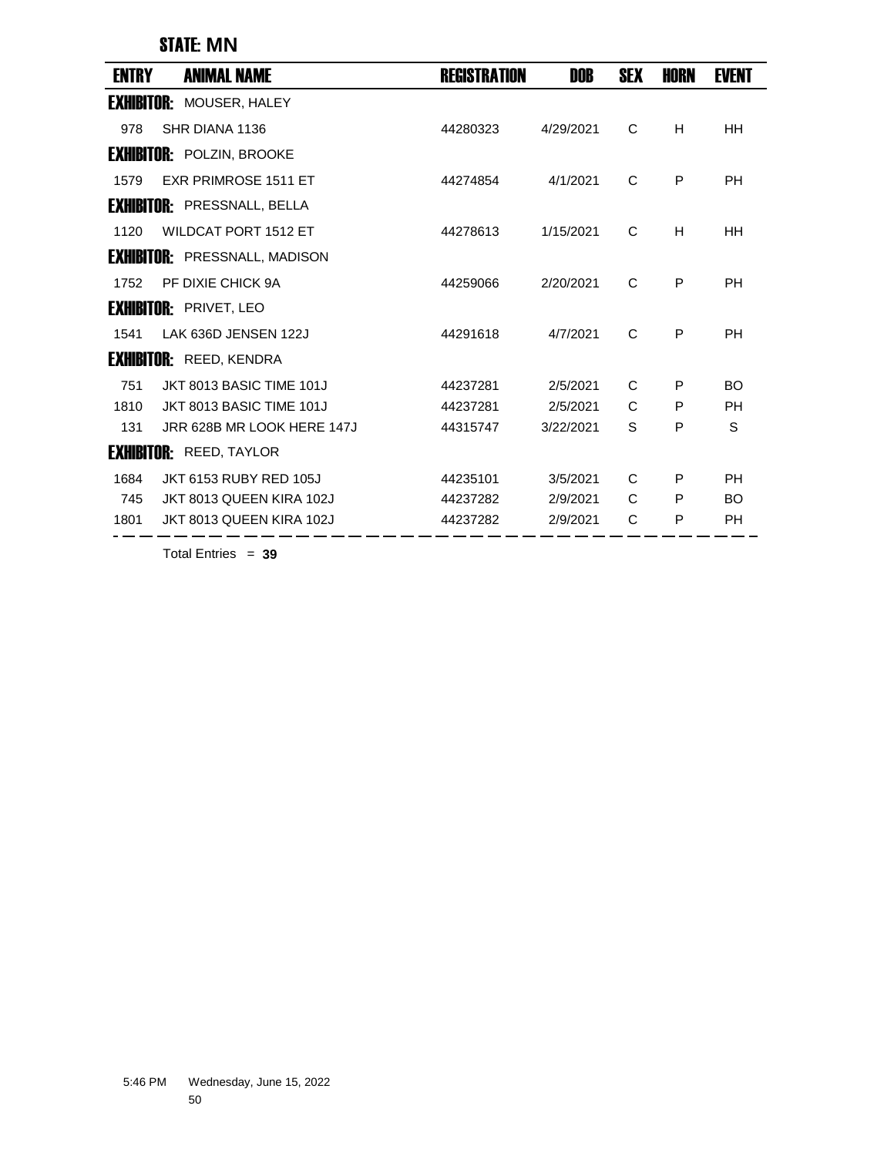STATE: **MN**

| ENTRY             | <b>ANIMAL NAME</b>                   | <b>REGISTRATION</b> | DOB       | <b>SEX</b> | <b>HORN</b> | <b>EVENT</b> |
|-------------------|--------------------------------------|---------------------|-----------|------------|-------------|--------------|
| <b>EXHIBITOR:</b> | MOUSER, HALEY                        |                     |           |            |             |              |
| 978               | SHR DIANA 1136                       | 44280323            | 4/29/2021 | C          | H           | HH           |
|                   | <b>EXHIBITOR: POLZIN, BROOKE</b>     |                     |           |            |             |              |
| 1579              | <b>EXR PRIMROSE 1511 ET</b>          | 44274854            | 4/1/2021  | C          | P           | <b>PH</b>    |
|                   | <b>EXHIBITOR: PRESSNALL, BELLA</b>   |                     |           |            |             |              |
| 1120              | <b>WILDCAT PORT 1512 ET</b>          | 44278613            | 1/15/2021 | C          | H           | <b>HH</b>    |
|                   | <b>EXHIBITOR:</b> PRESSNALL, MADISON |                     |           |            |             |              |
| 1752              | PF DIXIE CHICK 9A                    | 44259066            | 2/20/2021 | C          | P           | PH           |
|                   | <b>EXHIBITOR: PRIVET, LEO</b>        |                     |           |            |             |              |
| 1541              | LAK 636D JENSEN 122J                 | 44291618            | 4/7/2021  | C          | P           | PH           |
|                   | <b>EXHIBITOR: REED, KENDRA</b>       |                     |           |            |             |              |
| 751               | JKT 8013 BASIC TIME 101J             | 44237281            | 2/5/2021  | C          | P           | <b>BO</b>    |
| 1810              | JKT 8013 BASIC TIME 101J             | 44237281            | 2/5/2021  | C          | P           | <b>PH</b>    |
| 131               | JRR 628B MR LOOK HERE 147J           | 44315747            | 3/22/2021 | S          | P           | S            |
|                   | <b>EXHIBITOR: REED, TAYLOR</b>       |                     |           |            |             |              |
| 1684              | <b>JKT 6153 RUBY RED 105J</b>        | 44235101            | 3/5/2021  | C          | P           | <b>PH</b>    |
| 745               | JKT 8013 QUEEN KIRA 102J             | 44237282            | 2/9/2021  | C          | P           | <b>BO</b>    |
| 1801              | JKT 8013 QUEEN KIRA 102J             | 44237282            | 2/9/2021  | С          | P           | PH           |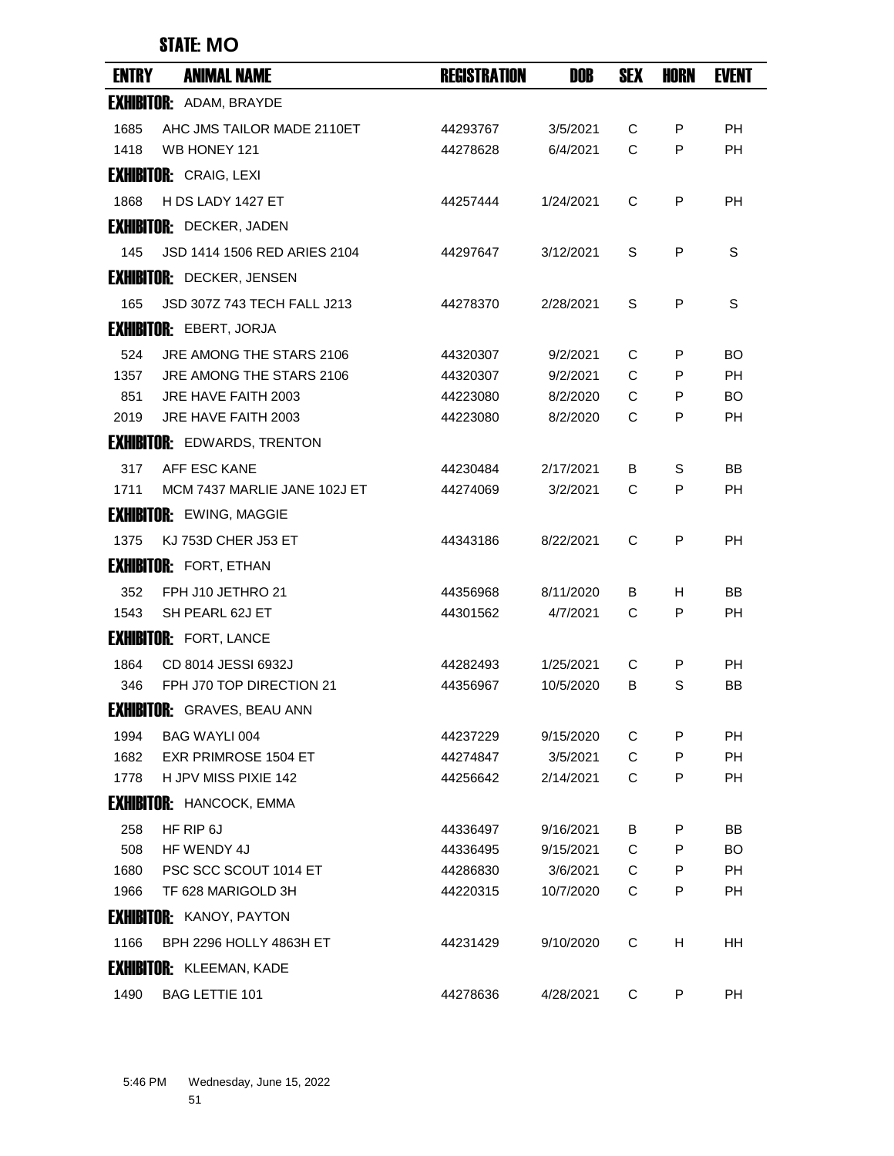| <b>ENTRY</b> | <b>ANIMAL NAME</b>                 | <b>REGISTRATION</b> | DOB       | <b>SEX</b>   | <b>HORN</b> | <b>EVENT</b> |
|--------------|------------------------------------|---------------------|-----------|--------------|-------------|--------------|
|              | <b>EXHIBITOR: ADAM, BRAYDE</b>     |                     |           |              |             |              |
| 1685         | AHC JMS TAILOR MADE 2110ET         | 44293767            | 3/5/2021  | C            | P           | <b>PH</b>    |
| 1418         | WB HONEY 121                       | 44278628            | 6/4/2021  | $\mathsf{C}$ | P           | <b>PH</b>    |
|              | <b>EXHIBITOR: CRAIG, LEXI</b>      |                     |           |              |             |              |
| 1868         | H DS LADY 1427 ET                  | 44257444            | 1/24/2021 | C            | P           | <b>PH</b>    |
|              | <b>EXHIBITOR: DECKER, JADEN</b>    |                     |           |              |             |              |
| 145          | JSD 1414 1506 RED ARIES 2104       | 44297647            | 3/12/2021 | S            | P           | S            |
|              | <b>EXHIBITOR: DECKER, JENSEN</b>   |                     |           |              |             |              |
| 165          | JSD 307Z 743 TECH FALL J213        | 44278370            | 2/28/2021 | S            | P           | S            |
|              | <b>EXHIBITOR: EBERT, JORJA</b>     |                     |           |              |             |              |
| 524          | JRE AMONG THE STARS 2106           | 44320307            | 9/2/2021  | C            | P           | BO           |
| 1357         | JRE AMONG THE STARS 2106           | 44320307            | 9/2/2021  | C            | P           | <b>PH</b>    |
| 851          | JRE HAVE FAITH 2003                | 44223080            | 8/2/2020  | C            | P           | BO.          |
| 2019         | JRE HAVE FAITH 2003                | 44223080            | 8/2/2020  | C            | P           | РH           |
|              | <b>EXHIBITOR: EDWARDS, TRENTON</b> |                     |           |              |             |              |
| 317          | AFF ESC KANE                       | 44230484            | 2/17/2021 | B            | S           | BB           |
| 1711         | MCM 7437 MARLIE JANE 102J ET       | 44274069            | 3/2/2021  | С            | P           | PH           |
|              | <b>EXHIBITOR: EWING, MAGGIE</b>    |                     |           |              |             |              |
| 1375         | <b>KJ 753D CHER J53 ET</b>         | 44343186            | 8/22/2021 | C            | P           | <b>PH</b>    |
|              | <b>EXHIBITOR: FORT, ETHAN</b>      |                     |           |              |             |              |
| 352          | FPH J10 JETHRO 21                  | 44356968            | 8/11/2020 | B            | H.          | ВB           |
| 1543         | SH PEARL 62J ET                    | 44301562            | 4/7/2021  | C            | P           | <b>PH</b>    |
|              | <b>EXHIBITOR: FORT, LANCE</b>      |                     |           |              |             |              |
| 1864         | CD 8014 JESSI 6932J                | 44282493            | 1/25/2021 | С            | P           | PH           |
| 346          | FPH J70 TOP DIRECTION 21           | 44356967            | 10/5/2020 | В            | S           | BB           |
|              | <b>EXHIBITOR:</b> GRAVES, BEAU ANN |                     |           |              |             |              |
| 1994         | BAG WAYLI 004                      | 44237229            | 9/15/2020 | С            | P           | РH           |
| 1682         | <b>EXR PRIMROSE 1504 ET</b>        | 44274847            | 3/5/2021  | C            | P           | <b>PH</b>    |
| 1778         | H JPV MISS PIXIE 142               | 44256642            | 2/14/2021 | C            | P           | <b>PH</b>    |
|              | <b>EXHIBITOR: HANCOCK, EMMA</b>    |                     |           |              |             |              |
| 258          | HF RIP 6J                          | 44336497            | 9/16/2021 | В            | P           | BB           |
| 508          | HF WENDY 4J                        | 44336495            | 9/15/2021 | C            | P           | BO.          |
| 1680         | PSC SCC SCOUT 1014 ET              | 44286830            | 3/6/2021  | C            | P           | PH           |
| 1966         | TF 628 MARIGOLD 3H                 | 44220315            | 10/7/2020 | C            | P           | PH           |
|              | <b>EXHIBITOR: KANOY, PAYTON</b>    |                     |           |              |             |              |
| 1166         | BPH 2296 HOLLY 4863H ET            | 44231429            | 9/10/2020 | C            | H           | HH           |
|              | <b>EXHIBITOR: KLEEMAN, KADE</b>    |                     |           |              |             |              |
| 1490         | BAG LETTIE 101                     | 44278636            | 4/28/2021 | C            | P           | <b>PH</b>    |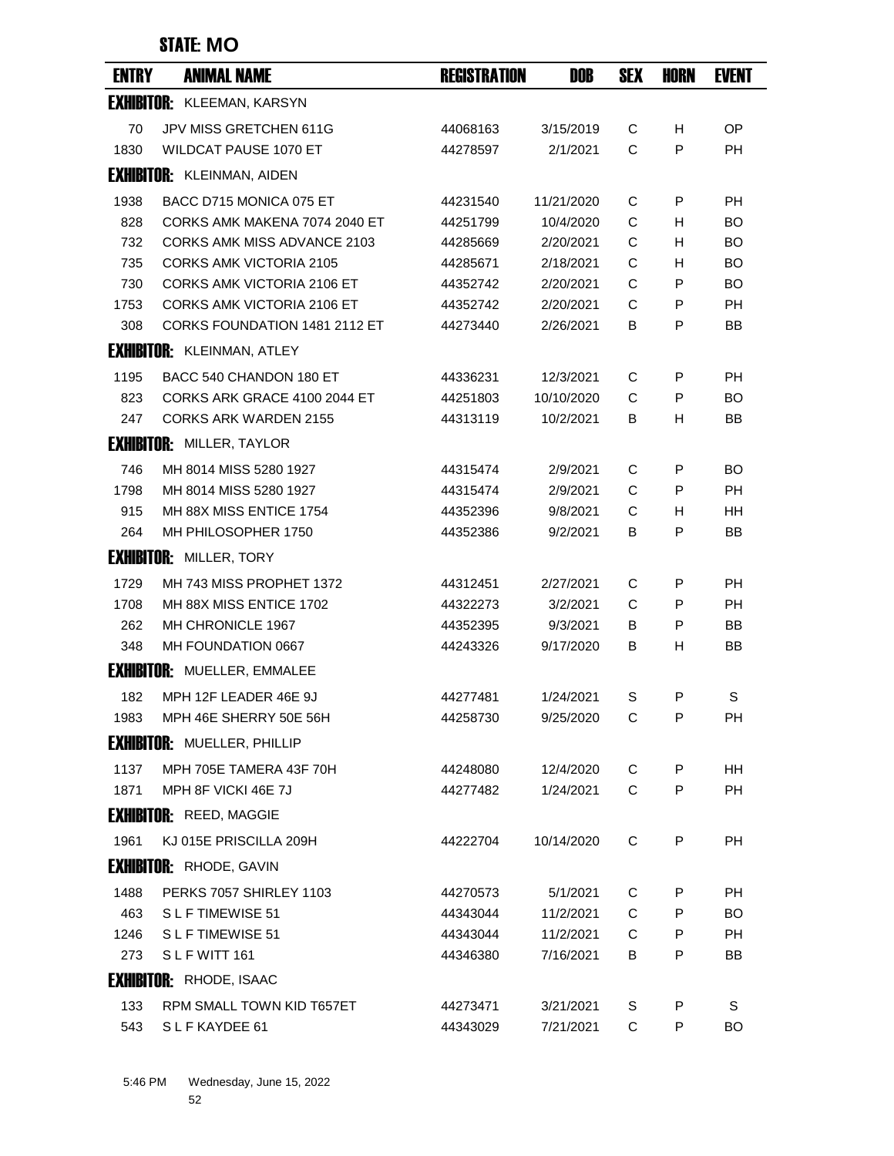| <b>ENTRY</b> | <b>ANIMAL NAME</b>                 | <b>REGISTRATION</b> | DOB        | <b>SEX</b> | HORN | EVENT     |
|--------------|------------------------------------|---------------------|------------|------------|------|-----------|
|              | <b>EXHIBITOR: KLEEMAN, KARSYN</b>  |                     |            |            |      |           |
| 70           | JPV MISS GRETCHEN 611G             | 44068163            | 3/15/2019  | C          | H    | <b>OP</b> |
| 1830         | WILDCAT PAUSE 1070 ET              | 44278597            | 2/1/2021   | C          | P    | PH        |
|              | <b>EXHIBITOR: KLEINMAN, AIDEN</b>  |                     |            |            |      |           |
| 1938         | BACC D715 MONICA 075 ET            | 44231540            | 11/21/2020 | C          | P    | <b>PH</b> |
| 828          | CORKS AMK MAKENA 7074 2040 ET      | 44251799            | 10/4/2020  | C          | H    | BO        |
| 732          | <b>CORKS AMK MISS ADVANCE 2103</b> | 44285669            | 2/20/2021  | C          | н    | <b>BO</b> |
| 735          | CORKS AMK VICTORIA 2105            | 44285671            | 2/18/2021  | С          | н    | <b>BO</b> |
| 730          | <b>CORKS AMK VICTORIA 2106 ET</b>  | 44352742            | 2/20/2021  | C          | P    | <b>BO</b> |
| 1753         | CORKS AMK VICTORIA 2106 ET         | 44352742            | 2/20/2021  | C          | P    | <b>PH</b> |
| 308          | CORKS FOUNDATION 1481 2112 ET      | 44273440            | 2/26/2021  | B          | P    | BB        |
|              | <b>EXHIBITOR: KLEINMAN, ATLEY</b>  |                     |            |            |      |           |
| 1195         | BACC 540 CHANDON 180 ET            | 44336231            | 12/3/2021  | С          | P    | РH        |
| 823          | CORKS ARK GRACE 4100 2044 ET       | 44251803            | 10/10/2020 | C          | P    | <b>BO</b> |
| 247          | CORKS ARK WARDEN 2155              | 44313119            | 10/2/2021  | В          | H    | BB        |
|              | <b>EXHIBITOR: MILLER, TAYLOR</b>   |                     |            |            |      |           |
| 746          | MH 8014 MISS 5280 1927             | 44315474            | 2/9/2021   | C          | P    | <b>BO</b> |
| 1798         | MH 8014 MISS 5280 1927             | 44315474            | 2/9/2021   | C          | P    | PH        |
| 915          | MH 88X MISS ENTICE 1754            | 44352396            | 9/8/2021   | C          | H    | ΗH        |
| 264          | MH PHILOSOPHER 1750                | 44352386            | 9/2/2021   | В          | P    | <b>BB</b> |
|              | <b>EXHIBITOR: MILLER, TORY</b>     |                     |            |            |      |           |
| 1729         | MH 743 MISS PROPHET 1372           | 44312451            | 2/27/2021  | C          | P    | <b>PH</b> |
| 1708         | MH 88X MISS ENTICE 1702            | 44322273            | 3/2/2021   | C          | P    | РH        |
| 262          | MH CHRONICLE 1967                  | 44352395            | 9/3/2021   | В          | P    | BB        |
| 348          | MH FOUNDATION 0667                 | 44243326            | 9/17/2020  | В          | H    | BB        |
|              | <b>EXHIBITOR: MUELLER, EMMALEE</b> |                     |            |            |      |           |
| 182          | MPH 12F LEADER 46E 9J              | 44277481            | 1/24/2021  | S          | P    | S         |
| 1983         | MPH 46E SHERRY 50E 56H             | 44258730            | 9/25/2020  | C          | P    | PH        |
|              | <b>EXHIBITOR: MUELLER, PHILLIP</b> |                     |            |            |      |           |
| 1137         | MPH 705E TAMERA 43F 70H            | 44248080            | 12/4/2020  | C          | P    | <b>HH</b> |
| 1871         | MPH 8F VICKI 46E 7J                | 44277482            | 1/24/2021  | C          | P    | <b>PH</b> |
|              | <b>EXHIBITOR: REED, MAGGIE</b>     |                     |            |            |      |           |
| 1961         | KJ 015E PRISCILLA 209H             | 44222704            | 10/14/2020 | C          | P    | PH        |
|              | <b>EXHIBITOR: RHODE, GAVIN</b>     |                     |            |            |      |           |
| 1488         | PERKS 7057 SHIRLEY 1103            | 44270573            | 5/1/2021   | C          | P    | PH        |
| 463          | SLFTIMEWISE 51                     | 44343044            | 11/2/2021  | C          | P    | BO.       |
| 1246         | SLFTIMEWISE 51                     | 44343044            | 11/2/2021  | C          | P    | PH        |
| 273          | SLFWITT 161                        | 44346380            | 7/16/2021  | B          | P    | BB        |
|              | <b>EXHIBITOR: RHODE, ISAAC</b>     |                     |            |            |      |           |
| 133          | RPM SMALL TOWN KID T657ET          | 44273471            | 3/21/2021  | S          | P    | S         |
| 543          | SLFKAYDEE 61                       | 44343029            | 7/21/2021  | C          | P    | <b>BO</b> |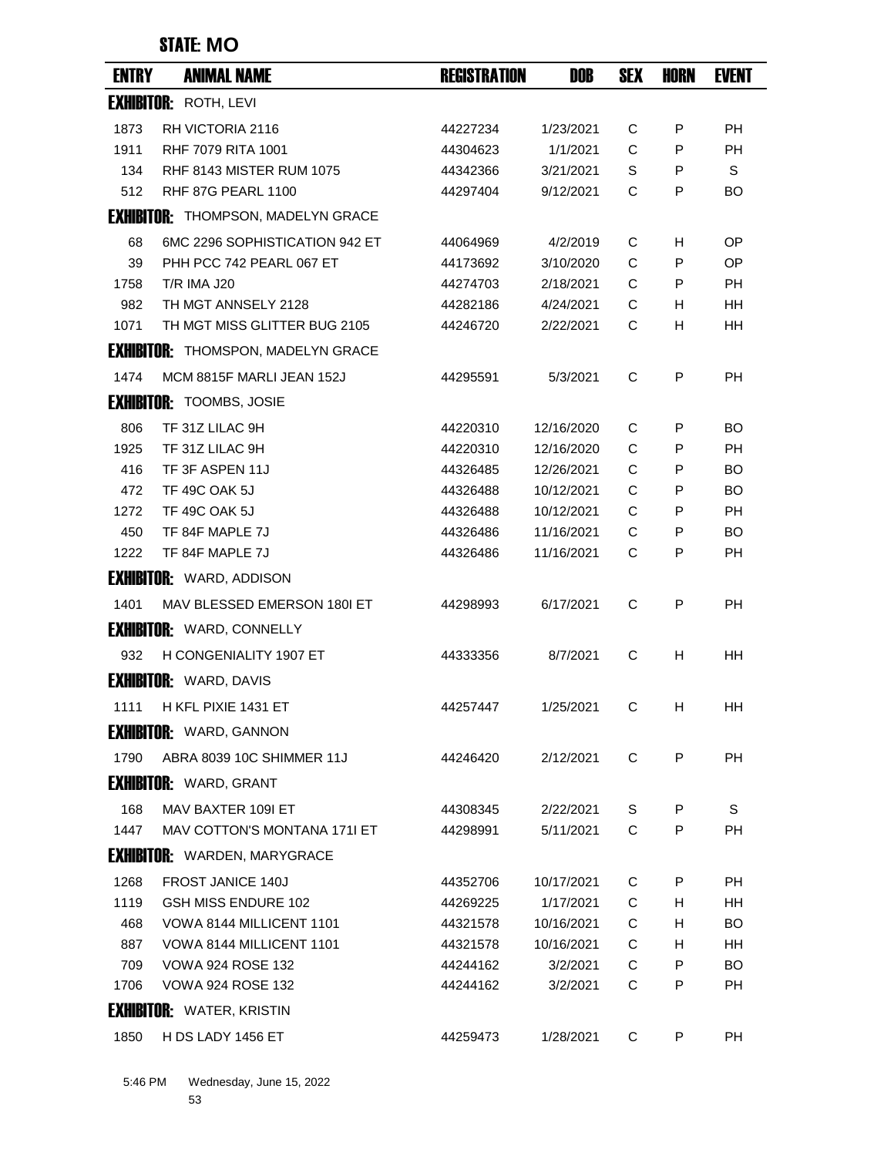| <b>ENTRY</b> | <b>ANIMAL NAME</b>                        | <b>REGISTRATION</b> | DOB        | <b>SEX</b> | HORN | <b>EVENT</b> |
|--------------|-------------------------------------------|---------------------|------------|------------|------|--------------|
|              | <b>EXHIBITOR: ROTH, LEVI</b>              |                     |            |            |      |              |
| 1873         | RH VICTORIA 2116                          | 44227234            | 1/23/2021  | С          | P    | PH           |
| 1911         | <b>RHF 7079 RITA 1001</b>                 | 44304623            | 1/1/2021   | C          | P    | <b>PH</b>    |
| 134          | <b>RHF 8143 MISTER RUM 1075</b>           | 44342366            | 3/21/2021  | S          | P    | S            |
| 512          | <b>RHF 87G PEARL 1100</b>                 | 44297404            | 9/12/2021  | С          | P    | BO           |
|              | <b>EXHIBITOR: THOMPSON, MADELYN GRACE</b> |                     |            |            |      |              |
| 68           | 6MC 2296 SOPHISTICATION 942 ET            | 44064969            | 4/2/2019   | С          | H.   | OP           |
| 39           | PHH PCC 742 PEARL 067 ET                  | 44173692            | 3/10/2020  | C          | P    | <b>OP</b>    |
| 1758         | <b>T/R IMA J20</b>                        | 44274703            | 2/18/2021  | C          | P    | <b>PH</b>    |
| 982          | TH MGT ANNSELY 2128                       | 44282186            | 4/24/2021  | C          | H.   | HН           |
| 1071         | TH MGT MISS GLITTER BUG 2105              | 44246720            | 2/22/2021  | C          | H    | HH           |
|              | <b>EXHIBITOR: THOMSPON, MADELYN GRACE</b> |                     |            |            |      |              |
| 1474         | MCM 8815F MARLI JEAN 152J                 | 44295591            | 5/3/2021   | C          | P    | <b>PH</b>    |
|              | <b>EXHIBITOR: TOOMBS, JOSIE</b>           |                     |            |            |      |              |
| 806          | TF 31Z LILAC 9H                           | 44220310            | 12/16/2020 | C          | P    | <b>BO</b>    |
| 1925         | TF 31Z LILAC 9H                           | 44220310            | 12/16/2020 | С          | P    | <b>PH</b>    |
| 416          | TF 3F ASPEN 11J                           | 44326485            | 12/26/2021 | C          | P    | <b>BO</b>    |
| 472          | TF 49C OAK 5J                             | 44326488            | 10/12/2021 | C          | P    | BO.          |
| 1272         | <b>TF 49C OAK 5J</b>                      | 44326488            | 10/12/2021 | C          | P    | РH           |
| 450          | TF 84F MAPLE 7J                           | 44326486            | 11/16/2021 | C          | P    | <b>BO</b>    |
| 1222         | TF 84F MAPLE 7J                           | 44326486            | 11/16/2021 | C          | P    | РH           |
|              | <b>EXHIBITOR: WARD, ADDISON</b>           |                     |            |            |      |              |
| 1401         | MAV BLESSED EMERSON 1801 ET               | 44298993            | 6/17/2021  | C          | P    | <b>PH</b>    |
|              | <b>EXHIBITOR: WARD, CONNELLY</b>          |                     |            |            |      |              |
| 932          | H CONGENIALITY 1907 ET                    | 44333356            | 8/7/2021   | C          | H    | HH           |
|              | <b>EXHIBITOR: WARD, DAVIS</b>             |                     |            |            |      |              |
|              | 1111 H KFL PIXIE 1431 ET                  | 44257447            | 1/25/2021  | C.         | H.   | HH.          |
|              | <b>EXHIBITOR: WARD, GANNON</b>            |                     |            |            |      |              |
| 1790         | ABRA 8039 10C SHIMMER 11J                 | 44246420            | 2/12/2021  | C          | P    | <b>PH</b>    |
|              | <b>EXHIBITOR: WARD, GRANT</b>             |                     |            |            |      |              |
| 168          | MAV BAXTER 109I ET                        | 44308345            | 2/22/2021  | S          | P    | S            |
| 1447         | MAV COTTON'S MONTANA 171I ET              | 44298991            | 5/11/2021  | C          | P    | <b>PH</b>    |
|              | <b>EXHIBITOR: WARDEN, MARYGRACE</b>       |                     |            |            |      |              |
| 1268         | <b>FROST JANICE 140J</b>                  | 44352706            | 10/17/2021 | C          | P    | PH           |
| 1119         | GSH MISS ENDURE 102                       | 44269225            | 1/17/2021  | C          | H    | <b>HH</b>    |
| 468          | VOWA 8144 MILLICENT 1101                  | 44321578            | 10/16/2021 | C          | H    | BO.          |
| 887          | VOWA 8144 MILLICENT 1101                  | 44321578            | 10/16/2021 | C          | H.   | HH           |
| 709          | <b>VOWA 924 ROSE 132</b>                  | 44244162            | 3/2/2021   | C          | P    | <b>BO</b>    |
| 1706         | <b>VOWA 924 ROSE 132</b>                  | 44244162            | 3/2/2021   | C          | P    | <b>PH</b>    |
|              | <b>EXHIBITOR: WATER, KRISTIN</b>          |                     |            |            |      |              |
| 1850         | H DS LADY 1456 ET                         | 44259473            | 1/28/2021  | C          | P    | PH           |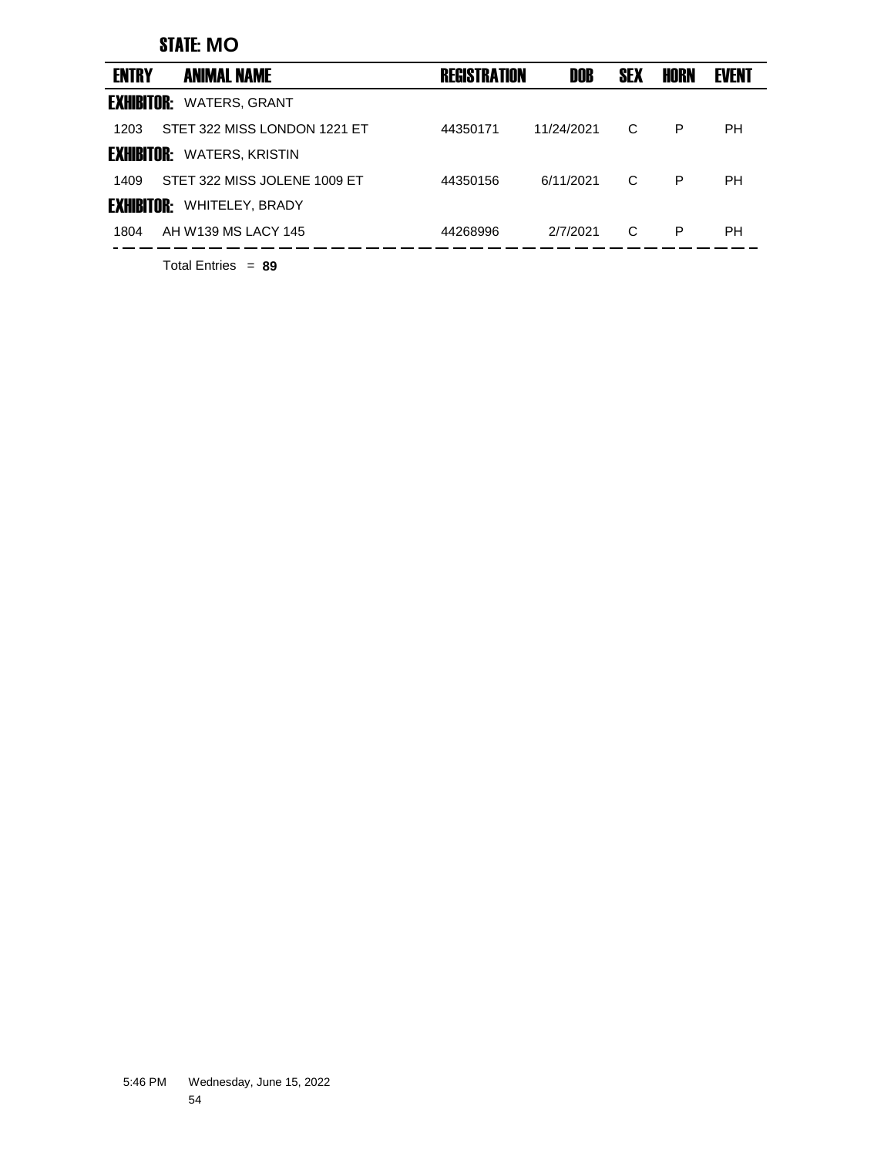| <b>ENTRY</b>      | <b>ANIMAL NAME</b>           | <b>REGISTRATION</b> | DOB        | <b>SEX</b> | HORN | <b>EVENT</b> |  |
|-------------------|------------------------------|---------------------|------------|------------|------|--------------|--|
| <b>EXHIBITOR:</b> | <b>WATERS, GRANT</b>         |                     |            |            |      |              |  |
| 1203              | STET 322 MISS LONDON 1221 ET | 44350171            | 11/24/2021 | C          | P    | PН           |  |
| <b>EXHIBITOR:</b> | <b>WATERS, KRISTIN</b>       |                     |            |            |      |              |  |
| 1409              | STET 322 MISS JOLENE 1009 ET | 44350156            | 6/11/2021  | C          | P    | PН           |  |
| <b>EXHIBITOR:</b> | <b>WHITELEY, BRADY</b>       |                     |            |            |      |              |  |
| 1804              | AH W139 MS LACY 145          | 44268996            | 2/7/2021   | C          | P    | PН           |  |
|                   |                              |                     |            |            |      |              |  |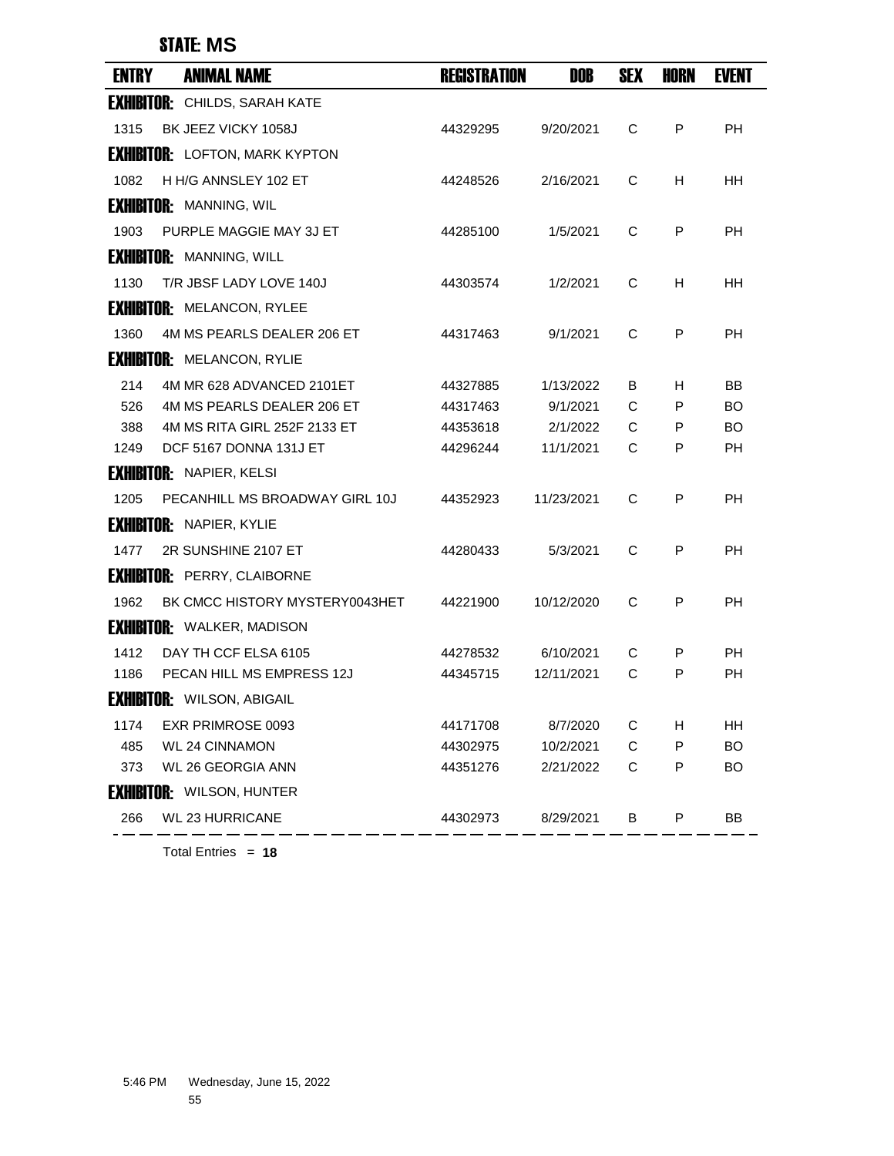### STATE: **MS**

| <b>ENTRY</b> | <b>ANIMAL NAME</b>                    | <b>REGISTRATION</b> | <b>DOB</b> | <b>SEX</b> | HORN | <b>EVENT</b> |
|--------------|---------------------------------------|---------------------|------------|------------|------|--------------|
|              | <b>EXHIBITOR:</b> CHILDS, SARAH KATE  |                     |            |            |      |              |
| 1315         | BK JEEZ VICKY 1058J                   | 44329295            | 9/20/2021  | C          | P    | <b>PH</b>    |
|              | <b>EXHIBITOR:</b> LOFTON, MARK KYPTON |                     |            |            |      |              |
| 1082         | H H/G ANNSLEY 102 ET                  | 44248526            | 2/16/2021  | C          | H    | HН           |
|              | <b>EXHIBITOR:</b> MANNING, WIL        |                     |            |            |      |              |
| 1903         | PURPLE MAGGIE MAY 3J ET               | 44285100            | 1/5/2021   | C          | P    | <b>PH</b>    |
|              | <b>EXHIBITOR: MANNING, WILL</b>       |                     |            |            |      |              |
| 1130         | T/R JBSF LADY LOVE 140J               | 44303574            | 1/2/2021   | C          | H    | HH.          |
|              | <b>EXHIBITOR: MELANCON, RYLEE</b>     |                     |            |            |      |              |
| 1360         | 4M MS PEARLS DEALER 206 ET            | 44317463            | 9/1/2021   | C          | P    | РH           |
|              | <b>EXHIBITOR: MELANCON, RYLIE</b>     |                     |            |            |      |              |
| 214          | 4M MR 628 ADVANCED 2101ET             | 44327885            | 1/13/2022  | В          | H    | BB           |
| 526          | 4M MS PEARLS DEALER 206 ET            | 44317463            | 9/1/2021   | C          | P    | BO.          |
| 388          | 4M MS RITA GIRL 252F 2133 ET          | 44353618            | 2/1/2022   | С          | P    | BO.          |
| 1249         | DCF 5167 DONNA 131J ET                | 44296244            | 11/1/2021  | C          | P    | PH           |
|              | <b>EXHIBITOR: NAPIER, KELSI</b>       |                     |            |            |      |              |
| 1205         | PECANHILL MS BROADWAY GIRL 10J        | 44352923            | 11/23/2021 | C          | P    | <b>PH</b>    |
|              | <b>EXHIBITOR: NAPIER, KYLIE</b>       |                     |            |            |      |              |
| 1477         | 2R SUNSHINE 2107 ET                   | 44280433            | 5/3/2021   | C          | P    | <b>PH</b>    |
|              | <b>EXHIBITOR: PERRY, CLAIBORNE</b>    |                     |            |            |      |              |
| 1962         | BK CMCC HISTORY MYSTERY0043HET        | 44221900            | 10/12/2020 | C          | P    | <b>PH</b>    |
|              | <b>EXHIBITOR: WALKER, MADISON</b>     |                     |            |            |      |              |
| 1412         | DAY TH CCF ELSA 6105                  | 44278532            | 6/10/2021  | С          | P    | PH           |
| 1186         | PECAN HILL MS EMPRESS 12J             | 44345715            | 12/11/2021 | C          | P    | <b>PH</b>    |
|              | <b>EXHIBITOR: WILSON, ABIGAIL</b>     |                     |            |            |      |              |
| 1174         | EXR PRIMROSE 0093                     | 44171708            | 8/7/2020   | C          | Н    | HH           |
| 485          | <b>WL 24 CINNAMON</b>                 | 44302975            | 10/2/2021  | C          | P    | <b>BO</b>    |
| 373          | <b>WL 26 GEORGIA ANN</b>              | 44351276            | 2/21/2022  | C          | P    | <b>BO</b>    |
|              | <b>EXHIBITOR: WILSON, HUNTER</b>      |                     |            |            |      |              |
| 266          | <b>WL 23 HURRICANE</b>                | 44302973            | 8/29/2021  | В          | P    | BB           |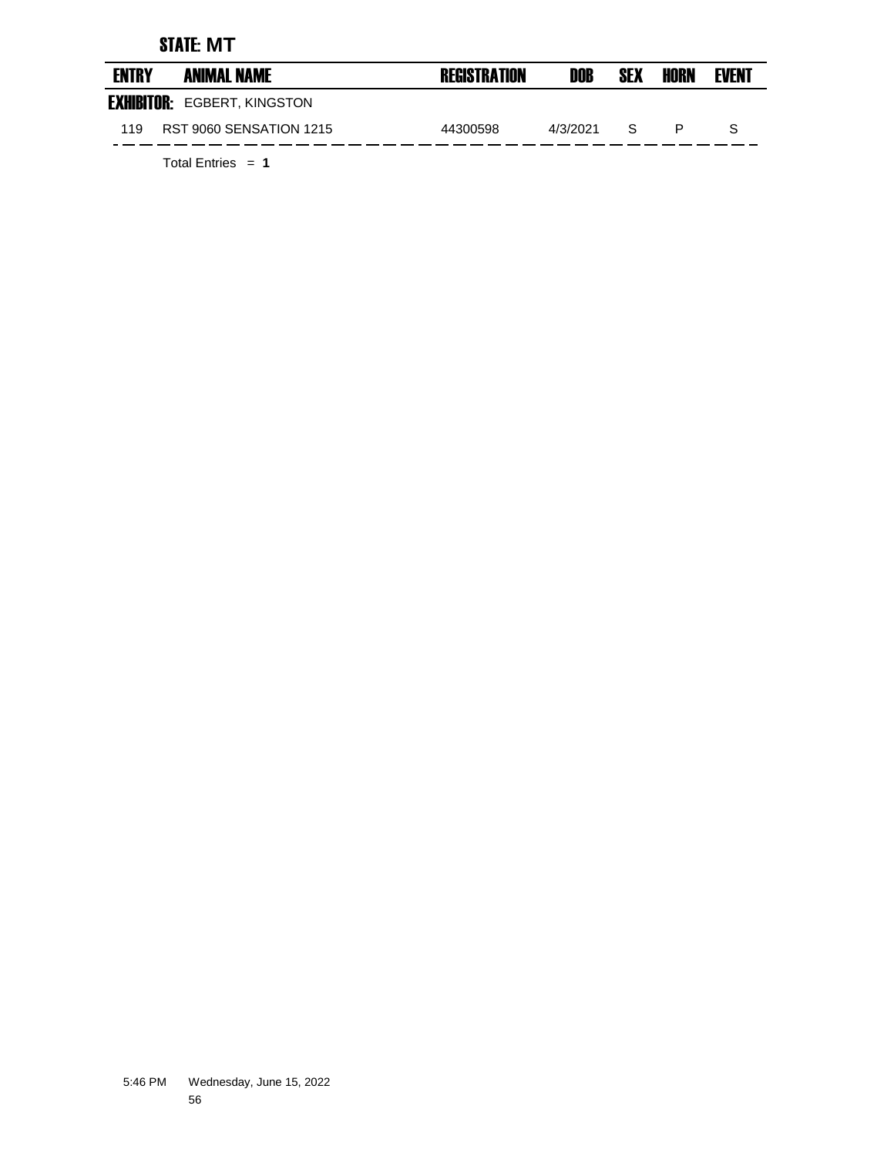### STATE: **MT**

| <b>ENTRY</b> | <b>ANIMAL NAME</b>                 | <b>REGISTRATION</b> | DOB      | <b>SEX</b>   | HORN | <b>EVENT</b> |
|--------------|------------------------------------|---------------------|----------|--------------|------|--------------|
|              | <b>EXHIBITOR: EGBERT, KINGSTON</b> |                     |          |              |      |              |
| 119          | <b>RST 9060 SENSATION 1215</b>     | 44300598            | 4/3/2021 | <sub>S</sub> |      |              |
|              |                                    |                     |          |              |      |              |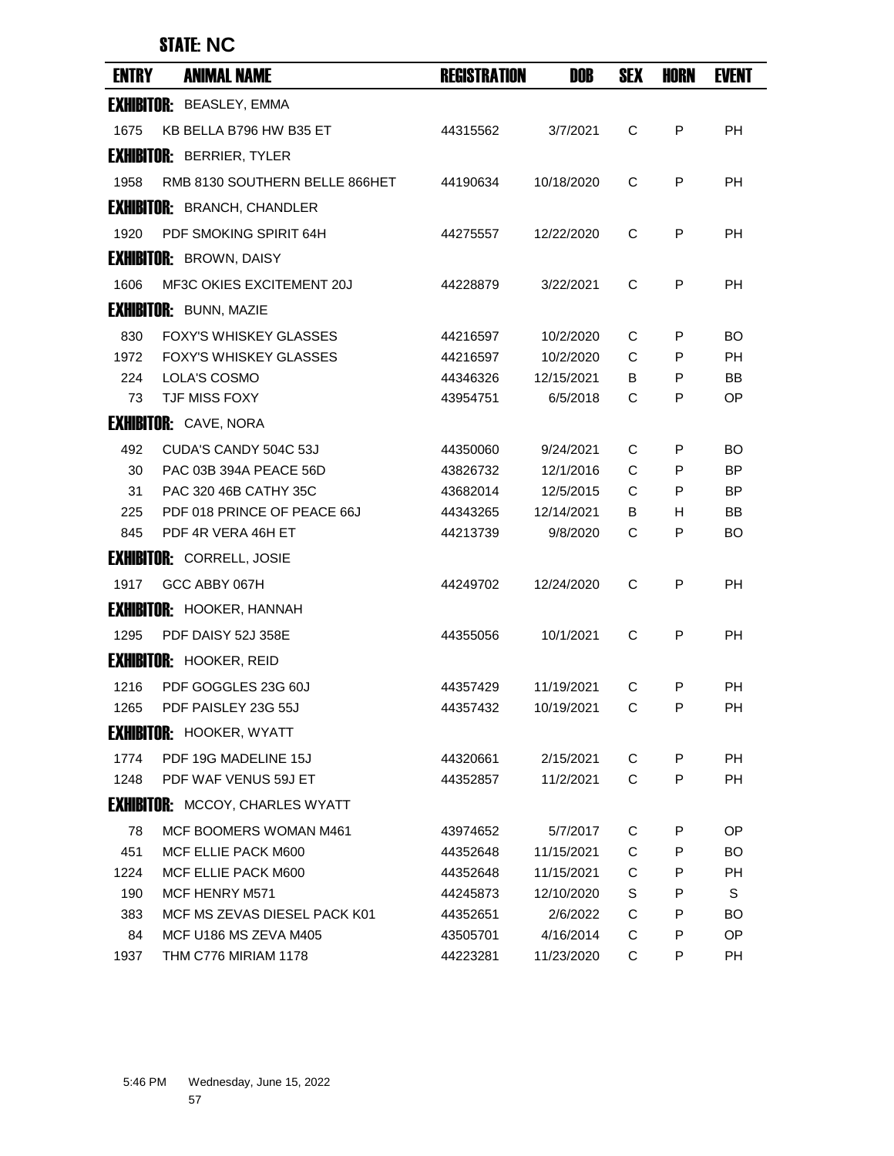## STATE: **NC**

| <b>ENTRY</b> | <b>ANIMAL NAME</b>                     | <b>REGISTRATION</b> | DOB        | <b>SEX</b> | HORN | <b>EVENT</b> |
|--------------|----------------------------------------|---------------------|------------|------------|------|--------------|
|              | <b>EXHIBITOR: BEASLEY, EMMA</b>        |                     |            |            |      |              |
| 1675         | KB BELLA B796 HW B35 ET                | 44315562            | 3/7/2021   | C          | P    | <b>PH</b>    |
|              | <b>EXHIBITOR: BERRIER, TYLER</b>       |                     |            |            |      |              |
| 1958         | RMB 8130 SOUTHERN BELLE 866HET         | 44190634            | 10/18/2020 | C          | P    | <b>PH</b>    |
|              | <b>EXHIBITOR: BRANCH, CHANDLER</b>     |                     |            |            |      |              |
| 1920         | PDF SMOKING SPIRIT 64H                 | 44275557            | 12/22/2020 | C          | P    | РH           |
|              | <b>EXHIBITOR: BROWN, DAISY</b>         |                     |            |            |      |              |
| 1606         | MF3C OKIES EXCITEMENT 20J              | 44228879            | 3/22/2021  | C          | P    | <b>PH</b>    |
|              | <b>EXHIBITOR: BUNN, MAZIE</b>          |                     |            |            |      |              |
| 830          | <b>FOXY'S WHISKEY GLASSES</b>          | 44216597            | 10/2/2020  | С          | P    | BO.          |
| 1972         | <b>FOXY'S WHISKEY GLASSES</b>          | 44216597            | 10/2/2020  | C          | P    | <b>PH</b>    |
| 224          | LOLA'S COSMO                           | 44346326            | 12/15/2021 | В          | P    | <b>BB</b>    |
| 73           | <b>TJF MISS FOXY</b>                   | 43954751            | 6/5/2018   | C          | P    | <b>OP</b>    |
|              | <b>EXHIBITOR: CAVE, NORA</b>           |                     |            |            |      |              |
| 492          | CUDA'S CANDY 504C 53J                  | 44350060            | 9/24/2021  | C          | P    | BO           |
| 30           | PAC 03B 394A PEACE 56D                 | 43826732            | 12/1/2016  | C          | P    | <b>BP</b>    |
| 31           | PAC 320 46B CATHY 35C                  | 43682014            | 12/5/2015  | C          | P    | BP.          |
| 225          | PDF 018 PRINCE OF PEACE 66J            | 44343265            | 12/14/2021 | В          | H    | BB           |
| 845          | PDF 4R VERA 46H ET                     | 44213739            | 9/8/2020   | С          | P    | BO           |
|              | <b>EXHIBITOR: CORRELL, JOSIE</b>       |                     |            |            |      |              |
| 1917         | GCC ABBY 067H                          | 44249702            | 12/24/2020 | C          | P    | <b>PH</b>    |
|              | <b>EXHIBITOR: HOOKER, HANNAH</b>       |                     |            |            |      |              |
| 1295         | PDF DAISY 52J 358E                     | 44355056            | 10/1/2021  | C          | P    | <b>PH</b>    |
|              | <b>EXHIBITOR: HOOKER, REID</b>         |                     |            |            |      |              |
| 1216         | PDF GOGGLES 23G 60J                    | 44357429            | 11/19/2021 | C          | P    | <b>PH</b>    |
| 1265         | PDF PAISLEY 23G 55J                    | 44357432            | 10/19/2021 | C          | Р    | <b>PH</b>    |
|              | <b>EXHIBITOR: HOOKER, WYATT</b>        |                     |            |            |      |              |
| 1774         | PDF 19G MADELINE 15J                   | 44320661            | 2/15/2021  | C          | P    | PH           |
| 1248         | PDF WAF VENUS 59J ET                   | 44352857            | 11/2/2021  | C          | P    | PH           |
|              | <b>EXHIBITOR: MCCOY, CHARLES WYATT</b> |                     |            |            |      |              |
| 78           | MCF BOOMERS WOMAN M461                 | 43974652            | 5/7/2017   | C          | P    | OP           |
| 451          | MCF ELLIE PACK M600                    | 44352648            | 11/15/2021 | C          | P    | BO.          |
| 1224         | MCF ELLIE PACK M600                    | 44352648            | 11/15/2021 | C          | P    | <b>PH</b>    |
| 190          | MCF HENRY M571                         | 44245873            | 12/10/2020 | S          | P    | S            |
| 383          | MCF MS ZEVAS DIESEL PACK K01           | 44352651            | 2/6/2022   | С          | P    | BO.          |
| 84           | MCF U186 MS ZEVA M405                  | 43505701            | 4/16/2014  | C          | P    | OP           |
| 1937         | THM C776 MIRIAM 1178                   | 44223281            | 11/23/2020 | C          | P    | PH           |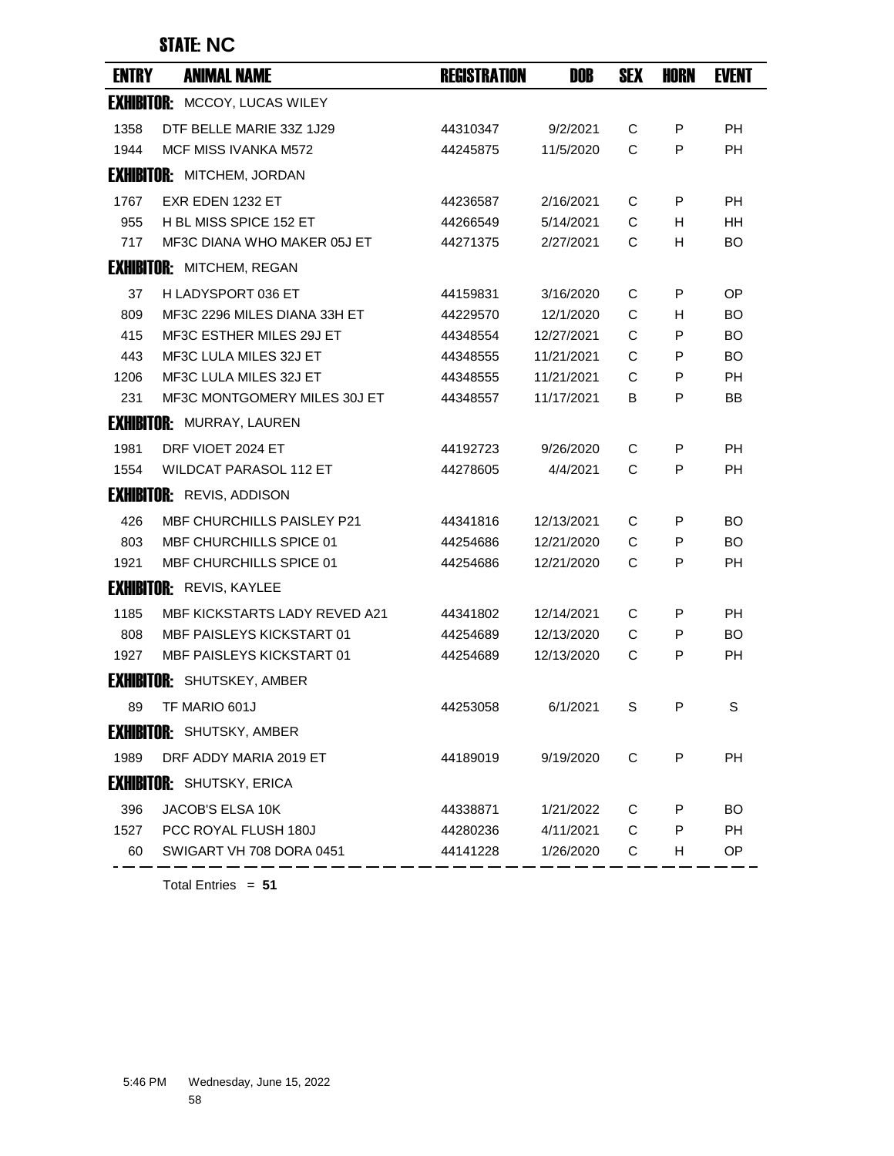## STATE: **NC**

| <b>ENTRY</b> | <b>ANIMAL NAME</b>                   | <b>REGISTRATION</b> | <b>DOB</b> | <b>SEX</b>   | HORN | <b>EVENT</b> |
|--------------|--------------------------------------|---------------------|------------|--------------|------|--------------|
|              | <b>EXHIBITOR: MCCOY, LUCAS WILEY</b> |                     |            |              |      |              |
| 1358         | DTF BELLE MARIE 33Z 1J29             | 44310347            | 9/2/2021   | C            | P    | <b>PH</b>    |
| 1944         | MCF MISS IVANKA M572                 | 44245875            | 11/5/2020  | $\mathsf{C}$ | P    | <b>PH</b>    |
|              | <b>EXHIBITOR: MITCHEM, JORDAN</b>    |                     |            |              |      |              |
| 1767         | EXR EDEN 1232 ET                     | 44236587            | 2/16/2021  | C            | P    | <b>PH</b>    |
| 955          | H BL MISS SPICE 152 ET               | 44266549            | 5/14/2021  | C            | H.   | HН           |
| 717          | MF3C DIANA WHO MAKER 05J ET          | 44271375            | 2/27/2021  | C            | н    | <b>BO</b>    |
|              | <b>EXHIBITOR: MITCHEM, REGAN</b>     |                     |            |              |      |              |
| 37           | H LADYSPORT 036 ET                   | 44159831            | 3/16/2020  | C            | P    | OP.          |
| 809          | MF3C 2296 MILES DIANA 33H ET         | 44229570            | 12/1/2020  | C            | н    | BO           |
| 415          | MF3C ESTHER MILES 29J ET             | 44348554            | 12/27/2021 | C            | P    | BO.          |
| 443          | MF3C LULA MILES 32J ET               | 44348555            | 11/21/2021 | C            | P    | <b>BO</b>    |
| 1206         | MF3C LULA MILES 32J ET               | 44348555            | 11/21/2021 | C            | P    | <b>PH</b>    |
| 231          | MF3C MONTGOMERY MILES 30J ET         | 44348557            | 11/17/2021 | В            | P    | BB           |
|              | <b>EXHIBITOR: MURRAY, LAUREN</b>     |                     |            |              |      |              |
| 1981         | DRF VIOET 2024 ET                    | 44192723            | 9/26/2020  | C            | P    | <b>PH</b>    |
| 1554         | <b>WILDCAT PARASOL 112 ET</b>        | 44278605            | 4/4/2021   | C            | P    | РH           |
|              | <b>EXHIBITOR: REVIS, ADDISON</b>     |                     |            |              |      |              |
| 426          | <b>MBF CHURCHILLS PAISLEY P21</b>    | 44341816            | 12/13/2021 | С            | P    | BO           |
| 803          | MBF CHURCHILLS SPICE 01              | 44254686            | 12/21/2020 | С            | P    | BO.          |
| 1921         | MBF CHURCHILLS SPICE 01              | 44254686            | 12/21/2020 | C            | P    | PH           |
|              | <b>EXHIBITOR: REVIS, KAYLEE</b>      |                     |            |              |      |              |
| 1185         | MBF KICKSTARTS LADY REVED A21        | 44341802            | 12/14/2021 | С            | P    | PH           |
| 808          | MBF PAISLEYS KICKSTART 01            | 44254689            | 12/13/2020 | C            | P    | <b>BO</b>    |
| 1927         | MBF PAISLEYS KICKSTART 01            | 44254689            | 12/13/2020 | С            | P    | PH           |
|              | <b>EXHIBITOR: SHUTSKEY, AMBER</b>    |                     |            |              |      |              |
| 89           | TF MARIO 601J                        | 44253058            | 6/1/2021   | S.           | P    | S            |
|              | <b>EXHIBITOR: SHUTSKY, AMBER</b>     |                     |            |              |      |              |
| 1989         | DRF ADDY MARIA 2019 ET               | 44189019            | 9/19/2020  | C            | P    | PH           |
|              | <b>EXHIBITOR: SHUTSKY, ERICA</b>     |                     |            |              |      |              |
| 396          | JACOB'S ELSA 10K                     | 44338871            | 1/21/2022  | C            | P    | BO.          |
| 1527         | PCC ROYAL FLUSH 180J                 | 44280236            | 4/11/2021  | C            | P    | <b>PH</b>    |
| 60           | SWIGART VH 708 DORA 0451             | 44141228            | 1/26/2020  | C            | H    | OP           |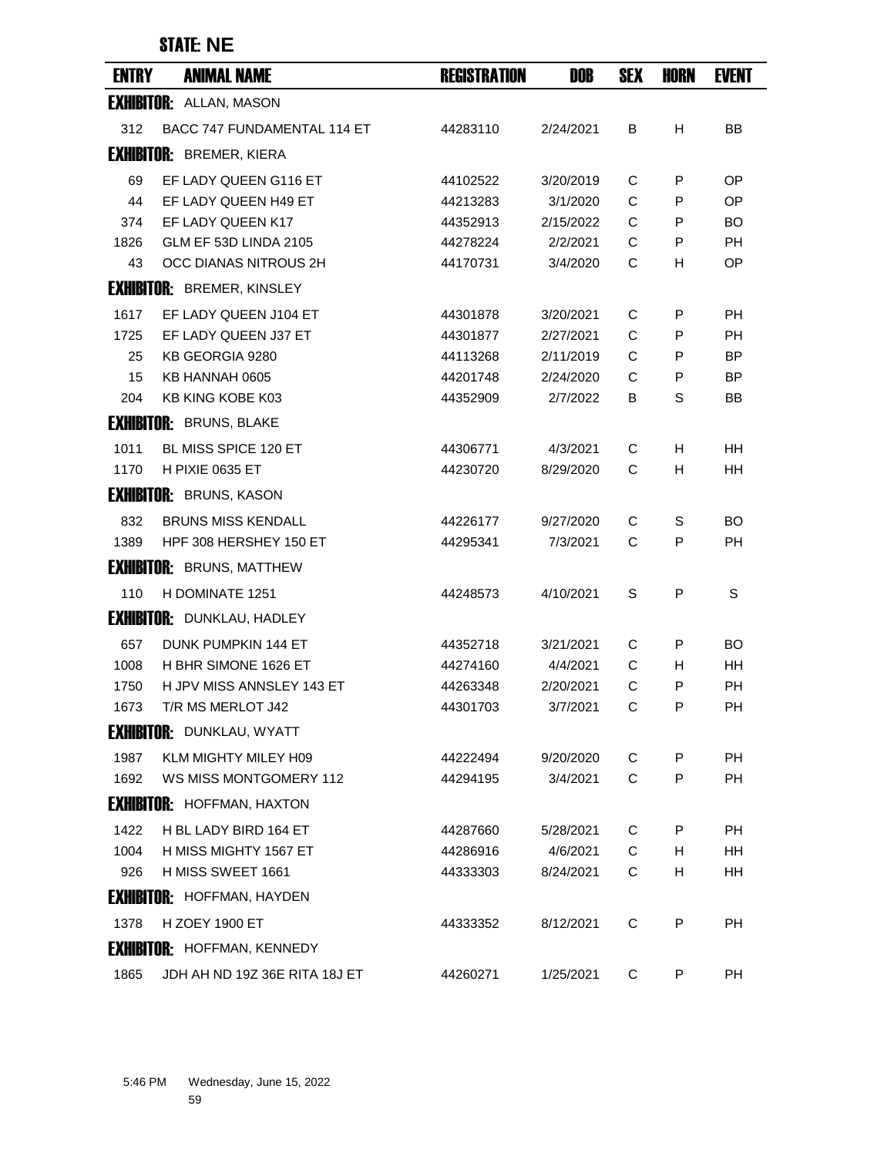### STATE: **NE**

| <b>ENTRY</b> | <b>ANIMAL NAME</b>                         | <b>REGISTRATION</b>  | <b>DOB</b>            | <b>SEX</b> | HORN   | <b>EVENT</b> |
|--------------|--------------------------------------------|----------------------|-----------------------|------------|--------|--------------|
|              | <b>EXHIBITOR: ALLAN, MASON</b>             |                      |                       |            |        |              |
| 312          | BACC 747 FUNDAMENTAL 114 ET                | 44283110             | 2/24/2021             | В          | н      | BB           |
|              | <b>EXHIBITOR: BREMER, KIERA</b>            |                      |                       |            |        |              |
| 69           | EF LADY QUEEN G116 ET                      | 44102522             | 3/20/2019             | C          | P      | OP.          |
| 44           | EF LADY QUEEN H49 ET                       | 44213283             | 3/1/2020              | C          | P      | <b>OP</b>    |
| 374          | EF LADY QUEEN K17                          | 44352913             | 2/15/2022             | C          | P      | BO.          |
| 1826         | GLM EF 53D LINDA 2105                      | 44278224             | 2/2/2021              | C          | P      | <b>PH</b>    |
| 43           | OCC DIANAS NITROUS 2H                      | 44170731             | 3/4/2020              | C          | H      | <b>OP</b>    |
|              | <b>EXHIBITOR: BREMER, KINSLEY</b>          |                      |                       |            |        |              |
| 1617         | EF LADY QUEEN J104 ET                      | 44301878             | 3/20/2021             | C          | P      | <b>PH</b>    |
| 1725         | EF LADY QUEEN J37 ET                       | 44301877             | 2/27/2021             | C          | P      | РH           |
| 25           | KB GEORGIA 9280                            | 44113268             | 2/11/2019             | C          | P      | <b>BP</b>    |
| 15           | KB HANNAH 0605                             | 44201748             | 2/24/2020             | C          | P      | <b>BP</b>    |
| 204          | KB KING KOBE K03                           | 44352909             | 2/7/2022              | В          | S      | ΒB           |
|              | <b>EXHIBITOR: BRUNS, BLAKE</b>             |                      |                       |            |        |              |
| 1011         | <b>BL MISS SPICE 120 ET</b>                | 44306771             | 4/3/2021              | C          | H      | HН           |
| 1170         | H PIXIE 0635 ET                            | 44230720             | 8/29/2020             | C          | H      | HН           |
|              | <b>EXHIBITOR: BRUNS, KASON</b>             |                      |                       |            |        |              |
| 832          | <b>BRUNS MISS KENDALL</b>                  | 44226177             | 9/27/2020             | С          | S      | <b>BO</b>    |
| 1389         | HPF 308 HERSHEY 150 ET                     | 44295341             | 7/3/2021              | C          | P      | PH           |
|              | <b>EXHIBITOR: BRUNS, MATTHEW</b>           |                      |                       |            |        |              |
| 110          | H DOMINATE 1251                            | 44248573             | 4/10/2021             | S          | P      | S            |
|              | <b>EXHIBITOR: DUNKLAU, HADLEY</b>          |                      |                       |            |        |              |
| 657          | DUNK PUMPKIN 144 ET                        | 44352718             | 3/21/2021             | С          | P      | BO           |
| 1008         | H BHR SIMONE 1626 ET                       | 44274160             | 4/4/2021              | C          | н      | HH.          |
| 1750         | H JPV MISS ANNSLEY 143 ET                  | 44263348             | 2/20/2021             | C          | P      | <b>PH</b>    |
| 1673         | T/R MS MERLOT J42                          | 44301703             | 3/7/2021              | C          | P      | PН           |
|              | <b>EXHIBITOR: DUNKLAU, WYATT</b>           |                      |                       |            |        |              |
| 1987         | KLM MIGHTY MILEY H09                       | 44222494             | 9/20/2020             | C          | P      | PH           |
| 1692         | WS MISS MONTGOMERY 112                     | 44294195             | 3/4/2021              | C          | P      | PH           |
|              | <b>EXHIBITOR: HOFFMAN, HAXTON</b>          |                      |                       |            |        |              |
|              |                                            |                      |                       |            |        |              |
| 1422         | H BL LADY BIRD 164 ET                      | 44287660             | 5/28/2021             | C          | P      | PH           |
| 1004<br>926  | H MISS MIGHTY 1567 ET<br>H MISS SWEET 1661 | 44286916<br>44333303 | 4/6/2021<br>8/24/2021 | C<br>C     | H<br>H | HH<br>HH     |
|              |                                            |                      |                       |            |        |              |
|              | <b>EXHIBITOR: HOFFMAN, HAYDEN</b>          |                      |                       |            |        |              |
| 1378         | <b>H ZOEY 1900 ET</b>                      | 44333352             | 8/12/2021             | C          | P      | PH           |
|              | <b>EXHIBITOR: HOFFMAN, KENNEDY</b>         |                      |                       |            |        |              |
| 1865         | JDH AH ND 19Z 36E RITA 18J ET              | 44260271             | 1/25/2021             | C          | P      | PH           |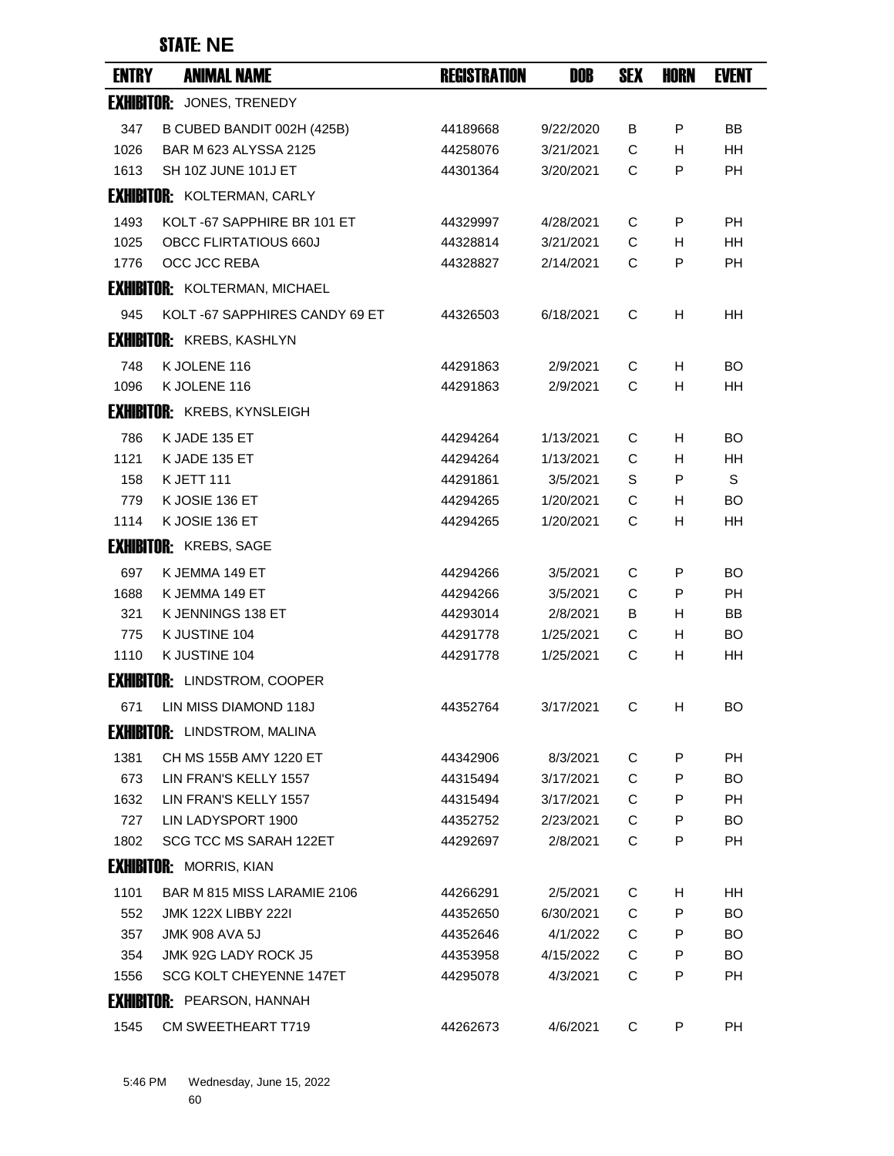## STATE: **NE**

| <b>ENTRY</b> | <b>ANIMAL NAME</b>                   | <b>REGISTRATION</b> | DOB       | <b>SEX</b> | <b>HORN</b> | <b>EVENT</b> |
|--------------|--------------------------------------|---------------------|-----------|------------|-------------|--------------|
|              | <b>EXHIBITOR: JONES, TRENEDY</b>     |                     |           |            |             |              |
| 347          | B CUBED BANDIT 002H (425B)           | 44189668            | 9/22/2020 | В          | P           | BB           |
| 1026         | BAR M 623 ALYSSA 2125                | 44258076            | 3/21/2021 | C          | H.          | <b>HH</b>    |
| 1613         | SH 10Z JUNE 101J ET                  | 44301364            | 3/20/2021 | C          | P           | PH           |
|              | <b>EXHIBITOR: KOLTERMAN, CARLY</b>   |                     |           |            |             |              |
| 1493         | KOLT-67 SAPPHIRE BR 101 ET           | 44329997            | 4/28/2021 | C          | P           | <b>PH</b>    |
| 1025         | <b>OBCC FLIRTATIOUS 660J</b>         | 44328814            | 3/21/2021 | C          | H           | <b>HH</b>    |
| 1776         | OCC JCC REBA                         | 44328827            | 2/14/2021 | C          | P           | PH           |
|              | <b>EXHIBITOR: KOLTERMAN, MICHAEL</b> |                     |           |            |             |              |
| 945          | KOLT-67 SAPPHIRES CANDY 69 ET        | 44326503            | 6/18/2021 | С          | H           | HH           |
|              | <b>EXHIBITOR: KREBS, KASHLYN</b>     |                     |           |            |             |              |
| 748          | K JOLENE 116                         | 44291863            | 2/9/2021  | С          | H.          | BO.          |
| 1096         | K JOLENE 116                         | 44291863            | 2/9/2021  | C          | H           | HH           |
|              | <b>EXHIBITOR: KREBS, KYNSLEIGH</b>   |                     |           |            |             |              |
| 786          | K JADE 135 ET                        | 44294264            | 1/13/2021 | С          | H           | <b>BO</b>    |
| 1121         | K JADE 135 ET                        | 44294264            | 1/13/2021 | C          | H           | HH           |
| 158          | <b>K JETT 111</b>                    | 44291861            | 3/5/2021  | S          | P           | S            |
| 779          | K JOSIE 136 ET                       | 44294265            | 1/20/2021 | С          | H           | <b>BO</b>    |
| 1114         | K JOSIE 136 ET                       | 44294265            | 1/20/2021 | C          | H           | HH           |
|              | <b>EXHIBITOR: KREBS, SAGE</b>        |                     |           |            |             |              |
| 697          | K JEMMA 149 ET                       | 44294266            | 3/5/2021  | С          | P           | BO.          |
| 1688         | K JEMMA 149 ET                       | 44294266            | 3/5/2021  | C          | P           | <b>PH</b>    |
| 321          | K JENNINGS 138 ET                    | 44293014            | 2/8/2021  | В          | H.          | BB           |
| 775          | K JUSTINE 104                        | 44291778            | 1/25/2021 | C          | H           | <b>BO</b>    |
| 1110         | K JUSTINE 104                        | 44291778            | 1/25/2021 | С          | H           | HH           |
|              | <b>EXHIBITOR: LINDSTROM, COOPER</b>  |                     |           |            |             |              |
|              | 671 LIN MISS DIAMOND 118J            | 44352764            | 3/17/2021 | C.         | H.          | BO.          |
|              | <b>EXHIBITOR: LINDSTROM, MALINA</b>  |                     |           |            |             |              |
| 1381         | CH MS 155B AMY 1220 ET               | 44342906            | 8/3/2021  | С          | P           | <b>PH</b>    |
| 673          | LIN FRAN'S KELLY 1557                | 44315494            | 3/17/2021 | C          | P           | BO.          |
| 1632         | LIN FRAN'S KELLY 1557                | 44315494            | 3/17/2021 | C          | P           | PH           |
| 727          | LIN LADYSPORT 1900                   | 44352752            | 2/23/2021 | C          | P           | BO           |
| 1802         | SCG TCC MS SARAH 122ET               | 44292697            | 2/8/2021  | C          | P           | PH           |
|              | <b>EXHIBITOR: MORRIS, KIAN</b>       |                     |           |            |             |              |
| 1101         | BAR M 815 MISS LARAMIE 2106          | 44266291            | 2/5/2021  | С          | Н           | HH           |
| 552          | <b>JMK 122X LIBBY 222I</b>           | 44352650            | 6/30/2021 | С          | P           | BO.          |
| 357          | <b>JMK 908 AVA 5J</b>                | 44352646            | 4/1/2022  | C          | P           | BO.          |
| 354          | JMK 92G LADY ROCK J5                 | 44353958            | 4/15/2022 | С          | P           | BO.          |
| 1556         | SCG KOLT CHEYENNE 147ET              | 44295078            | 4/3/2021  | C          | P           | PH           |
|              | <b>EXHIBITOR:</b> PEARSON, HANNAH    |                     |           |            |             |              |
| 1545         | CM SWEETHEART T719                   | 44262673            | 4/6/2021  | C          | P           | <b>PH</b>    |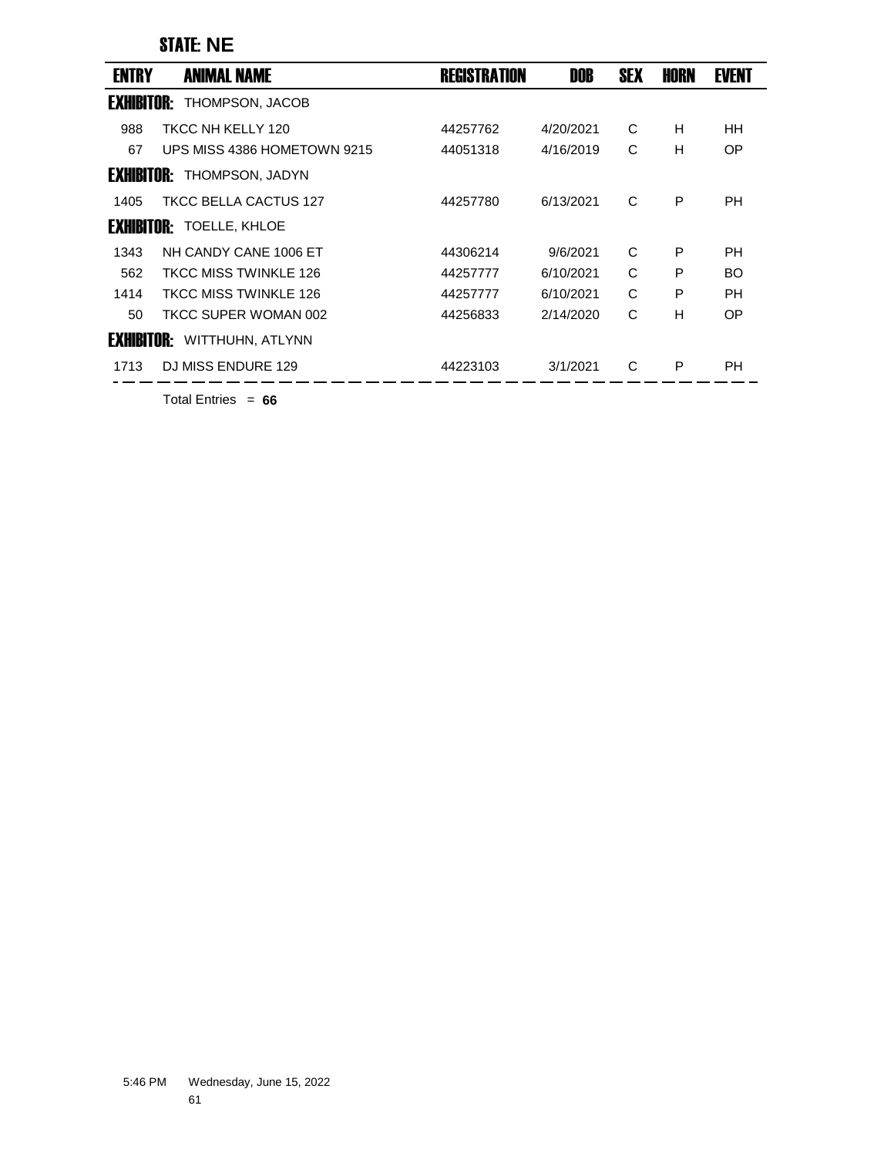## STATE: **NE**

| <b>ENTRY</b>      | <b>ANIMAL NAME</b>              | <b>REGISTRATION</b> | <b>DOB</b> | <b>SEX</b> | HORN | <b>EVENT</b> |
|-------------------|---------------------------------|---------------------|------------|------------|------|--------------|
| <b>EXHIBITOR:</b> | THOMPSON, JACOB                 |                     |            |            |      |              |
| 988               | TKCC NH KELLY 120               | 44257762            | 4/20/2021  | C          | H    | HH           |
| 67                | UPS MISS 4386 HOMETOWN 9215     | 44051318            | 4/16/2019  | C          | H    | OP           |
| <b>EXHIBITOR:</b> | THOMPSON, JADYN                 |                     |            |            |      |              |
| 1405              | TKCC BELLA CACTUS 127           | 44257780            | 6/13/2021  | C          | P    | PH           |
|                   | <b>EXHIBITOR: TOELLE, KHLOE</b> |                     |            |            |      |              |
| 1343              | NH CANDY CANE 1006 ET           | 44306214            | 9/6/2021   | C          | P    | PH           |
| 562               | TKCC MISS TWINKLE 126           | 44257777            | 6/10/2021  | C          | P    | <b>BO</b>    |
| 1414              | <b>TKCC MISS TWINKLE 126</b>    | 44257777            | 6/10/2021  | C          | P    | PH           |
| 50                | TKCC SUPER WOMAN 002            | 44256833            | 2/14/2020  | C          | H    | OP           |
| <b>EXHIBITOR:</b> | WITTHUHN, ATLYNN                |                     |            |            |      |              |
| 1713              | DJ MISS ENDURE 129              | 44223103            | 3/1/2021   | C          | P    | PН           |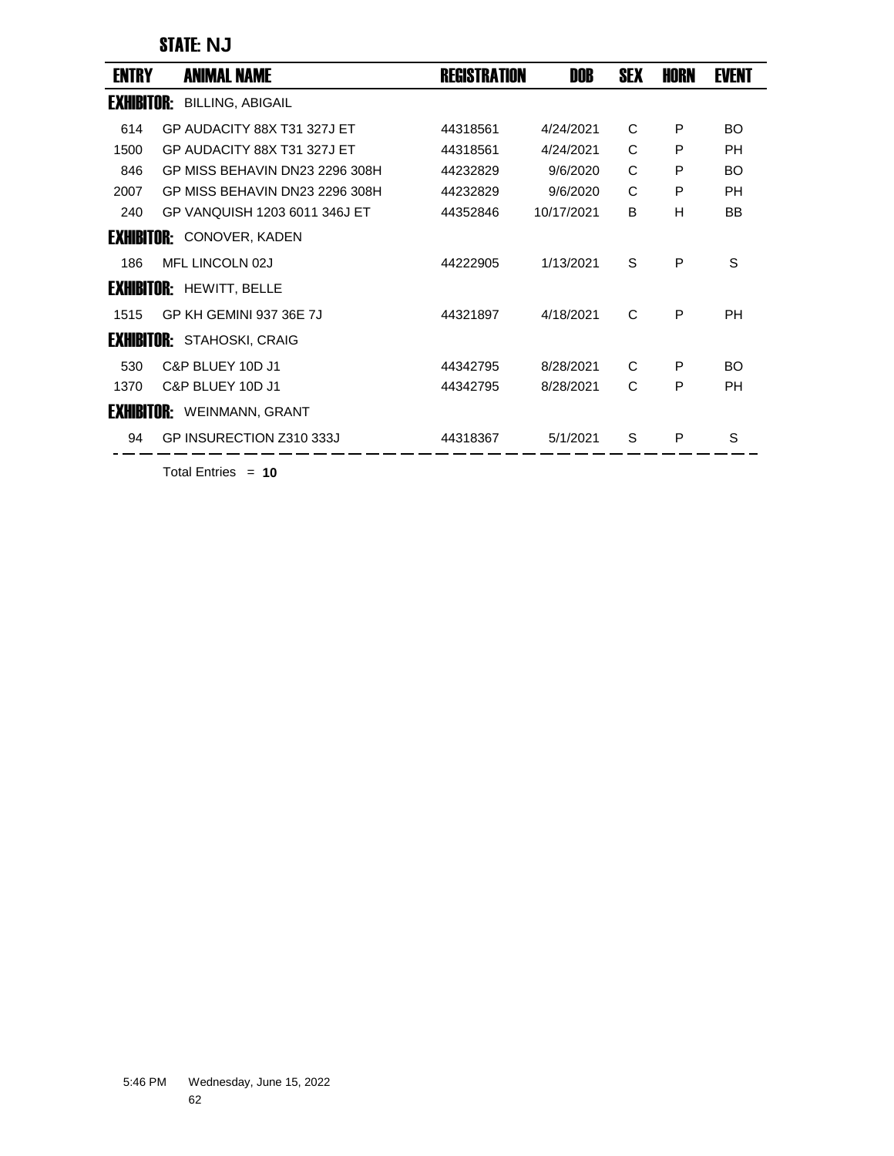### STATE: **NJ**

| ENTRY             | <b>ANIMAL NAME</b>                | REGISTRATION | DOB        | <b>SEX</b> | HORN | <b>EVENT</b> |
|-------------------|-----------------------------------|--------------|------------|------------|------|--------------|
| <b>EXHIBITOR:</b> | <b>BILLING, ABIGAIL</b>           |              |            |            |      |              |
| 614               | GP AUDACITY 88X T31 327J ET       | 44318561     | 4/24/2021  | C          | P    | BO.          |
| 1500              | GP AUDACITY 88X T31 327J ET       | 44318561     | 4/24/2021  | C          | P    | <b>PH</b>    |
| 846               | GP MISS BEHAVIN DN23 2296 308H    | 44232829     | 9/6/2020   | C          | P    | <b>BO</b>    |
| 2007              | GP MISS BEHAVIN DN23 2296 308H    | 44232829     | 9/6/2020   | C          | P    | <b>PH</b>    |
| 240               | GP VANQUISH 1203 6011 346J ET     | 44352846     | 10/17/2021 | B          | H    | <b>BB</b>    |
|                   | <b>EXHIBITOR: CONOVER, KADEN</b>  |              |            |            |      |              |
| 186               | MFL LINCOLN 02J                   | 44222905     | 1/13/2021  | S          | P    | S            |
| <b>EXHIBITOR:</b> | <b>HEWITT, BELLE</b>              |              |            |            |      |              |
| 1515              | GP KH GEMINI 937 36E 7J           | 44321897     | 4/18/2021  | C          | P    | <b>PH</b>    |
| <b>Exhibitor:</b> | STAHOSKI, CRAIG                   |              |            |            |      |              |
| 530               | C&P BLUEY 10D J1                  | 44342795     | 8/28/2021  | C          | P    | BO.          |
| 1370              | C&P BLUEY 10D J1                  | 44342795     | 8/28/2021  | C          | P    | <b>PH</b>    |
|                   | <b>EXHIBITOR:</b> WEINMANN, GRANT |              |            |            |      |              |
| 94                | GP INSURECTION Z310 333J          | 44318367     | 5/1/2021   | S          | P    | S            |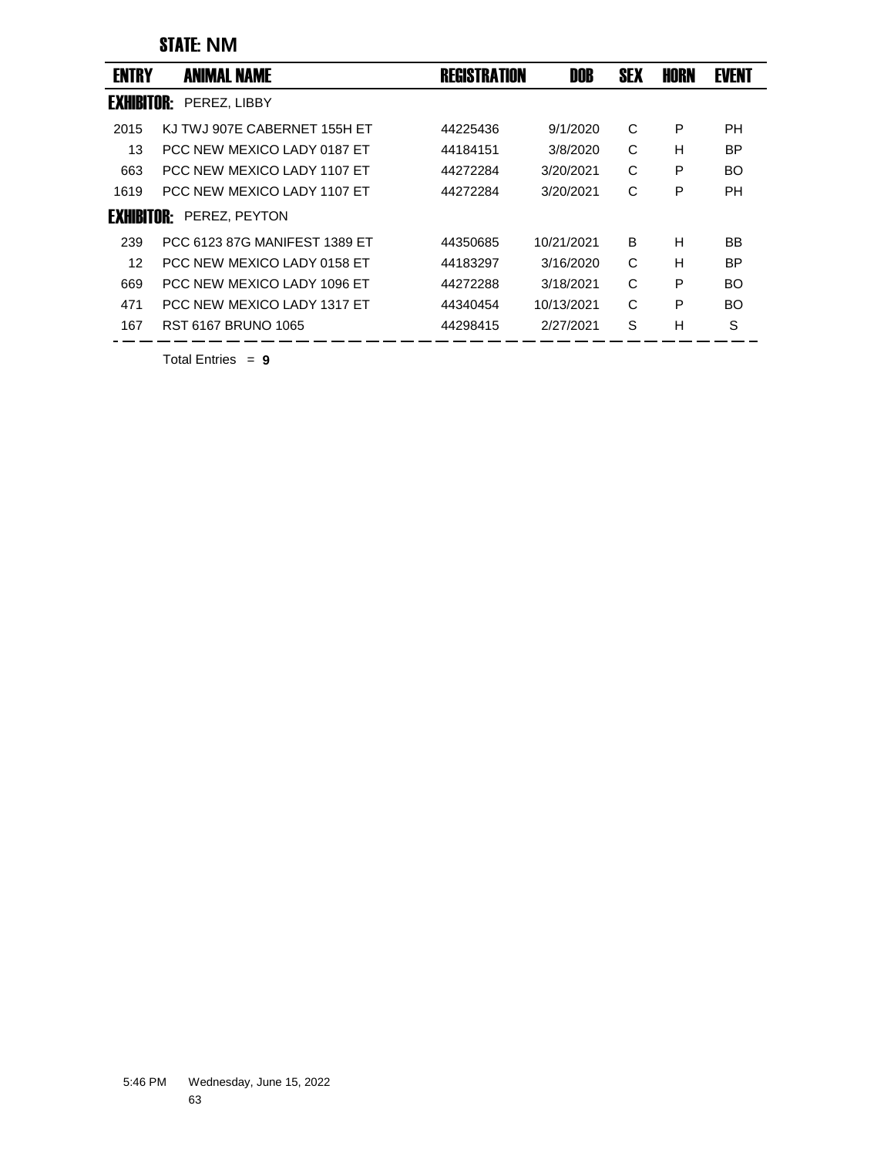### STATE: **NM**

| <b>ENTRY</b>      | <b>ANIMAL NAME</b>            | <b>REGISTRATION</b> | DOB        | <b>SEX</b> | HORN | <b>EVENT</b> |
|-------------------|-------------------------------|---------------------|------------|------------|------|--------------|
| <b>EXHIBITOR:</b> | PEREZ, LIBBY                  |                     |            |            |      |              |
| 2015              | KJ TWJ 907E CABERNET 155H ET  | 44225436            | 9/1/2020   | C          | P    | PН           |
| 13                | PCC NEW MEXICO LADY 0187 FT   | 44184151            | 3/8/2020   | C          | н    | <b>BP</b>    |
| 663               | PCC NEW MEXICO LADY 1107 FT   | 44272284            | 3/20/2021  | C          | P    | BO.          |
| 1619              | PCC NEW MEXICO LADY 1107 ET   | 44272284            | 3/20/2021  | C          | P    | PH           |
| <b>EXHIBITOR:</b> | PEREZ, PEYTON                 |                     |            |            |      |              |
| 239               | PCC 6123 87G MANIFEST 1389 FT | 44350685            | 10/21/2021 | B          | н    | BB           |
| 12                | PCC NEW MEXICO LADY 0158 FT   | 44183297            | 3/16/2020  | C          | н    | <b>BP</b>    |
| 669               | PCC NEW MEXICO LADY 1096 ET   | 44272288            | 3/18/2021  | C          | P    | BO           |
| 471               | PCC NEW MEXICO LADY 1317 FT   | 44340454            | 10/13/2021 | C          | P    | BO           |
| 167               | RST 6167 BRUNO 1065           | 44298415            | 2/27/2021  | S          | Н    | S            |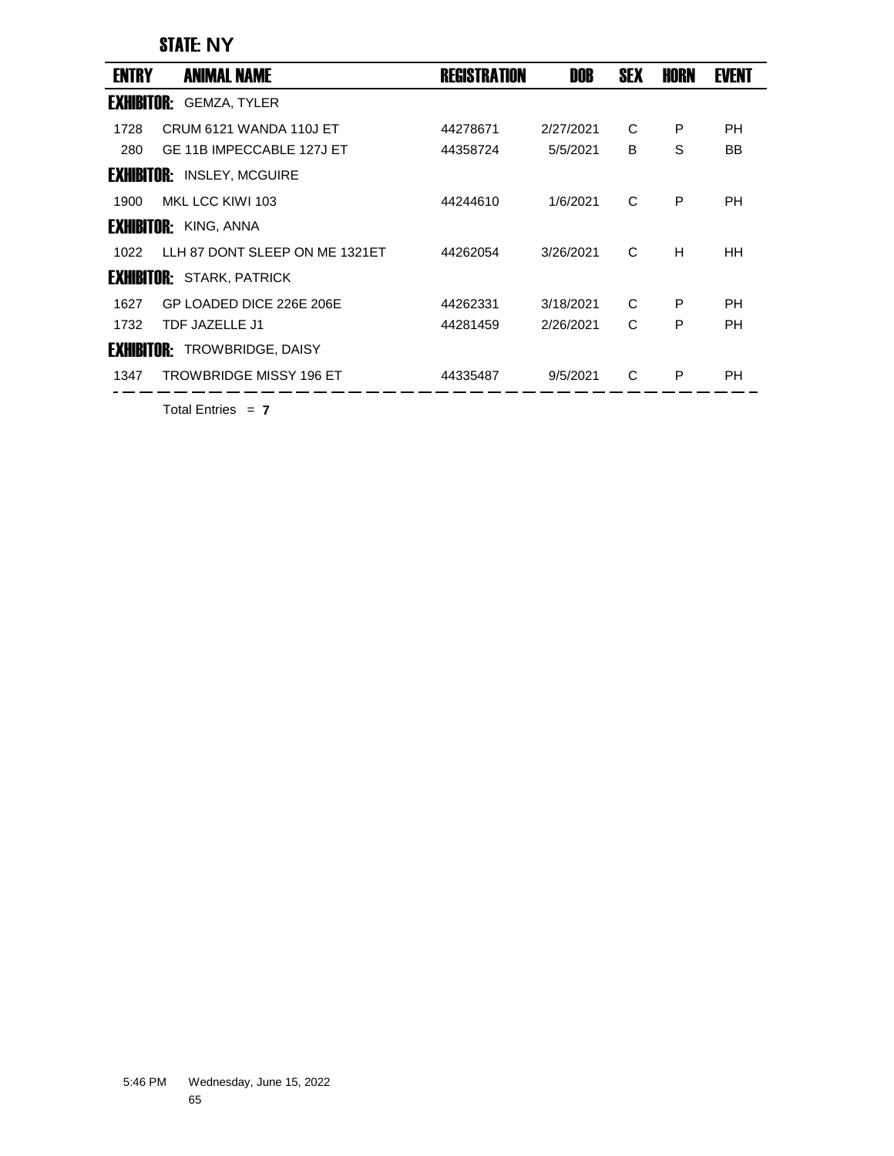### STATE: **NY**

| <b>ENTRY</b>      | <b>ANIMAL NAME</b>               | <b>REGISTRATION</b> | <b>DOB</b> | <b>SEX</b> | HORN | <b>EVENT</b> |  |
|-------------------|----------------------------------|---------------------|------------|------------|------|--------------|--|
| <b>EXHIBITOR:</b> | <b>GEMZA, TYLER</b>              |                     |            |            |      |              |  |
| 1728              | CRUM 6121 WANDA 110J ET          | 44278671            | 2/27/2021  | C          | P    | PH           |  |
| 280               | GE 11B IMPECCABLE 127J ET        | 44358724            | 5/5/2021   | B          | S    | BB.          |  |
| EXHIBITOR:        | <b>INSLEY, MCGUIRE</b>           |                     |            |            |      |              |  |
| 1900              | MKL LCC KIWI 103                 | 44244610            | 1/6/2021   | C          | P    | PH           |  |
|                   | <b>EXHIBITOR:</b> KING, ANNA     |                     |            |            |      |              |  |
| 1022              | LLH 87 DONT SLEEP ON ME 1321ET   | 44262054            | 3/26/2021  | C          | H    | HH           |  |
|                   | <b>EXHIBITOR: STARK, PATRICK</b> |                     |            |            |      |              |  |
| 1627              | GP LOADED DICE 226E 206E         | 44262331            | 3/18/2021  | C          | P    | PH           |  |
| 1732              | TDF JAZELLE J1                   | 44281459            | 2/26/2021  | C          | P    | PH           |  |
| <b>EXHIBITOR:</b> | <b>TROWBRIDGE, DAISY</b>         |                     |            |            |      |              |  |
| 1347              | <b>TROWBRIDGE MISSY 196 ET</b>   | 44335487            | 9/5/2021   | C          | P    | PH           |  |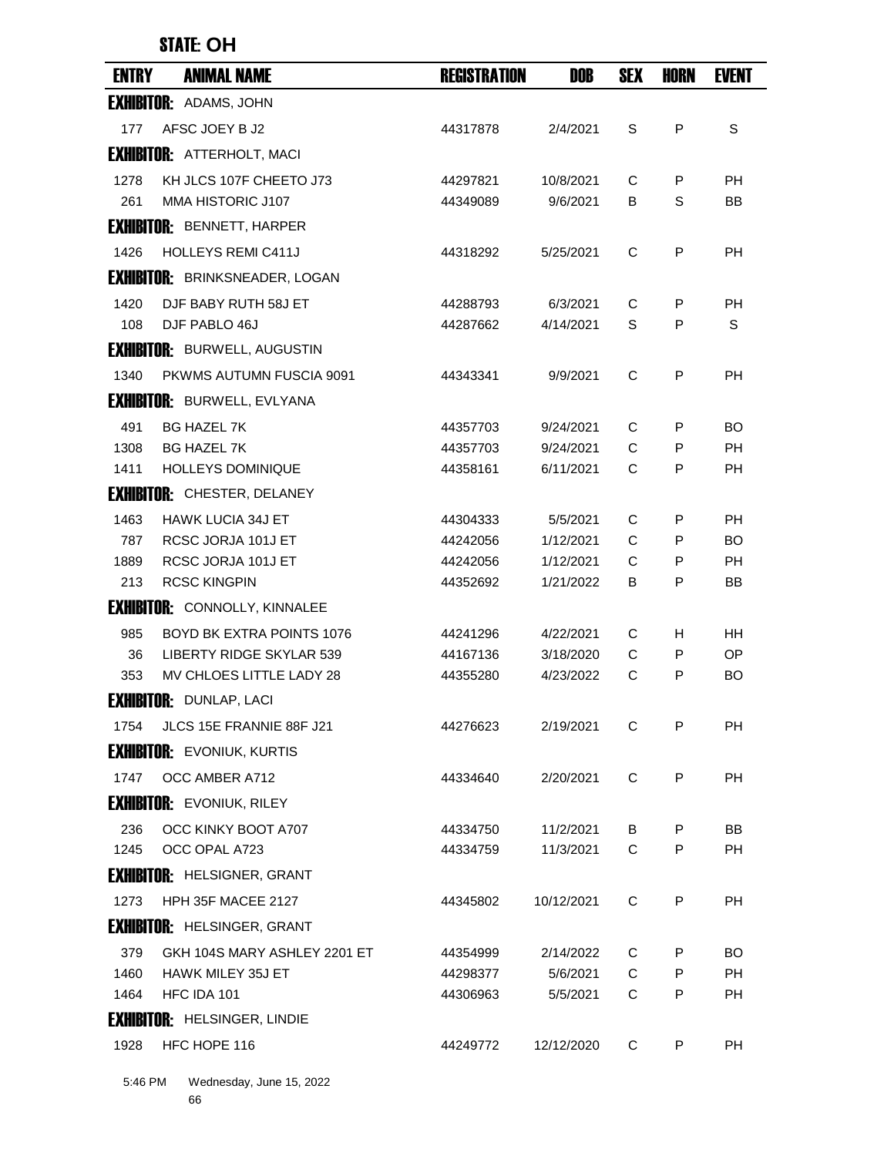# STATE: **OH**

| <b>ENTRY</b> | <b>ANIMAL NAME</b>                    | <b>REGISTRATION</b> | <b>DOB</b> | <b>SEX</b> | <b>HORN</b> | <b>EVENT</b> |
|--------------|---------------------------------------|---------------------|------------|------------|-------------|--------------|
|              | <b>EXHIBITOR: ADAMS, JOHN</b>         |                     |            |            |             |              |
| 177          | AFSC JOEY B J2                        | 44317878            | 2/4/2021   | S          | P           | S            |
|              | <b>EXHIBITOR: ATTERHOLT, MACI</b>     |                     |            |            |             |              |
| 1278         | KH JLCS 107F CHEETO J73               | 44297821            | 10/8/2021  | C          | P           | PH           |
| 261          | MMA HISTORIC J107                     | 44349089            | 9/6/2021   | В          | S           | ВB           |
|              | <b>EXHIBITOR: BENNETT, HARPER</b>     |                     |            |            |             |              |
| 1426         | <b>HOLLEYS REMI C411J</b>             | 44318292            | 5/25/2021  | C          | P           | PH           |
|              | <b>EXHIBITOR: BRINKSNEADER, LOGAN</b> |                     |            |            |             |              |
| 1420         | DJF BABY RUTH 58J ET                  | 44288793            | 6/3/2021   | C          | P           | PH           |
| 108          | DJF PABLO 46J                         | 44287662            | 4/14/2021  | S          | P           | S            |
|              | <b>EXHIBITOR: BURWELL, AUGUSTIN</b>   |                     |            |            |             |              |
| 1340         | PKWMS AUTUMN FUSCIA 9091              | 44343341            | 9/9/2021   | C          | P           | <b>PH</b>    |
|              | <b>EXHIBITOR: BURWELL, EVLYANA</b>    |                     |            |            |             |              |
| 491          | <b>BG HAZEL 7K</b>                    | 44357703            | 9/24/2021  | C          | P           | BO.          |
| 1308         | <b>BG HAZEL 7K</b>                    | 44357703            | 9/24/2021  | C          | P           | <b>PH</b>    |
| 1411         | <b>HOLLEYS DOMINIQUE</b>              | 44358161            | 6/11/2021  | C          | P           | <b>PH</b>    |
|              | <b>EXHIBITOR: CHESTER, DELANEY</b>    |                     |            |            |             |              |
| 1463         | <b>HAWK LUCIA 34J ET</b>              | 44304333            | 5/5/2021   | C          | P           | PH           |
| 787          | RCSC JORJA 101J ET                    | 44242056            | 1/12/2021  | C          | P           | BO           |
| 1889         | RCSC JORJA 101J ET                    | 44242056            | 1/12/2021  | C          | P           | PH           |
| 213          | <b>RCSC KINGPIN</b>                   | 44352692            | 1/21/2022  | B          | P           | BB           |
|              | <b>EXHIBITOR: CONNOLLY, KINNALEE</b>  |                     |            |            |             |              |
| 985          | <b>BOYD BK EXTRA POINTS 1076</b>      | 44241296            | 4/22/2021  | C          | H           | HН           |
| 36           | LIBERTY RIDGE SKYLAR 539              | 44167136            | 3/18/2020  | С          | Р           | OP           |
| 353          | MV CHLOES LITTLE LADY 28              | 44355280            | 4/23/2022  | C          | P           | BO.          |
|              | <b>EXHIBITOR: DUNLAP, LACI</b>        |                     |            |            |             |              |
| 1754         | JLCS 15E FRANNIE 88F J21              | 44276623            | 2/19/2021  | C          | P           | PH           |
|              | <b>EXHIBITOR: EVONIUK, KURTIS</b>     |                     |            |            |             |              |
| 1747         | OCC AMBER A712                        | 44334640            | 2/20/2021  | C          | P           | РH           |
|              | <b>EXHIBITOR: EVONIUK, RILEY</b>      |                     |            |            |             |              |
| 236          | OCC KINKY BOOT A707                   | 44334750            | 11/2/2021  | B          | P           | BB           |
| 1245         | OCC OPAL A723                         | 44334759            | 11/3/2021  | C          | P           | PH           |
|              | <b>EXHIBITOR: HELSIGNER, GRANT</b>    |                     |            |            |             |              |
| 1273         | HPH 35F MACEE 2127                    | 44345802            | 10/12/2021 | C          | P           | <b>PH</b>    |
|              | <b>EXHIBITOR: HELSINGER, GRANT</b>    |                     |            |            |             |              |
| 379          | GKH 104S MARY ASHLEY 2201 ET          | 44354999            | 2/14/2022  | C          | P           | BO.          |
| 1460         | HAWK MILEY 35J ET                     | 44298377            | 5/6/2021   | C          | P           | <b>PH</b>    |
| 1464         | HFC IDA 101                           | 44306963            | 5/5/2021   | C          | P           | PH.          |
|              | <b>EXHIBITOR: HELSINGER, LINDIE</b>   |                     |            |            |             |              |
| 1928         | HFC HOPE 116                          | 44249772            | 12/12/2020 | C          | P           | <b>PH</b>    |
| 5:46 PM      | Wednesday, June 15, 2022              |                     |            |            |             |              |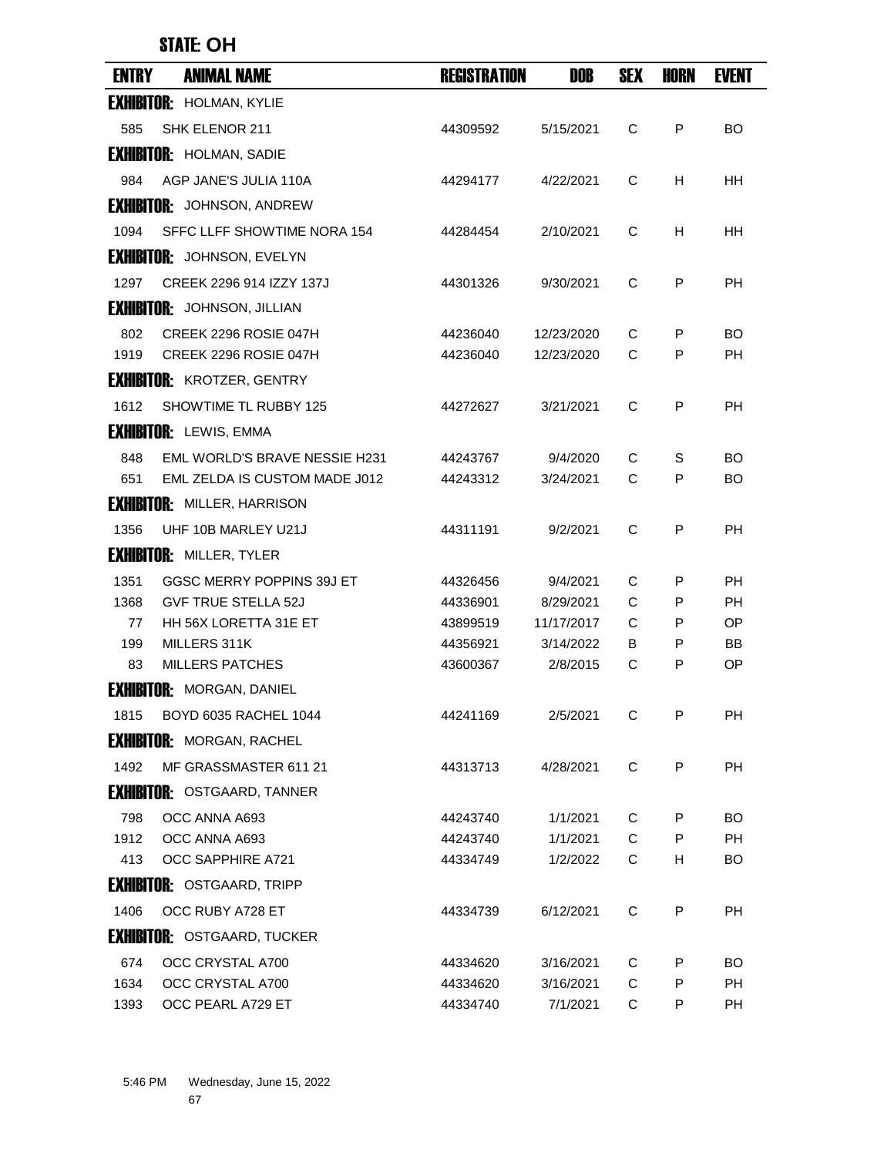## STATE: **OH**

| <b>ENTRY</b> | <b>ANIMAL NAME</b>                   | <b>REGISTRATION</b> | DOB        | <b>SEX</b> | HORN | <b>EVENT</b> |
|--------------|--------------------------------------|---------------------|------------|------------|------|--------------|
|              | <b>EXHIBITOR: HOLMAN, KYLIE</b>      |                     |            |            |      |              |
| 585          | SHK ELENOR 211                       | 44309592            | 5/15/2021  | C          | P    | BO.          |
|              | <b>EXHIBITOR: HOLMAN, SADIE</b>      |                     |            |            |      |              |
| 984          | AGP JANE'S JULIA 110A                | 44294177            | 4/22/2021  | C          | H    | HН           |
|              | <b>EXHIBITOR:</b> JOHNSON, ANDREW    |                     |            |            |      |              |
| 1094         | SFFC LLFF SHOWTIME NORA 154          | 44284454            | 2/10/2021  | C          | H    | HН           |
|              | <b>EXHIBITOR:</b> JOHNSON, EVELYN    |                     |            |            |      |              |
| 1297         | CREEK 2296 914 IZZY 137J             | 44301326            | 9/30/2021  | C          | P    | РH           |
|              | <b>EXHIBITOR:</b> JOHNSON, JILLIAN   |                     |            |            |      |              |
| 802          | CREEK 2296 ROSIE 047H                | 44236040            | 12/23/2020 | C          | P    | BO           |
| 1919         | CREEK 2296 ROSIE 047H                | 44236040            | 12/23/2020 | C          | P    | PH           |
|              | <b>EXHIBITOR: KROTZER, GENTRY</b>    |                     |            |            |      |              |
| 1612         | SHOWTIME TL RUBBY 125                | 44272627            | 3/21/2021  | C          | P    | <b>PH</b>    |
|              | <b>EXHIBITOR:</b> LEWIS, EMMA        |                     |            |            |      |              |
| 848          | <b>EML WORLD'S BRAVE NESSIE H231</b> | 44243767            | 9/4/2020   | C          | S    | BO.          |
| 651          | EML ZELDA IS CUSTOM MADE J012        | 44243312            | 3/24/2021  | C          | P    | BO.          |
|              | <b>EXHIBITOR: MILLER, HARRISON</b>   |                     |            |            |      |              |
| 1356         | UHF 10B MARLEY U21J                  | 44311191            | 9/2/2021   | C          | P    | <b>PH</b>    |
|              | <b>EXHIBITOR: MILLER, TYLER</b>      |                     |            |            |      |              |
| 1351         | GGSC MERRY POPPINS 39J ET            | 44326456            | 9/4/2021   | C          | P    | PH           |
| 1368         | <b>GVF TRUE STELLA 52J</b>           | 44336901            | 8/29/2021  | C          | P    | РH           |
| 77           | HH 56X LORETTA 31E ET                | 43899519            | 11/17/2017 | C          | P    | OP.          |
| 199          | MILLERS 311K                         | 44356921            | 3/14/2022  | B          | P    | BB           |
| 83           | <b>MILLERS PATCHES</b>               | 43600367            | 2/8/2015   | С          | P    | ОP           |
|              | <b>EXHIBITOR: MORGAN, DANIEL</b>     |                     |            |            |      |              |
| 1815         | BOYD 6035 RACHEL 1044                | 44241169            | 2/5/2021   | C          | P    | PH           |
|              | <b>EXHIBITOR: MORGAN, RACHEL</b>     |                     |            |            |      |              |
| 1492         | MF GRASSMASTER 611 21                | 44313713            | 4/28/2021  | C          | P    | <b>PH</b>    |
|              | <b>EXHIBITOR: OSTGAARD, TANNER</b>   |                     |            |            |      |              |
| 798          | OCC ANNA A693                        | 44243740            | 1/1/2021   | C          | P    | BO.          |
| 1912         | OCC ANNA A693                        | 44243740            | 1/1/2021   | C          | P    | PH.          |
| 413          | OCC SAPPHIRE A721                    | 44334749            | 1/2/2022   | C          | н    | BO.          |
|              | <b>EXHIBITOR: OSTGAARD, TRIPP</b>    |                     |            |            |      |              |
| 1406         | OCC RUBY A728 ET                     | 44334739            | 6/12/2021  | C          | P    | <b>PH</b>    |
|              | <b>EXHIBITOR: OSTGAARD, TUCKER</b>   |                     |            |            |      |              |
| 674          | OCC CRYSTAL A700                     | 44334620            | 3/16/2021  | C          | P    | BO.          |
| 1634         | OCC CRYSTAL A700                     | 44334620            | 3/16/2021  | C          | P    | <b>PH</b>    |
| 1393         | OCC PEARL A729 ET                    | 44334740            | 7/1/2021   | C          | P    | <b>PH</b>    |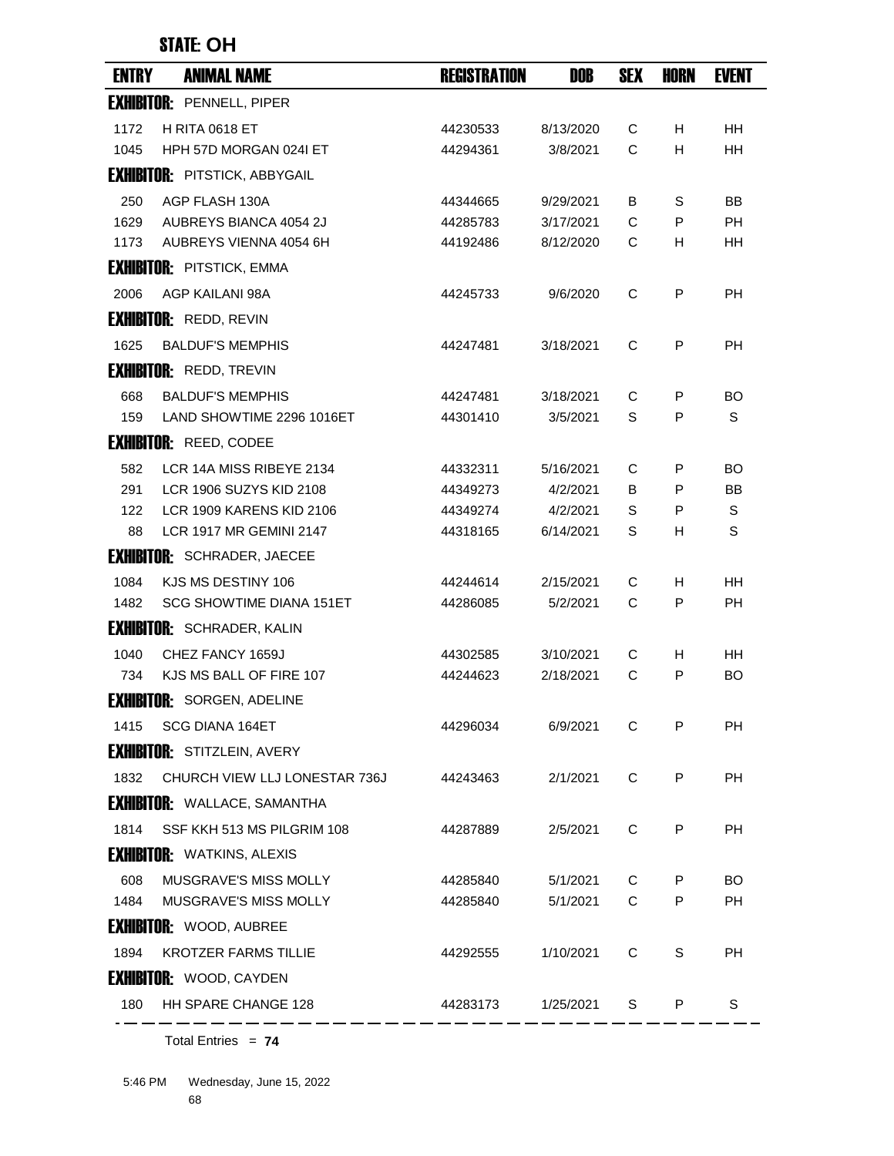## STATE: **OH**

| <b>ENTRY</b> | <b>ANIMAL NAME</b>                   | <b>REGISTRATION</b> | DOB       | <b>SEX</b> | <b>HORN</b> | <b>EVENT</b> |
|--------------|--------------------------------------|---------------------|-----------|------------|-------------|--------------|
|              | <b>EXHIBITOR: PENNELL, PIPER</b>     |                     |           |            |             |              |
| 1172         | <b>H RITA 0618 ET</b>                | 44230533            | 8/13/2020 | C          | H           | HН           |
| 1045         | HPH 57D MORGAN 0241 ET               | 44294361            | 3/8/2021  | C          | H           | <b>HH</b>    |
|              | <b>EXHIBITOR: PITSTICK, ABBYGAIL</b> |                     |           |            |             |              |
| 250          | AGP FLASH 130A                       | 44344665            | 9/29/2021 | В          | S           | BB           |
| 1629         | AUBREYS BIANCA 4054 2J               | 44285783            | 3/17/2021 | C          | P           | PH           |
| 1173         | AUBREYS VIENNA 4054 6H               | 44192486            | 8/12/2020 | C          | н           | HH           |
|              | <b>EXHIBITOR: PITSTICK, EMMA</b>     |                     |           |            |             |              |
| 2006         | AGP KAILANI 98A                      | 44245733            | 9/6/2020  | C          | P           | РH           |
|              | <b>EXHIBITOR: REDD, REVIN</b>        |                     |           |            |             |              |
| 1625         | <b>BALDUF'S MEMPHIS</b>              | 44247481            | 3/18/2021 | C          | P           | <b>PH</b>    |
|              | <b>EXHIBITOR: REDD, TREVIN</b>       |                     |           |            |             |              |
| 668          | <b>BALDUF'S MEMPHIS</b>              | 44247481            | 3/18/2021 | C          | P           | BO.          |
| 159          | LAND SHOWTIME 2296 1016ET            | 44301410            | 3/5/2021  | S          | P           | S            |
|              | <b>EXHIBITOR: REED, CODEE</b>        |                     |           |            |             |              |
| 582          | LCR 14A MISS RIBEYE 2134             | 44332311            | 5/16/2021 | C          | P           | BO           |
| 291          | LCR 1906 SUZYS KID 2108              | 44349273            | 4/2/2021  | B          | P           | BB           |
| 122          | LCR 1909 KARENS KID 2106             | 44349274            | 4/2/2021  | S          | P           | S            |
| 88           | <b>LCR 1917 MR GEMINI 2147</b>       | 44318165            | 6/14/2021 | S          | H           | S            |
|              | <b>EXHIBITOR: SCHRADER, JAECEE</b>   |                     |           |            |             |              |
| 1084         | KJS MS DESTINY 106                   | 44244614            | 2/15/2021 | C          | H           | <b>HH</b>    |
| 1482         | SCG SHOWTIME DIANA 151ET             | 44286085            | 5/2/2021  | C          | P           | РH           |
|              | <b>EXHIBITOR: SCHRADER, KALIN</b>    |                     |           |            |             |              |
| 1040         | CHEZ FANCY 1659J                     | 44302585            | 3/10/2021 | C          | H.          | HH           |
| 734          | KJS MS BALL OF FIRE 107              | 44244623            | 2/18/2021 | C          | P           | BO.          |
|              | <b>EXHIBITOR: SORGEN, ADELINE</b>    |                     |           |            |             |              |
| 1415         | SCG DIANA 164ET                      | 44296034            | 6/9/2021  | C          | P           | PH           |
|              | <b>EXHIBITOR: STITZLEIN, AVERY</b>   |                     |           |            |             |              |
| 1832         | CHURCH VIEW LLJ LONESTAR 736J        | 44243463            | 2/1/2021  | C          | P           | <b>PH</b>    |
|              | <b>EXHIBITOR: WALLACE, SAMANTHA</b>  |                     |           |            |             |              |
| 1814         | SSF KKH 513 MS PILGRIM 108           | 44287889            | 2/5/2021  | C          | P           | PH           |
|              | <b>EXHIBITOR: WATKINS, ALEXIS</b>    |                     |           |            |             |              |
| 608          | MUSGRAVE'S MISS MOLLY                | 44285840            | 5/1/2021  | C          | P           | BO.          |
| 1484         | MUSGRAVE'S MISS MOLLY                | 44285840            | 5/1/2021  | C          | P           | PH           |
|              | <b>EXHIBITOR: WOOD, AUBREE</b>       |                     |           |            |             |              |
| 1894         | <b>KROTZER FARMS TILLIE</b>          | 44292555            | 1/10/2021 | C          | S           | <b>PH</b>    |
|              | <b>EXHIBITOR: WOOD, CAYDEN</b>       |                     |           |            |             |              |
| 180          | HH SPARE CHANGE 128                  | 44283173            | 1/25/2021 | S          | P           | S            |
|              |                                      |                     |           |            |             |              |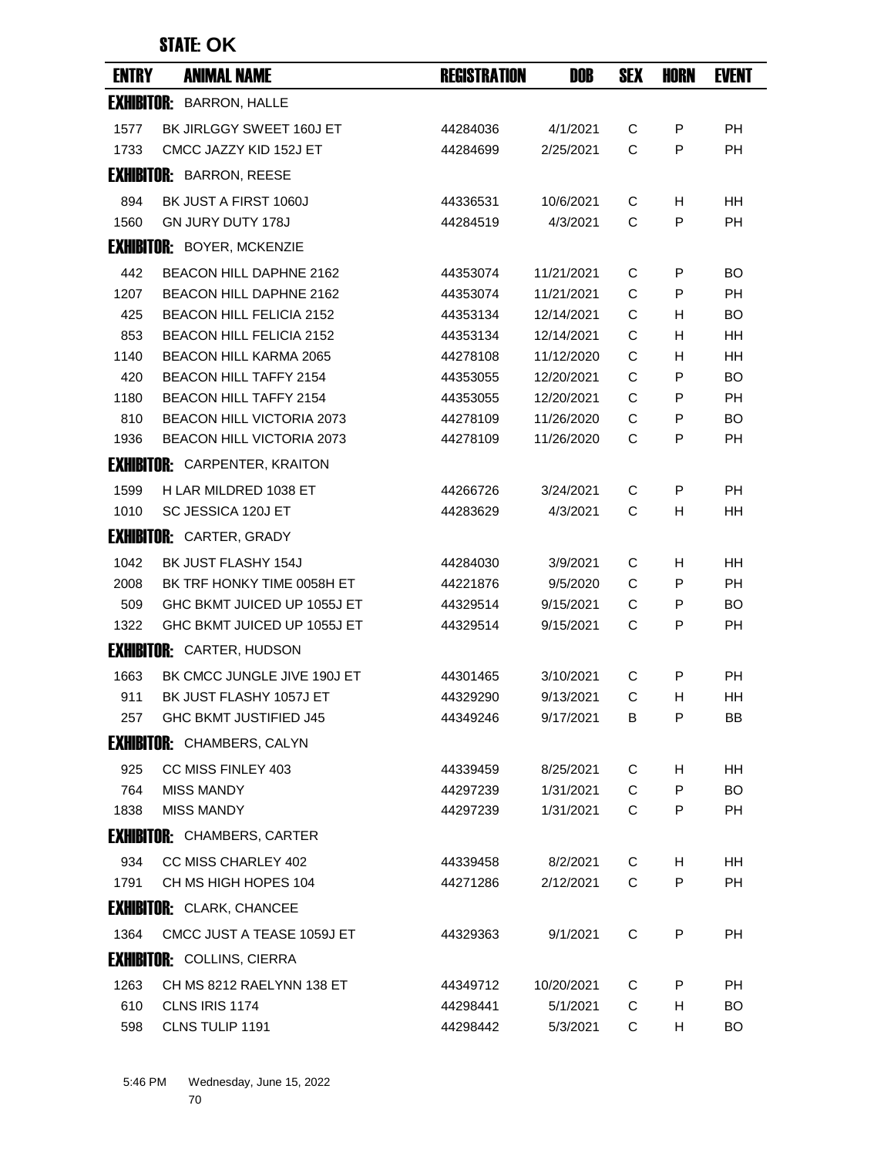| <b>ENTRY</b> | <b>ANIMAL NAME</b>                   | <b>REGISTRATION</b> | <b>DOB</b> | <b>SEX</b> | <b>HORN</b> | <b>EVENT</b> |
|--------------|--------------------------------------|---------------------|------------|------------|-------------|--------------|
|              | <b>EXHIBITOR: BARRON, HALLE</b>      |                     |            |            |             |              |
| 1577         | BK JIRLGGY SWEET 160J ET             | 44284036            | 4/1/2021   | C          | P           | <b>PH</b>    |
| 1733         | CMCC JAZZY KID 152J ET               | 44284699            | 2/25/2021  | C          | P           | <b>PH</b>    |
|              | <b>EXHIBITOR: BARRON, REESE</b>      |                     |            |            |             |              |
| 894          | BK JUST A FIRST 1060J                | 44336531            | 10/6/2021  | C          | н           | HН           |
| 1560         | <b>GN JURY DUTY 178J</b>             | 44284519            | 4/3/2021   | C          | P           | PН           |
|              | <b>EXHIBITOR: BOYER, MCKENZIE</b>    |                     |            |            |             |              |
| 442          | <b>BEACON HILL DAPHNE 2162</b>       | 44353074            | 11/21/2021 | С          | P           | <b>BO</b>    |
| 1207         | BEACON HILL DAPHNE 2162              | 44353074            | 11/21/2021 | C          | P           | <b>PH</b>    |
| 425          | <b>BEACON HILL FELICIA 2152</b>      | 44353134            | 12/14/2021 | C          | н           | BO.          |
| 853          | <b>BEACON HILL FELICIA 2152</b>      | 44353134            | 12/14/2021 | C          | Н           | HН           |
| 1140         | <b>BEACON HILL KARMA 2065</b>        | 44278108            | 11/12/2020 | C          | н           | HH           |
| 420          | <b>BEACON HILL TAFFY 2154</b>        | 44353055            | 12/20/2021 | C          | P           | <b>BO</b>    |
| 1180         | <b>BEACON HILL TAFFY 2154</b>        | 44353055            | 12/20/2021 | C          | P           | <b>PH</b>    |
| 810          | <b>BEACON HILL VICTORIA 2073</b>     | 44278109            | 11/26/2020 | C          | P           | BO.          |
| 1936         | <b>BEACON HILL VICTORIA 2073</b>     | 44278109            | 11/26/2020 | C          | P           | PH           |
|              | <b>EXHIBITOR:</b> CARPENTER, KRAITON |                     |            |            |             |              |
| 1599         | H LAR MILDRED 1038 ET                | 44266726            | 3/24/2021  | C          | P           | <b>PH</b>    |
| 1010         | SC JESSICA 120J ET                   | 44283629            | 4/3/2021   | C          | H           | HН           |
|              | <b>EXHIBITOR: CARTER, GRADY</b>      |                     |            |            |             |              |
| 1042         | BK JUST FLASHY 154J                  | 44284030            | 3/9/2021   | С          | H.          | HН           |
| 2008         | BK TRF HONKY TIME 0058H ET           | 44221876            | 9/5/2020   | C          | P           | PH           |
| 509          | GHC BKMT JUICED UP 1055J ET          | 44329514            | 9/15/2021  | C          | P           | <b>BO</b>    |
| 1322         | GHC BKMT JUICED UP 1055J ET          | 44329514            | 9/15/2021  | C          | P           | PН           |
|              | <b>EXHIBITOR: CARTER, HUDSON</b>     |                     |            |            |             |              |
| 1663         | BK CMCC JUNGLE JIVE 190J ET          | 44301465            | 3/10/2021  | C          | P           | <b>PH</b>    |
| 911          | BK JUST FLASHY 1057J ET              | 44329290            | 9/13/2021  | C          | H           | HН           |
| 257          | GHC BKMT JUSTIFIED J45               | 44349246            | 9/17/2021  | В          | P           | BB           |
|              | <b>EXHIBITOR: CHAMBERS, CALYN</b>    |                     |            |            |             |              |
| 925          | CC MISS FINLEY 403                   | 44339459            | 8/25/2021  | C          | H.          | HH.          |
| 764          | <b>MISS MANDY</b>                    | 44297239            | 1/31/2021  | C          | P           | <b>BO</b>    |
| 1838         | <b>MISS MANDY</b>                    | 44297239            | 1/31/2021  | C          | P           | <b>PH</b>    |
|              | <b>EXHIBITOR: CHAMBERS, CARTER</b>   |                     |            |            |             |              |
| 934          | CC MISS CHARLEY 402                  | 44339458            | 8/2/2021   | C          | H           | HH           |
| 1791         | CH MS HIGH HOPES 104                 | 44271286            | 2/12/2021  | C          | P           | <b>PH</b>    |
|              | <b>EXHIBITOR: CLARK, CHANCEE</b>     |                     |            |            |             |              |
| 1364         | CMCC JUST A TEASE 1059J ET           | 44329363            | 9/1/2021   | C          | P           | <b>PH</b>    |
|              | <b>EXHIBITOR: COLLINS, CIERRA</b>    |                     |            |            |             |              |
| 1263         | CH MS 8212 RAELYNN 138 ET            | 44349712            | 10/20/2021 | C          | P           | PH           |
| 610          | CLNS IRIS 1174                       | 44298441            | 5/1/2021   | C          | H           | BO.          |
| 598          | CLNS TULIP 1191                      | 44298442            | 5/3/2021   | C          | H.          | BO.          |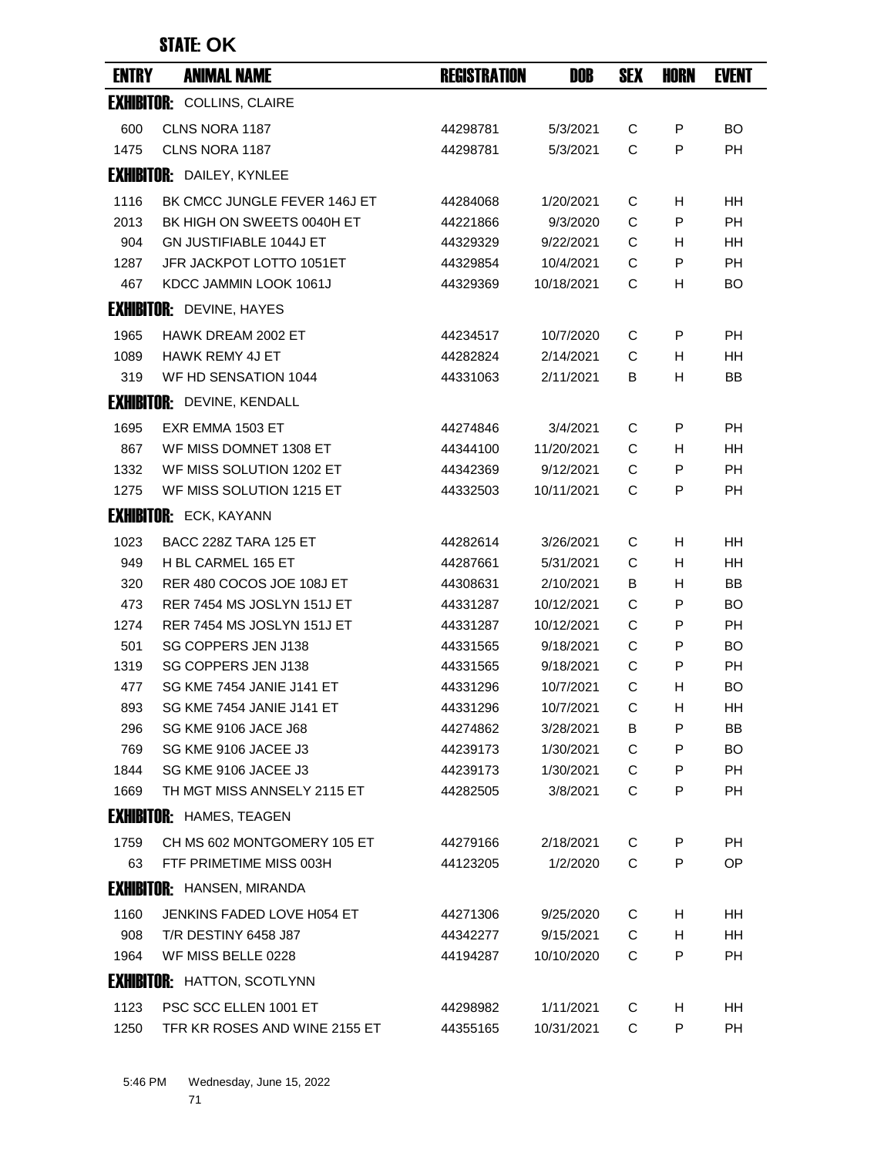| <b>ENTRY</b> | <b>ANIMAL NAME</b>                 | <b>REGISTRATION</b> | <b>DOB</b> | <b>SEX</b> | HORN | <b>EVENT</b> |
|--------------|------------------------------------|---------------------|------------|------------|------|--------------|
|              | <b>EXHIBITOR: COLLINS, CLAIRE</b>  |                     |            |            |      |              |
| 600          | CLNS NORA 1187                     | 44298781            | 5/3/2021   | C          | P    | <b>BO</b>    |
| 1475         | CLNS NORA 1187                     | 44298781            | 5/3/2021   | C          | P    | <b>PH</b>    |
|              | <b>EXHIBITOR: DAILEY, KYNLEE</b>   |                     |            |            |      |              |
| 1116         | BK CMCC JUNGLE FEVER 146J ET       | 44284068            | 1/20/2021  | C          | н    | HH           |
| 2013         | BK HIGH ON SWEETS 0040H ET         | 44221866            | 9/3/2020   | C          | P    | PH           |
| 904          | <b>GN JUSTIFIABLE 1044J ET</b>     | 44329329            | 9/22/2021  | C          | н    | HН           |
| 1287         | JFR JACKPOT LOTTO 1051ET           | 44329854            | 10/4/2021  | C          | P    | PH           |
| 467          | KDCC JAMMIN LOOK 1061J             | 44329369            | 10/18/2021 | C          | Н    | BO.          |
|              | <b>EXHIBITOR: DEVINE, HAYES</b>    |                     |            |            |      |              |
| 1965         | <b>HAWK DREAM 2002 ET</b>          | 44234517            | 10/7/2020  | С          | P    | РH           |
| 1089         | <b>HAWK REMY 4J ET</b>             | 44282824            | 2/14/2021  | C          | н    | HH           |
| 319          | WF HD SENSATION 1044               | 44331063            | 2/11/2021  | В          | H    | <b>BB</b>    |
|              | <b>EXHIBITOR: DEVINE, KENDALL</b>  |                     |            |            |      |              |
| 1695         | EXR EMMA 1503 ET                   | 44274846            | 3/4/2021   | C          | P    | <b>PH</b>    |
| 867          | WF MISS DOMNET 1308 ET             | 44344100            | 11/20/2021 | C          | н    | HН           |
| 1332         | WF MISS SOLUTION 1202 ET           | 44342369            | 9/12/2021  | C          | P    | РH           |
| 1275         | WF MISS SOLUTION 1215 ET           | 44332503            | 10/11/2021 | C          | P    | PH           |
|              | <b>EXHIBITOR: ECK, KAYANN</b>      |                     |            |            |      |              |
| 1023         | <b>BACC 228Z TARA 125 ET</b>       | 44282614            | 3/26/2021  | С          | H    | HН           |
| 949          | H BL CARMEL 165 ET                 | 44287661            | 5/31/2021  | C          | H    | HH           |
| 320          | RER 480 COCOS JOE 108J ET          | 44308631            | 2/10/2021  | В          | н    | BB           |
| 473          | RER 7454 MS JOSLYN 151J ET         | 44331287            | 10/12/2021 | C          | P    | <b>BO</b>    |
| 1274         | RER 7454 MS JOSLYN 151J ET         | 44331287            | 10/12/2021 | C          | P    | <b>PH</b>    |
| 501          | SG COPPERS JEN J138                | 44331565            | 9/18/2021  | C          | P    | BO           |
| 1319         | SG COPPERS JEN J138                | 44331565            | 9/18/2021  | C          | P    | PH           |
| 477          | SG KME 7454 JANIE J141 ET          | 44331296            | 10/7/2021  | C          | н    | <b>BO</b>    |
| 893          | SG KMF 7454 JANIF J141 FT          | 44331296            | 10/7/2021  | C          | н    | HH           |
| 296          | <b>SG KME 9106 JACE J68</b>        | 44274862            | 3/28/2021  | B          | P    | BB.          |
| 769          | SG KME 9106 JACEE J3               | 44239173            | 1/30/2021  | C          | P    | BO.          |
| 1844         | SG KME 9106 JACEE J3               | 44239173            | 1/30/2021  | C          | P    | PH           |
| 1669         | TH MGT MISS ANNSELY 2115 ET        | 44282505            | 3/8/2021   | C          | P    | PH           |
|              | <b>EXHIBITOR: HAMES, TEAGEN</b>    |                     |            |            |      |              |
| 1759         | CH MS 602 MONTGOMERY 105 ET        | 44279166            | 2/18/2021  | C          | P    | PH           |
| 63           | FTF PRIMETIME MISS 003H            | 44123205            | 1/2/2020   | C          | P    | OP           |
|              | <b>EXHIBITOR: HANSEN, MIRANDA</b>  |                     |            |            |      |              |
| 1160         | JENKINS FADED LOVE H054 ET         | 44271306            | 9/25/2020  | C          | H    | HH           |
| 908          | <b>T/R DESTINY 6458 J87</b>        | 44342277            | 9/15/2021  | C          | H.   | HH           |
| 1964         | WF MISS BELLE 0228                 | 44194287            | 10/10/2020 | C          | P    | <b>PH</b>    |
|              | <b>EXHIBITOR: HATTON, SCOTLYNN</b> |                     |            |            |      |              |
| 1123         | PSC SCC ELLEN 1001 ET              | 44298982            | 1/11/2021  | C          | H.   | HH           |
| 1250         | TFR KR ROSES AND WINE 2155 ET      | 44355165            | 10/31/2021 | C          | P    | PH           |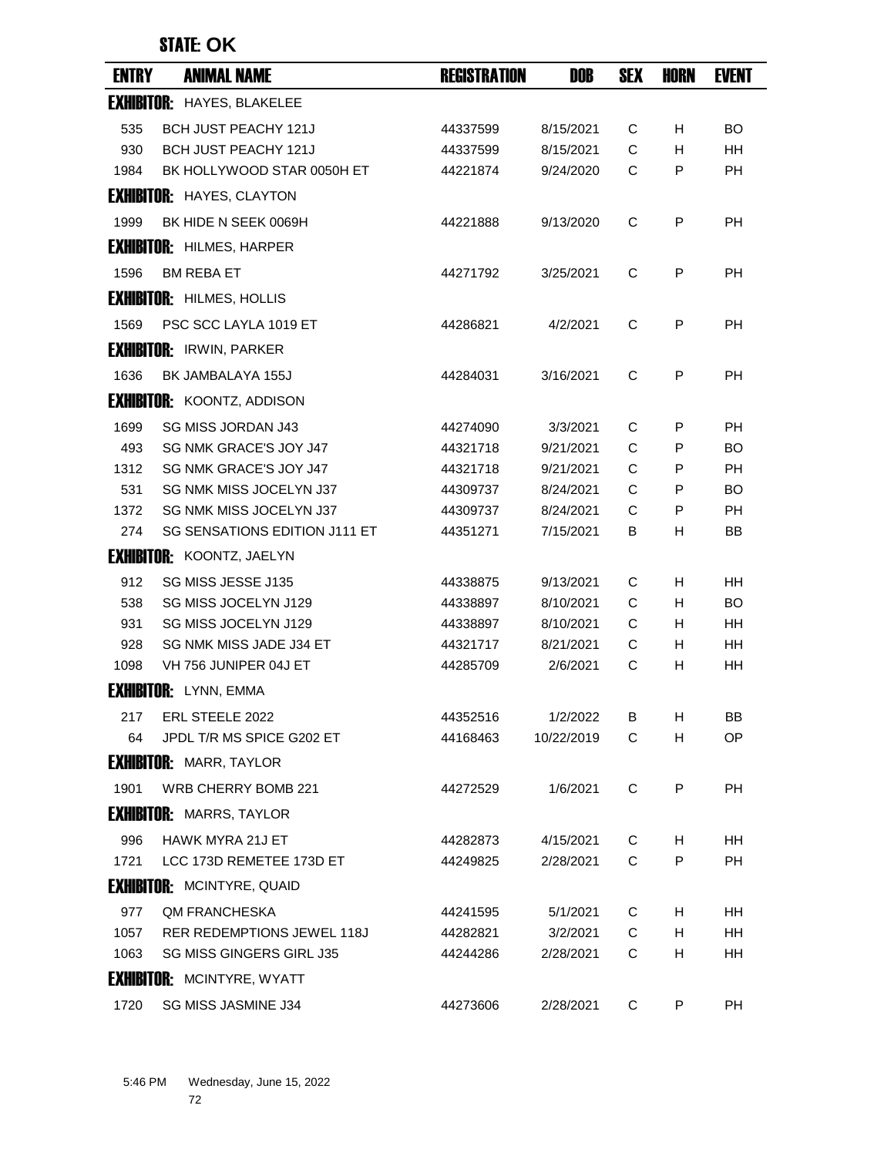| <b>ENTRY</b> | <b>ANIMAL NAME</b>                | <b>REGISTRATION</b> | DOB        | <b>SEX</b> | <b>HORN</b> | <b>EVENT</b> |
|--------------|-----------------------------------|---------------------|------------|------------|-------------|--------------|
|              | <b>EXHIBITOR: HAYES, BLAKELEE</b> |                     |            |            |             |              |
| 535          | <b>BCH JUST PEACHY 121J</b>       | 44337599            | 8/15/2021  | С          | H.          | <b>BO</b>    |
| 930          | <b>BCH JUST PEACHY 121J</b>       | 44337599            | 8/15/2021  | C          | H           | <b>HH</b>    |
| 1984         | BK HOLLYWOOD STAR 0050H ET        | 44221874            | 9/24/2020  | C          | P           | <b>PH</b>    |
|              | <b>EXHIBITOR: HAYES, CLAYTON</b>  |                     |            |            |             |              |
| 1999         | BK HIDE N SEEK 0069H              | 44221888            | 9/13/2020  | C          | P           | PH           |
|              | <b>EXHIBITOR: HILMES, HARPER</b>  |                     |            |            |             |              |
| 1596         | <b>BM REBA ET</b>                 | 44271792            | 3/25/2021  | C          | P           | <b>PH</b>    |
|              | <b>EXHIBITOR: HILMES, HOLLIS</b>  |                     |            |            |             |              |
| 1569         | PSC SCC LAYLA 1019 ET             | 44286821            | 4/2/2021   | C          | P           | <b>PH</b>    |
|              | <b>EXHIBITOR: IRWIN, PARKER</b>   |                     |            |            |             |              |
| 1636         | BK JAMBALAYA 155J                 | 44284031            | 3/16/2021  | C          | P           | PH           |
|              | <b>EXHIBITOR: KOONTZ, ADDISON</b> |                     |            |            |             |              |
| 1699         | <b>SG MISS JORDAN J43</b>         | 44274090            | 3/3/2021   | C          | P           | РH           |
| 493          | SG NMK GRACE'S JOY J47            | 44321718            | 9/21/2021  | C          | P           | BO           |
| 1312         | SG NMK GRACE'S JOY J47            | 44321718            | 9/21/2021  | C          | P           | <b>PH</b>    |
| 531          | <b>SG NMK MISS JOCELYN J37</b>    | 44309737            | 8/24/2021  | C          | P           | BO           |
| 1372         | <b>SG NMK MISS JOCELYN J37</b>    | 44309737            | 8/24/2021  | C          | P           | РH           |
| 274          | SG SENSATIONS EDITION J111 ET     | 44351271            | 7/15/2021  | в          | H           | ΒB           |
|              | <b>EXHIBITOR: KOONTZ, JAELYN</b>  |                     |            |            |             |              |
| 912          | SG MISS JESSE J135                | 44338875            | 9/13/2021  | С          | H           | HН           |
| 538          | SG MISS JOCELYN J129              | 44338897            | 8/10/2021  | C          | H           | BO           |
| 931          | SG MISS JOCELYN J129              | 44338897            | 8/10/2021  | C          | H.          | HH           |
| 928          | SG NMK MISS JADE J34 ET           | 44321717            | 8/21/2021  | С          | H           | HН           |
| 1098         | VH 756 JUNIPER 04J ET             | 44285709            | 2/6/2021   | C          | H           | HH           |
|              | <b>EXHIBITOR: LYNN, EMMA</b>      |                     |            |            |             |              |
| 217          | ERL STEELE 2022                   | 44352516            | 1/2/2022   | B          | H           | BB           |
| 64           | JPDL T/R MS SPICE G202 ET         | 44168463            | 10/22/2019 | C          | H           | <b>OP</b>    |
|              | <b>EXHIBITOR: MARR, TAYLOR</b>    |                     |            |            |             |              |
| 1901         | WRB CHERRY BOMB 221               | 44272529            | 1/6/2021   | C          | P           | <b>PH</b>    |
|              | <b>EXHIBITOR: MARRS, TAYLOR</b>   |                     |            |            |             |              |
| 996          | HAWK MYRA 21J ET                  | 44282873            | 4/15/2021  | C          | H.          | HH.          |
| 1721         | LCC 173D REMETEE 173D ET          | 44249825            | 2/28/2021  | C          | P           | PH.          |
|              | <b>EXHIBITOR: MCINTYRE, QUAID</b> |                     |            |            |             |              |
| 977          | <b>QM FRANCHESKA</b>              | 44241595            | 5/1/2021   | C          | H           | HH           |
| 1057         | RER REDEMPTIONS JEWEL 118J        | 44282821            | 3/2/2021   | C          | H.          | HH.          |
| 1063         | <b>SG MISS GINGERS GIRL J35</b>   | 44244286            | 2/28/2021  | C          | H           | HH           |
|              | <b>EXHIBITOR: MCINTYRE, WYATT</b> |                     |            |            |             |              |
| 1720         | SG MISS JASMINE J34               | 44273606            | 2/28/2021  | C          | P           | <b>PH</b>    |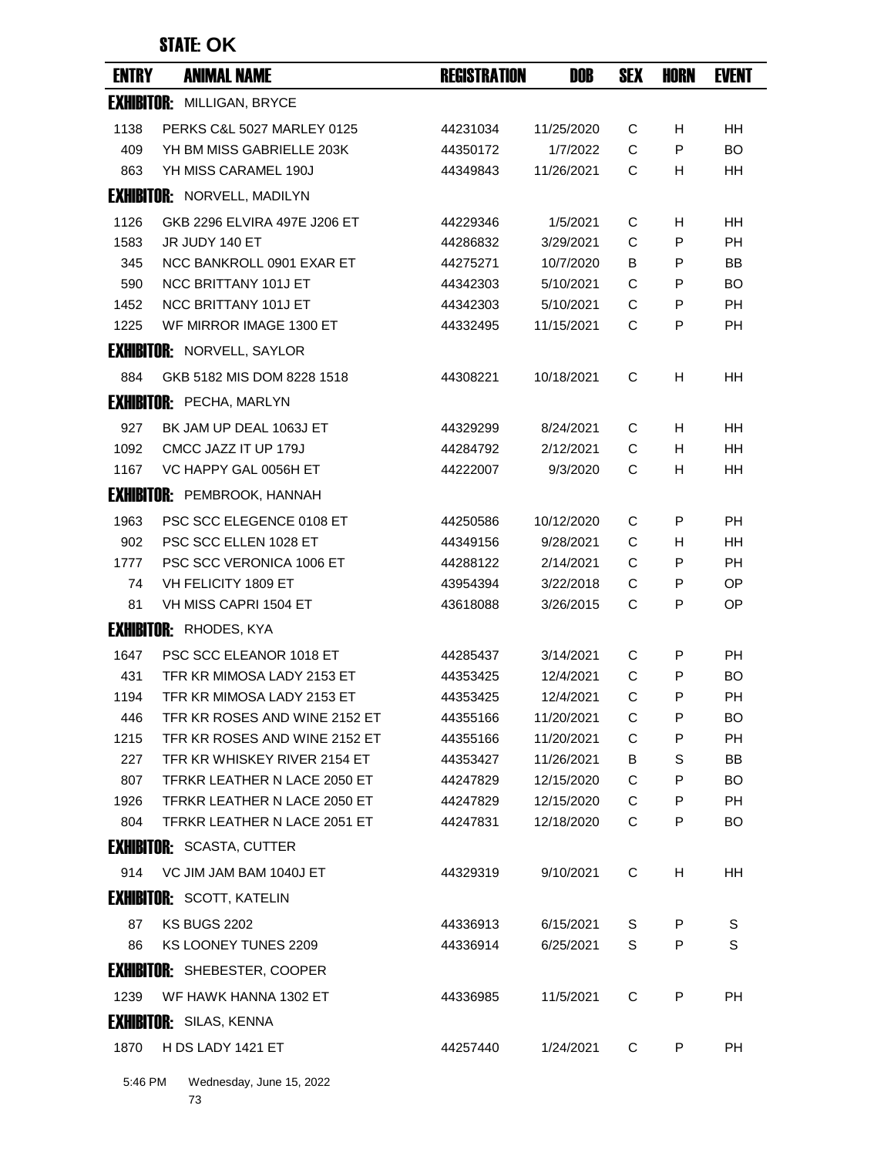| <b>ENTRY</b>      | <b>ANIMAL NAME</b>                  | <b>REGISTRATION</b> | DOB        | <b>SEX</b> | HORN | <b>EVENT</b> |
|-------------------|-------------------------------------|---------------------|------------|------------|------|--------------|
| <b>EXHIBITOR:</b> | MILLIGAN, BRYCE                     |                     |            |            |      |              |
| 1138              | PERKS C&L 5027 MARLEY 0125          | 44231034            | 11/25/2020 | C          | H    | <b>HH</b>    |
| 409               | YH BM MISS GABRIELLE 203K           | 44350172            | 1/7/2022   | C          | P    | <b>BO</b>    |
| 863               | YH MISS CARAMEL 190J                | 44349843            | 11/26/2021 | C          | н    | HН           |
|                   | <b>EXHIBITOR: NORVELL, MADILYN</b>  |                     |            |            |      |              |
| 1126              | GKB 2296 ELVIRA 497E J206 ET        | 44229346            | 1/5/2021   | C          | H    | HН           |
| 1583              | JR JUDY 140 ET                      | 44286832            | 3/29/2021  | C          | P    | <b>PH</b>    |
| 345               | NCC BANKROLL 0901 EXAR ET           | 44275271            | 10/7/2020  | B          | P    | <b>BB</b>    |
| 590               | <b>NCC BRITTANY 101J ET</b>         | 44342303            | 5/10/2021  | C          | P    | BO           |
| 1452              | <b>NCC BRITTANY 101J ET</b>         | 44342303            | 5/10/2021  | C          | P    | <b>PH</b>    |
| 1225              | WF MIRROR IMAGE 1300 ET             | 44332495            | 11/15/2021 | C          | P    | PH           |
|                   | <b>EXHIBITOR: NORVELL, SAYLOR</b>   |                     |            |            |      |              |
| 884               | GKB 5182 MIS DOM 8228 1518          | 44308221            | 10/18/2021 | C          | H    | HН           |
|                   | <b>EXHIBITOR: PECHA, MARLYN</b>     |                     |            |            |      |              |
| 927               | BK JAM UP DEAL 1063J ET             | 44329299            | 8/24/2021  | C          | H    | HН           |
| 1092              | CMCC JAZZ IT UP 179J                | 44284792            | 2/12/2021  | C          | H    | <b>HH</b>    |
| 1167              | VC HAPPY GAL 0056H ET               | 44222007            | 9/3/2020   | C          | н    | HH           |
|                   | <b>EXHIBITOR: PEMBROOK, HANNAH</b>  |                     |            |            |      |              |
| 1963              | PSC SCC ELEGENCE 0108 ET            | 44250586            | 10/12/2020 | C          | P    | PH           |
| 902               | PSC SCC ELLEN 1028 ET               | 44349156            | 9/28/2021  | C          | н    | <b>HH</b>    |
| 1777              | PSC SCC VERONICA 1006 ET            | 44288122            | 2/14/2021  | C          | P    | <b>PH</b>    |
| 74                | VH FELICITY 1809 ET                 | 43954394            | 3/22/2018  | C          | P    | OP           |
| 81                | VH MISS CAPRI 1504 ET               | 43618088            | 3/26/2015  | C          | P    | OP           |
|                   | <b>EXHIBITOR: RHODES, KYA</b>       |                     |            |            |      |              |
| 1647              | PSC SCC ELEANOR 1018 ET             | 44285437            | 3/14/2021  | C          | P    | <b>PH</b>    |
| 431               | TFR KR MIMOSA LADY 2153 ET          | 44353425            | 12/4/2021  | C          | P    | <b>BO</b>    |
| 1194              | TFR KR MIMOSA LADY 2153 ET          | 44353425            | 12/4/2021  | C          | P    | PH           |
| 446               | TER KR ROSES AND WINE 2152 FT       | 44355166            | 11/20/2021 | C.         | P    | BO.          |
| 1215              | TFR KR ROSES AND WINE 2152 ET       | 44355166            | 11/20/2021 | C          | P    | РH           |
| 227               | TFR KR WHISKEY RIVER 2154 ET        | 44353427            | 11/26/2021 | B          | S    | BB           |
| 807               | TFRKR LEATHER N LACE 2050 ET        | 44247829            | 12/15/2020 | C          | P    | <b>BO</b>    |
| 1926              | TFRKR LEATHER N LACE 2050 ET        | 44247829            | 12/15/2020 | C          | P    | PH.          |
| 804               | TFRKR LEATHER N LACE 2051 ET        | 44247831            | 12/18/2020 | C          | P    | <b>BO</b>    |
|                   | <b>EXHIBITOR: SCASTA, CUTTER</b>    |                     |            |            |      |              |
| 914               | VC JIM JAM BAM 1040J ET             | 44329319            | 9/10/2021  | C          | H    | HH           |
|                   | <b>EXHIBITOR: SCOTT, KATELIN</b>    |                     |            |            |      |              |
| 87                | <b>KS BUGS 2202</b>                 | 44336913            | 6/15/2021  | S          | P    | S            |
| 86                | KS LOONEY TUNES 2209                | 44336914            | 6/25/2021  | S          | P    | S            |
|                   | <b>EXHIBITOR: SHEBESTER, COOPER</b> |                     |            |            |      |              |
| 1239              | WF HAWK HANNA 1302 ET               | 44336985            | 11/5/2021  | C          | P    | PH           |
|                   | <b>EXHIBITOR: SILAS, KENNA</b>      |                     |            |            |      |              |
| 1870              | H DS LADY 1421 ET                   | 44257440            | 1/24/2021  | C          | P    | <b>PH</b>    |
| $F \cdot AC$ DM   | Modnodn                             |                     |            |            |      |              |

5:46 PM Wednesday, June 15, 2022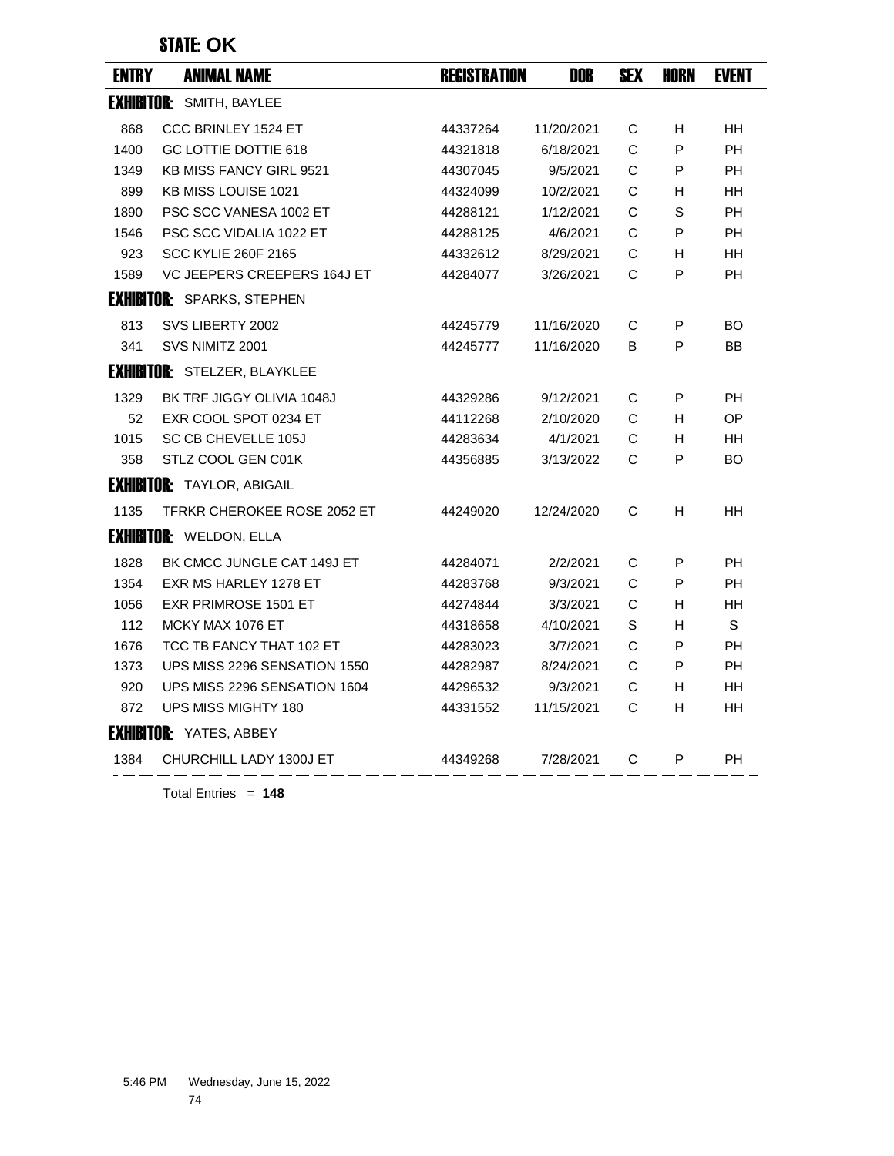| <b>ENTRY</b> | <b>ANIMAL NAME</b>                  | <b>REGISTRATION</b> | DOB        | <b>SEX</b> | <b>HORN</b> | <b>EVENT</b> |
|--------------|-------------------------------------|---------------------|------------|------------|-------------|--------------|
|              | <b>EXHIBITOR: SMITH, BAYLEE</b>     |                     |            |            |             |              |
| 868          | CCC BRINLEY 1524 ET                 | 44337264            | 11/20/2021 | C          | H.          | <b>HH</b>    |
| 1400         | GC LOTTIE DOTTIE 618                | 44321818            | 6/18/2021  | C          | P           | <b>PH</b>    |
| 1349         | <b>KB MISS FANCY GIRL 9521</b>      | 44307045            | 9/5/2021   | С          | P           | <b>PH</b>    |
| 899          | <b>KB MISS LOUISE 1021</b>          | 44324099            | 10/2/2021  | C          | н           | HH           |
| 1890         | PSC SCC VANESA 1002 ET              | 44288121            | 1/12/2021  | C          | S           | <b>PH</b>    |
| 1546         | <b>PSC SCC VIDALIA 1022 ET</b>      | 44288125            | 4/6/2021   | С          | P           | <b>PH</b>    |
| 923          | <b>SCC KYLIE 260F 2165</b>          | 44332612            | 8/29/2021  | C          | H           | HH           |
| 1589         | VC JEEPERS CREEPERS 164J ET         | 44284077            | 3/26/2021  | C          | P           | <b>PH</b>    |
|              | <b>EXHIBITOR: SPARKS, STEPHEN</b>   |                     |            |            |             |              |
| 813          | SVS LIBERTY 2002                    | 44245779            | 11/16/2020 | С          | P           | BO.          |
| 341          | SVS NIMITZ 2001                     | 44245777            | 11/16/2020 | B          | P           | BB           |
|              | <b>EXHIBITOR: STELZER, BLAYKLEE</b> |                     |            |            |             |              |
| 1329         | BK TRF JIGGY OLIVIA 1048J           | 44329286            | 9/12/2021  | C          | P           | <b>PH</b>    |
| 52           | EXR COOL SPOT 0234 ET               | 44112268            | 2/10/2020  | C          | H           | <b>OP</b>    |
| 1015         | <b>SC CB CHEVELLE 105J</b>          | 44283634            | 4/1/2021   | C          | H           | HH           |
| 358          | STLZ COOL GEN C01K                  | 44356885            | 3/13/2022  | C          | P           | <b>BO</b>    |
|              | <b>EXHIBITOR: TAYLOR, ABIGAIL</b>   |                     |            |            |             |              |
| 1135         | TFRKR CHEROKEE ROSE 2052 ET         | 44249020            | 12/24/2020 | C          | H           | HH           |
|              | <b>EXHIBITOR: WELDON, ELLA</b>      |                     |            |            |             |              |
| 1828         | BK CMCC JUNGLE CAT 149J ET          | 44284071            | 2/2/2021   | C          | P           | <b>PH</b>    |
| 1354         | EXR MS HARLEY 1278 ET               | 44283768            | 9/3/2021   | C          | P           | <b>PH</b>    |
| 1056         | <b>EXR PRIMROSE 1501 ET</b>         | 44274844            | 3/3/2021   | C          | H           | HH           |
| 112          | MCKY MAX 1076 ET                    | 44318658            | 4/10/2021  | S          | H           | S            |
| 1676         | TCC TB FANCY THAT 102 ET            | 44283023            | 3/7/2021   | C          | P           | <b>PH</b>    |
| 1373         | UPS MISS 2296 SENSATION 1550        | 44282987            | 8/24/2021  | C          | P           | <b>PH</b>    |
| 920          | UPS MISS 2296 SENSATION 1604        | 44296532            | 9/3/2021   | C          | H.          | HH           |
| 872          | UPS MISS MIGHTY 180                 | 44331552            | 11/15/2021 | C          | н           | HH           |
|              | <b>EXHIBITOR: YATES, ABBEY</b>      |                     |            |            |             |              |
| 1384         | CHURCHILL LADY 1300J ET             | 44349268            | 7/28/2021  | C          | P           | <b>PH</b>    |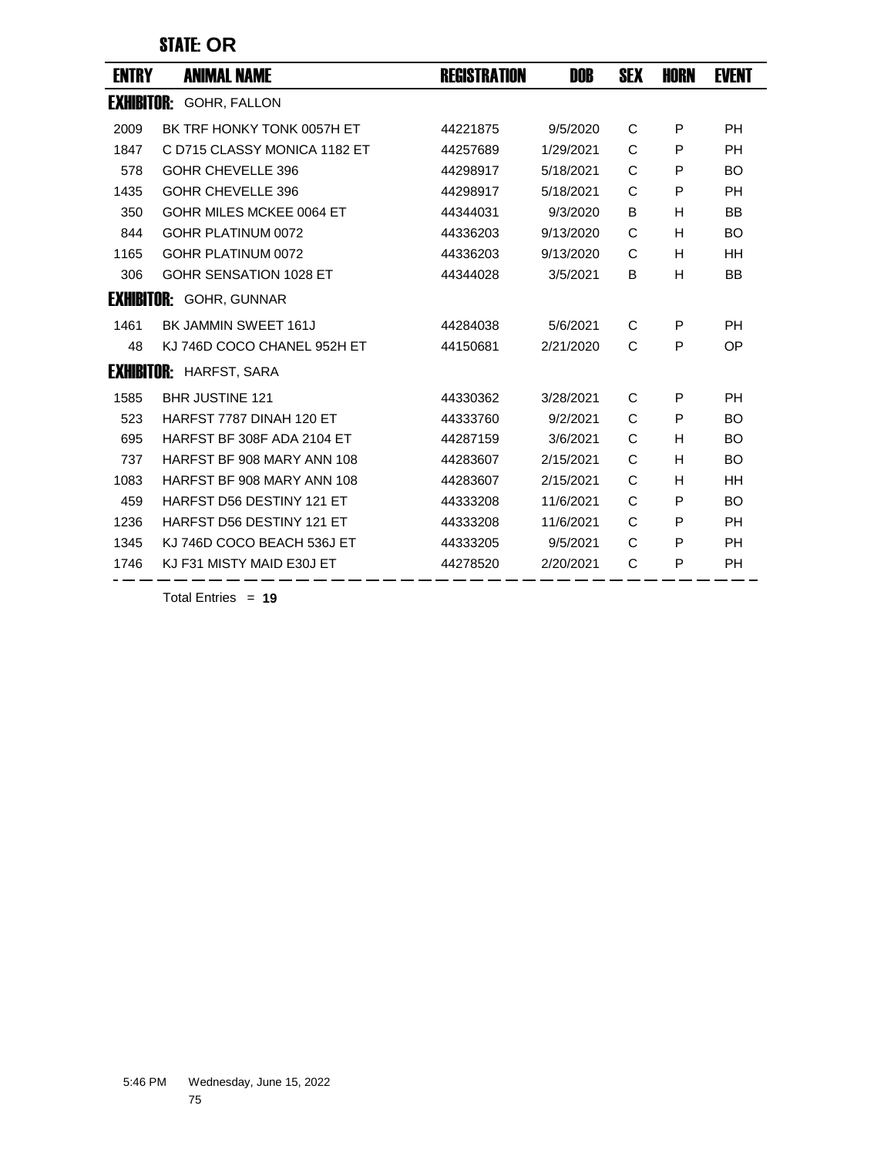### STATE: **OR**

| <b>ENTRY</b>      | <b>ANIMAL NAME</b>             | <b>REGISTRATION</b> | DOB       | <b>SEX</b> | <b>HORN</b> | <b>EVENT</b> |
|-------------------|--------------------------------|---------------------|-----------|------------|-------------|--------------|
| <b>EXHIBITOR:</b> | GOHR, FALLON                   |                     |           |            |             |              |
| 2009              | BK TRF HONKY TONK 0057H ET     | 44221875            | 9/5/2020  | C          | P           | <b>PH</b>    |
| 1847              | C D715 CLASSY MONICA 1182 ET   | 44257689            | 1/29/2021 | C          | P           | <b>PH</b>    |
| 578               | GOHR CHEVELLE 396              | 44298917            | 5/18/2021 | C          | P           | <b>BO</b>    |
| 1435              | GOHR CHEVELLE 396              | 44298917            | 5/18/2021 | C          | P           | <b>PH</b>    |
| 350               | GOHR MILES MCKEE 0064 FT       | 44344031            | 9/3/2020  | B          | H           | <b>BB</b>    |
| 844               | GOHR PLATINUM 0072             | 44336203            | 9/13/2020 | C          | H           | <b>BO</b>    |
| 1165              | GOHR PLATINUM 0072             | 44336203            | 9/13/2020 | C          | H           | <b>HH</b>    |
| 306               | GOHR SENSATION 1028 ET         | 44344028            | 3/5/2021  | B          | H           | BB           |
|                   | <b>EXHIBITOR: GOHR, GUNNAR</b> |                     |           |            |             |              |
| 1461              | BK JAMMIN SWEET 161J           | 44284038            | 5/6/2021  | C          | P           | <b>PH</b>    |
| 48                | KJ 746D COCO CHANEL 952H ET    | 44150681            | 2/21/2020 | C          | P           | OP           |
| <b>EXHIBITOR:</b> | HARFST, SARA                   |                     |           |            |             |              |
| 1585              | <b>BHR JUSTINE 121</b>         | 44330362            | 3/28/2021 | С          | P           | PH           |
| 523               | HARFST 7787 DINAH 120 ET       | 44333760            | 9/2/2021  | C          | P           | <b>BO</b>    |
| 695               | HARFST BF 308F ADA 2104 ET     | 44287159            | 3/6/2021  | C          | н           | <b>BO</b>    |
| 737               | HARFST BF 908 MARY ANN 108     | 44283607            | 2/15/2021 | C          | н           | <b>BO</b>    |
| 1083              | HARFST BF 908 MARY ANN 108     | 44283607            | 2/15/2021 | C          | H           | <b>HH</b>    |
| 459               | HARFST D56 DESTINY 121 ET      | 44333208            | 11/6/2021 | C          | P           | <b>BO</b>    |
| 1236              | HARFST D56 DESTINY 121 ET      | 44333208            | 11/6/2021 | C          | P           | <b>PH</b>    |
| 1345              | KJ 746D COCO BEACH 536J ET     | 44333205            | 9/5/2021  | C          | P           | <b>PH</b>    |
| 1746              | KJ F31 MISTY MAID E30J ET      | 44278520            | 2/20/2021 | C          | P           | <b>PH</b>    |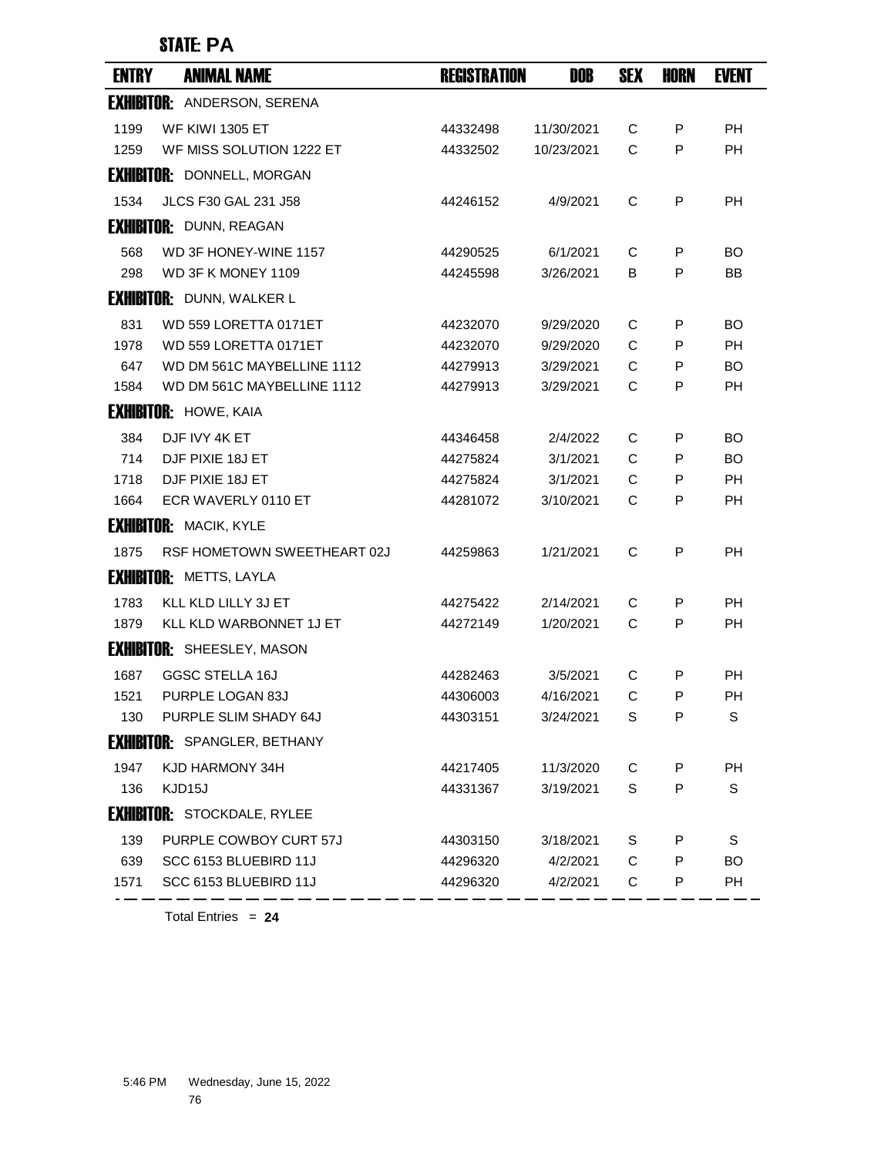## STATE: **PA**

| <b>ENTRY</b> | <b>ANIMAL NAME</b>                      | <b>REGISTRATION</b> | DOB        | <b>SEX</b> | <b>HORN</b> | <b>EVENT</b> |
|--------------|-----------------------------------------|---------------------|------------|------------|-------------|--------------|
|              | <b>EXHIBITOR: ANDERSON, SERENA</b>      |                     |            |            |             |              |
| 1199         | <b>WF KIWI 1305 ET</b>                  | 44332498            | 11/30/2021 | C          | P           | <b>PH</b>    |
| 1259         | WF MISS SOLUTION 1222 ET                | 44332502            | 10/23/2021 | C          | P           | <b>PH</b>    |
|              | <b>EXHIBITOR: DONNELL, MORGAN</b>       |                     |            |            |             |              |
| 1534         | <b>JLCS F30 GAL 231 J58</b>             | 44246152            | 4/9/2021   | C          | P           | <b>PH</b>    |
|              | <b>EXHIBITOR: DUNN, REAGAN</b>          |                     |            |            |             |              |
| 568          | WD 3F HONEY-WINE 1157                   | 44290525            | 6/1/2021   | C          | P           | BO.          |
| 298          | WD 3F K MONEY 1109                      | 44245598            | 3/26/2021  | B          | P           | BB           |
|              | <b>EXHIBITOR:</b> DUNN, WALKER L        |                     |            |            |             |              |
| 831          | WD 559 LORETTA 0171ET                   | 44232070            | 9/29/2020  | C          | P           | BO.          |
| 1978         | WD 559 LORETTA 0171ET                   | 44232070            | 9/29/2020  | C          | P           | <b>PH</b>    |
| 647          | WD DM 561C MAYBELLINE 1112              | 44279913            | 3/29/2021  | C          | P           | BO.          |
| 1584         | WD DM 561C MAYBELLINE 1112              | 44279913            | 3/29/2021  | C          | P           | <b>PH</b>    |
|              | <b>EXHIBITOR: HOWE, KAIA</b>            |                     |            |            |             |              |
| 384          | DJF IVY 4K ET                           | 44346458            | 2/4/2022   | C          | P           | BO           |
| 714          | DJF PIXIE 18J ET                        | 44275824            | 3/1/2021   | C          | P           | BO.          |
| 1718         | DJF PIXIE 18J ET<br>ECR WAVERLY 0110 ET | 44275824            | 3/1/2021   | C<br>C     | P<br>P      | <b>PH</b>    |
| 1664         |                                         | 44281072            | 3/10/2021  |            |             | PH           |
|              | <b>EXHIBITOR: MACIK, KYLE</b>           |                     |            |            |             |              |
| 1875         | RSF HOMETOWN SWEETHEART 02J             | 44259863            | 1/21/2021  | C          | P           | <b>PH</b>    |
|              | <b>EXHIBITOR: METTS, LAYLA</b>          |                     |            |            |             |              |
| 1783         | KLL KLD LILLY 3J ET                     | 44275422            | 2/14/2021  | C          | P           | <b>PH</b>    |
| 1879         | KLL KLD WARBONNET 1J ET                 | 44272149            | 1/20/2021  | C          | P           | <b>PH</b>    |
|              | <b>EXHIBITOR: SHEESLEY, MASON</b>       |                     |            |            |             |              |
| 1687         | GGSC STELLA 16J                         | 44282463            | 3/5/2021   | C          | P           | PH           |
| 1521         | PURPLE LOGAN 83J                        | 44306003            | 4/16/2021  | C          | P           | <b>PH</b>    |
| 130          | PURPLE SLIM SHADY 64J                   | 44303151            | 3/24/2021  | S          | P           | S            |
|              | <b>EXHIBITOR: SPANGLER, BETHANY</b>     |                     |            |            |             |              |
| 1947         | KJD HARMONY 34H                         | 44217405            | 11/3/2020  | C          | P           | <b>PH</b>    |
| 136          | KJD15J                                  | 44331367            | 3/19/2021  | S          | P           | S            |
|              | <b>EXHIBITOR: STOCKDALE, RYLEE</b>      |                     |            |            |             |              |
| 139          | PURPLE COWBOY CURT 57J                  | 44303150            | 3/18/2021  | S          | P           | S            |
| 639          | SCC 6153 BLUEBIRD 11J                   | 44296320            | 4/2/2021   | C          | P           | BO.          |
| 1571         | SCC 6153 BLUEBIRD 11J                   | 44296320            | 4/2/2021   | С          | P           | PH           |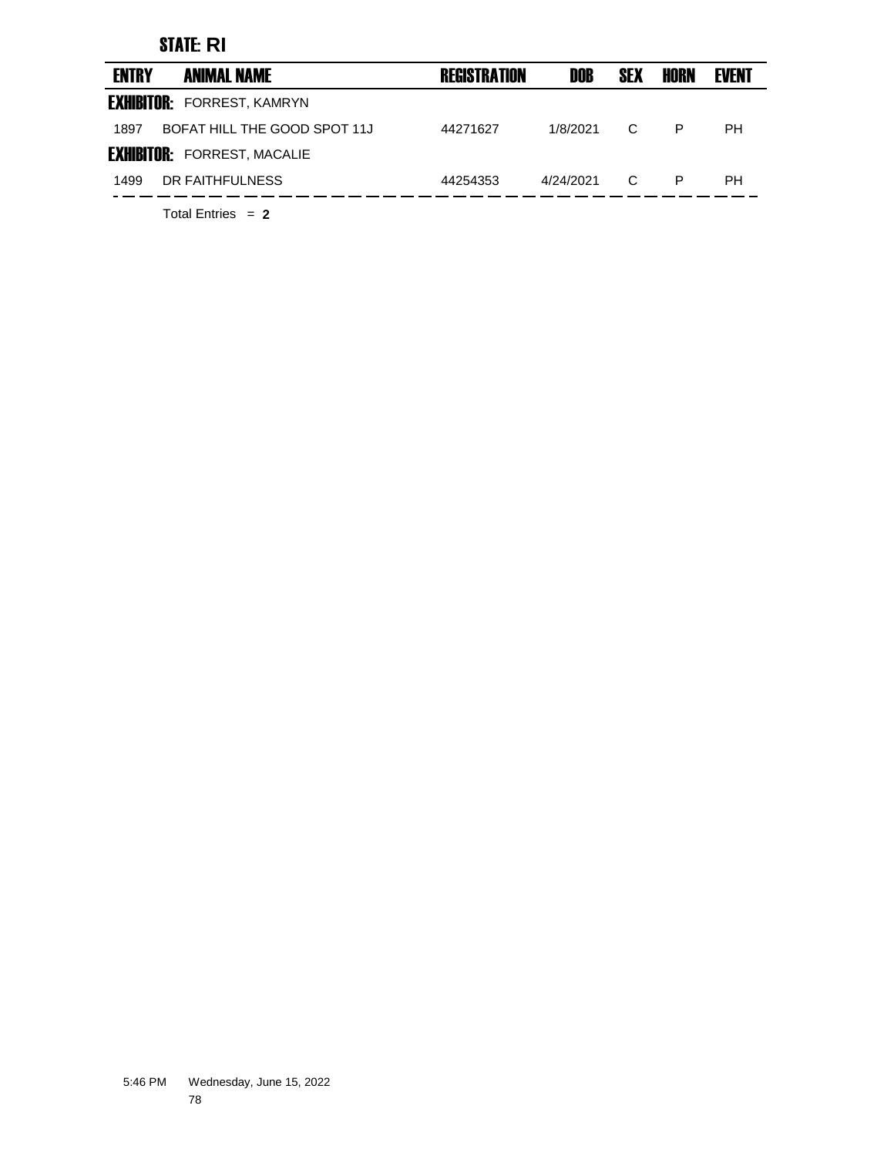## STATE: **RI**

| <b>ENTRY</b> | <b>ANIMAL NAME</b>                 | <b>REGISTRATION</b> | DOB       | <b>SEX</b> | HORN | <b>EVENT</b> |
|--------------|------------------------------------|---------------------|-----------|------------|------|--------------|
|              | <b>EXHIBITOR: FORREST, KAMRYN</b>  |                     |           |            |      |              |
| 1897         | BOFAT HILL THE GOOD SPOT 11J       | 44271627            | 1/8/2021  | C.         | P    | PН           |
|              | <b>EXHIBITOR: FORREST, MACALIE</b> |                     |           |            |      |              |
| 1499         | DR FAITHFULNESS                    | 44254353            | 4/24/2021 | C          | P    | PН           |
|              |                                    |                     |           |            |      |              |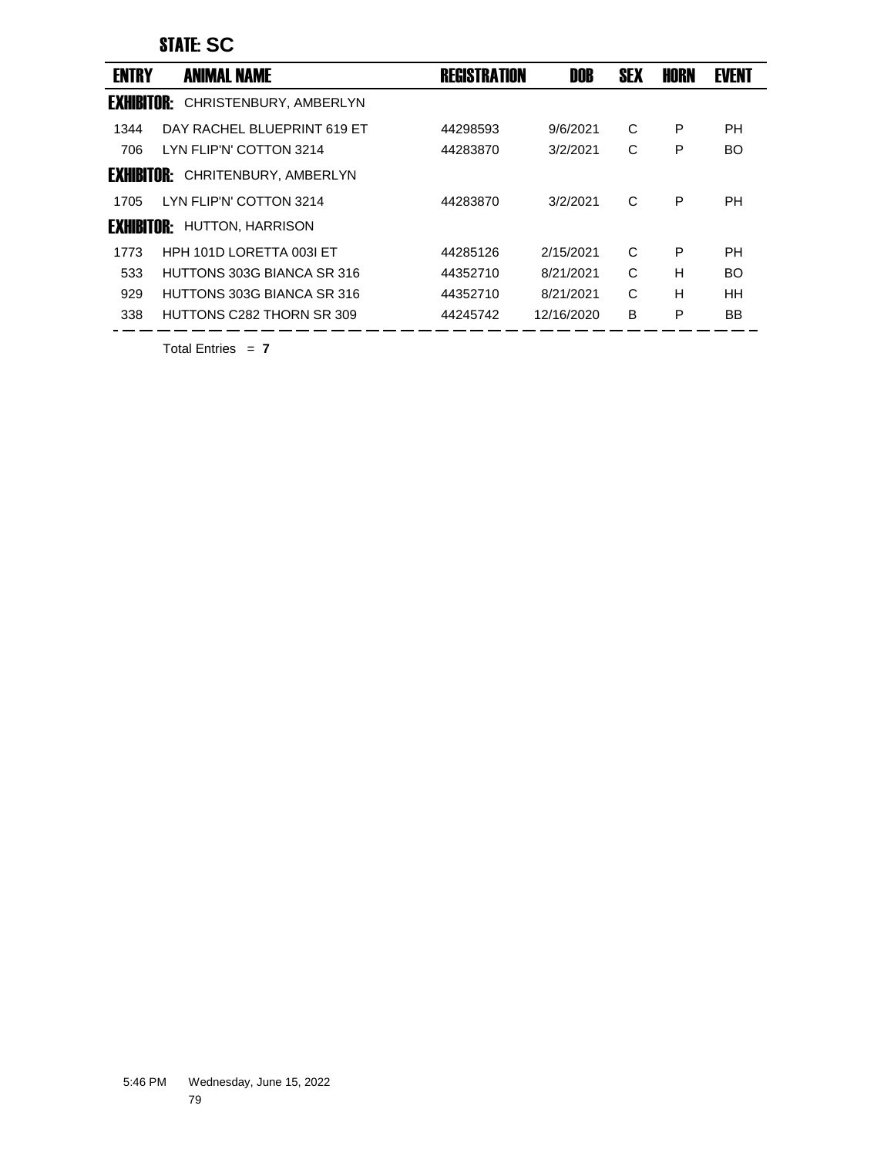## STATE: **SC**

| <b>ENTRY</b>      | <b>ANIMAL NAME</b>          | <b>REGISTRATION</b> | DOB        | <b>SEX</b> | <b>HORN</b> | <b>EVENT</b> |
|-------------------|-----------------------------|---------------------|------------|------------|-------------|--------------|
| <b>EXHIBITOR:</b> | CHRISTENBURY, AMBERLYN      |                     |            |            |             |              |
| 1344              | DAY RACHEL BLUEPRINT 619 ET | 44298593            | 9/6/2021   | C          | P           | PН           |
| 706               | LYN FLIP'N' COTTON 3214     | 44283870            | 3/2/2021   | С          | P           | <b>BO</b>    |
| <b>FXHIRITNR:</b> | CHRITENBURY, AMBERLYN       |                     |            |            |             |              |
| 1705              | LYN FLIP'N' COTTON 3214     | 44283870            | 3/2/2021   | C          | P           | <b>PH</b>    |
| <b>FXHIRITNR:</b> | <b>HUTTON, HARRISON</b>     |                     |            |            |             |              |
| 1773              | HPH 101D LORETTA 003I ET    | 44285126            | 2/15/2021  | C          | P           | PH           |
| 533               | HUTTONS 303G BIANCA SR 316  | 44352710            | 8/21/2021  | C          | H           | <b>BO</b>    |
| 929               | HUTTONS 303G BIANCA SR 316  | 44352710            | 8/21/2021  | C          | н           | <b>HH</b>    |
| 338               | HUTTONS C282 THORN SR 309   | 44245742            | 12/16/2020 | B          | P           | BB           |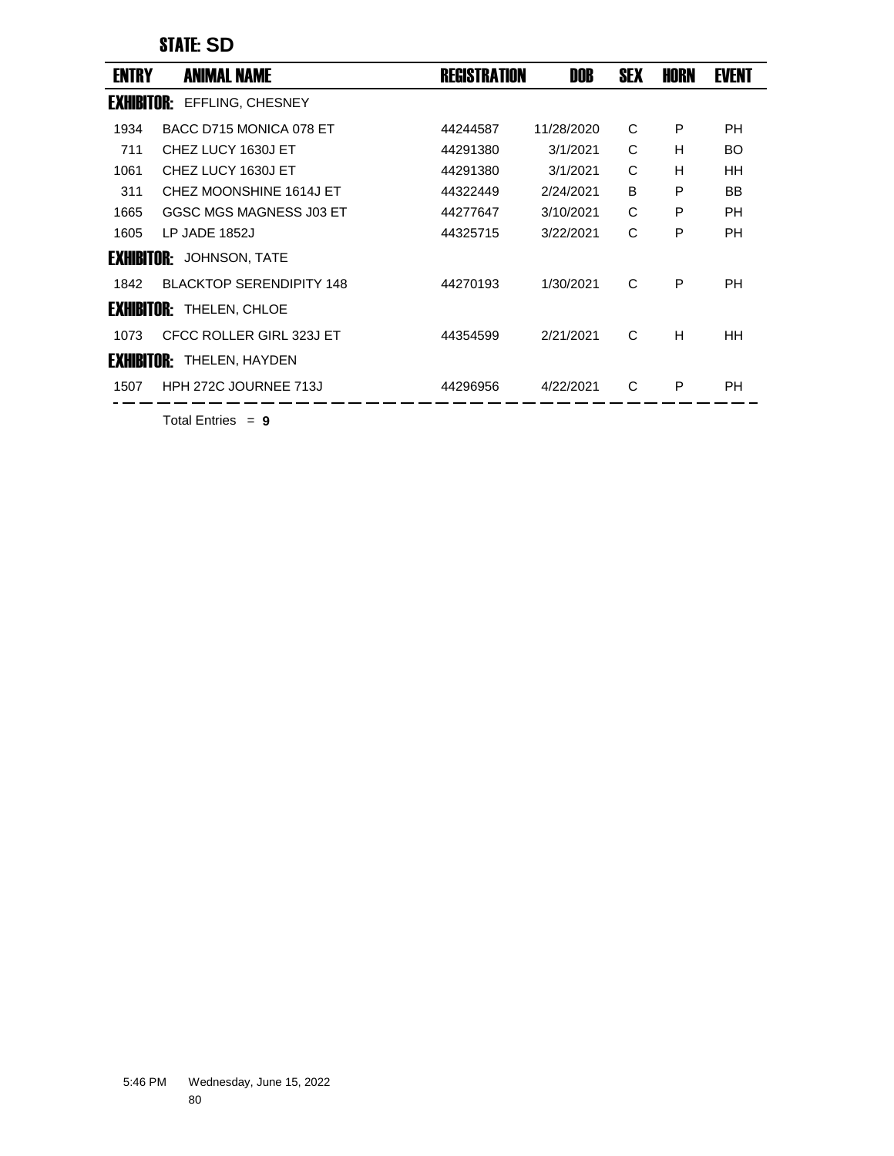## STATE: **SD**

| <b>ENTRY</b>      | <b>ANIMAL NAME</b>                | <b>REGISTRATION</b> | <b>DOB</b> | <b>SEX</b> | <b>HORN</b> | <b>EVENT</b> |  |
|-------------------|-----------------------------------|---------------------|------------|------------|-------------|--------------|--|
| <b>EXHIBITOR:</b> | EFFLING, CHESNEY                  |                     |            |            |             |              |  |
| 1934              | BACC D715 MONICA 078 ET           | 44244587            | 11/28/2020 | C          | P           | <b>PH</b>    |  |
| 711               | CHEZ LUCY 1630J ET                | 44291380            | 3/1/2021   | C          | н           | <b>BO</b>    |  |
| 1061              | CHEZ LUCY 1630J ET                | 44291380            | 3/1/2021   | C          | H           | <b>HH</b>    |  |
| 311               | CHEZ MOONSHINE 1614J ET           | 44322449            | 2/24/2021  | B          | P           | BB           |  |
| 1665              | GGSC MGS MAGNESS J03 ET           | 44277647            | 3/10/2021  | C          | P           | <b>PH</b>    |  |
| 1605              | LP JADE 1852J                     | 44325715            | 3/22/2021  | C          | P           | <b>PH</b>    |  |
| <b>Exhibitor:</b> | <b>JOHNSON, TATE</b>              |                     |            |            |             |              |  |
| 1842              | <b>BLACKTOP SERENDIPITY 148</b>   | 44270193            | 1/30/2021  | C          | P           | <b>PH</b>    |  |
|                   | <b>EXHIBITOR: THELEN, CHLOE</b>   |                     |            |            |             |              |  |
| 1073              | CFCC ROLLER GIRL 323J ET          | 44354599            | 2/21/2021  | C          | H           | HH.          |  |
|                   | <b>EXHIBITIIR:</b> THELEN, HAYDEN |                     |            |            |             |              |  |
| 1507              | HPH 272C JOURNEE 713J             | 44296956            | 4/22/2021  | C          | P           | <b>PH</b>    |  |
|                   |                                   |                     |            |            |             |              |  |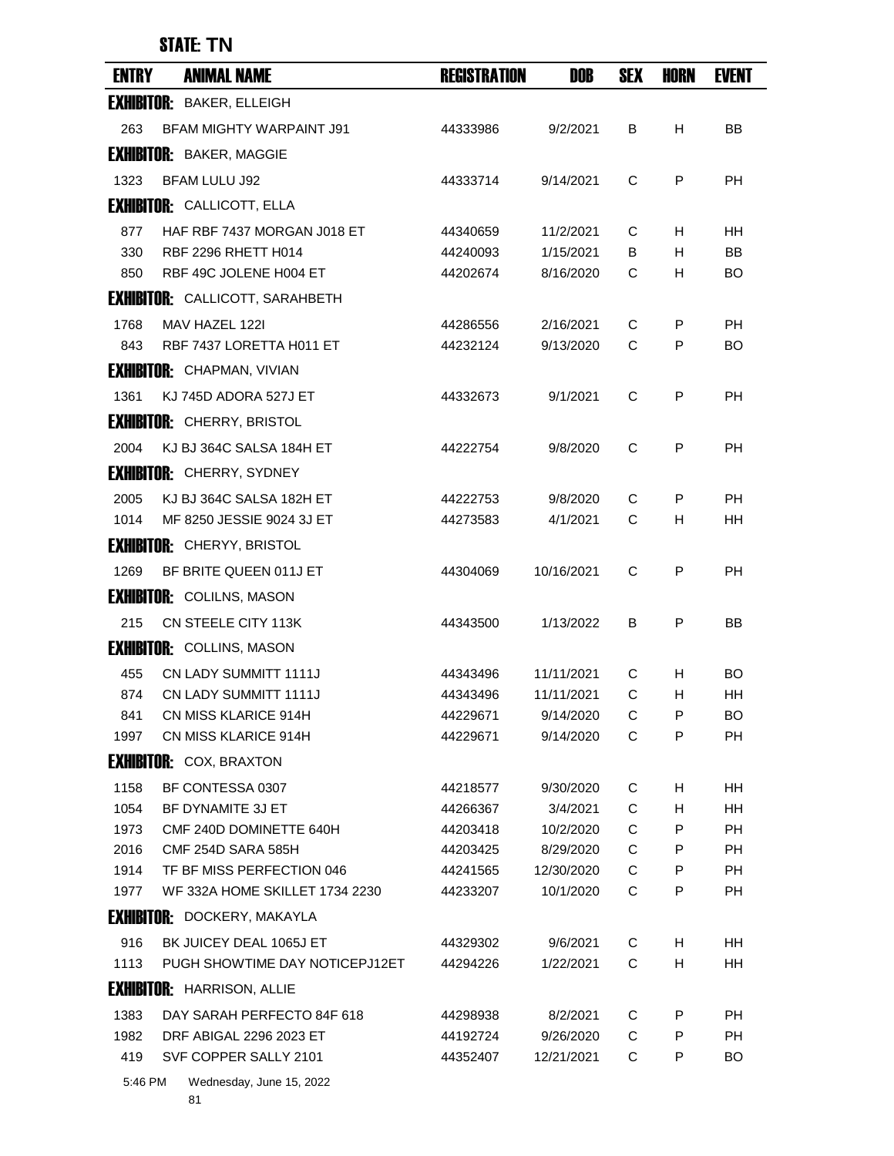## STATE: **TN**

| <b>ENTRY</b> | <b>ANIMAL NAME</b>                                   | <b>REGISTRATION</b>  | DOB                     | <b>SEX</b> | <b>HORN</b> | <b>EVENT</b>    |
|--------------|------------------------------------------------------|----------------------|-------------------------|------------|-------------|-----------------|
|              | <b>EXHIBITOR: BAKER, ELLEIGH</b>                     |                      |                         |            |             |                 |
| 263          | <b>BFAM MIGHTY WARPAINT J91</b>                      | 44333986             | 9/2/2021                | В          | н           | BB              |
|              | <b>EXHIBITOR: BAKER, MAGGIE</b>                      |                      |                         |            |             |                 |
| 1323         | <b>BFAM LULU J92</b>                                 | 44333714             | 9/14/2021               | C          | P           | <b>PH</b>       |
|              | <b>EXHIBITOR: CALLICOTT, ELLA</b>                    |                      |                         |            |             |                 |
| 877          | HAF RBF 7437 MORGAN J018 ET                          | 44340659             | 11/2/2021               | C          | H           | <b>HH</b>       |
| 330          | RBF 2296 RHETT H014                                  | 44240093             | 1/15/2021               | B          | H           | <b>BB</b>       |
| 850          | RBF 49C JOLENE H004 ET                               | 44202674             | 8/16/2020               | C          | н           | <b>BO</b>       |
|              | <b>EXHIBITOR: CALLICOTT, SARAHBETH</b>               |                      |                         |            |             |                 |
| 1768         | MAV HAZEL 122I                                       | 44286556             | 2/16/2021               | C          | P           | <b>PH</b>       |
| 843          | RBF 7437 LORETTA H011 ET                             | 44232124             | 9/13/2020               | C          | P           | BO              |
|              | <b>EXHIBITOR: CHAPMAN, VIVIAN</b>                    |                      |                         |            |             |                 |
| 1361         | KJ 745D ADORA 527J ET                                | 44332673             | 9/1/2021                | C          | P           | <b>PH</b>       |
|              | <b>EXHIBITOR: CHERRY, BRISTOL</b>                    |                      |                         |            |             |                 |
| 2004         | KJ BJ 364C SALSA 184H ET                             | 44222754             | 9/8/2020                | C          | P           | <b>PH</b>       |
|              | <b>EXHIBITOR: CHERRY, SYDNEY</b>                     |                      |                         |            |             |                 |
| 2005         | KJ BJ 364C SALSA 182H ET                             | 44222753             | 9/8/2020                | C          | P           | PH              |
| 1014         | MF 8250 JESSIE 9024 3J ET                            | 44273583             | 4/1/2021                | C          | H           | HН              |
|              | <b>EXHIBITOR: CHERYY, BRISTOL</b>                    |                      |                         |            |             |                 |
| 1269         | BF BRITE QUEEN 011J ET                               | 44304069             | 10/16/2021              | C          | P           | <b>PH</b>       |
|              | <b>EXHIBITOR: COLILNS, MASON</b>                     |                      |                         |            |             |                 |
|              |                                                      |                      |                         |            |             |                 |
| 215          | CN STEELE CITY 113K                                  | 44343500             | 1/13/2022               | B          | P           | ΒB              |
|              | <b>EXHIBITOR: COLLINS, MASON</b>                     |                      |                         |            |             |                 |
| 455          | <b>CN LADY SUMMITT 1111J</b>                         | 44343496             | 11/11/2021              | C          | н           | BO              |
| 874<br>841   | <b>CN LADY SUMMITT 1111J</b><br>CN MISS KLARICE 914H | 44343496<br>44229671 | 11/11/2021<br>9/14/2020 | C<br>С     | H<br>P      | HН<br><b>BO</b> |
| 1997         | CN MISS KLARICE 914H                                 | 44229671             | 9/14/2020               | C          | P           | PH              |
|              | <b>EXHIBITOR: COX, BRAXTON</b>                       |                      |                         |            |             |                 |
| 1158         | BF CONTESSA 0307                                     | 44218577             | 9/30/2020               | C          | н           | HH              |
| 1054         | BF DYNAMITE 3J ET                                    | 44266367             | 3/4/2021                | C          | н           | HН              |
| 1973         | CMF 240D DOMINETTE 640H                              | 44203418             | 10/2/2020               | C          | P           | PH              |
| 2016         | <b>CMF 254D SARA 585H</b>                            | 44203425             | 8/29/2020               | C          | P           | <b>PH</b>       |
| 1914         | TF BF MISS PERFECTION 046                            | 44241565             | 12/30/2020              | C          | P           | PH              |
| 1977         | WF 332A HOME SKILLET 1734 2230                       | 44233207             | 10/1/2020               | C          | P           | PH              |
|              | <b>EXHIBITOR: DOCKERY, MAKAYLA</b>                   |                      |                         |            |             |                 |
| 916          | BK JUICEY DEAL 1065J ET                              | 44329302             | 9/6/2021                | C          | н           | HH              |
| 1113         | PUGH SHOWTIME DAY NOTICEPJ12ET                       | 44294226             | 1/22/2021               | C          | н           | HH              |
|              | <b>EXHIBITOR: HARRISON, ALLIE</b>                    |                      |                         |            |             |                 |
| 1383         | DAY SARAH PERFECTO 84F 618                           | 44298938             | 8/2/2021                | C          | P           | PH              |
| 1982         | DRF ABIGAL 2296 2023 ET                              | 44192724             | 9/26/2020               | C          | P           | PH.             |
| 419          | SVF COPPER SALLY 2101                                | 44352407             | 12/21/2021              | C          | P           | BO              |

5:46 PM Wednesday, June 15, 2022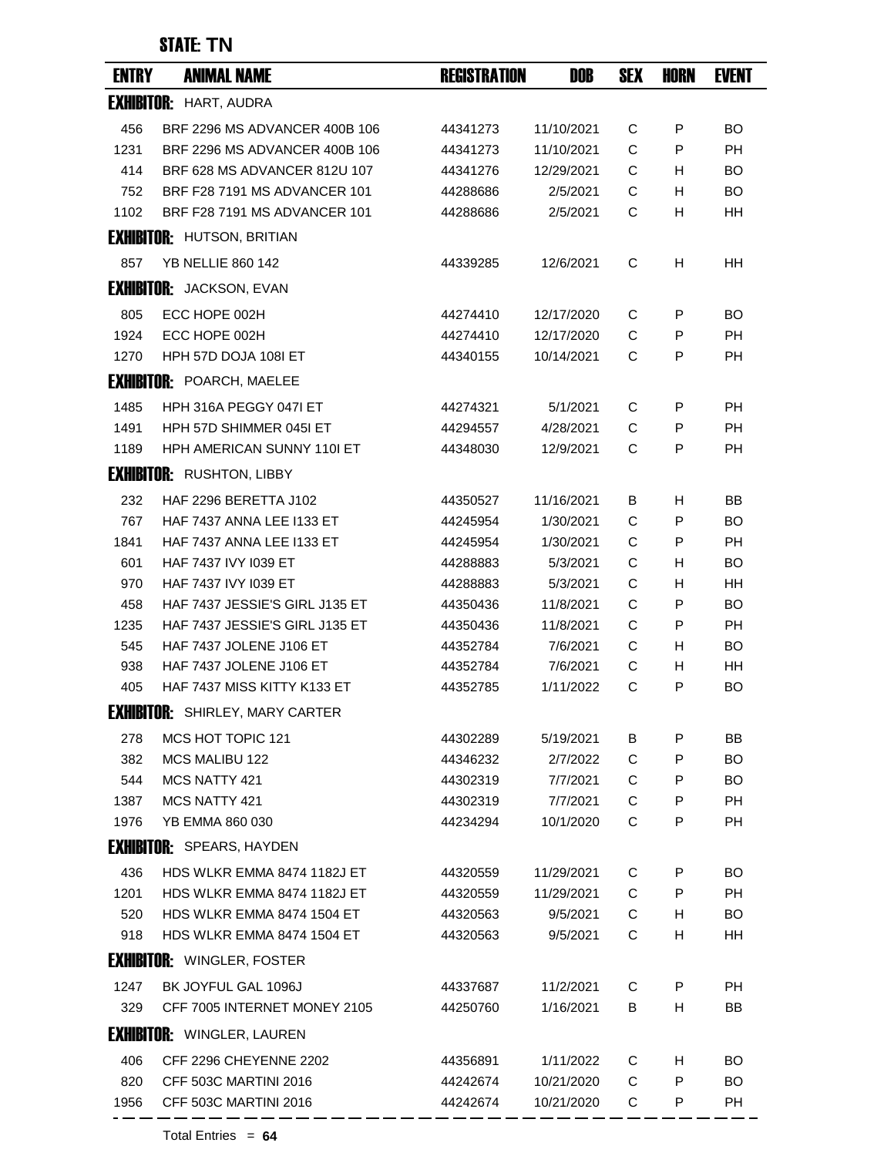## STATE: **TN**

| <b>ENTRY</b> | <b>ANIMAL NAME</b>                     | <b>REGISTRATION</b> | DOB        | <b>SEX</b> | <b>HORN</b> | <b>EVENT</b> |
|--------------|----------------------------------------|---------------------|------------|------------|-------------|--------------|
|              | <b>EXHIBITOR: HART, AUDRA</b>          |                     |            |            |             |              |
| 456          | BRF 2296 MS ADVANCER 400B 106          | 44341273            | 11/10/2021 | C          | P           | BO           |
| 1231         | BRF 2296 MS ADVANCER 400B 106          | 44341273            | 11/10/2021 | C          | P           | <b>PH</b>    |
| 414          | BRF 628 MS ADVANCER 812U 107           | 44341276            | 12/29/2021 | C          | H           | <b>BO</b>    |
| 752          | BRF F28 7191 MS ADVANCER 101           | 44288686            | 2/5/2021   | С          | H           | <b>BO</b>    |
| 1102         | BRF F28 7191 MS ADVANCER 101           | 44288686            | 2/5/2021   | С          | H           | HH           |
|              | <b>EXHIBITOR: HUTSON, BRITIAN</b>      |                     |            |            |             |              |
| 857          | <b>YB NELLIE 860 142</b>               | 44339285            | 12/6/2021  | С          | H           | <b>HH</b>    |
|              | <b>EXHIBITOR:</b> JACKSON, EVAN        |                     |            |            |             |              |
| 805          | ECC HOPE 002H                          | 44274410            | 12/17/2020 | C          | P           | <b>BO</b>    |
| 1924         | ECC HOPE 002H                          | 44274410            | 12/17/2020 | C          | P           | <b>PH</b>    |
| 1270         | HPH 57D DOJA 108I ET                   | 44340155            | 10/14/2021 | С          | P           | <b>PH</b>    |
|              | <b>EXHIBITOR: POARCH, MAELEE</b>       |                     |            |            |             |              |
| 1485         | HPH 316A PEGGY 047I ET                 | 44274321            | 5/1/2021   | C          | P           | РH           |
| 1491         | HPH 57D SHIMMER 045I ET                | 44294557            | 4/28/2021  | C          | P           | PH           |
| 1189         | HPH AMERICAN SUNNY 110I ET             | 44348030            | 12/9/2021  | C          | P           | <b>PH</b>    |
|              | <b>EXHIBITOR: RUSHTON, LIBBY</b>       |                     |            |            |             |              |
| 232          | HAF 2296 BERETTA J102                  | 44350527            | 11/16/2021 | B          | H           | <b>BB</b>    |
| 767          | HAF 7437 ANNA LEE I133 ET              | 44245954            | 1/30/2021  | C          | P           | <b>BO</b>    |
| 1841         | <b>HAF 7437 ANNA LEE I133 ET</b>       | 44245954            | 1/30/2021  | С          | P           | <b>PH</b>    |
| 601          | <b>HAF 7437 IVY 1039 ET</b>            | 44288883            | 5/3/2021   | C          | H           | BO           |
| 970          | HAF 7437 IVY 1039 ET                   | 44288883            | 5/3/2021   | С          | н           | HH           |
| 458          | HAF 7437 JESSIE'S GIRL J135 ET         | 44350436            | 11/8/2021  | С          | P           | <b>BO</b>    |
| 1235         | HAF 7437 JESSIE'S GIRL J135 ET         | 44350436            | 11/8/2021  | С          | P           | <b>PH</b>    |
| 545          | HAF 7437 JOLENE J106 ET                | 44352784            | 7/6/2021   | С          | H           | <b>BO</b>    |
| 938          | HAF 7437 JOLENE J106 ET                | 44352784            | 7/6/2021   | С          | н           | HН           |
| 405          | HAF 7437 MISS KITTY K133 ET            | 44352785            | 1/11/2022  | C          | P           | BO           |
|              | <b>EXHIBITOR: SHIRLEY, MARY CARTER</b> |                     |            |            |             |              |
| 278          | MCS HOT TOPIC 121                      | 44302289            | 5/19/2021  | B          | P           | ΒB           |
| 382          | <b>MCS MALIBU 122</b>                  | 44346232            | 2/7/2022   | C          | P           | <b>BO</b>    |
| 544          | MCS NATTY 421                          | 44302319            | 7/7/2021   | С          | P           | <b>BO</b>    |
| 1387         | MCS NATTY 421                          | 44302319            | 7/7/2021   | C          | P           | <b>PH</b>    |
| 1976         | YB EMMA 860 030                        | 44234294            | 10/1/2020  | С          | P           | <b>PH</b>    |
|              | <b>EXHIBITOR:</b> SPEARS, HAYDEN       |                     |            |            |             |              |
| 436          | HDS WLKR EMMA 8474 1182J ET            | 44320559            | 11/29/2021 | C          | P           | BO           |
| 1201         | HDS WLKR EMMA 8474 1182J ET            | 44320559            | 11/29/2021 | C          | P           | <b>PH</b>    |
| 520          | HDS WLKR EMMA 8474 1504 ET             | 44320563            | 9/5/2021   | C          | H           | <b>BO</b>    |
| 918          | HDS WLKR EMMA 8474 1504 ET             | 44320563            | 9/5/2021   | С          | н           | HH           |
|              | <b>EXHIBITOR: WINGLER, FOSTER</b>      |                     |            |            |             |              |
| 1247         | BK JOYFUL GAL 1096J                    | 44337687            | 11/2/2021  | С          | P           | <b>PH</b>    |
| 329          | CFF 7005 INTERNET MONEY 2105           | 44250760            | 1/16/2021  | B          | H           | BB           |
|              | <b>EXHIBITOR: WINGLER, LAUREN</b>      |                     |            |            |             |              |
| 406          | CFF 2296 CHEYENNE 2202                 | 44356891            | 1/11/2022  | С          | н           | BO           |
| 820          | CFF 503C MARTINI 2016                  | 44242674            | 10/21/2020 | C          | P           | BO           |
| 1956         | CFF 503C MARTINI 2016                  | 44242674            | 10/21/2020 | C          | P           | PH           |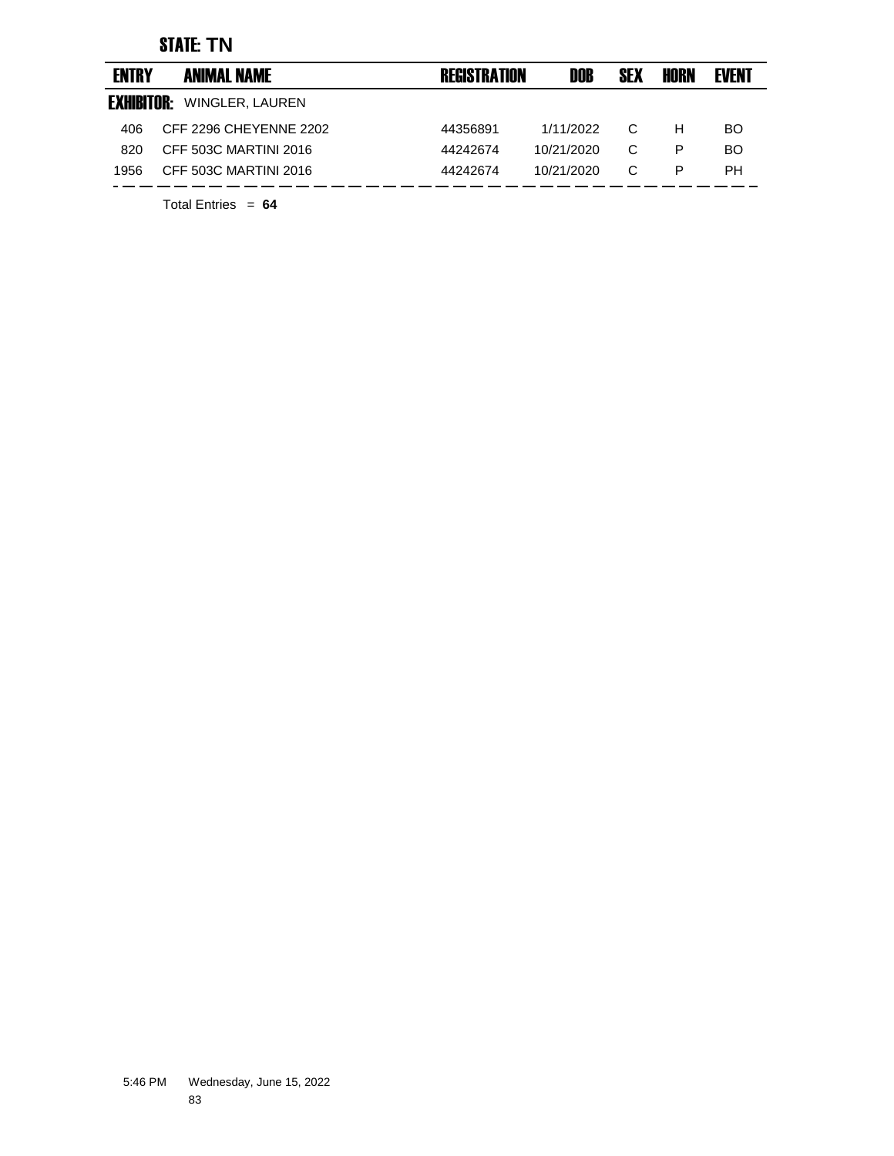## STATE: **TN**

| <b>ENTRY</b>      | <b>ANIMAL NAME</b>     | <b>REGISTRATION</b> | DOB        | <b>SEX</b> | HORN | <b>EVENT</b> |
|-------------------|------------------------|---------------------|------------|------------|------|--------------|
| <b>EXHIBITOR:</b> | WINGLER, LAUREN        |                     |            |            |      |              |
| 406               | CFF 2296 CHEYENNE 2202 | 44356891            | 1/11/2022  | C          | н    | BO.          |
| 820               | CFF 503C MARTINI 2016  | 44242674            | 10/21/2020 | C          | P    | BO.          |
| 1956              | CFF 503C MARTINI 2016  | 44242674            | 10/21/2020 | C          | P    | PH.          |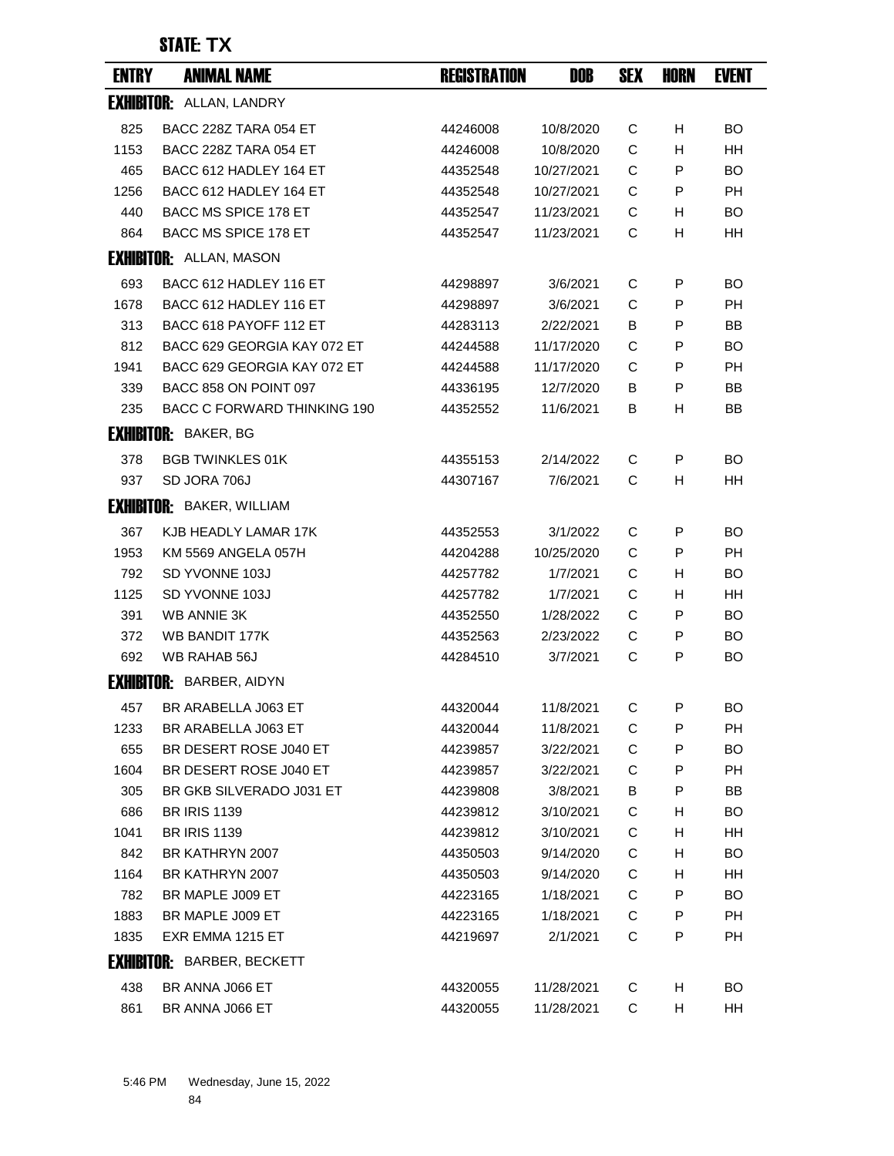| <b>ENTRY</b> | <b>ANIMAL NAME</b>                 | <b>REGISTRATION</b> | DOB        | <b>SEX</b> | <b>HORN</b> | <b>EVENT</b> |
|--------------|------------------------------------|---------------------|------------|------------|-------------|--------------|
|              | <b>EXHIBITOR: ALLAN, LANDRY</b>    |                     |            |            |             |              |
| 825          | BACC 228Z TARA 054 ET              | 44246008            | 10/8/2020  | С          | н           | <b>BO</b>    |
| 1153         | <b>BACC 228Z TARA 054 ET</b>       | 44246008            | 10/8/2020  | C          | н           | HH.          |
| 465          | BACC 612 HADLEY 164 ET             | 44352548            | 10/27/2021 | C          | P           | BO.          |
| 1256         | BACC 612 HADLEY 164 ET             | 44352548            | 10/27/2021 | C          | P           | PH           |
| 440          | BACC MS SPICE 178 ET               | 44352547            | 11/23/2021 | С          | н           | BO.          |
| 864          | BACC MS SPICE 178 ET               | 44352547            | 11/23/2021 | C          | н           | HH           |
|              | <b>EXHIBITOR:</b> ALLAN, MASON     |                     |            |            |             |              |
| 693          | BACC 612 HADLEY 116 ET             | 44298897            | 3/6/2021   | С          | P           | BO.          |
| 1678         | BACC 612 HADLEY 116 ET             | 44298897            | 3/6/2021   | C          | P           | РH           |
| 313          | BACC 618 PAYOFF 112 ET             | 44283113            | 2/22/2021  | В          | P           | BB           |
| 812          | BACC 629 GEORGIA KAY 072 ET        | 44244588            | 11/17/2020 | C          | P           | BO           |
| 1941         | BACC 629 GEORGIA KAY 072 ET        | 44244588            | 11/17/2020 | C          | P           | PH           |
| 339          | BACC 858 ON POINT 097              | 44336195            | 12/7/2020  | В          | P           | BB           |
| 235          | <b>BACC C FORWARD THINKING 190</b> | 44352552            | 11/6/2021  | В          | н           | BB           |
|              | <b>EXHIBITOR: BAKER, BG</b>        |                     |            |            |             |              |
| 378          | <b>BGB TWINKLES 01K</b>            | 44355153            | 2/14/2022  | С          | P           | BO.          |
| 937          | SD JORA 706J                       | 44307167            | 7/6/2021   | C          | н           | HН           |
|              | <b>EXHIBITOR: BAKER, WILLIAM</b>   |                     |            |            |             |              |
| 367          | KJB HEADLY LAMAR 17K               | 44352553            | 3/1/2022   | С          | P           | BO.          |
| 1953         | KM 5569 ANGELA 057H                | 44204288            | 10/25/2020 | С          | P           | PH           |
| 792          | SD YVONNE 103J                     | 44257782            | 1/7/2021   | C          | н           | <b>BO</b>    |
| 1125         | SD YVONNE 103J                     | 44257782            | 1/7/2021   | С          | H.          | HН           |
| 391          | <b>WB ANNIE 3K</b>                 | 44352550            | 1/28/2022  | C          | P           | BO.          |
| 372          | <b>WB BANDIT 177K</b>              | 44352563            | 2/23/2022  | С          | P           | <b>BO</b>    |
| 692          | WB RAHAB 56J                       | 44284510            | 3/7/2021   | C          | P           | BO.          |
|              | <b>EXHIBITOR: BARBER, AIDYN</b>    |                     |            |            |             |              |
| 457          | BR ARABELLA J063 ET                | 44320044            | 11/8/2021  | C.         | P           | ВO           |
| 1233         | BR ARABELLA J063 ET                | 44320044            | 11/8/2021  | С          | P           | PH           |
| 655          | BR DESERT ROSE J040 ET             | 44239857            | 3/22/2021  | C          | P           | BO           |
| 1604         | BR DESERT ROSE J040 ET             | 44239857            | 3/22/2021  | C          | P           | PH           |
| 305          | BR GKB SILVERADO J031 ET           | 44239808            | 3/8/2021   | В          | P           | BB           |
| 686          | <b>BR IRIS 1139</b>                | 44239812            | 3/10/2021  | С          | H           | BO           |
| 1041         | <b>BR IRIS 1139</b>                | 44239812            | 3/10/2021  | C          | Н           | HH           |
| 842          | BR KATHRYN 2007                    | 44350503            | 9/14/2020  | C          | Н           | BO           |
| 1164         | BR KATHRYN 2007                    | 44350503            | 9/14/2020  | C          | H           | HH           |
| 782          | BR MAPLE J009 ET                   | 44223165            | 1/18/2021  | С          | P           | BO           |
| 1883         | BR MAPLE J009 ET                   | 44223165            | 1/18/2021  | C          | P           | PH           |
| 1835         | EXR EMMA 1215 ET                   | 44219697            | 2/1/2021   | C          | P           | PH           |
|              | <b>EXHIBITOR: BARBER, BECKETT</b>  |                     |            |            |             |              |
| 438          | BR ANNA J066 ET                    | 44320055            | 11/28/2021 | C          | H           | BO           |
| 861          | BR ANNA J066 ET                    | 44320055            | 11/28/2021 | С          | H           | HH           |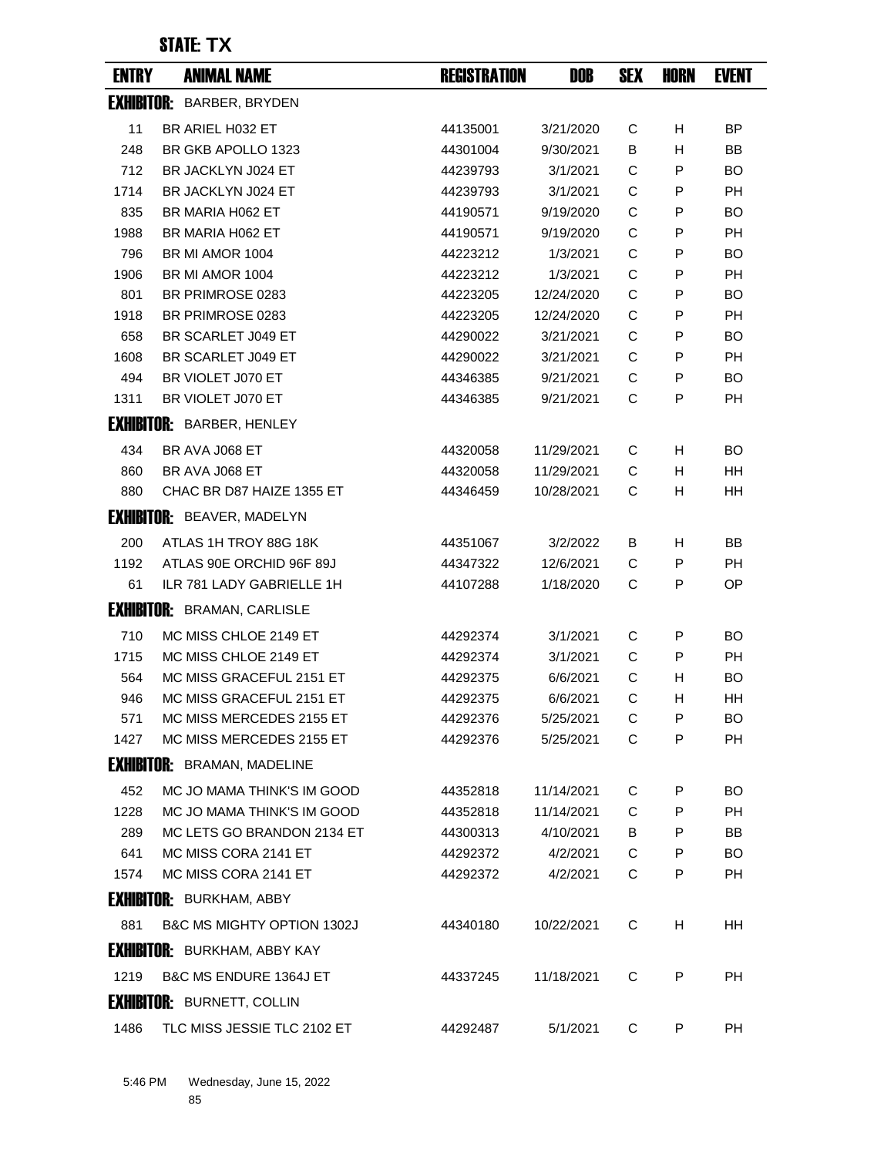| <b>EXHIBITOR: BARBER, BRYDEN</b><br>11<br>BR ARIEL H032 ET<br>44135001<br>3/21/2020<br>С<br>H<br>BR GKB APOLLO 1323<br>B<br>H<br>248<br>44301004<br>9/30/2021<br>712<br>BR JACKLYN J024 ET<br>C<br>P<br>44239793<br>3/1/2021<br>1714<br>BR JACKLYN J024 ET<br>3/1/2021<br>C<br>44239793<br>P<br>835<br>С<br>P<br>BR MARIA H062 ET<br>44190571<br>9/19/2020 | BP<br><b>BB</b><br><b>BO</b><br><b>PH</b><br><b>BO</b><br>PH<br><b>BO</b><br>PН |
|------------------------------------------------------------------------------------------------------------------------------------------------------------------------------------------------------------------------------------------------------------------------------------------------------------------------------------------------------------|---------------------------------------------------------------------------------|
|                                                                                                                                                                                                                                                                                                                                                            |                                                                                 |
|                                                                                                                                                                                                                                                                                                                                                            |                                                                                 |
|                                                                                                                                                                                                                                                                                                                                                            |                                                                                 |
|                                                                                                                                                                                                                                                                                                                                                            |                                                                                 |
|                                                                                                                                                                                                                                                                                                                                                            |                                                                                 |
|                                                                                                                                                                                                                                                                                                                                                            |                                                                                 |
| C<br>1988<br>BR MARIA H062 ET<br>9/19/2020<br>44190571<br>P                                                                                                                                                                                                                                                                                                |                                                                                 |
| 796<br>BR MI AMOR 1004<br>1/3/2021<br>C<br>P<br>44223212                                                                                                                                                                                                                                                                                                   |                                                                                 |
| C<br>1906<br>BR MI AMOR 1004<br>1/3/2021<br>P<br>44223212                                                                                                                                                                                                                                                                                                  |                                                                                 |
| 801<br>BR PRIMROSE 0283<br>12/24/2020<br>С<br>44223205<br>P                                                                                                                                                                                                                                                                                                | <b>BO</b>                                                                       |
| 1918<br>C<br>P<br>BR PRIMROSE 0283<br>44223205<br>12/24/2020                                                                                                                                                                                                                                                                                               | <b>PH</b>                                                                       |
| 658<br>BR SCARLET J049 ET<br>3/21/2021<br>C<br>P<br>44290022                                                                                                                                                                                                                                                                                               | <b>BO</b>                                                                       |
| BR SCARLET J049 ET<br>3/21/2021<br>C<br>1608<br>44290022<br>P                                                                                                                                                                                                                                                                                              | <b>PH</b>                                                                       |
| BR VIOLET J070 ET<br>C<br>494<br>44346385<br>9/21/2021<br>P                                                                                                                                                                                                                                                                                                | BO                                                                              |
| BR VIOLET J070 ET<br>C<br>P<br>1311<br>44346385<br>9/21/2021                                                                                                                                                                                                                                                                                               | <b>PH</b>                                                                       |
| <b>EXHIBITOR: BARBER, HENLEY</b>                                                                                                                                                                                                                                                                                                                           |                                                                                 |
| 434<br>BR AVA J068 ET<br>11/29/2021<br>С<br>H<br>44320058                                                                                                                                                                                                                                                                                                  | BO                                                                              |
| C<br>860<br>BR AVA J068 ET<br>44320058<br>11/29/2021<br>H.                                                                                                                                                                                                                                                                                                 | HH                                                                              |
| C<br>880<br>CHAC BR D87 HAIZE 1355 ET<br>44346459<br>10/28/2021<br>H.                                                                                                                                                                                                                                                                                      | <b>HH</b>                                                                       |
| <b>EXHIBITOR: BEAVER, MADELYN</b>                                                                                                                                                                                                                                                                                                                          |                                                                                 |
| 200<br>ATLAS 1H TROY 88G 18K<br>44351067<br>3/2/2022<br>в<br>H                                                                                                                                                                                                                                                                                             | <b>BB</b>                                                                       |
| 1192<br>ATLAS 90E ORCHID 96F 89J<br>44347322<br>12/6/2021<br>С<br>P                                                                                                                                                                                                                                                                                        | PH                                                                              |
| ILR 781 LADY GABRIELLE 1H<br>1/18/2020<br>61<br>44107288<br>С<br>P                                                                                                                                                                                                                                                                                         | OP.                                                                             |
| <b>EXHIBITOR: BRAMAN, CARLISLE</b>                                                                                                                                                                                                                                                                                                                         |                                                                                 |
| 710<br>MC MISS CHLOE 2149 ET<br>44292374<br>3/1/2021<br>С<br>P                                                                                                                                                                                                                                                                                             | BO                                                                              |
| 1715<br>MC MISS CHLOE 2149 ET<br>3/1/2021<br>C<br>P<br>44292374                                                                                                                                                                                                                                                                                            | PH                                                                              |
| 564<br>MC MISS GRACEFUL 2151 ET<br>44292375<br>6/6/2021<br>С<br>H                                                                                                                                                                                                                                                                                          | <b>BO</b>                                                                       |
| MC MISS GRACEFUL 2151 ET<br>C<br>946<br>44292375<br>6/6/2021<br>н                                                                                                                                                                                                                                                                                          | HH                                                                              |
| 571<br>MC MISS MERCEDES 2155 ET<br>5/25/2021<br>С<br>P<br>44292376                                                                                                                                                                                                                                                                                         | BO.                                                                             |
| 1427<br>MC MISS MERCEDES 2155 ET<br>C<br>P<br>44292376<br>5/25/2021                                                                                                                                                                                                                                                                                        | <b>PH</b>                                                                       |
| <b>EXHIBITOR: BRAMAN, MADELINE</b>                                                                                                                                                                                                                                                                                                                         |                                                                                 |
| 452<br>MC JO MAMA THINK'S IM GOOD<br>44352818<br>11/14/2021<br>С<br>P                                                                                                                                                                                                                                                                                      | BO.                                                                             |
| 1228<br>MC JO MAMA THINK'S IM GOOD<br>C<br>44352818<br>11/14/2021<br>P                                                                                                                                                                                                                                                                                     | PH                                                                              |
| 289<br>MC LETS GO BRANDON 2134 ET<br>4/10/2021<br>В<br>P<br>44300313                                                                                                                                                                                                                                                                                       | BB                                                                              |
| MC MISS CORA 2141 ET<br>C<br>641<br>44292372<br>4/2/2021<br>P                                                                                                                                                                                                                                                                                              | BO.                                                                             |
| MC MISS CORA 2141 ET<br>1574<br>44292372<br>4/2/2021<br>С<br>P                                                                                                                                                                                                                                                                                             | PH                                                                              |
| <b>EXHIBITOR: BURKHAM, ABBY</b>                                                                                                                                                                                                                                                                                                                            |                                                                                 |
| <b>B&amp;C MS MIGHTY OPTION 1302J</b><br>881<br>10/22/2021<br>С<br>H<br>44340180                                                                                                                                                                                                                                                                           | HH                                                                              |
| <b>EXHIBITOR: BURKHAM, ABBY KAY</b>                                                                                                                                                                                                                                                                                                                        |                                                                                 |
| <b>B&amp;C MS ENDURE 1364J ET</b><br>C<br>1219<br>11/18/2021<br>P<br>44337245                                                                                                                                                                                                                                                                              | PH                                                                              |
| <b>EXHIBITOR: BURNETT, COLLIN</b>                                                                                                                                                                                                                                                                                                                          |                                                                                 |
| 1486<br>TLC MISS JESSIE TLC 2102 ET<br>44292487<br>5/1/2021<br>С<br>P                                                                                                                                                                                                                                                                                      | PH                                                                              |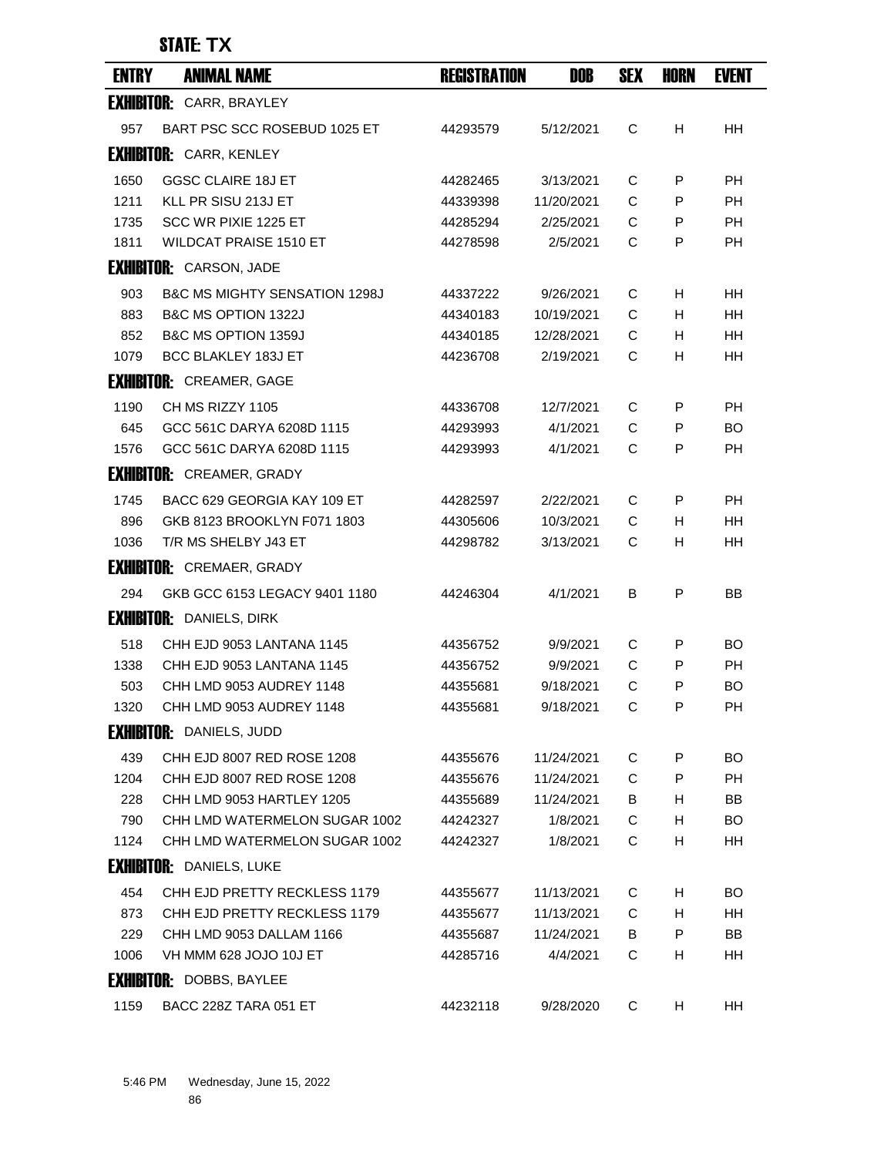| <b>ENTRY</b> | <b>ANIMAL NAME</b>                       | <b>REGISTRATION</b> | DOB        | <b>SEX</b> | HORN | <b>EVENT</b> |
|--------------|------------------------------------------|---------------------|------------|------------|------|--------------|
|              | <b>EXHIBITOR: CARR, BRAYLEY</b>          |                     |            |            |      |              |
| 957          | BART PSC SCC ROSEBUD 1025 ET             | 44293579            | 5/12/2021  | C          | H    | HH           |
|              | <b>EXHIBITOR: CARR, KENLEY</b>           |                     |            |            |      |              |
| 1650         | <b>GGSC CLAIRE 18J ET</b>                | 44282465            | 3/13/2021  | С          | P    | PH           |
| 1211         | KLL PR SISU 213J ET                      | 44339398            | 11/20/2021 | C          | P    | <b>PH</b>    |
| 1735         | SCC WR PIXIE 1225 ET                     | 44285294            | 2/25/2021  | С          | P    | PH           |
| 1811         | <b>WILDCAT PRAISE 1510 ET</b>            | 44278598            | 2/5/2021   | C          | P    | <b>PH</b>    |
|              | <b>EXHIBITOR: CARSON, JADE</b>           |                     |            |            |      |              |
| 903          | <b>B&amp;C MS MIGHTY SENSATION 1298J</b> | 44337222            | 9/26/2021  | С          | H    | HН           |
| 883          | B&C MS OPTION 1322J                      | 44340183            | 10/19/2021 | C          | H    | HН           |
| 852          | B&C MS OPTION 1359J                      | 44340185            | 12/28/2021 | С          | H.   | HН           |
| 1079         | BCC BLAKLEY 183J ET                      | 44236708            | 2/19/2021  | C          | н    | HH           |
|              | <b>EXHIBITOR: CREAMER, GAGE</b>          |                     |            |            |      |              |
| 1190         | CH MS RIZZY 1105                         | 44336708            | 12/7/2021  | С          | P    | <b>PH</b>    |
| 645          | GCC 561C DARYA 6208D 1115                | 44293993            | 4/1/2021   | C          | P    | <b>BO</b>    |
| 1576         | GCC 561C DARYA 6208D 1115                | 44293993            | 4/1/2021   | C          | P    | PH           |
|              | <b>EXHIBITOR: CREAMER, GRADY</b>         |                     |            |            |      |              |
| 1745         | BACC 629 GEORGIA KAY 109 ET              | 44282597            | 2/22/2021  | C          | P    | PH           |
| 896          | GKB 8123 BROOKLYN F071 1803              | 44305606            | 10/3/2021  | C          | H    | <b>HH</b>    |
| 1036         | T/R MS SHELBY J43 ET                     | 44298782            | 3/13/2021  | С          | H    | HН           |
|              | <b>EXHIBITOR: CREMAER, GRADY</b>         |                     |            |            |      |              |
| 294          | GKB GCC 6153 LEGACY 9401 1180            | 44246304            | 4/1/2021   | в          | P    | ΒB           |
|              | <b>EXHIBITOR: DANIELS, DIRK</b>          |                     |            |            |      |              |
| 518          | CHH EJD 9053 LANTANA 1145                | 44356752            | 9/9/2021   | С          | P    | BO           |
| 1338         | CHH EJD 9053 LANTANA 1145                | 44356752            | 9/9/2021   | C          | P    | PH           |
| 503          | CHH LMD 9053 AUDREY 1148                 | 44355681            | 9/18/2021  | C          | P    | BO           |
| 1320         | CHH LMD 9053 AUDREY 1148                 | 44355681            | 9/18/2021  | C          | P    | PН           |
|              | <b>EXHIBITOR: DANIELS, JUDD</b>          |                     |            |            |      |              |
| 439          | CHH EJD 8007 RED ROSE 1208               | 44355676            | 11/24/2021 | C          | P    | <b>BO</b>    |
| 1204         | CHH EJD 8007 RED ROSE 1208               | 44355676            | 11/24/2021 | C          | P    | PH           |
| 228          | CHH LMD 9053 HARTLEY 1205                | 44355689            | 11/24/2021 | B          | H.   | BB           |
| 790          | CHH LMD WATERMELON SUGAR 1002            | 44242327            | 1/8/2021   | C          | H    | <b>BO</b>    |
| 1124         | CHH LMD WATERMELON SUGAR 1002            | 44242327            | 1/8/2021   | C          | H    | HH           |
|              | <b>EXHIBITOR: DANIELS, LUKE</b>          |                     |            |            |      |              |
| 454          | CHH EJD PRETTY RECKLESS 1179             | 44355677            | 11/13/2021 | C          | H    | <b>BO</b>    |
| 873          | CHH EJD PRETTY RECKLESS 1179             | 44355677            | 11/13/2021 | C          | H    | HH           |
| 229          | CHH LMD 9053 DALLAM 1166                 | 44355687            | 11/24/2021 | B          | P    | BB           |
| 1006         | VH MMM 628 JOJO 10J ET                   | 44285716            | 4/4/2021   | C          | H    | HH.          |
|              | <b>EXHIBITOR: DOBBS, BAYLEE</b>          |                     |            |            |      |              |
| 1159         | BACC 228Z TARA 051 ET                    | 44232118            | 9/28/2020  | C          | H.   | HH           |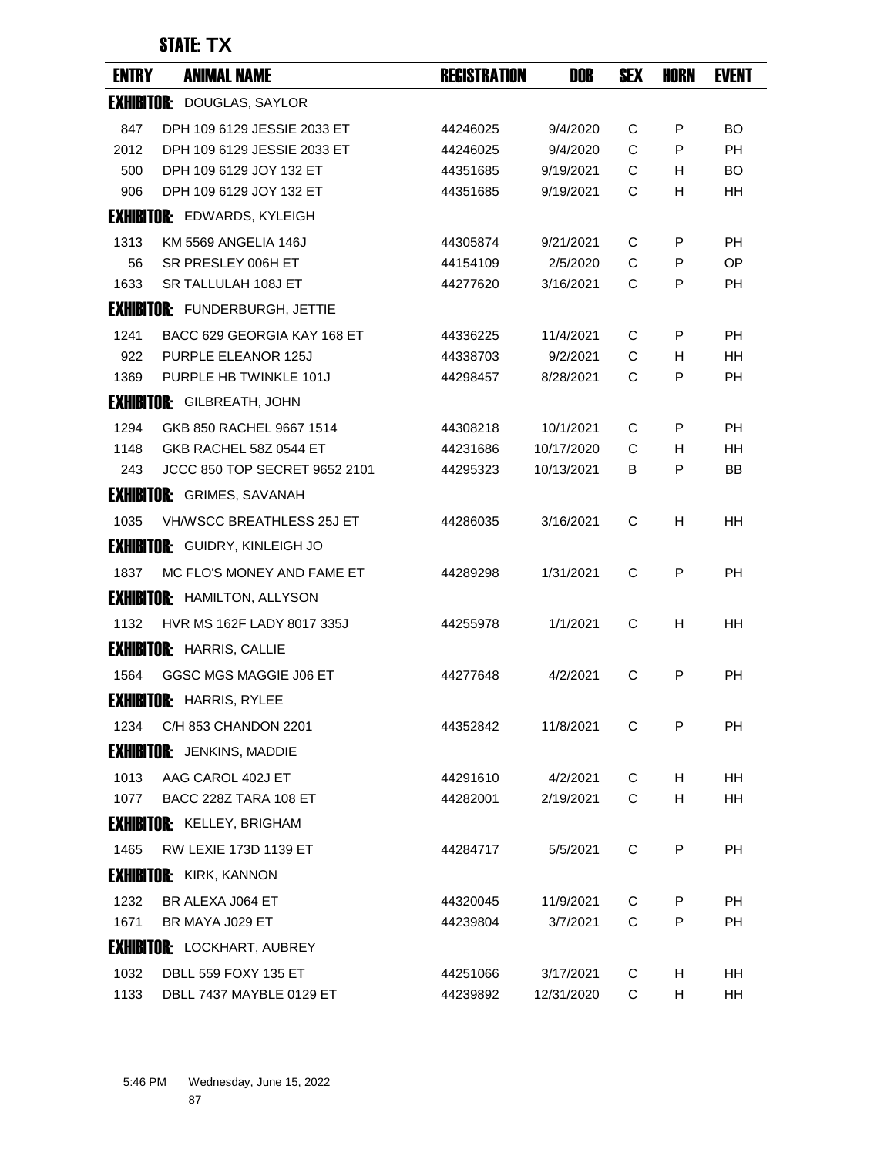| <b>ENTRY</b> | <b>ANIMAL NAME</b>                    | <b>REGISTRATION</b> | DOB        | <b>SEX</b>  | <b>HORN</b> | <b>EVENT</b> |
|--------------|---------------------------------------|---------------------|------------|-------------|-------------|--------------|
|              | <b>EXHIBITOR: DOUGLAS, SAYLOR</b>     |                     |            |             |             |              |
| 847          | DPH 109 6129 JESSIE 2033 ET           | 44246025            | 9/4/2020   | C           | P           | BO.          |
| 2012         | DPH 109 6129 JESSIE 2033 ET           | 44246025            | 9/4/2020   | C           | P           | <b>PH</b>    |
| 500          | DPH 109 6129 JOY 132 ET               | 44351685            | 9/19/2021  | C           | н           | BO.          |
| 906          | DPH 109 6129 JOY 132 ET               | 44351685            | 9/19/2021  | С           | н           | HН           |
|              | <b>FXHIRITOR: EDWARDS, KYLEIGH</b>    |                     |            |             |             |              |
| 1313         | KM 5569 ANGELIA 146J                  | 44305874            | 9/21/2021  | C           | P           | РH           |
| 56           | SR PRESLEY 006H ET                    | 44154109            | 2/5/2020   | C           | P           | <b>OP</b>    |
| 1633         | SR TALLULAH 108J ET                   | 44277620            | 3/16/2021  | C           | P           | РH           |
|              | <b>EXHIBITOR: FUNDERBURGH, JETTIE</b> |                     |            |             |             |              |
| 1241         | BACC 629 GEORGIA KAY 168 ET           | 44336225            | 11/4/2021  | C           | P           | РH           |
| 922          | <b>PURPLE ELEANOR 125J</b>            | 44338703            | 9/2/2021   | C           | H           | HН           |
| 1369         | PURPLE HB TWINKLE 101J                | 44298457            | 8/28/2021  | C           | P           | <b>PH</b>    |
|              | <b>EXHIBITOR: GILBREATH, JOHN</b>     |                     |            |             |             |              |
| 1294         | GKB 850 RACHEL 9667 1514              | 44308218            | 10/1/2021  | C           | P           | <b>PH</b>    |
| 1148         | GKB RACHEL 58Z 0544 ET                | 44231686            | 10/17/2020 | C           | H           | HН           |
| 243          | JCCC 850 TOP SECRET 9652 2101         | 44295323            | 10/13/2021 | В           | P           | BB           |
|              | <b>EXHIBITOR:</b> GRIMES, SAVANAH     |                     |            |             |             |              |
| 1035         | <b>VH/WSCC BREATHLESS 25J ET</b>      | 44286035            | 3/16/2021  | C           | H           | HН           |
|              | <b>EXHIBITOR:</b> GUIDRY, KINLEIGH JO |                     |            |             |             |              |
| 1837         | MC FLO'S MONEY AND FAME ET            | 44289298            | 1/31/2021  | C           | P           | PH           |
|              | <b>EXHIBITOR: HAMILTON, ALLYSON</b>   |                     |            |             |             |              |
| 1132         | HVR MS 162F LADY 8017 335J            | 44255978            | 1/1/2021   | C           | н           | HН           |
|              | <b>EXHIBITOR: HARRIS, CALLIE</b>      |                     |            |             |             |              |
| 1564         | GGSC MGS MAGGIE J06 ET                | 44277648            | 4/2/2021   | C           | P           | <b>PH</b>    |
|              | <b>EXHIBITOR: HARRIS, RYLEE</b>       |                     |            |             |             |              |
| 1234         | C/H 853 CHANDON 2201                  | 44352842            | 11/8/2021  | C           | P           | PH           |
|              | <b>EXHIBITOR:</b> JENKINS, MADDIE     |                     |            |             |             |              |
| 1013         | AAG CAROL 402J ET                     | 44291610            | 4/2/2021   | C           | H           | HH           |
| 1077         | BACC 228Z TARA 108 ET                 | 44282001            | 2/19/2021  | C           | H           | HH           |
|              | <b>EXHIBITOR: KELLEY, BRIGHAM</b>     |                     |            |             |             |              |
| 1465         | RW LEXIE 173D 1139 ET                 | 44284717            | 5/5/2021   | C           | P           | PH           |
|              | <b>EXHIBITOR: KIRK, KANNON</b>        |                     |            |             |             |              |
| 1232         | BR ALEXA J064 ET                      | 44320045            | 11/9/2021  | C           | P           | <b>PH</b>    |
| 1671         | BR MAYA J029 ET                       | 44239804            | 3/7/2021   | C           | P           | <b>PH</b>    |
|              | <b>EXHIBITOR: LOCKHART, AUBREY</b>    |                     |            |             |             |              |
| 1032         | DBLL 559 FOXY 135 ET                  | 44251066            | 3/17/2021  | C           | H           | HH           |
| 1133         | DBLL 7437 MAYBLE 0129 ET              | 44239892            | 12/31/2020 | $\mathsf C$ | H           | HH           |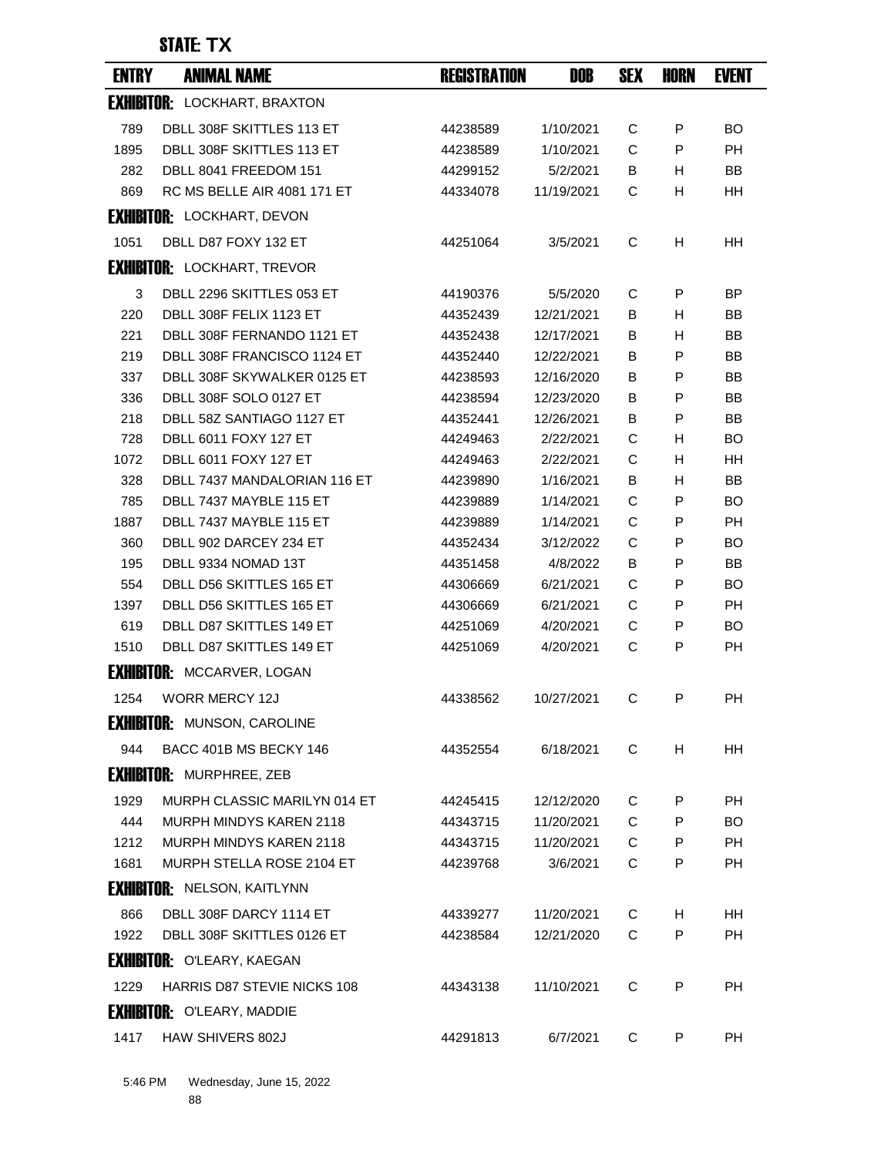| <b>ENTRY</b> | <b>ANIMAL NAME</b>                  | <b>REGISTRATION</b> | <b>DOB</b> | <b>SEX</b> | <b>HORN</b> | <b>EVENT</b> |
|--------------|-------------------------------------|---------------------|------------|------------|-------------|--------------|
|              | <b>EXHIBITOR: LOCKHART, BRAXTON</b> |                     |            |            |             |              |
| 789          | DBLL 308F SKITTLES 113 ET           | 44238589            | 1/10/2021  | С          | P           | <b>BO</b>    |
| 1895         | DBLL 308F SKITTLES 113 ET           | 44238589            | 1/10/2021  | C          | P           | <b>PH</b>    |
| 282          | DBLL 8041 FREEDOM 151               | 44299152            | 5/2/2021   | В          | H           | <b>BB</b>    |
| 869          | RC MS BELLE AIR 4081 171 ET         | 44334078            | 11/19/2021 | С          | н           | HH           |
|              | <b>EXHIBITOR: LOCKHART, DEVON</b>   |                     |            |            |             |              |
| 1051         | DBLL D87 FOXY 132 ET                | 44251064            | 3/5/2021   | С          | н           | HH           |
|              | <b>EXHIBITOR: LOCKHART, TREVOR</b>  |                     |            |            |             |              |
| 3            | DBLL 2296 SKITTLES 053 ET           | 44190376            | 5/5/2020   | С          | P           | ВP           |
| 220          | DBLL 308F FELIX 1123 ET             | 44352439            | 12/21/2021 | В          | H           | <b>BB</b>    |
| 221          | DBLL 308F FERNANDO 1121 ET          | 44352438            | 12/17/2021 | B          | H           | ΒB           |
| 219          | DBLL 308F FRANCISCO 1124 ET         | 44352440            | 12/22/2021 | В          | P           | <b>BB</b>    |
| 337          | DBLL 308F SKYWALKER 0125 ET         | 44238593            | 12/16/2020 | В          | P           | <b>BB</b>    |
| 336          | DBLL 308F SOLO 0127 ET              | 44238594            | 12/23/2020 | В          | P           | <b>BB</b>    |
| 218          | DBLL 58Z SANTIAGO 1127 ET           | 44352441            | 12/26/2021 | В          | P           | <b>BB</b>    |
| 728          | <b>DBLL 6011 FOXY 127 ET</b>        | 44249463            | 2/22/2021  | С          | H           | <b>BO</b>    |
| 1072         | <b>DBLL 6011 FOXY 127 ET</b>        | 44249463            | 2/22/2021  | C          | H           | <b>HH</b>    |
| 328          | DBLL 7437 MANDALORIAN 116 ET        | 44239890            | 1/16/2021  | B          | H           | BB           |
| 785          | DBLL 7437 MAYBLE 115 ET             | 44239889            | 1/14/2021  | C          | P           | BO.          |
| 1887         | DBLL 7437 MAYBLE 115 ET             | 44239889            | 1/14/2021  | C          | P           | <b>PH</b>    |
| 360          | DBLL 902 DARCEY 234 ET              | 44352434            | 3/12/2022  | С          | P           | <b>BO</b>    |
| 195          | DBLL 9334 NOMAD 13T                 | 44351458            | 4/8/2022   | B          | P           | BB           |
| 554          | DBLL D56 SKITTLES 165 ET            | 44306669            | 6/21/2021  | C          | P           | <b>BO</b>    |
| 1397         | DBLL D56 SKITTLES 165 ET            | 44306669            | 6/21/2021  | C          | P           | <b>PH</b>    |
| 619          | DBLL D87 SKITTLES 149 ET            | 44251069            | 4/20/2021  | C          | P           | <b>BO</b>    |
| 1510         | DBLL D87 SKITTLES 149 ET            | 44251069            | 4/20/2021  | С          | P           | <b>PH</b>    |
|              | <b>EXHIBITOR: MCCARVER, LOGAN</b>   |                     |            |            |             |              |
| 1254         | <b>WORR MERCY 12J</b>               | 44338562            | 10/27/2021 | С          | P           | <b>PH</b>    |
|              | <b>EXHIBITOR: MUNSON, CAROLINE</b>  |                     |            |            |             |              |
| 944          | BACC 401B MS BECKY 146              | 44352554            | 6/18/2021  | С          | н           | HH           |
|              | <b>EXHIBITOR: MURPHREE, ZEB</b>     |                     |            |            |             |              |
| 1929         | MURPH CLASSIC MARILYN 014 ET        | 44245415            | 12/12/2020 | C          | P           | <b>PH</b>    |
| 444          | <b>MURPH MINDYS KAREN 2118</b>      | 44343715            | 11/20/2021 | C          | P           | <b>BO</b>    |
| 1212         | <b>MURPH MINDYS KAREN 2118</b>      | 44343715            | 11/20/2021 | C          | P           | <b>PH</b>    |
| 1681         | MURPH STELLA ROSE 2104 ET           | 44239768            | 3/6/2021   | С          | P           | <b>PH</b>    |
|              | <b>EXHIBITOR: NELSON, KAITLYNN</b>  |                     |            |            |             |              |
| 866          | DBLL 308F DARCY 1114 ET             | 44339277            | 11/20/2021 | С          | H           | <b>HH</b>    |
| 1922         | DBLL 308F SKITTLES 0126 ET          | 44238584            | 12/21/2020 | С          | P           | <b>PH</b>    |
|              | <b>EXHIBITOR: O'LEARY, KAEGAN</b>   |                     |            |            |             |              |
| 1229         | <b>HARRIS D87 STEVIE NICKS 108</b>  | 44343138            | 11/10/2021 | С          | P           | <b>PH</b>    |
|              | <b>EXHIBITOR: O'LEARY, MADDIE</b>   |                     |            |            |             |              |
| 1417         | HAW SHIVERS 802J                    | 44291813            | 6/7/2021   | С          | P           | РH           |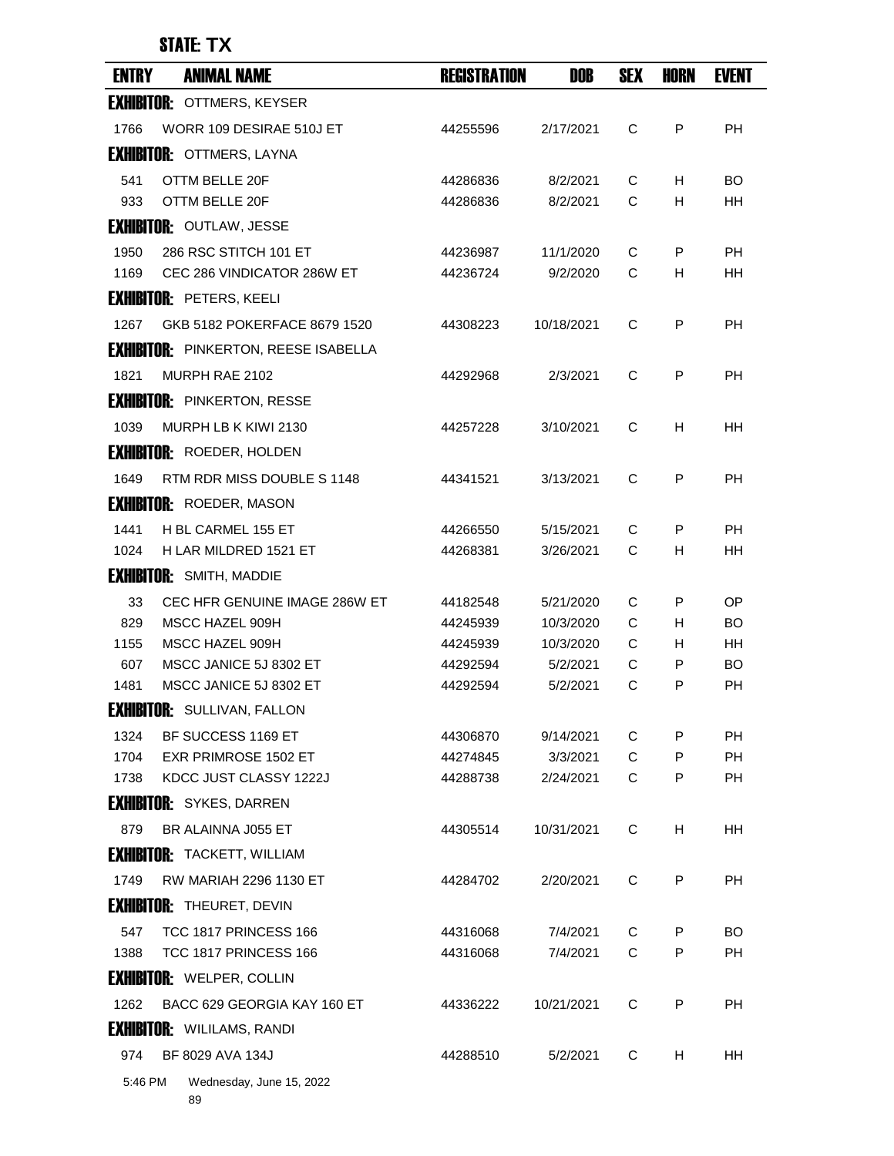| <b>EXHIBITOR: OTTMERS, KEYSER</b><br>WORR 109 DESIRAE 510J ET<br>C<br>P<br><b>PH</b><br>1766<br>2/17/2021<br>44255596<br><b>EXHIBITOR: OTTMERS, LAYNA</b><br>OTTM BELLE 20F<br>541<br>44286836<br>8/2/2021<br>С<br>H<br>BO<br>933<br>OTTM BELLE 20F<br>C<br>H<br><b>HH</b><br>44286836<br>8/2/2021<br><b>EXHIBITOR: OUTLAW, JESSE</b><br>1950<br>286 RSC STITCH 101 ET<br>P<br><b>PH</b><br>44236987<br>11/1/2020<br>С<br>C<br><b>HH</b><br>1169<br>CEC 286 VINDICATOR 286W ET<br>44236724<br>9/2/2020<br>H<br><b>EXHIBITOR: PETERS, KEELI</b><br>GKB 5182 POKERFACE 8679 1520<br>10/18/2021<br>C<br>P<br><b>PH</b><br>1267<br>44308223<br><b>EXHIBITOR: PINKERTON, REESE ISABELLA</b><br>MURPH RAE 2102<br>2/3/2021<br>C<br>P<br><b>PH</b><br>1821<br>44292968<br><b>EXHIBITOR: PINKERTON, RESSE</b><br>MURPH LB K KIWI 2130<br>C<br>1039<br>44257228<br>3/10/2021<br>H<br>ΗH<br><b>EXHIBITOR: ROEDER, HOLDEN</b><br>RTM RDR MISS DOUBLE S 1148<br>3/13/2021<br>C<br>P<br><b>PH</b><br>1649<br>44341521<br><b>EXHIBITOR: ROEDER, MASON</b><br>H BL CARMEL 155 ET<br>1441<br>44266550<br>5/15/2021<br>С<br>P<br>PH.<br>H LAR MILDRED 1521 ET<br>C<br>H<br><b>HH</b><br>1024<br>44268381<br>3/26/2021<br><b>EXHIBITOR: SMITH, MADDIE</b><br>CEC HFR GENUINE IMAGE 286W ET<br>33<br>44182548<br>5/21/2020<br>C<br>P<br><b>OP</b><br>829<br>C<br>H<br><b>BO</b><br>MSCC HAZEL 909H<br>10/3/2020<br>44245939<br>MSCC HAZEL 909H<br>С<br><b>HH</b><br>1155<br>44245939<br>10/3/2020<br>H<br>607<br>MSCC JANICE 5J 8302 ET<br>C<br>P<br><b>BO</b><br>5/2/2021<br>44292594<br>MSCC JANICE 5J 8302 ET<br>C<br>P<br><b>PH</b><br>1481<br>44292594<br>5/2/2021<br><b>EXHIBITOR: SULLIVAN, FALLON</b><br>1324<br>BF SUCCESS 1169 ET<br>9/14/2021<br>C<br>P<br>РH<br>44306870<br><b>EXR PRIMROSE 1502 ET</b><br>C<br><b>PH</b><br>1704<br>44274845<br>3/3/2021<br>P<br>KDCC JUST CLASSY 1222J<br>C<br>P<br>PH<br>1738<br>2/24/2021<br>44288738<br><b>EXHIBITOR: SYKES, DARREN</b><br>н<br>879<br>BR ALAINNA J055 ET<br>10/31/2021<br>C<br>HΗ<br>44305514<br><b>EXHIBITOR: TACKETT, WILLIAM</b><br>RW MARIAH 2296 1130 ET<br>C<br>P<br><b>PH</b><br>1749<br>2/20/2021<br>44284702<br><b>EXHIBITOR: THEURET, DEVIN</b><br>547<br>TCC 1817 PRINCESS 166<br>44316068<br>7/4/2021<br>С<br>P<br>BO.<br>C<br>P<br>PH<br>1388<br>TCC 1817 PRINCESS 166<br>44316068<br>7/4/2021<br><b>EXHIBITOR: WELPER, COLLIN</b><br>BACC 629 GEORGIA KAY 160 ET<br>P<br>1262<br>10/21/2021<br>С<br><b>PH</b><br>44336222<br><b>EXHIBITOR: WILILAMS, RANDI</b><br>BF 8029 AVA 134J<br>974<br>44288510<br>5/2/2021<br>С<br>HH | <b>ENTRY</b> | <b>ANIMAL NAME</b> | <b>REGISTRATION</b> | DOB | <b>SEX</b> | HORN | <b>EVENT</b> |
|-------------------------------------------------------------------------------------------------------------------------------------------------------------------------------------------------------------------------------------------------------------------------------------------------------------------------------------------------------------------------------------------------------------------------------------------------------------------------------------------------------------------------------------------------------------------------------------------------------------------------------------------------------------------------------------------------------------------------------------------------------------------------------------------------------------------------------------------------------------------------------------------------------------------------------------------------------------------------------------------------------------------------------------------------------------------------------------------------------------------------------------------------------------------------------------------------------------------------------------------------------------------------------------------------------------------------------------------------------------------------------------------------------------------------------------------------------------------------------------------------------------------------------------------------------------------------------------------------------------------------------------------------------------------------------------------------------------------------------------------------------------------------------------------------------------------------------------------------------------------------------------------------------------------------------------------------------------------------------------------------------------------------------------------------------------------------------------------------------------------------------------------------------------------------------------------------------------------------------------------------------------------------------------------------------------------------------------------------------------------------------------------------------------------------------------------------------------------------------------------------------------------------------------------------------------------------------------------|--------------|--------------------|---------------------|-----|------------|------|--------------|
|                                                                                                                                                                                                                                                                                                                                                                                                                                                                                                                                                                                                                                                                                                                                                                                                                                                                                                                                                                                                                                                                                                                                                                                                                                                                                                                                                                                                                                                                                                                                                                                                                                                                                                                                                                                                                                                                                                                                                                                                                                                                                                                                                                                                                                                                                                                                                                                                                                                                                                                                                                                           |              |                    |                     |     |            |      |              |
|                                                                                                                                                                                                                                                                                                                                                                                                                                                                                                                                                                                                                                                                                                                                                                                                                                                                                                                                                                                                                                                                                                                                                                                                                                                                                                                                                                                                                                                                                                                                                                                                                                                                                                                                                                                                                                                                                                                                                                                                                                                                                                                                                                                                                                                                                                                                                                                                                                                                                                                                                                                           |              |                    |                     |     |            |      |              |
|                                                                                                                                                                                                                                                                                                                                                                                                                                                                                                                                                                                                                                                                                                                                                                                                                                                                                                                                                                                                                                                                                                                                                                                                                                                                                                                                                                                                                                                                                                                                                                                                                                                                                                                                                                                                                                                                                                                                                                                                                                                                                                                                                                                                                                                                                                                                                                                                                                                                                                                                                                                           |              |                    |                     |     |            |      |              |
|                                                                                                                                                                                                                                                                                                                                                                                                                                                                                                                                                                                                                                                                                                                                                                                                                                                                                                                                                                                                                                                                                                                                                                                                                                                                                                                                                                                                                                                                                                                                                                                                                                                                                                                                                                                                                                                                                                                                                                                                                                                                                                                                                                                                                                                                                                                                                                                                                                                                                                                                                                                           |              |                    |                     |     |            |      |              |
|                                                                                                                                                                                                                                                                                                                                                                                                                                                                                                                                                                                                                                                                                                                                                                                                                                                                                                                                                                                                                                                                                                                                                                                                                                                                                                                                                                                                                                                                                                                                                                                                                                                                                                                                                                                                                                                                                                                                                                                                                                                                                                                                                                                                                                                                                                                                                                                                                                                                                                                                                                                           |              |                    |                     |     |            |      |              |
|                                                                                                                                                                                                                                                                                                                                                                                                                                                                                                                                                                                                                                                                                                                                                                                                                                                                                                                                                                                                                                                                                                                                                                                                                                                                                                                                                                                                                                                                                                                                                                                                                                                                                                                                                                                                                                                                                                                                                                                                                                                                                                                                                                                                                                                                                                                                                                                                                                                                                                                                                                                           |              |                    |                     |     |            |      |              |
|                                                                                                                                                                                                                                                                                                                                                                                                                                                                                                                                                                                                                                                                                                                                                                                                                                                                                                                                                                                                                                                                                                                                                                                                                                                                                                                                                                                                                                                                                                                                                                                                                                                                                                                                                                                                                                                                                                                                                                                                                                                                                                                                                                                                                                                                                                                                                                                                                                                                                                                                                                                           |              |                    |                     |     |            |      |              |
|                                                                                                                                                                                                                                                                                                                                                                                                                                                                                                                                                                                                                                                                                                                                                                                                                                                                                                                                                                                                                                                                                                                                                                                                                                                                                                                                                                                                                                                                                                                                                                                                                                                                                                                                                                                                                                                                                                                                                                                                                                                                                                                                                                                                                                                                                                                                                                                                                                                                                                                                                                                           |              |                    |                     |     |            |      |              |
|                                                                                                                                                                                                                                                                                                                                                                                                                                                                                                                                                                                                                                                                                                                                                                                                                                                                                                                                                                                                                                                                                                                                                                                                                                                                                                                                                                                                                                                                                                                                                                                                                                                                                                                                                                                                                                                                                                                                                                                                                                                                                                                                                                                                                                                                                                                                                                                                                                                                                                                                                                                           |              |                    |                     |     |            |      |              |
|                                                                                                                                                                                                                                                                                                                                                                                                                                                                                                                                                                                                                                                                                                                                                                                                                                                                                                                                                                                                                                                                                                                                                                                                                                                                                                                                                                                                                                                                                                                                                                                                                                                                                                                                                                                                                                                                                                                                                                                                                                                                                                                                                                                                                                                                                                                                                                                                                                                                                                                                                                                           |              |                    |                     |     |            |      |              |
|                                                                                                                                                                                                                                                                                                                                                                                                                                                                                                                                                                                                                                                                                                                                                                                                                                                                                                                                                                                                                                                                                                                                                                                                                                                                                                                                                                                                                                                                                                                                                                                                                                                                                                                                                                                                                                                                                                                                                                                                                                                                                                                                                                                                                                                                                                                                                                                                                                                                                                                                                                                           |              |                    |                     |     |            |      |              |
|                                                                                                                                                                                                                                                                                                                                                                                                                                                                                                                                                                                                                                                                                                                                                                                                                                                                                                                                                                                                                                                                                                                                                                                                                                                                                                                                                                                                                                                                                                                                                                                                                                                                                                                                                                                                                                                                                                                                                                                                                                                                                                                                                                                                                                                                                                                                                                                                                                                                                                                                                                                           |              |                    |                     |     |            |      |              |
|                                                                                                                                                                                                                                                                                                                                                                                                                                                                                                                                                                                                                                                                                                                                                                                                                                                                                                                                                                                                                                                                                                                                                                                                                                                                                                                                                                                                                                                                                                                                                                                                                                                                                                                                                                                                                                                                                                                                                                                                                                                                                                                                                                                                                                                                                                                                                                                                                                                                                                                                                                                           |              |                    |                     |     |            |      |              |
|                                                                                                                                                                                                                                                                                                                                                                                                                                                                                                                                                                                                                                                                                                                                                                                                                                                                                                                                                                                                                                                                                                                                                                                                                                                                                                                                                                                                                                                                                                                                                                                                                                                                                                                                                                                                                                                                                                                                                                                                                                                                                                                                                                                                                                                                                                                                                                                                                                                                                                                                                                                           |              |                    |                     |     |            |      |              |
|                                                                                                                                                                                                                                                                                                                                                                                                                                                                                                                                                                                                                                                                                                                                                                                                                                                                                                                                                                                                                                                                                                                                                                                                                                                                                                                                                                                                                                                                                                                                                                                                                                                                                                                                                                                                                                                                                                                                                                                                                                                                                                                                                                                                                                                                                                                                                                                                                                                                                                                                                                                           |              |                    |                     |     |            |      |              |
|                                                                                                                                                                                                                                                                                                                                                                                                                                                                                                                                                                                                                                                                                                                                                                                                                                                                                                                                                                                                                                                                                                                                                                                                                                                                                                                                                                                                                                                                                                                                                                                                                                                                                                                                                                                                                                                                                                                                                                                                                                                                                                                                                                                                                                                                                                                                                                                                                                                                                                                                                                                           |              |                    |                     |     |            |      |              |
|                                                                                                                                                                                                                                                                                                                                                                                                                                                                                                                                                                                                                                                                                                                                                                                                                                                                                                                                                                                                                                                                                                                                                                                                                                                                                                                                                                                                                                                                                                                                                                                                                                                                                                                                                                                                                                                                                                                                                                                                                                                                                                                                                                                                                                                                                                                                                                                                                                                                                                                                                                                           |              |                    |                     |     |            |      |              |
|                                                                                                                                                                                                                                                                                                                                                                                                                                                                                                                                                                                                                                                                                                                                                                                                                                                                                                                                                                                                                                                                                                                                                                                                                                                                                                                                                                                                                                                                                                                                                                                                                                                                                                                                                                                                                                                                                                                                                                                                                                                                                                                                                                                                                                                                                                                                                                                                                                                                                                                                                                                           |              |                    |                     |     |            |      |              |
|                                                                                                                                                                                                                                                                                                                                                                                                                                                                                                                                                                                                                                                                                                                                                                                                                                                                                                                                                                                                                                                                                                                                                                                                                                                                                                                                                                                                                                                                                                                                                                                                                                                                                                                                                                                                                                                                                                                                                                                                                                                                                                                                                                                                                                                                                                                                                                                                                                                                                                                                                                                           |              |                    |                     |     |            |      |              |
|                                                                                                                                                                                                                                                                                                                                                                                                                                                                                                                                                                                                                                                                                                                                                                                                                                                                                                                                                                                                                                                                                                                                                                                                                                                                                                                                                                                                                                                                                                                                                                                                                                                                                                                                                                                                                                                                                                                                                                                                                                                                                                                                                                                                                                                                                                                                                                                                                                                                                                                                                                                           |              |                    |                     |     |            |      |              |
|                                                                                                                                                                                                                                                                                                                                                                                                                                                                                                                                                                                                                                                                                                                                                                                                                                                                                                                                                                                                                                                                                                                                                                                                                                                                                                                                                                                                                                                                                                                                                                                                                                                                                                                                                                                                                                                                                                                                                                                                                                                                                                                                                                                                                                                                                                                                                                                                                                                                                                                                                                                           |              |                    |                     |     |            |      |              |
|                                                                                                                                                                                                                                                                                                                                                                                                                                                                                                                                                                                                                                                                                                                                                                                                                                                                                                                                                                                                                                                                                                                                                                                                                                                                                                                                                                                                                                                                                                                                                                                                                                                                                                                                                                                                                                                                                                                                                                                                                                                                                                                                                                                                                                                                                                                                                                                                                                                                                                                                                                                           |              |                    |                     |     |            |      |              |
|                                                                                                                                                                                                                                                                                                                                                                                                                                                                                                                                                                                                                                                                                                                                                                                                                                                                                                                                                                                                                                                                                                                                                                                                                                                                                                                                                                                                                                                                                                                                                                                                                                                                                                                                                                                                                                                                                                                                                                                                                                                                                                                                                                                                                                                                                                                                                                                                                                                                                                                                                                                           |              |                    |                     |     |            |      |              |
|                                                                                                                                                                                                                                                                                                                                                                                                                                                                                                                                                                                                                                                                                                                                                                                                                                                                                                                                                                                                                                                                                                                                                                                                                                                                                                                                                                                                                                                                                                                                                                                                                                                                                                                                                                                                                                                                                                                                                                                                                                                                                                                                                                                                                                                                                                                                                                                                                                                                                                                                                                                           |              |                    |                     |     |            |      |              |
|                                                                                                                                                                                                                                                                                                                                                                                                                                                                                                                                                                                                                                                                                                                                                                                                                                                                                                                                                                                                                                                                                                                                                                                                                                                                                                                                                                                                                                                                                                                                                                                                                                                                                                                                                                                                                                                                                                                                                                                                                                                                                                                                                                                                                                                                                                                                                                                                                                                                                                                                                                                           |              |                    |                     |     |            |      |              |
|                                                                                                                                                                                                                                                                                                                                                                                                                                                                                                                                                                                                                                                                                                                                                                                                                                                                                                                                                                                                                                                                                                                                                                                                                                                                                                                                                                                                                                                                                                                                                                                                                                                                                                                                                                                                                                                                                                                                                                                                                                                                                                                                                                                                                                                                                                                                                                                                                                                                                                                                                                                           |              |                    |                     |     |            |      |              |
|                                                                                                                                                                                                                                                                                                                                                                                                                                                                                                                                                                                                                                                                                                                                                                                                                                                                                                                                                                                                                                                                                                                                                                                                                                                                                                                                                                                                                                                                                                                                                                                                                                                                                                                                                                                                                                                                                                                                                                                                                                                                                                                                                                                                                                                                                                                                                                                                                                                                                                                                                                                           |              |                    |                     |     |            |      |              |
|                                                                                                                                                                                                                                                                                                                                                                                                                                                                                                                                                                                                                                                                                                                                                                                                                                                                                                                                                                                                                                                                                                                                                                                                                                                                                                                                                                                                                                                                                                                                                                                                                                                                                                                                                                                                                                                                                                                                                                                                                                                                                                                                                                                                                                                                                                                                                                                                                                                                                                                                                                                           |              |                    |                     |     |            |      |              |
|                                                                                                                                                                                                                                                                                                                                                                                                                                                                                                                                                                                                                                                                                                                                                                                                                                                                                                                                                                                                                                                                                                                                                                                                                                                                                                                                                                                                                                                                                                                                                                                                                                                                                                                                                                                                                                                                                                                                                                                                                                                                                                                                                                                                                                                                                                                                                                                                                                                                                                                                                                                           |              |                    |                     |     |            |      |              |
|                                                                                                                                                                                                                                                                                                                                                                                                                                                                                                                                                                                                                                                                                                                                                                                                                                                                                                                                                                                                                                                                                                                                                                                                                                                                                                                                                                                                                                                                                                                                                                                                                                                                                                                                                                                                                                                                                                                                                                                                                                                                                                                                                                                                                                                                                                                                                                                                                                                                                                                                                                                           |              |                    |                     |     |            |      |              |
|                                                                                                                                                                                                                                                                                                                                                                                                                                                                                                                                                                                                                                                                                                                                                                                                                                                                                                                                                                                                                                                                                                                                                                                                                                                                                                                                                                                                                                                                                                                                                                                                                                                                                                                                                                                                                                                                                                                                                                                                                                                                                                                                                                                                                                                                                                                                                                                                                                                                                                                                                                                           |              |                    |                     |     |            |      |              |
|                                                                                                                                                                                                                                                                                                                                                                                                                                                                                                                                                                                                                                                                                                                                                                                                                                                                                                                                                                                                                                                                                                                                                                                                                                                                                                                                                                                                                                                                                                                                                                                                                                                                                                                                                                                                                                                                                                                                                                                                                                                                                                                                                                                                                                                                                                                                                                                                                                                                                                                                                                                           |              |                    |                     |     |            |      |              |
|                                                                                                                                                                                                                                                                                                                                                                                                                                                                                                                                                                                                                                                                                                                                                                                                                                                                                                                                                                                                                                                                                                                                                                                                                                                                                                                                                                                                                                                                                                                                                                                                                                                                                                                                                                                                                                                                                                                                                                                                                                                                                                                                                                                                                                                                                                                                                                                                                                                                                                                                                                                           |              |                    |                     |     |            |      |              |
|                                                                                                                                                                                                                                                                                                                                                                                                                                                                                                                                                                                                                                                                                                                                                                                                                                                                                                                                                                                                                                                                                                                                                                                                                                                                                                                                                                                                                                                                                                                                                                                                                                                                                                                                                                                                                                                                                                                                                                                                                                                                                                                                                                                                                                                                                                                                                                                                                                                                                                                                                                                           |              |                    |                     |     |            |      |              |
|                                                                                                                                                                                                                                                                                                                                                                                                                                                                                                                                                                                                                                                                                                                                                                                                                                                                                                                                                                                                                                                                                                                                                                                                                                                                                                                                                                                                                                                                                                                                                                                                                                                                                                                                                                                                                                                                                                                                                                                                                                                                                                                                                                                                                                                                                                                                                                                                                                                                                                                                                                                           |              |                    |                     |     |            |      |              |
|                                                                                                                                                                                                                                                                                                                                                                                                                                                                                                                                                                                                                                                                                                                                                                                                                                                                                                                                                                                                                                                                                                                                                                                                                                                                                                                                                                                                                                                                                                                                                                                                                                                                                                                                                                                                                                                                                                                                                                                                                                                                                                                                                                                                                                                                                                                                                                                                                                                                                                                                                                                           |              |                    |                     |     |            |      |              |
|                                                                                                                                                                                                                                                                                                                                                                                                                                                                                                                                                                                                                                                                                                                                                                                                                                                                                                                                                                                                                                                                                                                                                                                                                                                                                                                                                                                                                                                                                                                                                                                                                                                                                                                                                                                                                                                                                                                                                                                                                                                                                                                                                                                                                                                                                                                                                                                                                                                                                                                                                                                           |              |                    |                     |     |            |      |              |
|                                                                                                                                                                                                                                                                                                                                                                                                                                                                                                                                                                                                                                                                                                                                                                                                                                                                                                                                                                                                                                                                                                                                                                                                                                                                                                                                                                                                                                                                                                                                                                                                                                                                                                                                                                                                                                                                                                                                                                                                                                                                                                                                                                                                                                                                                                                                                                                                                                                                                                                                                                                           |              |                    |                     |     |            |      |              |
|                                                                                                                                                                                                                                                                                                                                                                                                                                                                                                                                                                                                                                                                                                                                                                                                                                                                                                                                                                                                                                                                                                                                                                                                                                                                                                                                                                                                                                                                                                                                                                                                                                                                                                                                                                                                                                                                                                                                                                                                                                                                                                                                                                                                                                                                                                                                                                                                                                                                                                                                                                                           |              |                    |                     |     |            | н    |              |
| 5:46 PM<br>Wednesday, June 15, 2022                                                                                                                                                                                                                                                                                                                                                                                                                                                                                                                                                                                                                                                                                                                                                                                                                                                                                                                                                                                                                                                                                                                                                                                                                                                                                                                                                                                                                                                                                                                                                                                                                                                                                                                                                                                                                                                                                                                                                                                                                                                                                                                                                                                                                                                                                                                                                                                                                                                                                                                                                       |              |                    |                     |     |            |      |              |

89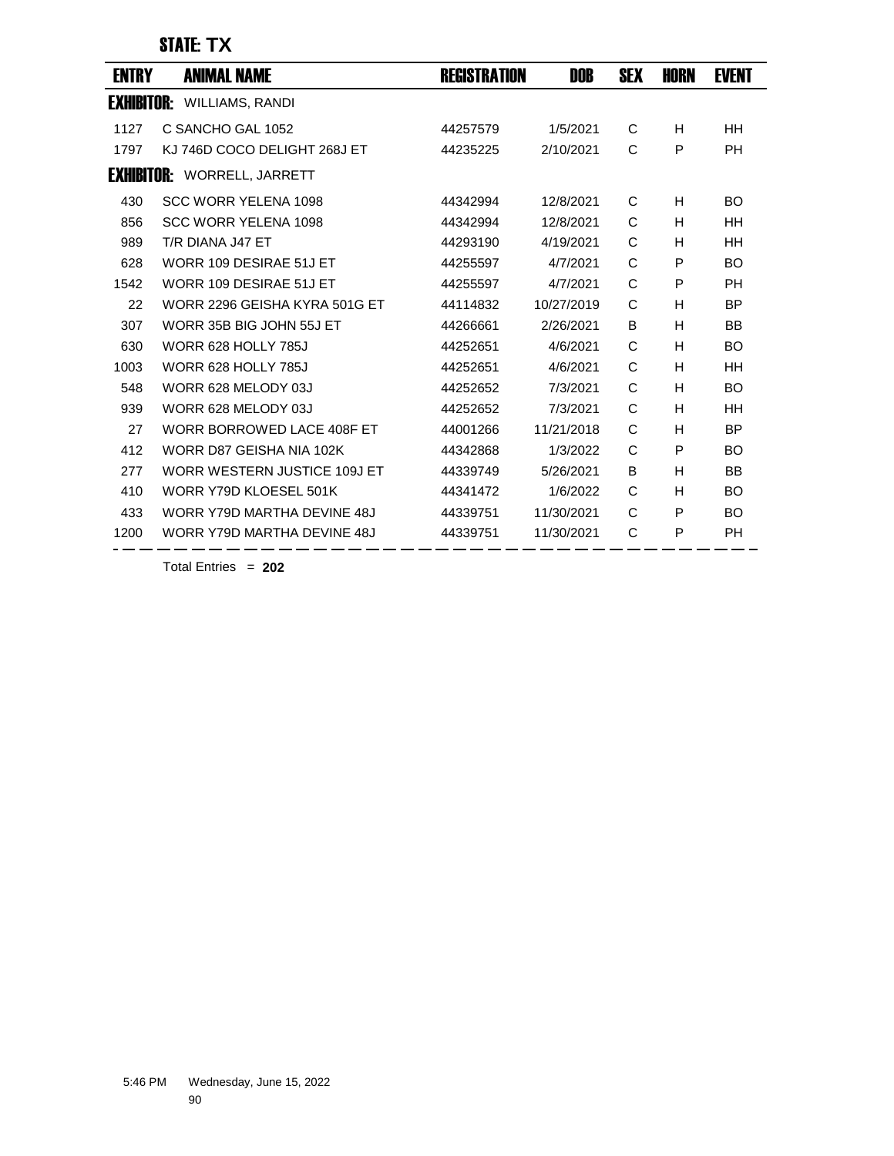| <b>ENTRY</b> | <b>ANIMAL NAME</b>                 | <b>REGISTRATION</b> | DOB        | <b>SEX</b> | <b>HORN</b> | <b>EVENT</b> |
|--------------|------------------------------------|---------------------|------------|------------|-------------|--------------|
|              | <b>EXHIBITOR:</b> WILLIAMS, RANDI  |                     |            |            |             |              |
| 1127         | C SANCHO GAL 1052                  | 44257579            | 1/5/2021   | С          | H           | HH           |
| 1797         | KJ 746D COCO DELIGHT 268J ET       | 44235225            | 2/10/2021  | C          | P           | <b>PH</b>    |
|              | <b>EXHIBITOR: WORRELL, JARRETT</b> |                     |            |            |             |              |
| 430          | SCC WORR YELENA 1098               | 44342994            | 12/8/2021  | C          | H           | <b>BO</b>    |
| 856          | <b>SCC WORR YELENA 1098</b>        | 44342994            | 12/8/2021  | С          | H           | HH           |
| 989          | T/R DIANA J47 ET                   | 44293190            | 4/19/2021  | C          | H           | HH           |
| 628          | WORR 109 DESIRAE 51J ET            | 44255597            | 4/7/2021   | C          | P           | BO           |
| 1542         | WORR 109 DESIRAE 51J ET            | 44255597            | 4/7/2021   | C          | P           | PH           |
| 22           | WORR 2296 GEISHA KYRA 501G ET      | 44114832            | 10/27/2019 | C          | H           | BP           |
| 307          | WORR 35B BIG JOHN 55J ET           | 44266661            | 2/26/2021  | B          | H           | BB           |
| 630          | WORR 628 HOLLY 785J                | 44252651            | 4/6/2021   | C          | H           | <b>BO</b>    |
| 1003         | <b>WORR 628 HOLLY 785J</b>         | 44252651            | 4/6/2021   | C          | H           | HH           |
| 548          | WORR 628 MELODY 03J                | 44252652            | 7/3/2021   | C          | H           | BO           |
| 939          | WORR 628 MELODY 03J                | 44252652            | 7/3/2021   | C          | H           | HН           |
| 27           | WORR BORROWED LACE 408F ET         | 44001266            | 11/21/2018 | C          | н           | <b>BP</b>    |
| 412          | WORR D87 GEISHA NIA 102K           | 44342868            | 1/3/2022   | C          | P           | BO           |
| 277          | WORR WESTERN JUSTICE 109J ET       | 44339749            | 5/26/2021  | B          | н           | <b>BB</b>    |
| 410          | WORR Y79D KLOESEL 501K             | 44341472            | 1/6/2022   | C          | H           | <b>BO</b>    |
| 433          | WORR Y79D MARTHA DEVINE 48J        | 44339751            | 11/30/2021 | C          | P           | <b>BO</b>    |
| 1200         | WORR Y79D MARTHA DEVINE 48J        | 44339751            | 11/30/2021 | C          | P           | <b>PH</b>    |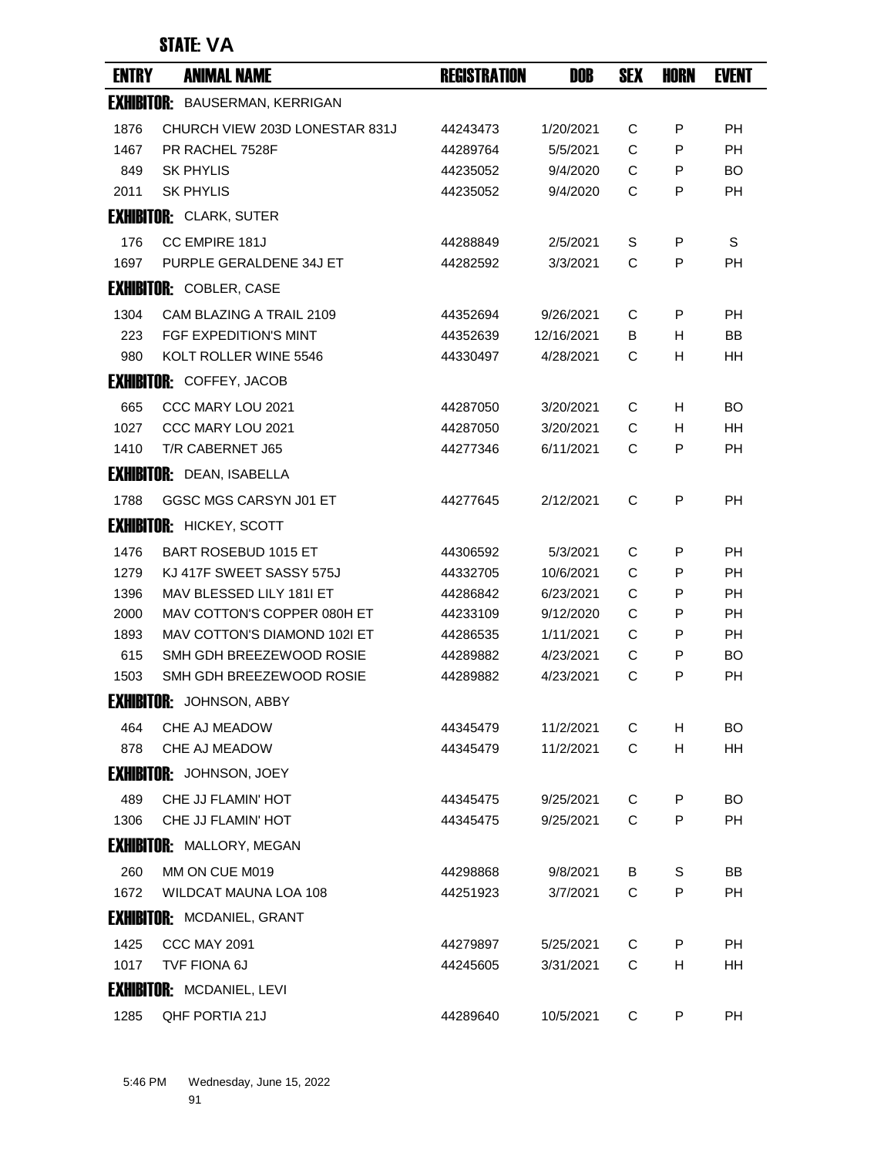## STATE: **VA**

| <b>ENTRY</b>      | <b>ANIMAL NAME</b>                    | <b>REGISTRATION</b> | DOB        | <b>SEX</b> | <b>HORN</b> | <b>EVENT</b> |
|-------------------|---------------------------------------|---------------------|------------|------------|-------------|--------------|
|                   | <b>EXHIBITOR: BAUSERMAN, KERRIGAN</b> |                     |            |            |             |              |
| 1876              | CHURCH VIEW 203D LONESTAR 831J        | 44243473            | 1/20/2021  | C          | P           | <b>PH</b>    |
| 1467              | PR RACHEL 7528F                       | 44289764            | 5/5/2021   | C          | P           | <b>PH</b>    |
| 849               | <b>SK PHYLIS</b>                      | 44235052            | 9/4/2020   | C          | P           | BO.          |
| 2011              | <b>SK PHYLIS</b>                      | 44235052            | 9/4/2020   | С          | P           | PH           |
|                   | <b>EXHIBITOR: CLARK, SUTER</b>        |                     |            |            |             |              |
| 176               | CC EMPIRE 181J                        | 44288849            | 2/5/2021   | S          | P           | S            |
| 1697              | PURPLE GERALDENE 34J ET               | 44282592            | 3/3/2021   | C          | P           | PH           |
|                   | <b>EXHIBITOR: COBLER, CASE</b>        |                     |            |            |             |              |
| 1304              | CAM BLAZING A TRAIL 2109              | 44352694            | 9/26/2021  | С          | P           | <b>PH</b>    |
| 223               | FGF EXPEDITION'S MINT                 | 44352639            | 12/16/2021 | В          | H           | BB           |
| 980               | KOLT ROLLER WINE 5546                 | 44330497            | 4/28/2021  | C          | н           | HH           |
|                   | <b>EXHIBITOR: COFFEY, JACOB</b>       |                     |            |            |             |              |
| 665               | CCC MARY LOU 2021                     | 44287050            | 3/20/2021  | С          | H.          | <b>BO</b>    |
| 1027              | CCC MARY LOU 2021                     | 44287050            | 3/20/2021  | C          | H           | <b>HH</b>    |
| 1410              | T/R CABERNET J65                      | 44277346            | 6/11/2021  | C          | P           | PH           |
|                   | <b>EXHIBITOR: DEAN, ISABELLA</b>      |                     |            |            |             |              |
| 1788              | GGSC MGS CARSYN J01 ET                | 44277645            | 2/12/2021  | C          | P           | PH           |
|                   | <b>EXHIBITOR: HICKEY, SCOTT</b>       |                     |            |            |             |              |
| 1476              | BART ROSEBUD 1015 ET                  | 44306592            | 5/3/2021   | C          | P           | <b>PH</b>    |
| 1279              | KJ 417F SWEET SASSY 575J              | 44332705            | 10/6/2021  | C          | P           | PH           |
| 1396              | MAV BLESSED LILY 1811 ET              | 44286842            | 6/23/2021  | C          | P           | РH           |
| 2000              | MAV COTTON'S COPPER 080H ET           | 44233109            | 9/12/2020  | C          | P           | PH           |
| 1893              | MAV COTTON'S DIAMOND 102I ET          | 44286535            | 1/11/2021  | C          | P           | <b>PH</b>    |
| 615               | SMH GDH BREEZEWOOD ROSIE              | 44289882            | 4/23/2021  | С          | P           | <b>BO</b>    |
| 1503              | SMH GDH BREEZEWOOD ROSIE              | 44289882            | 4/23/2021  | C          | P           | <b>PH</b>    |
| <b>Exhibitor:</b> | JOHNSON, ABBY                         |                     |            |            |             |              |
| 464               | CHE AJ MEADOW                         | 44345479            | 11/2/2021  | C          | H           | <b>BO</b>    |
| 878               | CHE AJ MEADOW                         | 44345479            | 11/2/2021  | C          | H           | HH           |
|                   | <b>EXHIBITOR:</b> JOHNSON, JOEY       |                     |            |            |             |              |
| 489               | CHE JJ FLAMIN' HOT                    | 44345475            | 9/25/2021  | C          | P           | BO.          |
| 1306              | CHE JJ FLAMIN' HOT                    | 44345475            | 9/25/2021  | C          | P           | PH           |
|                   | <b>EXHIBITOR: MALLORY, MEGAN</b>      |                     |            |            |             |              |
| 260               | MM ON CUE M019                        | 44298868            | 9/8/2021   | B          | S           | BB           |
| 1672              | WILDCAT MAUNA LOA 108                 | 44251923            | 3/7/2021   | C          | P           | PH           |
|                   | <b>EXHIBITOR: MCDANIEL, GRANT</b>     |                     |            |            |             |              |
| 1425              | <b>CCC MAY 2091</b>                   | 44279897            | 5/25/2021  | С          | P           | <b>PH</b>    |
| 1017              | TVF FIONA 6J                          | 44245605            | 3/31/2021  | C          | H           | HH           |
|                   |                                       |                     |            |            |             |              |
|                   | <b>EXHIBITOR: MCDANIEL, LEVI</b>      |                     |            |            |             |              |
| 1285              | QHF PORTIA 21J                        | 44289640            | 10/5/2021  | C          | P           | PH           |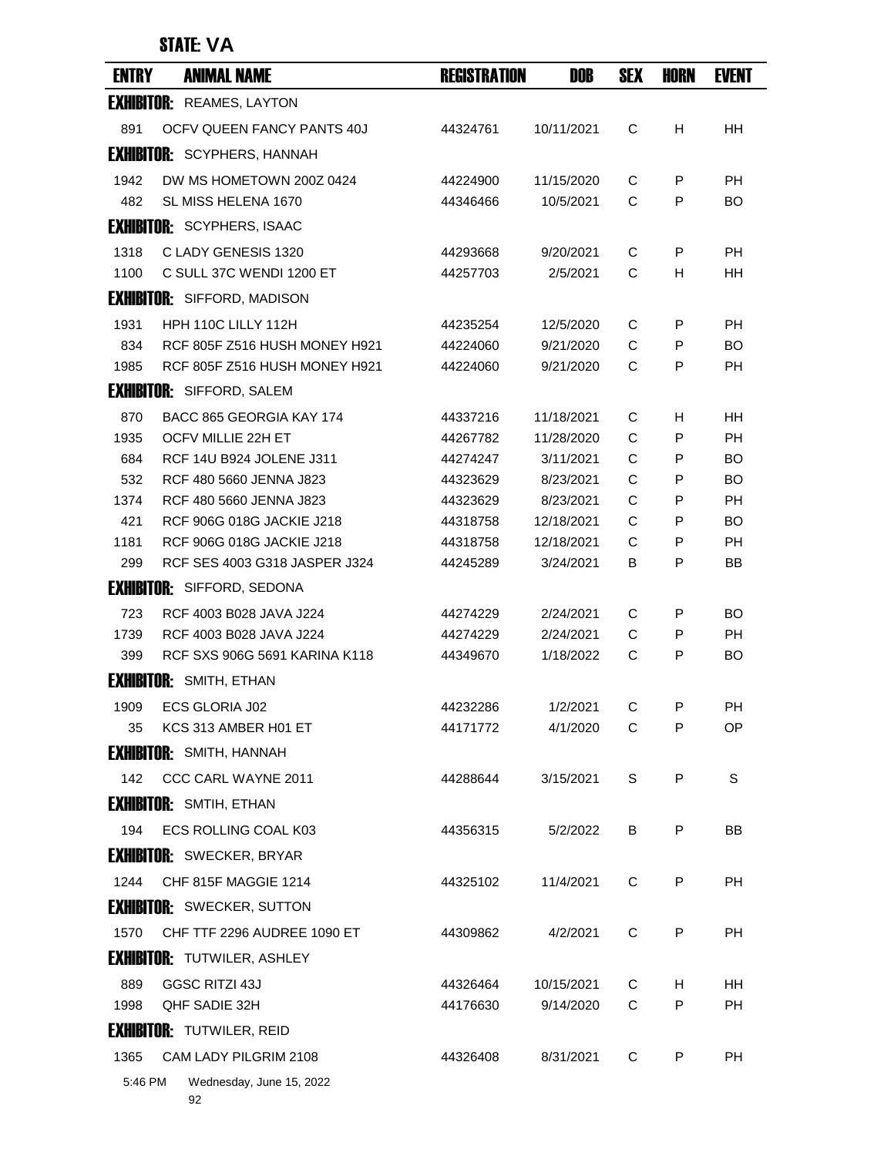# STATE: **VA**

| <b>ENTRY</b>      | <b>ANIMAL NAME</b>                                       | <b>REGISTRATION</b>  | DOB                    | <b>SEX</b> | HORN    | <b>EVENT</b>           |
|-------------------|----------------------------------------------------------|----------------------|------------------------|------------|---------|------------------------|
|                   | <b>EXHIBITOR: REAMES, LAYTON</b>                         |                      |                        |            |         |                        |
| 891               | OCFV QUEEN FANCY PANTS 40J                               | 44324761             | 10/11/2021             | C          | H       | HН                     |
|                   | <b>EXHIBITOR: SCYPHERS, HANNAH</b>                       |                      |                        |            |         |                        |
| 1942              | DW MS HOMETOWN 200Z 0424                                 | 44224900             | 11/15/2020             | C          | P       | PH                     |
| 482               | SL MISS HELENA 1670                                      | 44346466             | 10/5/2021              | C          | P       | <b>BO</b>              |
|                   | <b>EXHIBITOR: SCYPHERS, ISAAC</b>                        |                      |                        |            |         |                        |
| 1318              | C LADY GENESIS 1320                                      | 44293668             | 9/20/2021              | C          | P       | <b>PH</b>              |
| 1100              | C SULL 37C WENDI 1200 ET                                 | 44257703             | 2/5/2021               | C          | H       | HН                     |
|                   | <b>EXHIBITOR:</b> SIFFORD, MADISON                       |                      |                        |            |         |                        |
| 1931              | HPH 110C LILLY 112H                                      | 44235254             | 12/5/2020              | C          | P       | <b>PH</b>              |
| 834               | RCF 805F Z516 HUSH MONEY H921                            | 44224060             | 9/21/2020              | C          | P       | <b>BO</b>              |
| 1985              | RCF 805F Z516 HUSH MONEY H921                            | 44224060             | 9/21/2020              | C          | P       | <b>PH</b>              |
|                   | <b>EXHIBITOR: SIFFORD, SALEM</b>                         |                      |                        |            |         |                        |
| 870               | BACC 865 GEORGIA KAY 174                                 | 44337216             | 11/18/2021             | C          | Н       | HН                     |
| 1935              | OCFV MILLIE 22H ET                                       | 44267782             | 11/28/2020             | C          | P       | <b>PH</b>              |
| 684               | RCF 14U B924 JOLENE J311                                 | 44274247             | 3/11/2021              | C          | P       | BO                     |
| 532               | RCF 480 5660 JENNA J823                                  | 44323629             | 8/23/2021              | C          | P       | BO                     |
| 1374              | RCF 480 5660 JENNA J823                                  | 44323629             | 8/23/2021              | C          | P       | <b>PH</b>              |
| 421               | RCF 906G 018G JACKIE J218                                | 44318758             | 12/18/2021             | C          | P       | BO                     |
| 1181              | RCF 906G 018G JACKIE J218                                | 44318758             | 12/18/2021             | C          | P<br>P  | <b>PH</b><br><b>BB</b> |
| 299               | RCF SES 4003 G318 JASPER J324                            | 44245289             | 3/24/2021              | В          |         |                        |
|                   | <b>EXHIBITOR: SIFFORD, SEDONA</b>                        |                      |                        |            |         |                        |
| 723               | RCF 4003 B028 JAVA J224                                  | 44274229             | 2/24/2021              | C          | P       | BO                     |
| 1739<br>399       | RCF 4003 B028 JAVA J224<br>RCF SXS 906G 5691 KARINA K118 | 44274229<br>44349670 | 2/24/2021<br>1/18/2022 | C<br>C     | P<br>P  | PH<br><b>BO</b>        |
| <b>Exhibitor:</b> | SMITH, ETHAN                                             |                      |                        |            |         |                        |
|                   |                                                          |                      |                        |            |         |                        |
| 1909<br>35        | <b>ECS GLORIA J02</b><br>KCS 313 AMBER H01 ET            | 44232286<br>44171772 | 1/2/2021<br>4/1/2020   | C<br>C     | P<br>P  | PН<br>ОP               |
|                   | <b>EXHIBITOR:</b> SMITH, HANNAH                          |                      |                        |            |         |                        |
|                   |                                                          |                      |                        |            | $\sf P$ | S                      |
| 142               | CCC CARL WAYNE 2011                                      | 44288644             | 3/15/2021              | S          |         |                        |
|                   | <b>EXHIBITOR: SMTIH, ETHAN</b>                           |                      |                        |            |         |                        |
| 194               | ECS ROLLING COAL K03                                     | 44356315             | 5/2/2022               | B          | P       | <b>BB</b>              |
|                   | <b>EXHIBITOR: SWECKER, BRYAR</b>                         |                      |                        |            |         |                        |
| 1244              | CHF 815F MAGGIE 1214                                     | 44325102             | 11/4/2021              | C          | P       | PH                     |
|                   | <b>EXHIBITOR: SWECKER, SUTTON</b>                        |                      |                        |            |         |                        |
| 1570              | CHF TTF 2296 AUDREE 1090 ET                              | 44309862             | 4/2/2021               | C          | P       | PH                     |
|                   | <b>EXHIBITOR: TUTWILER, ASHLEY</b>                       |                      |                        |            |         |                        |
| 889               | GGSC RITZI 43J                                           | 44326464             | 10/15/2021             | С          | H       | HΗ                     |
| 1998              | QHF SADIE 32H                                            | 44176630             | 9/14/2020              | C          | P       | PH                     |
|                   | <b>EXHIBITOR: TUTWILER, REID</b>                         |                      |                        |            |         |                        |
| 1365              | CAM LADY PILGRIM 2108                                    | 44326408             | 8/31/2021              | C          | P       | <b>PH</b>              |
| 5:46 PM           | Wednesday, June 15, 2022                                 |                      |                        |            |         |                        |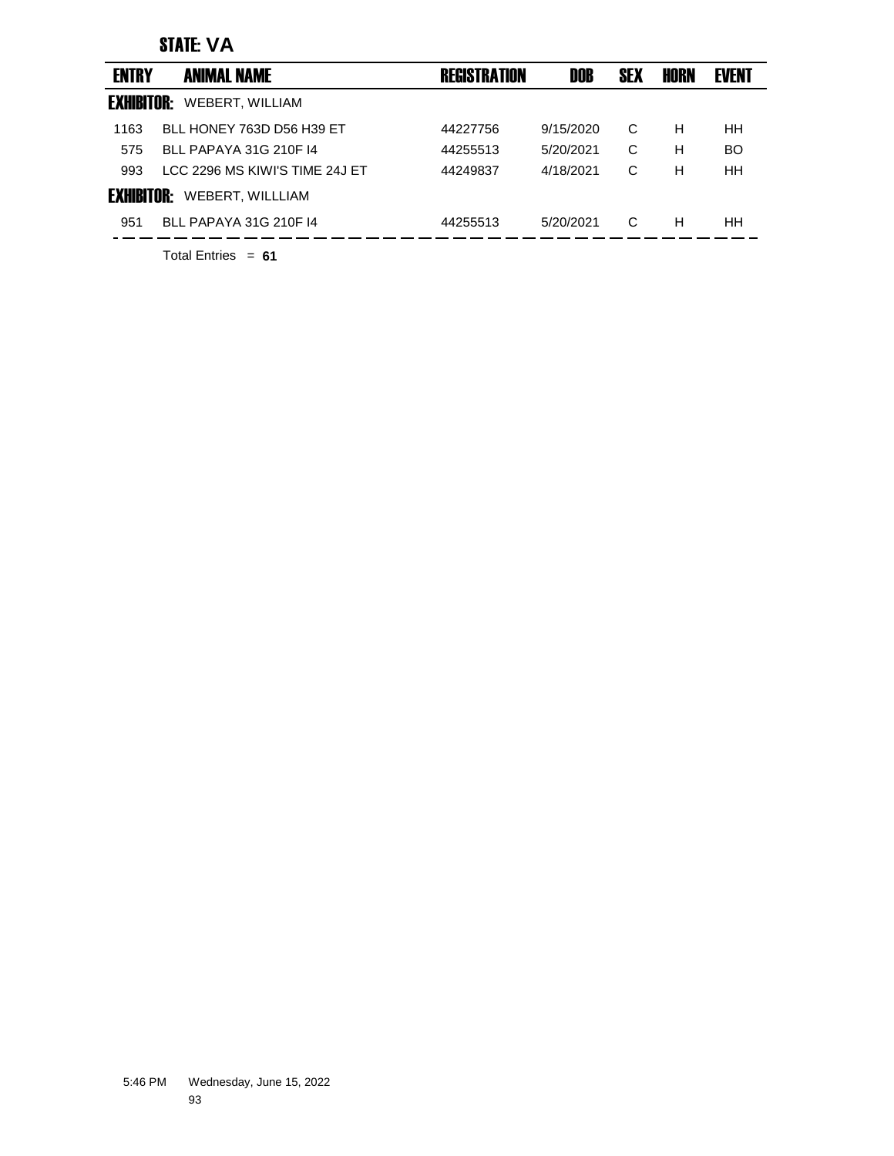### STATE: **VA**

| <b>ENTRY</b>      | <b>ANIMAL NAME</b>             | <b>REGISTRATION</b> | DOB       | <b>SEX</b> | HORN | <b>EVENT</b> |
|-------------------|--------------------------------|---------------------|-----------|------------|------|--------------|
| <b>EXHIBITOR:</b> | WEBERT, WILLIAM                |                     |           |            |      |              |
| 1163              | BLL HONEY 763D D56 H39 ET      | 44227756            | 9/15/2020 | C          | Н    | <b>HH</b>    |
| 575               | BLL PAPAYA 31G 210F 14         | 44255513            | 5/20/2021 | C          | Н    | <b>BO</b>    |
| 993               | LCC 2296 MS KIWI'S TIME 24J ET | 44249837            | 4/18/2021 | C          | Н    | HH           |
| <b>EXHIBITOR:</b> | WEBERT, WILLLIAM               |                     |           |            |      |              |
| 951               | BLL PAPAYA 31G 210F 14         | 44255513            | 5/20/2021 | C          | н    | HH.          |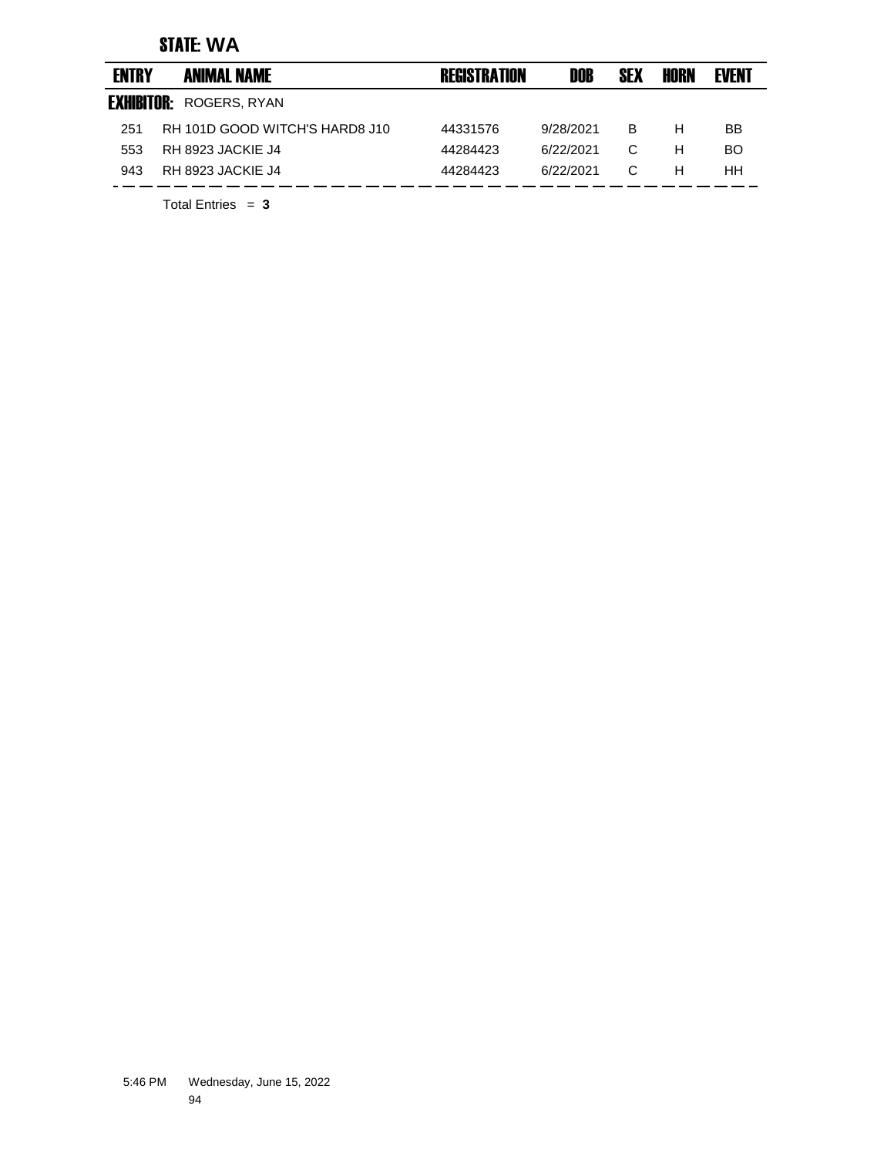### STATE: **WA**

| <b>ENTRY</b>      | <b>ANIMAL NAME</b>             | <b>REGISTRATION</b> | DOB       | <b>SEX</b> | HORN | <b>EVENT</b> |
|-------------------|--------------------------------|---------------------|-----------|------------|------|--------------|
| <b>EXHIBITOR:</b> | ROGERS, RYAN                   |                     |           |            |      |              |
| 251               | RH 101D GOOD WITCH'S HARD8 J10 | 44331576            | 9/28/2021 | в          | н    | BB           |
| 553               | RH 8923 JACKIE J4              | 44284423            | 6/22/2021 | C          | н    | BO.          |
| 943               | RH 8923 JACKIE J4              | 44284423            | 6/22/2021 | C          | н    | HН           |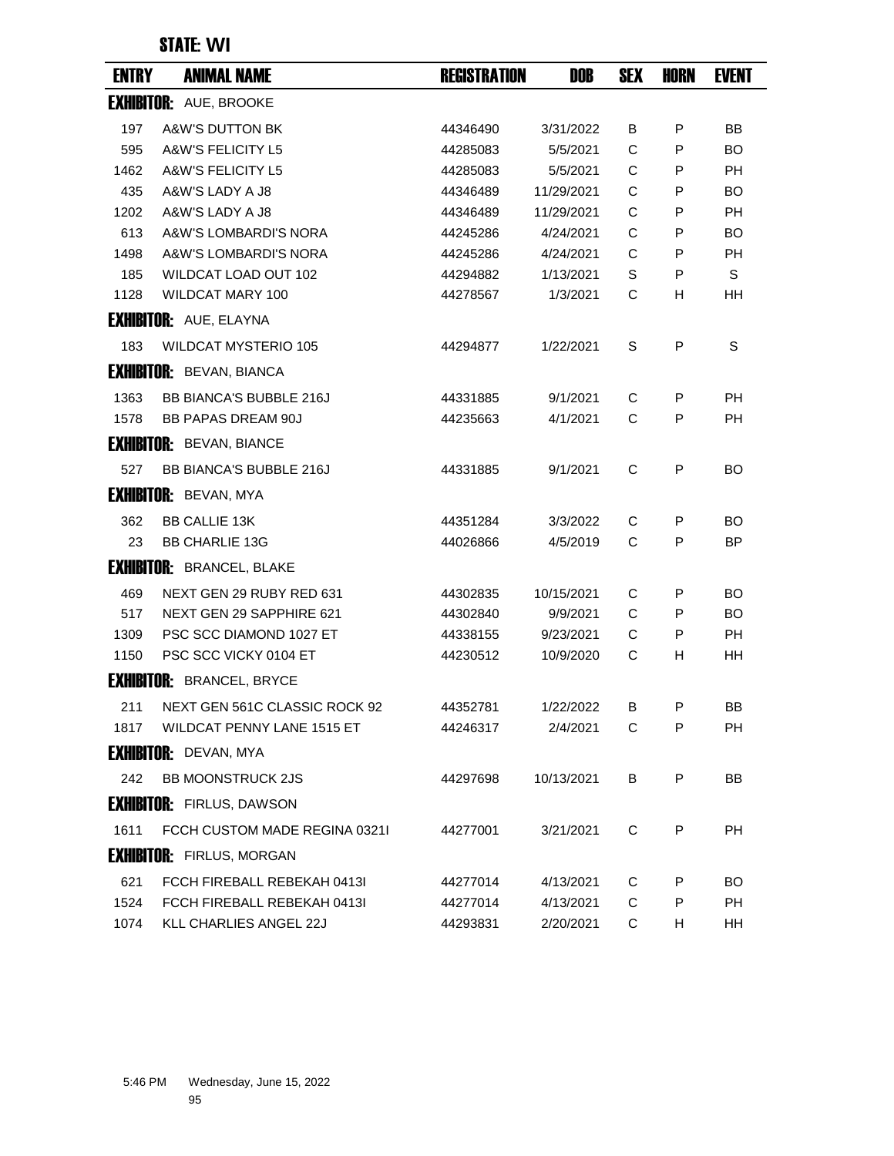### STATE: **WI**

| <b>ENTRY</b> | <b>ANIMAL NAME</b>               | <b>REGISTRATION</b> | DOB        | <b>SEX</b> | HORN | <b>EVENT</b> |
|--------------|----------------------------------|---------------------|------------|------------|------|--------------|
|              | <b>EXHIBITOR: AUE, BROOKE</b>    |                     |            |            |      |              |
| 197          | <b>A&amp;W'S DUTTON BK</b>       | 44346490            | 3/31/2022  | В          | P    | BB           |
| 595          | A&W'S FELICITY L5                | 44285083            | 5/5/2021   | C          | P    | BO.          |
| 1462         | A&W'S FELICITY L5                | 44285083            | 5/5/2021   | C          | P    | <b>PH</b>    |
| 435          | A&W'S LADY A J8                  | 44346489            | 11/29/2021 | C          | P    | <b>BO</b>    |
| 1202         | A&W'S LADY A J8                  | 44346489            | 11/29/2021 | C          | P    | PH           |
| 613          | A&W'S LOMBARDI'S NORA            | 44245286            | 4/24/2021  | C          | P    | BO           |
| 1498         | A&W'S LOMBARDI'S NORA            | 44245286            | 4/24/2021  | C          | P    | <b>PH</b>    |
| 185          | WILDCAT LOAD OUT 102             | 44294882            | 1/13/2021  | S          | P    | S            |
| 1128         | WILDCAT MARY 100                 | 44278567            | 1/3/2021   | C          | н    | HH           |
|              | <b>EXHIBITOR: AUE, ELAYNA</b>    |                     |            |            |      |              |
| 183          | <b>WILDCAT MYSTERIO 105</b>      | 44294877            | 1/22/2021  | S          | P    | S            |
|              | <b>EXHIBITOR: BEVAN, BIANCA</b>  |                     |            |            |      |              |
| 1363         | <b>BB BIANCA'S BUBBLE 216J</b>   | 44331885            | 9/1/2021   | C          | P    | <b>PH</b>    |
| 1578         | <b>BB PAPAS DREAM 90J</b>        | 44235663            | 4/1/2021   | C          | P    | <b>PH</b>    |
|              | <b>EXHIBITOR: BEVAN, BIANCE</b>  |                     |            |            |      |              |
| 527          | <b>BB BIANCA'S BUBBLE 216J</b>   | 44331885            | 9/1/2021   | C          | P    | BO           |
|              | <b>EXHIBITOR: BEVAN, MYA</b>     |                     |            |            |      |              |
| 362          | <b>BB CALLIE 13K</b>             | 44351284            | 3/3/2022   | С          | P    | BO           |
| 23           | <b>BB CHARLIE 13G</b>            | 44026866            | 4/5/2019   | C          | P    | BP.          |
|              | <b>EXHIBITOR: BRANCEL, BLAKE</b> |                     |            |            |      |              |
| 469          | NEXT GEN 29 RUBY RED 631         | 44302835            | 10/15/2021 | C          | P    | BO           |
| 517          | NEXT GEN 29 SAPPHIRE 621         | 44302840            | 9/9/2021   | C          | P    | BO.          |
| 1309         | PSC SCC DIAMOND 1027 ET          | 44338155            | 9/23/2021  | C          | P    | <b>PH</b>    |
| 1150         | PSC SCC VICKY 0104 ET            | 44230512            | 10/9/2020  | С          | н    | HH           |
|              | <b>EXHIBITOR: BRANCEL, BRYCE</b> |                     |            |            |      |              |
| 211          | NEXT GEN 561C CLASSIC ROCK 92    | 44352781            | 1/22/2022  | B          | P    | <b>BB</b>    |
| 1817         | WILDCAT PENNY LANE 1515 ET       | 44246317            | 2/4/2021   | C          | P    | <b>PH</b>    |
|              | <b>EXHIBITOR:</b> DEVAN, MYA     |                     |            |            |      |              |
| 242          | <b>BB MOONSTRUCK 2JS</b>         | 44297698            | 10/13/2021 | В          | P    | BB           |
|              | <b>EXHIBITOR: FIRLUS, DAWSON</b> |                     |            |            |      |              |
| 1611         | FCCH CUSTOM MADE REGINA 0321I    | 44277001            | 3/21/2021  | C          | P    | <b>PH</b>    |
|              | <b>EXHIBITOR: FIRLUS, MORGAN</b> |                     |            |            |      |              |
| 621          | FCCH FIREBALL REBEKAH 0413I      | 44277014            | 4/13/2021  | C          | P    | BO.          |
| 1524         | FCCH FIREBALL REBEKAH 0413I      | 44277014            | 4/13/2021  | C          | P    | PH           |
| 1074         | KLL CHARLIES ANGEL 22J           | 44293831            | 2/20/2021  | C          | н    | HH           |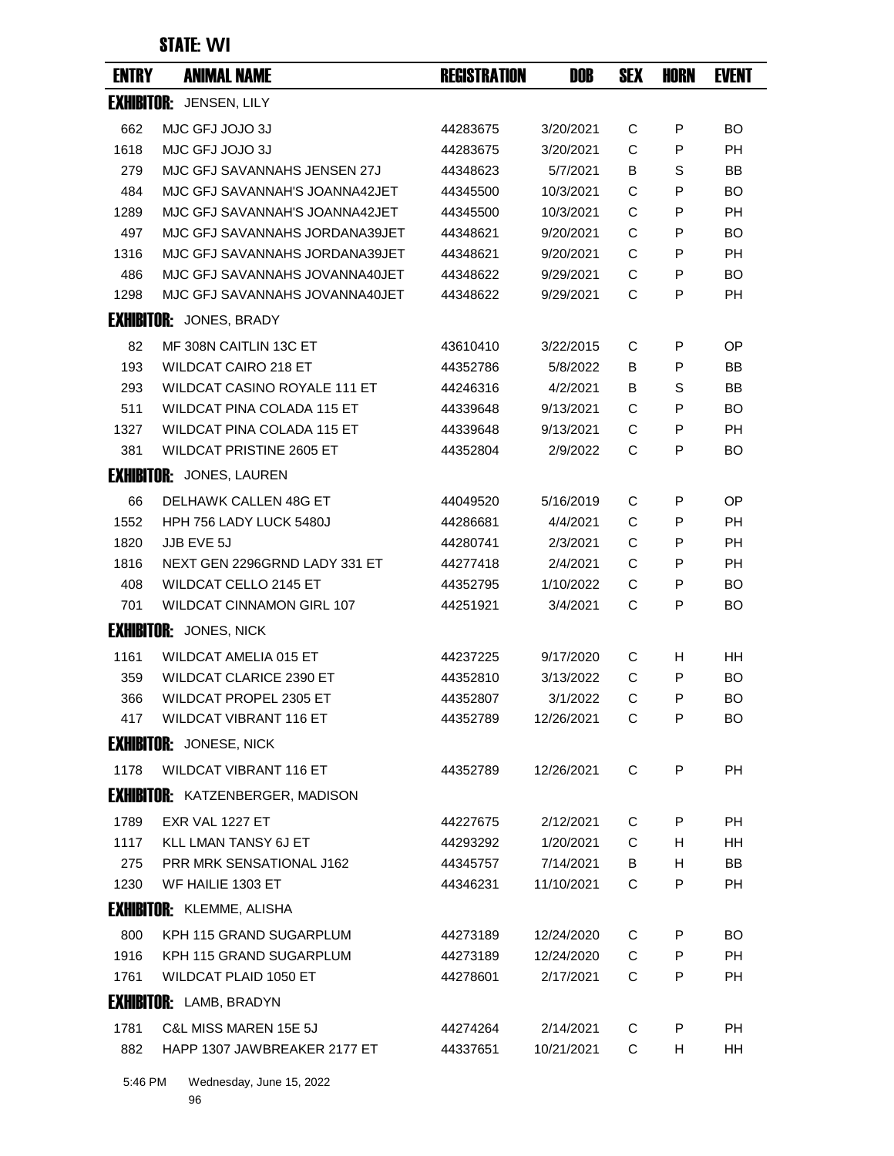### STATE: **WI**

| <b>ENTRY</b> | <b>ANIMAL NAME</b>                      | <b>REGISTRATION</b> | DOB        | <b>SEX</b> | <b>HORN</b> | <b>EVENT</b> |
|--------------|-----------------------------------------|---------------------|------------|------------|-------------|--------------|
|              | <b>EXHIBITOR: JENSEN, LILY</b>          |                     |            |            |             |              |
| 662          | MJC GFJ JOJO 3J                         | 44283675            | 3/20/2021  | C          | P           | <b>BO</b>    |
| 1618         | MJC GFJ JOJO 3J                         | 44283675            | 3/20/2021  | C          | P           | <b>PH</b>    |
| 279          | MJC GFJ SAVANNAHS JENSEN 27J            | 44348623            | 5/7/2021   | B          | S           | BB           |
| 484          | MJC GFJ SAVANNAH'S JOANNA42JET          | 44345500            | 10/3/2021  | С          | P           | BO           |
| 1289         | MJC GFJ SAVANNAH'S JOANNA42JET          | 44345500            | 10/3/2021  | C          | P           | PH           |
| 497          | MJC GFJ SAVANNAHS JORDANA39JET          | 44348621            | 9/20/2021  | C          | P           | BO           |
| 1316         | MJC GFJ SAVANNAHS JORDANA39JET          | 44348621            | 9/20/2021  | C          | P           | <b>PH</b>    |
| 486          | MJC GFJ SAVANNAHS JOVANNA40JET          | 44348622            | 9/29/2021  | C          | P           | BO.          |
| 1298         | MJC GFJ SAVANNAHS JOVANNA40JET          | 44348622            | 9/29/2021  | C          | P           | <b>PH</b>    |
|              | <b>EXHIBITOR: JONES, BRADY</b>          |                     |            |            |             |              |
| 82           | MF 308N CAITLIN 13C ET                  | 43610410            | 3/22/2015  | С          | P           | ОP           |
| 193          | <b>WILDCAT CAIRO 218 ET</b>             | 44352786            | 5/8/2022   | B          | P           | BB           |
| 293          | <b>WILDCAT CASINO ROYALE 111 ET</b>     | 44246316            | 4/2/2021   | в          | S           | BB           |
| 511          | WILDCAT PINA COLADA 115 ET              | 44339648            | 9/13/2021  | C          | P           | BO           |
| 1327         | <b>WILDCAT PINA COLADA 115 ET</b>       | 44339648            | 9/13/2021  | C          | P           | <b>PH</b>    |
| 381          | <b>WILDCAT PRISTINE 2605 ET</b>         | 44352804            | 2/9/2022   | C          | P           | BO           |
|              | <b>EXHIBITOR:</b> JONES, LAUREN         |                     |            |            |             |              |
| 66           | DELHAWK CALLEN 48G ET                   | 44049520            | 5/16/2019  | C          | P           | OP           |
| 1552         | HPH 756 LADY LUCK 5480J                 | 44286681            | 4/4/2021   | C          | P           | PH           |
| 1820         | JJB EVE 5J                              | 44280741            | 2/3/2021   | C          | P           | <b>PH</b>    |
| 1816         | NEXT GEN 2296GRND LADY 331 ET           | 44277418            | 2/4/2021   | C          | P           | PН           |
| 408          | <b>WILDCAT CELLO 2145 ET</b>            | 44352795            | 1/10/2022  | C          | P           | BO           |
| 701          | WILDCAT CINNAMON GIRL 107               | 44251921            | 3/4/2021   | C          | P           | BO           |
|              | <b>EXHIBITOR: JONES, NICK</b>           |                     |            |            |             |              |
| 1161         | <b>WILDCAT AMELIA 015 ET</b>            | 44237225            | 9/17/2020  | С          | H           | HН           |
| 359          | <b>WILDCAT CLARICE 2390 ET</b>          | 44352810            | 3/13/2022  | С          | P           | BO           |
| 366          | <b>WILDCAT PROPEL 2305 ET</b>           | 44352807            | 3/1/2022   | C          | P           | BO           |
| 417          | <b>WILDCAT VIBRANT 116 ET</b>           | 44352789            | 12/26/2021 | С          | P           | <b>BO</b>    |
|              | <b>EXHIBITOR:</b> JONESE, NICK          |                     |            |            |             |              |
| 1178         | <b>WILDCAT VIBRANT 116 ET</b>           | 44352789            | 12/26/2021 | C          | P           | <b>PH</b>    |
|              | <b>EXHIBITOR:</b> KATZENBERGER, MADISON |                     |            |            |             |              |
| 1789         | <b>EXR VAL 1227 ET</b>                  | 44227675            | 2/12/2021  | С          | P           | РH           |
| 1117         | <b>KLL LMAN TANSY 6J ET</b>             | 44293292            | 1/20/2021  | C          | H           | HH           |
| 275          | <b>PRR MRK SENSATIONAL J162</b>         | 44345757            | 7/14/2021  | B          | H.          | BB           |
| 1230         | WF HAILIE 1303 ET                       | 44346231            | 11/10/2021 | С          | P           | PH           |
|              | <b>EXHIBITOR: KLEMME, ALISHA</b>        |                     |            |            |             |              |
| 800          | KPH 115 GRAND SUGARPLUM                 | 44273189            | 12/24/2020 | С          | P           | BO.          |
| 1916         | KPH 115 GRAND SUGARPLUM                 | 44273189            | 12/24/2020 | C          | P           | PH.          |
| 1761         | WILDCAT PLAID 1050 ET                   | 44278601            | 2/17/2021  | C          | P           | PH           |
|              | <b>EXHIBITOR:</b> LAMB, BRADYN          |                     |            |            |             |              |
| 1781         | <b>C&amp;L MISS MAREN 15E 5J</b>        | 44274264            | 2/14/2021  | С          | P           | <b>PH</b>    |
| 882          | HAPP 1307 JAWBREAKER 2177 ET            | 44337651            | 10/21/2021 | C          | H.          | HH           |
|              |                                         |                     |            |            |             |              |

5:46 PM Wednesday, June 15, 2022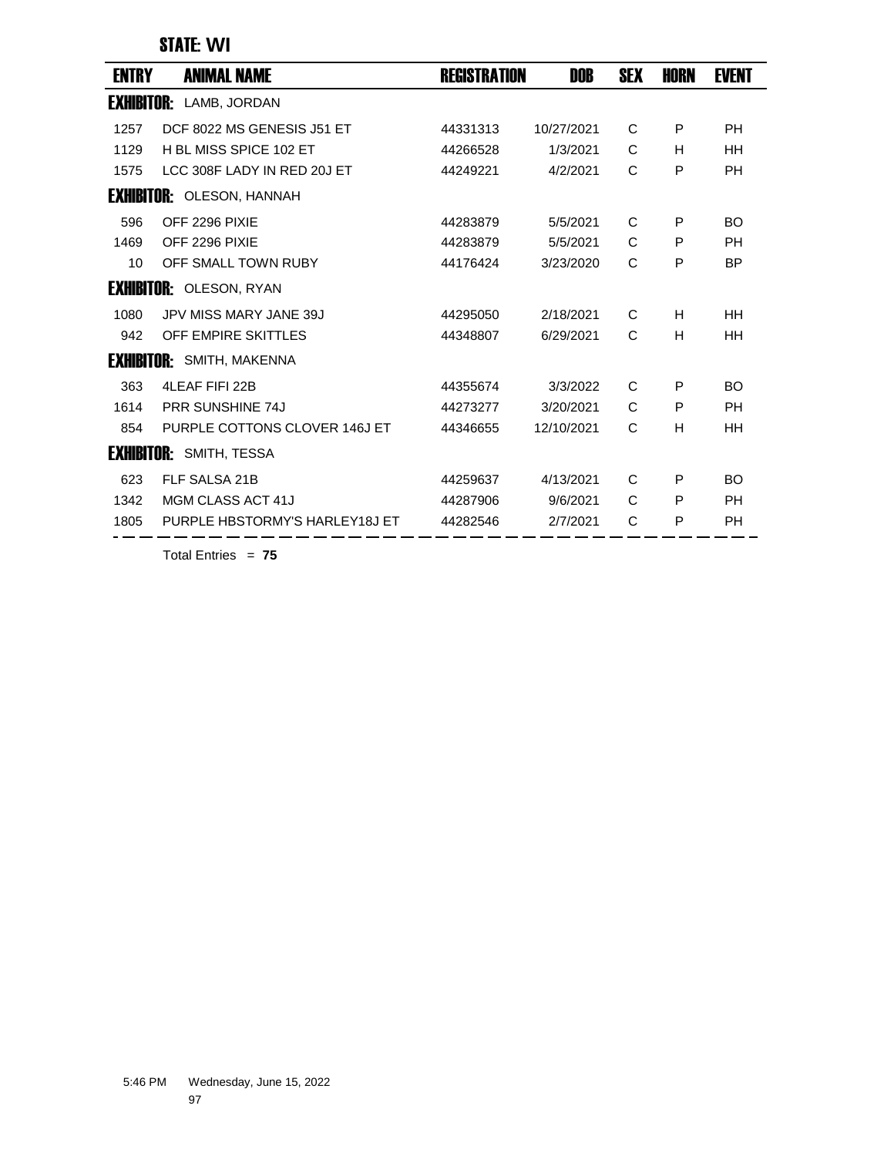### STATE: **WI**

| <b>ENTRY</b> | <b>ANIMAL NAME</b>               | <b>REGISTRATION</b> | DOB        | <b>SEX</b> | <b>HORN</b> | <b>EVENT</b> |
|--------------|----------------------------------|---------------------|------------|------------|-------------|--------------|
|              | <b>EXHIBITOR:</b> LAMB, JORDAN   |                     |            |            |             |              |
| 1257         | DCF 8022 MS GENESIS J51 ET       | 44331313            | 10/27/2021 | C          | P           | <b>PH</b>    |
| 1129         | H BL MISS SPICE 102 FT           | 44266528            | 1/3/2021   | C          | H           | HH           |
| 1575         | LCC 308F LADY IN RED 20J ET      | 44249221            | 4/2/2021   | C          | P           | <b>PH</b>    |
|              | <b>EXHIBITOR: OLESON, HANNAH</b> |                     |            |            |             |              |
| 596          | OFF 2296 PIXIE                   | 44283879            | 5/5/2021   | C          | P           | <b>BO</b>    |
| 1469         | OFF 2296 PIXIE                   | 44283879            | 5/5/2021   | C          | P           | <b>PH</b>    |
| 10           | OFF SMALL TOWN RUBY              | 44176424            | 3/23/2020  | C          | P           | <b>BP</b>    |
|              | <b>EXHIBITOR: OLESON, RYAN</b>   |                     |            |            |             |              |
| 1080         | JPV MISS MARY JANE 39J           | 44295050            | 2/18/2021  | C          | H           | HH           |
| 942          | OFF EMPIRE SKITTLES              | 44348807            | 6/29/2021  | C          | H           | HH           |
|              | <b>EXHIBITOR:</b> SMITH, MAKENNA |                     |            |            |             |              |
| 363          | 4LEAF FIFI 22B                   | 44355674            | 3/3/2022   | C          | P           | <b>BO</b>    |
| 1614         | <b>PRR SUNSHINE 74J</b>          | 44273277            | 3/20/2021  | C          | P           | <b>PH</b>    |
| 854          | PURPLE COTTONS CLOVER 146J ET    | 44346655            | 12/10/2021 | C          | H           | HH           |
|              | <b>EXHIBITOR: SMITH, TESSA</b>   |                     |            |            |             |              |
| 623          | FLF SALSA 21B                    | 44259637            | 4/13/2021  | C          | P           | <b>BO</b>    |
| 1342         | MGM CLASS ACT 41J                | 44287906            | 9/6/2021   | C          | P           | <b>PH</b>    |
| 1805         | PURPLE HBSTORMY'S HARLEY18J ET   | 44282546            | 2/7/2021   | C          | P           | PH           |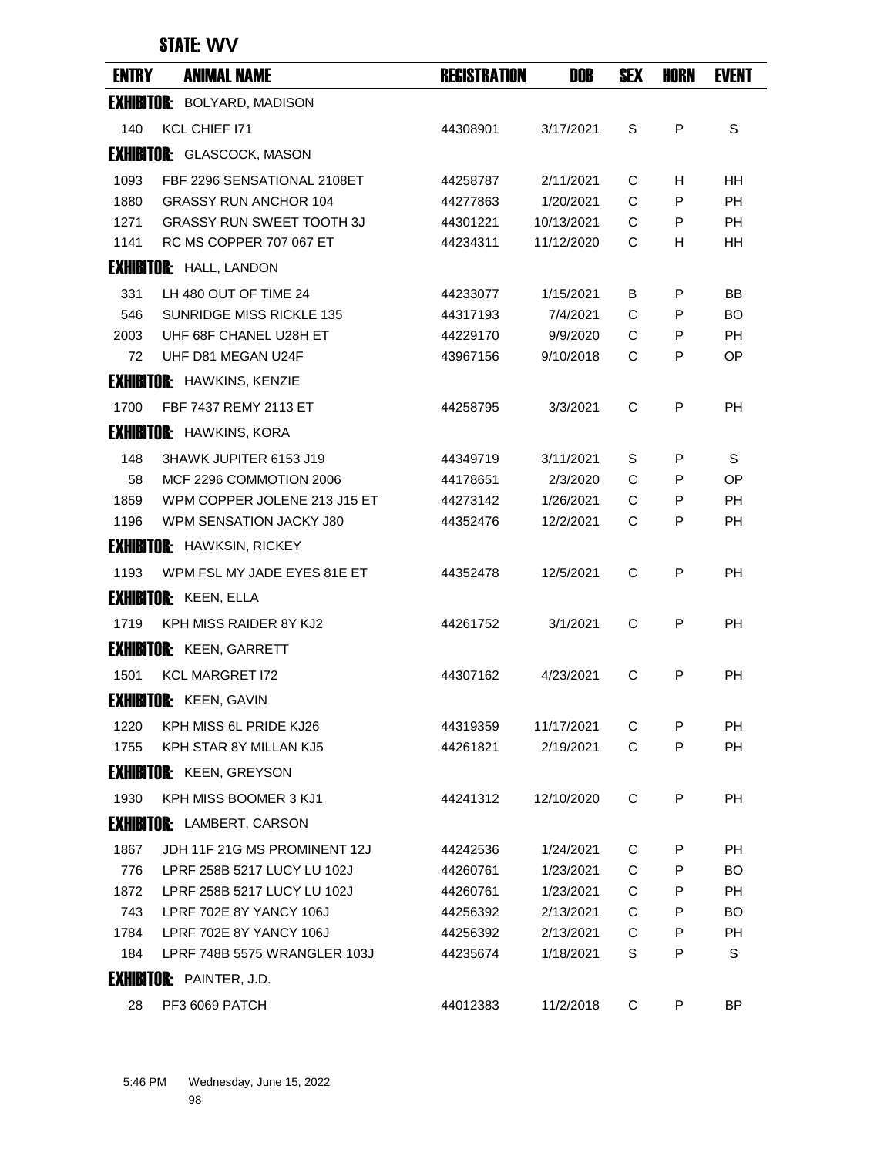### STATE: **WV**

| <b>ENTRY</b> | <b>ANIMAL NAME</b>                 | <b>REGISTRATION</b> | DOB        | <b>SEX</b> | <b>HORN</b>  | <b>EVENT</b> |
|--------------|------------------------------------|---------------------|------------|------------|--------------|--------------|
|              | <b>EXHIBITOR: BOLYARD, MADISON</b> |                     |            |            |              |              |
| 140          | KCL CHIEF 171                      | 44308901            | 3/17/2021  | S          | P            | S            |
|              | <b>EXHIBITOR:</b> GLASCOCK, MASON  |                     |            |            |              |              |
| 1093         | FBF 2296 SENSATIONAL 2108ET        | 44258787            | 2/11/2021  | С          | H            | <b>HH</b>    |
| 1880         | <b>GRASSY RUN ANCHOR 104</b>       | 44277863            | 1/20/2021  | C          | P            | <b>PH</b>    |
| 1271         | <b>GRASSY RUN SWEET TOOTH 3J</b>   | 44301221            | 10/13/2021 | C          | P            | PH           |
| 1141         | RC MS COPPER 707 067 ET            | 44234311            | 11/12/2020 | C          | Н            | ΗH           |
|              | <b>EXHIBITOR: HALL, LANDON</b>     |                     |            |            |              |              |
| 331          | LH 480 OUT OF TIME 24              | 44233077            | 1/15/2021  | B          | P            | BB           |
| 546          | <b>SUNRIDGE MISS RICKLE 135</b>    | 44317193            | 7/4/2021   | C          | P            | <b>BO</b>    |
| 2003         | UHF 68F CHANEL U28H ET             | 44229170            | 9/9/2020   | C          | P            | РH           |
| 72           | UHF D81 MEGAN U24F                 | 43967156            | 9/10/2018  | C          | P            | OP           |
|              | <b>EXHIBITOR: HAWKINS, KENZIE</b>  |                     |            |            |              |              |
| 1700         | FBF 7437 REMY 2113 ET              | 44258795            | 3/3/2021   | C          | P            | <b>PH</b>    |
|              | <b>EXHIBITOR: HAWKINS, KORA</b>    |                     |            |            |              |              |
| 148          | 3HAWK JUPITER 6153 J19             | 44349719            | 3/11/2021  | S          | P            | S            |
| 58           | MCF 2296 COMMOTION 2006            | 44178651            | 2/3/2020   | C          | P            | OP           |
| 1859         | WPM COPPER JOLENE 213 J15 ET       | 44273142            | 1/26/2021  | C          | P            | <b>PH</b>    |
| 1196         | WPM SENSATION JACKY J80            | 44352476            | 12/2/2021  | C          | P            | <b>PH</b>    |
|              | <b>EXHIBITOR: HAWKSIN, RICKEY</b>  |                     |            |            |              |              |
| 1193         | WPM FSL MY JADE EYES 81E ET        | 44352478            | 12/5/2021  | C          | P            | РH           |
|              | <b>EXHIBITOR: KEEN, ELLA</b>       |                     |            |            |              |              |
| 1719         | KPH MISS RAIDER 8Y KJ2             | 44261752            | 3/1/2021   | C          | $\mathsf{P}$ | <b>PH</b>    |
|              | <b>EXHIBITOR: KEEN, GARRETT</b>    |                     |            |            |              |              |
| 1501         | <b>KCL MARGRET I72</b>             | 44307162            | 4/23/2021  | C          | P            | PH           |
|              | <b>EXHIBITOR: KEEN, GAVIN</b>      |                     |            |            |              |              |
| 1220         | KPH MISS 6L PRIDE KJ26             | 44319359            | 11/17/2021 | С          | P            | <b>PH</b>    |
| 1755         | KPH STAR 8Y MILLAN KJ5             | 44261821            | 2/19/2021  | C          | P            | PH           |
|              | <b>EXHIBITOR: KEEN, GREYSON</b>    |                     |            |            |              |              |
| 1930         | KPH MISS BOOMER 3 KJ1              | 44241312            | 12/10/2020 | C          | P            | PH           |
|              | <b>EXHIBITOR: LAMBERT, CARSON</b>  |                     |            |            |              |              |
| 1867         | JDH 11F 21G MS PROMINENT 12J       | 44242536            | 1/24/2021  | C          | P            | PH           |
| 776          | LPRF 258B 5217 LUCY LU 102J        | 44260761            | 1/23/2021  | C          | P            | BO.          |
| 1872         | LPRF 258B 5217 LUCY LU 102J        | 44260761            | 1/23/2021  | С          | P            | PH           |
| 743          | LPRF 702E 8Y YANCY 106J            | 44256392            | 2/13/2021  | C          | P            | BO.          |
| 1784         | LPRF 702E 8Y YANCY 106J            | 44256392            | 2/13/2021  | C          | P            | PH           |
| 184          | LPRF 748B 5575 WRANGLER 103J       | 44235674            | 1/18/2021  | S          | P            | S            |
|              | <b>EXHIBITOR: PAINTER, J.D.</b>    |                     |            |            |              |              |
| 28           | PF3 6069 PATCH                     | 44012383            | 11/2/2018  | C          | P            | ΒP           |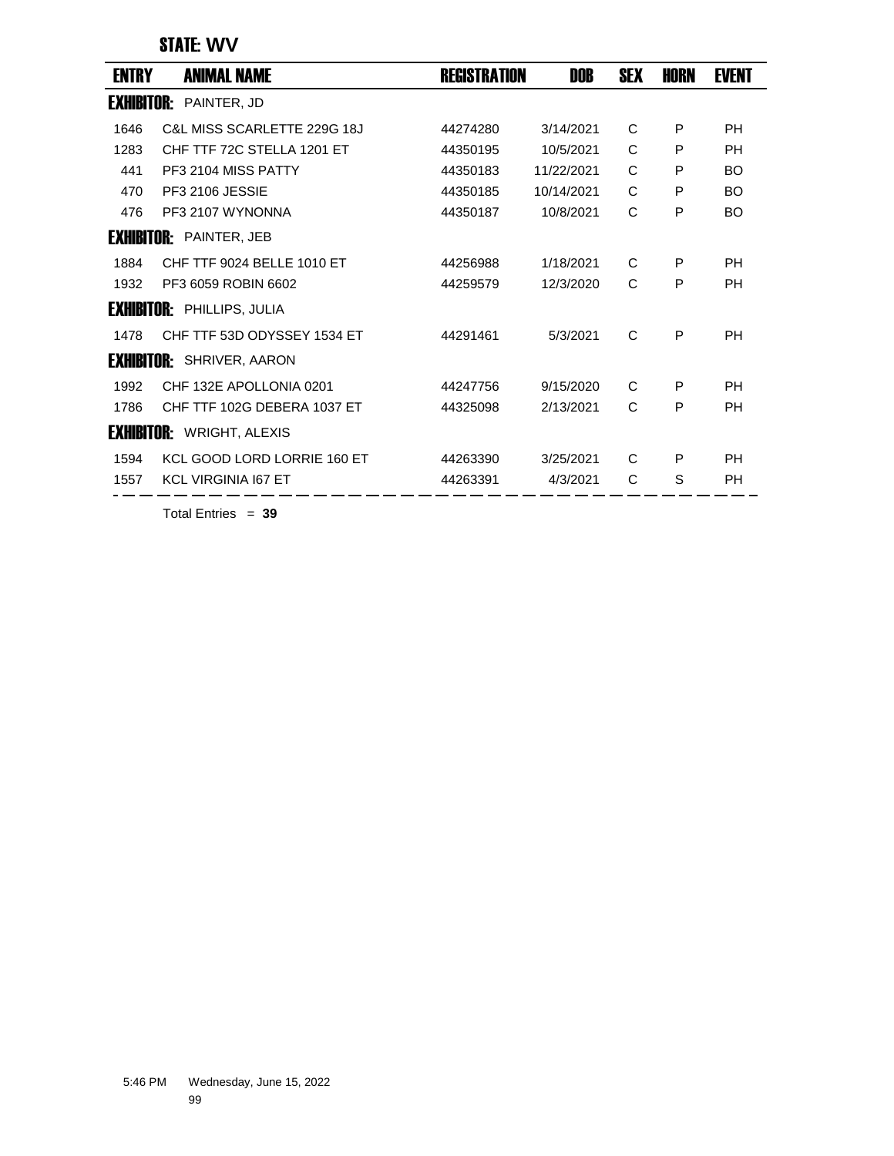STATE: **WV**

| <b>ENTRY</b>      | <b>ANIMAL NAME</b>                | <b>REGISTRATION</b> | DOB        | <b>SEX</b> | HORN | <b>EVENT</b> |
|-------------------|-----------------------------------|---------------------|------------|------------|------|--------------|
| <b>Exhibitor:</b> | PAINTER, JD                       |                     |            |            |      |              |
| 1646              | C&L MISS SCARLETTE 229G 18J       | 44274280            | 3/14/2021  | C          | P    | <b>PH</b>    |
| 1283              | CHF TTF 72C STELLA 1201 ET        | 44350195            | 10/5/2021  | C          | P    | <b>PH</b>    |
| 441               | PF3 2104 MISS PATTY               | 44350183            | 11/22/2021 | C          | P    | <b>BO</b>    |
| 470               | PF3 2106 JESSIE                   | 44350185            | 10/14/2021 | C          | P    | <b>BO</b>    |
| 476               | PF3 2107 WYNONNA                  | 44350187            | 10/8/2021  | C          | P    | <b>BO</b>    |
|                   | <b>EXHIBITOR: PAINTER, JEB</b>    |                     |            |            |      |              |
| 1884              | CHF TTF 9024 BELLE 1010 ET        | 44256988            | 1/18/2021  | C          | P    | <b>PH</b>    |
| 1932              | PF3 6059 ROBIN 6602               | 44259579            | 12/3/2020  | C          | P    | PH           |
|                   | <b>EXHIBITOR: PHILLIPS, JULIA</b> |                     |            |            |      |              |
| 1478              | CHF TTF 53D ODYSSEY 1534 ET       | 44291461            | 5/3/2021   | C          | P    | <b>PH</b>    |
|                   | <b>EXHIBITOR:</b> SHRIVER, AARON  |                     |            |            |      |              |
| 1992              | CHF 132E APOLLONIA 0201           | 44247756            | 9/15/2020  | C          | P    | <b>PH</b>    |
| 1786              | CHF TTF 102G DEBERA 1037 ET       | 44325098            | 2/13/2021  | C          | P    | <b>PH</b>    |
|                   | <b>EXHIBITOR: WRIGHT, ALEXIS</b>  |                     |            |            |      |              |
| 1594              | KCL GOOD LORD LORRIE 160 ET       | 44263390            | 3/25/2021  | C          | P    | <b>PH</b>    |
| 1557              | <b>KCL VIRGINIA 167 ET</b>        | 44263391            | 4/3/2021   | C          | S    | <b>PH</b>    |